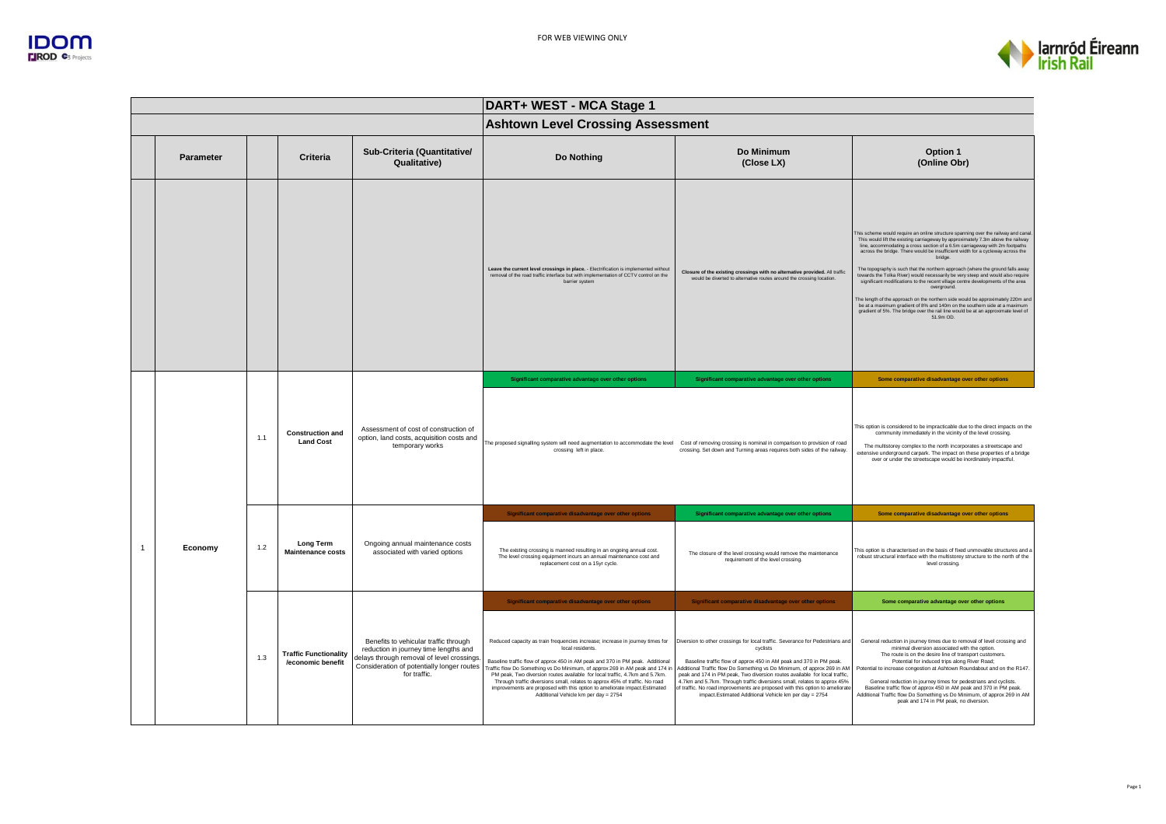

|              |           |     |                                                   |                                                                                                                                                                                            | DART+ WEST - MCA Stage 1                                                                                                                                                                                                                                                                                                                                                                                                                                                                                                                              |                                                                                                                                                                                                                                                                                                                                                                                                                                                                                                                                               |                                                                                                                                                                                                                                                                                                                                                                                                                                                                                                                                                                                                                                                                                                                                                                                                                                                                                            |
|--------------|-----------|-----|---------------------------------------------------|--------------------------------------------------------------------------------------------------------------------------------------------------------------------------------------------|-------------------------------------------------------------------------------------------------------------------------------------------------------------------------------------------------------------------------------------------------------------------------------------------------------------------------------------------------------------------------------------------------------------------------------------------------------------------------------------------------------------------------------------------------------|-----------------------------------------------------------------------------------------------------------------------------------------------------------------------------------------------------------------------------------------------------------------------------------------------------------------------------------------------------------------------------------------------------------------------------------------------------------------------------------------------------------------------------------------------|--------------------------------------------------------------------------------------------------------------------------------------------------------------------------------------------------------------------------------------------------------------------------------------------------------------------------------------------------------------------------------------------------------------------------------------------------------------------------------------------------------------------------------------------------------------------------------------------------------------------------------------------------------------------------------------------------------------------------------------------------------------------------------------------------------------------------------------------------------------------------------------------|
|              |           |     |                                                   |                                                                                                                                                                                            | <b>Ashtown Level Crossing Assessment</b>                                                                                                                                                                                                                                                                                                                                                                                                                                                                                                              |                                                                                                                                                                                                                                                                                                                                                                                                                                                                                                                                               |                                                                                                                                                                                                                                                                                                                                                                                                                                                                                                                                                                                                                                                                                                                                                                                                                                                                                            |
|              | Parameter |     | Criteria                                          | Sub-Criteria (Quantitative/<br>Qualitative)                                                                                                                                                | Do Nothing                                                                                                                                                                                                                                                                                                                                                                                                                                                                                                                                            | Do Minimum<br>(Close LX)                                                                                                                                                                                                                                                                                                                                                                                                                                                                                                                      | Option 1<br>(Online Obr)                                                                                                                                                                                                                                                                                                                                                                                                                                                                                                                                                                                                                                                                                                                                                                                                                                                                   |
|              |           |     |                                                   |                                                                                                                                                                                            | Leave the current level crossings in place. - Electrification is implemented without<br>removal of the road traffic interface but with implementation of CCTV control on the<br>barrier system                                                                                                                                                                                                                                                                                                                                                        | Closure of the existing crossings with no alternative provided. All traffic<br>would be diverted to alternative routes around the crossing location.                                                                                                                                                                                                                                                                                                                                                                                          | This scheme would require an online structure spanning over the railway and canal<br>This would lift the existing carriageway by approximately 7.3m above the railway<br>line, accommodating a cross section of a 6.5m carriageway with 2m footpaths<br>across the bridge. There would be insufficient width for a cycleway across the<br>bridge.<br>The topography is such that the northern approach (where the ground falls away<br>towards the Tolka River) would necessarily be very steep and would also require<br>significant modifications to the recent village centre developments of the area<br>overground.<br>The length of the approach on the northern side would be approximately 220m and<br>be at a maximum gradient of 8% and 140m on the southern side at a maximum<br>gradient of 5%. The bridge over the rail line would be at an approximate level of<br>51.9m OD. |
|              |           |     |                                                   |                                                                                                                                                                                            | Significant comparative advantage over other options                                                                                                                                                                                                                                                                                                                                                                                                                                                                                                  | Significant comparative advantage over other options                                                                                                                                                                                                                                                                                                                                                                                                                                                                                          | Some comparative disadvantage over other options                                                                                                                                                                                                                                                                                                                                                                                                                                                                                                                                                                                                                                                                                                                                                                                                                                           |
|              |           | 1.1 | <b>Construction and</b><br><b>Land Cost</b>       | Assessment of cost of construction of<br>option, land costs, acquisition costs and<br>temporary works                                                                                      | The proposed signalling system will need augmentation to accommodate the level Cost of removing crossing is nominal in comparison to provision of road<br>crossing left in place.                                                                                                                                                                                                                                                                                                                                                                     | crossing. Set down and Turning areas requires both sides of the railway.                                                                                                                                                                                                                                                                                                                                                                                                                                                                      | This option is considered to be impracticable due to the direct impacts on the<br>community immediately in the vicinity of the level crossing.<br>The multistorey complex to the north incorporates a streetscape and<br>extensive underground carpark. The impact on these properties of a bridge<br>over or under the streetscape would be inordinately impactful.                                                                                                                                                                                                                                                                                                                                                                                                                                                                                                                       |
|              |           |     |                                                   |                                                                                                                                                                                            | Significant comparative disadvantage over other options                                                                                                                                                                                                                                                                                                                                                                                                                                                                                               | Significant comparative advantage over other options                                                                                                                                                                                                                                                                                                                                                                                                                                                                                          | Some comparative disadvantage over other options                                                                                                                                                                                                                                                                                                                                                                                                                                                                                                                                                                                                                                                                                                                                                                                                                                           |
| $\mathbf{1}$ | Economy   | 1.2 | Long Term<br><b>Maintenance costs</b>             | Ongoing annual maintenance costs<br>associated with varied options                                                                                                                         | The existing crossing is manned resulting in an ongoing annual cost.<br>The level crossing equipment incurs an annual maintenance cost and<br>replacement cost on a 15yr cycle.                                                                                                                                                                                                                                                                                                                                                                       | The closure of the level crossing would remove the maintenance<br>requirement of the level crossing.                                                                                                                                                                                                                                                                                                                                                                                                                                          | This option is characterised on the basis of fixed unmovable structures and a<br>robust structural interface with the multistorey structure to the north of the<br>level crossing.                                                                                                                                                                                                                                                                                                                                                                                                                                                                                                                                                                                                                                                                                                         |
|              |           |     |                                                   |                                                                                                                                                                                            | Significant comparative disadvantage over other options                                                                                                                                                                                                                                                                                                                                                                                                                                                                                               | Significant comparative disadvantage over other options                                                                                                                                                                                                                                                                                                                                                                                                                                                                                       | Some comparative advantage over other options                                                                                                                                                                                                                                                                                                                                                                                                                                                                                                                                                                                                                                                                                                                                                                                                                                              |
|              |           | 1.3 | <b>Traffic Functionality</b><br>/economic benefit | Benefits to vehicular traffic through<br>reduction in journey time lengths and<br>delays through removal of level crossings.<br>Consideration of potentially longer routes<br>for traffic. | Reduced capacity as train frequencies increase; increase in journey times for<br>local residents.<br>Baseline traffic flow of approx 450 in AM peak and 370 in PM peak. Additional<br>Traffic flow Do Something vs Do Minimum, of approx 269 in AM peak and 174 in<br>PM peak, Two diversion routes available for local traffic, 4.7km and 5.7km.<br>Through traffic diversions small, relates to approx 45% of traffic. No road<br>improvements are proposed with this option to ameliorate impact.Estimated<br>Additional Vehicle km per day = 2754 | Diversion to other crossings for local traffic. Severance for Pedestrians and<br>cyclists<br>Baseline traffic flow of approx 450 in AM peak and 370 in PM peak.<br>Additional Traffic flow Do Something vs Do Minimum, of approx 269 in AM<br>peak and 174 in PM peak, Two diversion routes available for local traffic,<br>4.7km and 5.7km. Through traffic diversions small, relates to approx 45%<br>of traffic. No road improvements are proposed with this option to ameliorate<br>impact.Estimated Additional Vehicle km per day = 2754 | General reduction in journey times due to removal of level crossing and<br>minimal diversion associated with the option.<br>The route is on the desire line of transport customers.<br>Potential for induced trips along River Road;<br>Potential to increase congestion at Ashtown Roundabout and on the R147.<br>General reduction in journey times for pedestrians and cyclists.<br>Baseline traffic flow of approx 450 in AM peak and 370 in PM peak.<br>Additional Traffic flow Do Something vs Do Minimum, of approx 269 in AM<br>peak and 174 in PM peak, no diversion.                                                                                                                                                                                                                                                                                                             |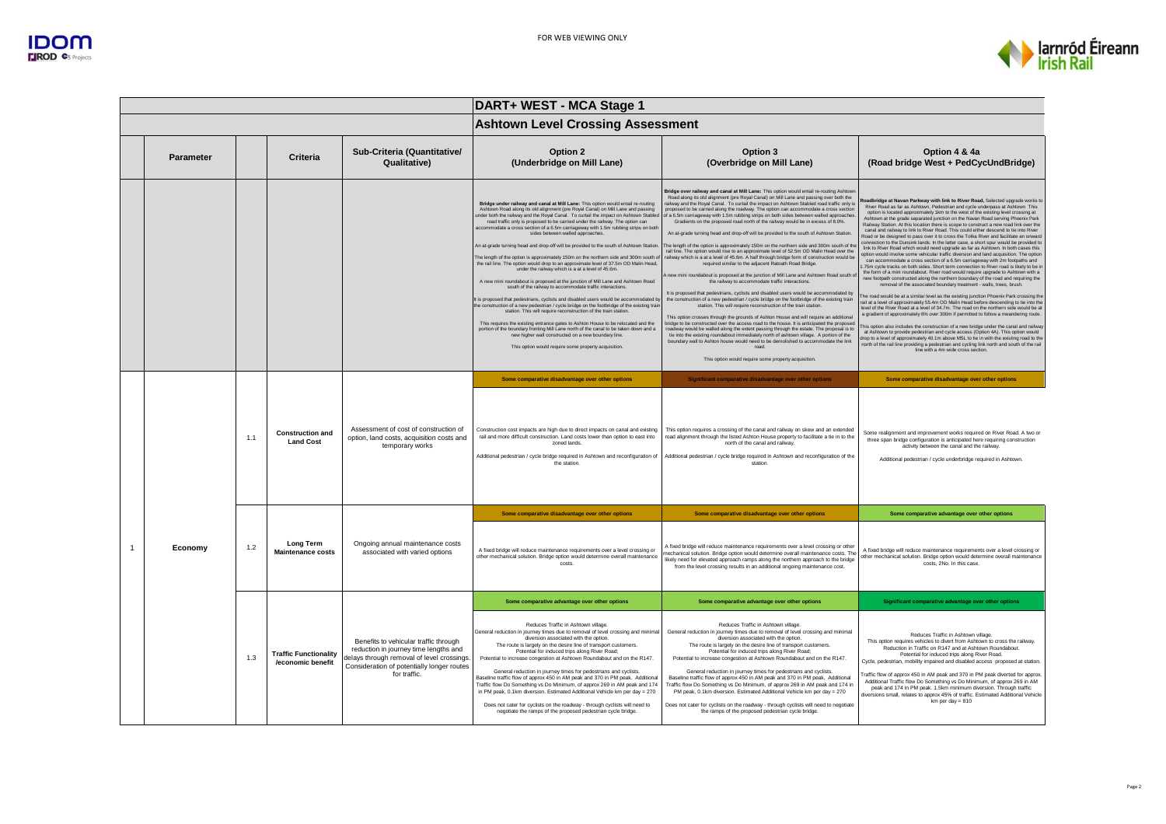

| DART+ WEST - MCA Stage 1 |           |     |                                                   |                                                                                                                                                                                            |                                                                                                                                                                                                                                                                                                                                                                                                                                                                                                                                                                                                                                                                                                                                                                                                                                                                                                                                                                                                                                                                                                                                                                                                                                                                                                                                                                                                                                                                                                            |                                                                                                                                                                                                                                                                                                                                                                                                                                                                                                                                                                                                                                                                                                                                                                                                                                                                                                                                                                                                                                                                                                                                                                                                                                                                                                                                                                                                                                                                                                                                                                                                                                                                                                                                                                                                                                                                                                                                            |                                                                                                                                                                                                                                                                                                                                                                                                                                                                                                                                                                                                                                                                                                                                                                                                                                                                                                                                                                                                                                                                                                                                                                                                                                                                                                                                                                                                                                                                                                                                                                                                                                                                                                                                                                                                                                                                                                                                                                                                                                                                                                       |  |
|--------------------------|-----------|-----|---------------------------------------------------|--------------------------------------------------------------------------------------------------------------------------------------------------------------------------------------------|------------------------------------------------------------------------------------------------------------------------------------------------------------------------------------------------------------------------------------------------------------------------------------------------------------------------------------------------------------------------------------------------------------------------------------------------------------------------------------------------------------------------------------------------------------------------------------------------------------------------------------------------------------------------------------------------------------------------------------------------------------------------------------------------------------------------------------------------------------------------------------------------------------------------------------------------------------------------------------------------------------------------------------------------------------------------------------------------------------------------------------------------------------------------------------------------------------------------------------------------------------------------------------------------------------------------------------------------------------------------------------------------------------------------------------------------------------------------------------------------------------|--------------------------------------------------------------------------------------------------------------------------------------------------------------------------------------------------------------------------------------------------------------------------------------------------------------------------------------------------------------------------------------------------------------------------------------------------------------------------------------------------------------------------------------------------------------------------------------------------------------------------------------------------------------------------------------------------------------------------------------------------------------------------------------------------------------------------------------------------------------------------------------------------------------------------------------------------------------------------------------------------------------------------------------------------------------------------------------------------------------------------------------------------------------------------------------------------------------------------------------------------------------------------------------------------------------------------------------------------------------------------------------------------------------------------------------------------------------------------------------------------------------------------------------------------------------------------------------------------------------------------------------------------------------------------------------------------------------------------------------------------------------------------------------------------------------------------------------------------------------------------------------------------------------------------------------------|-------------------------------------------------------------------------------------------------------------------------------------------------------------------------------------------------------------------------------------------------------------------------------------------------------------------------------------------------------------------------------------------------------------------------------------------------------------------------------------------------------------------------------------------------------------------------------------------------------------------------------------------------------------------------------------------------------------------------------------------------------------------------------------------------------------------------------------------------------------------------------------------------------------------------------------------------------------------------------------------------------------------------------------------------------------------------------------------------------------------------------------------------------------------------------------------------------------------------------------------------------------------------------------------------------------------------------------------------------------------------------------------------------------------------------------------------------------------------------------------------------------------------------------------------------------------------------------------------------------------------------------------------------------------------------------------------------------------------------------------------------------------------------------------------------------------------------------------------------------------------------------------------------------------------------------------------------------------------------------------------------------------------------------------------------------------------------------------------------|--|
|                          |           |     |                                                   |                                                                                                                                                                                            | <b>Ashtown Level Crossing Assessment</b>                                                                                                                                                                                                                                                                                                                                                                                                                                                                                                                                                                                                                                                                                                                                                                                                                                                                                                                                                                                                                                                                                                                                                                                                                                                                                                                                                                                                                                                                   |                                                                                                                                                                                                                                                                                                                                                                                                                                                                                                                                                                                                                                                                                                                                                                                                                                                                                                                                                                                                                                                                                                                                                                                                                                                                                                                                                                                                                                                                                                                                                                                                                                                                                                                                                                                                                                                                                                                                            |                                                                                                                                                                                                                                                                                                                                                                                                                                                                                                                                                                                                                                                                                                                                                                                                                                                                                                                                                                                                                                                                                                                                                                                                                                                                                                                                                                                                                                                                                                                                                                                                                                                                                                                                                                                                                                                                                                                                                                                                                                                                                                       |  |
|                          | Parameter |     | Criteria                                          | Sub-Criteria (Quantitative/<br>Qualitative)                                                                                                                                                | Option 2<br>(Underbridge on Mill Lane)                                                                                                                                                                                                                                                                                                                                                                                                                                                                                                                                                                                                                                                                                                                                                                                                                                                                                                                                                                                                                                                                                                                                                                                                                                                                                                                                                                                                                                                                     | Option 3<br>(Overbridge on Mill Lane)                                                                                                                                                                                                                                                                                                                                                                                                                                                                                                                                                                                                                                                                                                                                                                                                                                                                                                                                                                                                                                                                                                                                                                                                                                                                                                                                                                                                                                                                                                                                                                                                                                                                                                                                                                                                                                                                                                      | Option 4 & 4a<br>(Road bridge West + PedCycUndBridge)                                                                                                                                                                                                                                                                                                                                                                                                                                                                                                                                                                                                                                                                                                                                                                                                                                                                                                                                                                                                                                                                                                                                                                                                                                                                                                                                                                                                                                                                                                                                                                                                                                                                                                                                                                                                                                                                                                                                                                                                                                                 |  |
|                          |           |     |                                                   |                                                                                                                                                                                            | Bridge under railway and canal at Mill Lane: This option would entail re-routing<br>Ashtown Road along its old alignment (pre Royal Canal) on Mill Lane and passing<br>under both the railway and the Royal Canal. To curtail the impact on Ashtown Stable<br>road traffic only is proposed to be carried under the railway. The option can<br>accommodate a cross section of a 6.5m carriageway with 1.5m rubbing strips on both<br>sides between walled approaches.<br>An at-grade turning head and drop-off will be provided to the south of Ashtown Station.<br>The length of the option is approximately 150m on the northern side and 300m south of<br>the rail line. The option would drop to an approximate level of 37.5m OD Malin Head,<br>under the railway which is a at a level of 45.6m.<br>A new mini roundabout is proposed at the junction of Mill Lane and Ashtown Road<br>south of the railway to accommodate traffic interactions.<br>It is proposed that pedestrians, cyclists and disabled users would be accommodated b<br>the construction of a new pedestrian / cycle bridge on the footbridge of the existing tra<br>station. This will require reconstruction of the train station.<br>This requires the existing entrance gates to Ashton House to be relocated and the<br>portion of the boundary fronting Mill Lane north of the canal to be taken down and a<br>new higher wall constructed on a new boundary line.<br>This option would require some property acquisition. | Bridge over railway and canal at Mill Lane: This option would entail re-routing Ashtow<br>Road along its old alignment (pre Royal Canal) on Mill Lane and passing over both the<br>railway and the Royal Canal. To curtail the impact on Ashtown Stabled road traffic only is<br>proposed to be carried along the roadway. The option can accommodate a cross section<br>of a 6.5m carriageway with 1.5m rubbing strips on both sides between walled approacher<br>Gradients on the proposed road north of the railway would be in excess of 8.0%.<br>An at-grade turning head and drop-off will be provided to the south of Ashtown Station.<br>The length of the option is approximately 150m on the northern side and 300m south of the<br>rail line. The option would rise to an approximate level of 52.5m OD Malin Head over the<br>railway which is a at a level of 45.6m. A half through bridge form of construction would be<br>required similar to the adjacent Ratoath Road Bridge.<br>new mini roundabout is proposed at the junction of Mill Lane and Ashtown Road south of<br>the railway to accommodate traffic interactions.<br>It is proposed that pedestrians, cyclists and disabled users would be accommodated by<br>the construction of a new pedestrian / cycle bridge on the footbridge of the existing train<br>station. This will require reconstruction of the train station.<br>This option crosses through the grounds of Ashton House and will require an additional<br>bridge to be constructed over the access road to the house. It is anticipated the proposed<br>roadway would be walled along the extent passing through the estate. The proposal is to<br>tie into the existing roundabout immediately north of ashtown village. A portion of the<br>boundary wall to Ashton house would need to be demolished to accommodate the link<br>road<br>This option would require some property acquisition. | toadbridge at Navan Parkway with link to River Road, Selected upgrade works to<br>River Road as far as Ashtown, Pedestrian and cycle underpass at Ashtown This<br>option is located approximately 1km to the west of the existing level crossing at<br>Ashtown at the grade separated junction on the Navan Road serving Phoenix Park<br>Railway Station. At this location there is scope to construct a new road link over the<br>canal and railway to link to River Road. This could either descend to tie into River<br>Road or be designed to pass over it to cross the Tolka River and facilitate an onward<br>connection to the Dunsink lands. In the latter case, a short spur would be provided to<br>link to River Road which would need upgrade as far as Ashtown. In both cases this<br>option would involve some vehicular traffic diversion and land acquisition. The option<br>can accommodate a cross section of a 6.5m carriageway with 2m footpaths and<br>.75m cycle tracks on both sides. Short term connection to River road is likely to be in<br>the form of a mini roundabout. River road would require upgrade to Ashtown with a<br>new footpath constructed along the northern boundary of the road and requiring the<br>removal of the associated boundary treatment - walls, trees, brush.<br>The road would be at a similar level as the existing junction Phoenix Park crossing the<br>rail at a level of approximately 55.4m OD Malin Head before descending to tie into the<br>evel of the River Road at a level of 34.7m. The road on the northern side would be at<br>a gradient of approximately 6% over 300m if permitted to follow a meandering route<br>his option also includes the construction of a new bridge under the canal and railwa'<br>at Ashtown to provide pedestrian and cycle access (Option 4A). This option would<br>drop to a level of approximately 40.1m above MSL to tie in with the existing road to the<br>north of the rail line providing a pedestrian and cycling link north and south of the rail<br>line with a 4m wide cross section |  |
|                          |           | 1.1 | <b>Construction and</b><br><b>Land Cost</b>       | Assessment of cost of construction of<br>option, land costs, acquisition costs and<br>temporary works                                                                                      | Some comparative disadvantage over other options<br>Construction cost impacts are high due to direct impacts on canal and existing<br>rail and more difficult construction. Land costs lower than option to east into<br>zoned lands.<br>Additional pedestrian / cycle bridge required in Ashtown and reconfiguration of<br>the station.                                                                                                                                                                                                                                                                                                                                                                                                                                                                                                                                                                                                                                                                                                                                                                                                                                                                                                                                                                                                                                                                                                                                                                   | Significant comparative disadvantage over other options<br>This option requires a crossing of the canal and railway on skew and an extended<br>road alignment through the listed Ashton House property to facilitate a tie in to the<br>north of the canal and railway.<br>Additional pedestrian / cycle bridge required in Ashtown and reconfiguration of the<br>station                                                                                                                                                                                                                                                                                                                                                                                                                                                                                                                                                                                                                                                                                                                                                                                                                                                                                                                                                                                                                                                                                                                                                                                                                                                                                                                                                                                                                                                                                                                                                                  | Some comparative disadvantage over other options<br>Some realignment and improvement works required on River Road. A two or<br>three span bridge configuration is anticipated here requiring construction<br>activity between the canal and the railway.<br>Additional pedestrian / cycle underbridge required in Ashtown.                                                                                                                                                                                                                                                                                                                                                                                                                                                                                                                                                                                                                                                                                                                                                                                                                                                                                                                                                                                                                                                                                                                                                                                                                                                                                                                                                                                                                                                                                                                                                                                                                                                                                                                                                                            |  |
|                          |           |     |                                                   |                                                                                                                                                                                            | Some comparative disadvantage over other options                                                                                                                                                                                                                                                                                                                                                                                                                                                                                                                                                                                                                                                                                                                                                                                                                                                                                                                                                                                                                                                                                                                                                                                                                                                                                                                                                                                                                                                           | Some comparative disadvantage over other options                                                                                                                                                                                                                                                                                                                                                                                                                                                                                                                                                                                                                                                                                                                                                                                                                                                                                                                                                                                                                                                                                                                                                                                                                                                                                                                                                                                                                                                                                                                                                                                                                                                                                                                                                                                                                                                                                           | Some comparative advantage over other options                                                                                                                                                                                                                                                                                                                                                                                                                                                                                                                                                                                                                                                                                                                                                                                                                                                                                                                                                                                                                                                                                                                                                                                                                                                                                                                                                                                                                                                                                                                                                                                                                                                                                                                                                                                                                                                                                                                                                                                                                                                         |  |
| $\mathbf{1}$             | Economy   | 1.2 | <b>Long Term</b><br><b>Maintenance costs</b>      | Ongoing annual maintenance costs<br>associated with varied options                                                                                                                         | A fixed bridge will reduce maintenance requirements over a level crossing or<br>other mechanical solution. Bridge option would determine overall maintenance<br>costs.                                                                                                                                                                                                                                                                                                                                                                                                                                                                                                                                                                                                                                                                                                                                                                                                                                                                                                                                                                                                                                                                                                                                                                                                                                                                                                                                     | A fixed bridge will reduce maintenance requirements over a level crossing or other<br>mechanical solution. Bridge option would determine overall maintenance costs. The<br>likely need for elevated approach ramps along the northern approach to the bridge<br>from the level crossing results in an additional ongoing maintenance cost                                                                                                                                                                                                                                                                                                                                                                                                                                                                                                                                                                                                                                                                                                                                                                                                                                                                                                                                                                                                                                                                                                                                                                                                                                                                                                                                                                                                                                                                                                                                                                                                  | A fixed bridge will reduce maintenance requirements over a level crossing or<br>other mechanical solution. Bridge option would determine overall maintenance<br>costs. 2No. In this case.                                                                                                                                                                                                                                                                                                                                                                                                                                                                                                                                                                                                                                                                                                                                                                                                                                                                                                                                                                                                                                                                                                                                                                                                                                                                                                                                                                                                                                                                                                                                                                                                                                                                                                                                                                                                                                                                                                             |  |
|                          |           |     |                                                   |                                                                                                                                                                                            | Some comparative advantage over other options                                                                                                                                                                                                                                                                                                                                                                                                                                                                                                                                                                                                                                                                                                                                                                                                                                                                                                                                                                                                                                                                                                                                                                                                                                                                                                                                                                                                                                                              | Some comparative advantage over other options                                                                                                                                                                                                                                                                                                                                                                                                                                                                                                                                                                                                                                                                                                                                                                                                                                                                                                                                                                                                                                                                                                                                                                                                                                                                                                                                                                                                                                                                                                                                                                                                                                                                                                                                                                                                                                                                                              | Significant comparative advantage over other options                                                                                                                                                                                                                                                                                                                                                                                                                                                                                                                                                                                                                                                                                                                                                                                                                                                                                                                                                                                                                                                                                                                                                                                                                                                                                                                                                                                                                                                                                                                                                                                                                                                                                                                                                                                                                                                                                                                                                                                                                                                  |  |
|                          |           | 1.3 | <b>Traffic Functionality</b><br>/economic benefit | Benefits to vehicular traffic through<br>reduction in journey time lengths and<br>lelays through removal of level crossings.<br>Consideration of potentially longer routes<br>for traffic. | Reduces Traffic in Ashtown village.<br>General reduction in journey times due to removal of level crossing and minima<br>diversion associated with the option.<br>The route is largely on the desire line of transport customers.<br>Potential for induced trips along River Road;<br>Potential to increase congestion at Ashtown Roundabout and on the R147.<br>General reduction in journey times for pedestrians and cyclists.<br>Baseline traffic flow of approx 450 in AM peak and 370 in PM peak. Additional<br>Traffic flow Do Something vs Do Minimum, of approx 269 in AM peak and 174<br>in PM peak, 0.1km diversion. Estimated Additional Vehicle km per day = 270<br>Does not cater for cyclists on the roadway - through cyclists will need to<br>negotiate the ramps of the proposed pedestrian cycle bridge.                                                                                                                                                                                                                                                                                                                                                                                                                                                                                                                                                                                                                                                                                | Reduces Traffic in Ashtown village.<br>General reduction in journey times due to removal of level crossing and minimal<br>diversion associated with the option.<br>The route is largely on the desire line of transport customers.<br>Potential for induced trips along River Road;<br>Potential to increase congestion at Ashtown Roundabout and on the R147.<br>General reduction in journey times for pedestrians and cyclists.<br>Baseline traffic flow of approx 450 in AM peak and 370 in PM peak. Additional<br>Traffic flow Do Something vs Do Minimum, of approx 269 in AM peak and 174 in<br>PM peak, 0.1km diversion. Estimated Additional Vehicle km per day = 270<br>Does not cater for cyclists on the roadway - through cyclists will need to negotiate<br>the ramps of the proposed pedestrian cycle bridge.                                                                                                                                                                                                                                                                                                                                                                                                                                                                                                                                                                                                                                                                                                                                                                                                                                                                                                                                                                                                                                                                                                               | Reduces Traffic in Ashtown village.<br>This option requires vehicles to divert from Ashtown to cross the railway.<br>Reduction in Traffic on R147 and at Ashtown Roundabout.<br>Potential for induced trips along River Road.<br>Cycle, pedestrian, mobility impaired and disabled access proposed at station.<br>Fraffic flow of approx 450 in AM peak and 370 in PM peak diverted for approx.<br>Additional Traffic flow Do Something vs Do Minimum, of approx 269 in AM<br>peak and 174 in PM peak. 1.5km minimum diversion. Through traffic<br>diversions small, relates to approx 45% of traffic. Estimated Additional Vehicle<br>km per day $= 810$                                                                                                                                                                                                                                                                                                                                                                                                                                                                                                                                                                                                                                                                                                                                                                                                                                                                                                                                                                                                                                                                                                                                                                                                                                                                                                                                                                                                                                             |  |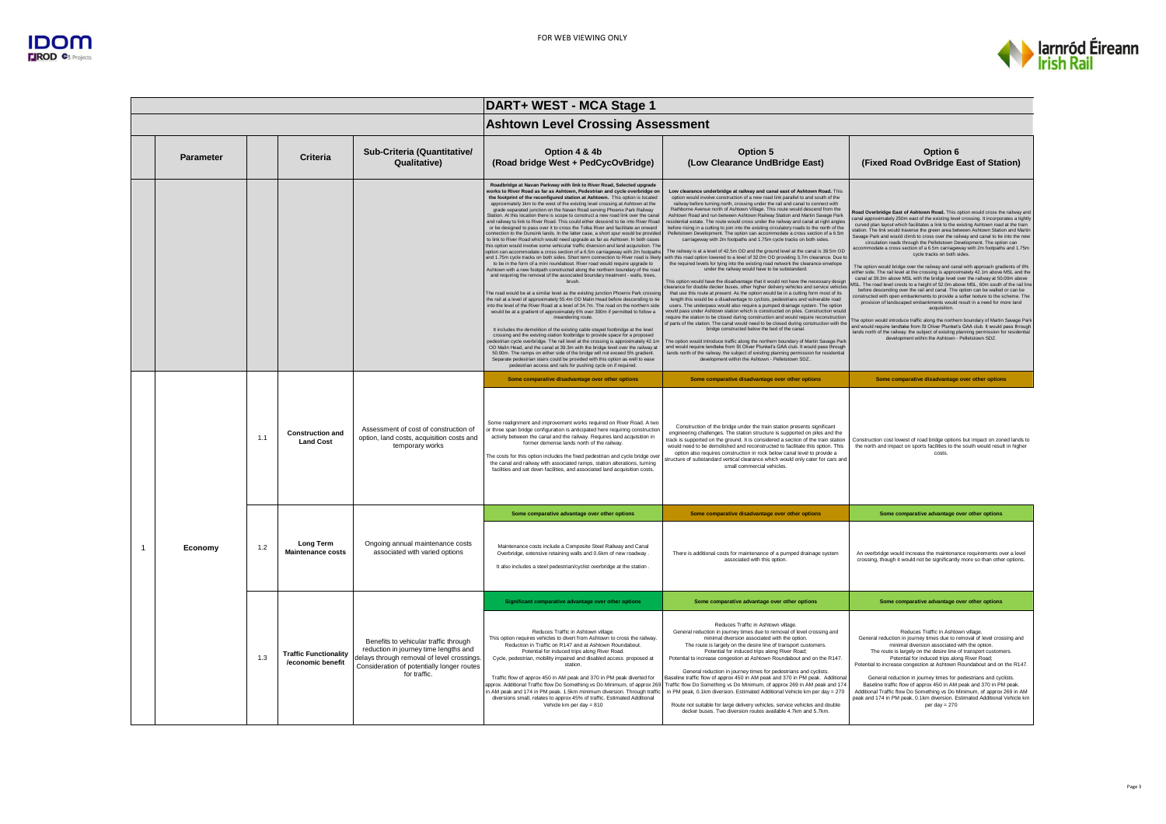

|                  |     |                                                   |                                                                                                                                                                                            | DART+ WEST - MCA Stage 1                                                                                                                                                                                                                                                                                                                                                                                                                                                                                                                                                                                                                                                                                                                                                                                                                                                                                                                                                                                                                                                                                                                                                                                                                                                                                                                                                                                                                                                                                                                                                                                                                                                                                                                                                                                                                                                                                                                                                                                                                                                                                                                                                                                                                                                                                                        |                                                                                                                                                                                                                                                                                                                                                                                                                                                                                                                                                                                                                                                                                                                                                                                                                                                                                                                                                                                                                                                                                                                                                                                                                                                                                                                                                                                                                                                                                                                                                                                                                                                                                                                                                                                                                                                                                                                                                                                                                                                                                                                                                                                               |                                                                                                                                                                                                                                                                                                                                                                                                                                                                                                                                                                                                                                                                                                                                                                                                                                                                                                                                                                                                                                                                                                                                                                                                                                                                                                                                                                                                                                                                                                                                                                                              |
|------------------|-----|---------------------------------------------------|--------------------------------------------------------------------------------------------------------------------------------------------------------------------------------------------|---------------------------------------------------------------------------------------------------------------------------------------------------------------------------------------------------------------------------------------------------------------------------------------------------------------------------------------------------------------------------------------------------------------------------------------------------------------------------------------------------------------------------------------------------------------------------------------------------------------------------------------------------------------------------------------------------------------------------------------------------------------------------------------------------------------------------------------------------------------------------------------------------------------------------------------------------------------------------------------------------------------------------------------------------------------------------------------------------------------------------------------------------------------------------------------------------------------------------------------------------------------------------------------------------------------------------------------------------------------------------------------------------------------------------------------------------------------------------------------------------------------------------------------------------------------------------------------------------------------------------------------------------------------------------------------------------------------------------------------------------------------------------------------------------------------------------------------------------------------------------------------------------------------------------------------------------------------------------------------------------------------------------------------------------------------------------------------------------------------------------------------------------------------------------------------------------------------------------------------------------------------------------------------------------------------------------------|-----------------------------------------------------------------------------------------------------------------------------------------------------------------------------------------------------------------------------------------------------------------------------------------------------------------------------------------------------------------------------------------------------------------------------------------------------------------------------------------------------------------------------------------------------------------------------------------------------------------------------------------------------------------------------------------------------------------------------------------------------------------------------------------------------------------------------------------------------------------------------------------------------------------------------------------------------------------------------------------------------------------------------------------------------------------------------------------------------------------------------------------------------------------------------------------------------------------------------------------------------------------------------------------------------------------------------------------------------------------------------------------------------------------------------------------------------------------------------------------------------------------------------------------------------------------------------------------------------------------------------------------------------------------------------------------------------------------------------------------------------------------------------------------------------------------------------------------------------------------------------------------------------------------------------------------------------------------------------------------------------------------------------------------------------------------------------------------------------------------------------------------------------------------------------------------------|----------------------------------------------------------------------------------------------------------------------------------------------------------------------------------------------------------------------------------------------------------------------------------------------------------------------------------------------------------------------------------------------------------------------------------------------------------------------------------------------------------------------------------------------------------------------------------------------------------------------------------------------------------------------------------------------------------------------------------------------------------------------------------------------------------------------------------------------------------------------------------------------------------------------------------------------------------------------------------------------------------------------------------------------------------------------------------------------------------------------------------------------------------------------------------------------------------------------------------------------------------------------------------------------------------------------------------------------------------------------------------------------------------------------------------------------------------------------------------------------------------------------------------------------------------------------------------------------|
|                  |     |                                                   |                                                                                                                                                                                            | <b>Ashtown Level Crossing Assessment</b>                                                                                                                                                                                                                                                                                                                                                                                                                                                                                                                                                                                                                                                                                                                                                                                                                                                                                                                                                                                                                                                                                                                                                                                                                                                                                                                                                                                                                                                                                                                                                                                                                                                                                                                                                                                                                                                                                                                                                                                                                                                                                                                                                                                                                                                                                        |                                                                                                                                                                                                                                                                                                                                                                                                                                                                                                                                                                                                                                                                                                                                                                                                                                                                                                                                                                                                                                                                                                                                                                                                                                                                                                                                                                                                                                                                                                                                                                                                                                                                                                                                                                                                                                                                                                                                                                                                                                                                                                                                                                                               |                                                                                                                                                                                                                                                                                                                                                                                                                                                                                                                                                                                                                                                                                                                                                                                                                                                                                                                                                                                                                                                                                                                                                                                                                                                                                                                                                                                                                                                                                                                                                                                              |
| <b>Parameter</b> |     | <b>Criteria</b>                                   | Sub-Criteria (Quantitative/<br>Qualitative)                                                                                                                                                | Option 4 & 4b<br>(Road bridge West + PedCycOvBridge)                                                                                                                                                                                                                                                                                                                                                                                                                                                                                                                                                                                                                                                                                                                                                                                                                                                                                                                                                                                                                                                                                                                                                                                                                                                                                                                                                                                                                                                                                                                                                                                                                                                                                                                                                                                                                                                                                                                                                                                                                                                                                                                                                                                                                                                                            | Option 5<br>(Low Clearance UndBridge East)                                                                                                                                                                                                                                                                                                                                                                                                                                                                                                                                                                                                                                                                                                                                                                                                                                                                                                                                                                                                                                                                                                                                                                                                                                                                                                                                                                                                                                                                                                                                                                                                                                                                                                                                                                                                                                                                                                                                                                                                                                                                                                                                                    | Option 6<br>(Fixed Road OvBridge East of Station)                                                                                                                                                                                                                                                                                                                                                                                                                                                                                                                                                                                                                                                                                                                                                                                                                                                                                                                                                                                                                                                                                                                                                                                                                                                                                                                                                                                                                                                                                                                                            |
|                  |     |                                                   |                                                                                                                                                                                            | Roadbridge at Navan Parkway with link to River Road, Selected upgrade<br>works to River Road as far as Ashtown. Pedestrian and cycle overbridge on<br>the footprint of the reconfigured station at Ashtown. This option is located<br>approximately 1km to the west of the existing level crossing at Ashtown at the<br>grade separated junction on the Navan Road serving Phoenix Park Railway<br>Station. At this location there is scope to construct a new road link over the canal<br>and railway to link to River Road. This could either descend to tie into River Road<br>or be designed to pass over it to cross the Tolka River and facilitate an onward<br>connection to the Dunsink lands, In the latter case, a short spur would be provided<br>to link to River Road which would need upgrade as far as Ashtown. In both cases<br>this option would involve some vehicular traffic diversion and land acquisition. The<br>option can accommodate a cross section of a 6.5m carriageway with 2m footpaths<br>and 1.75m cycle tracks on both sides. Short term connection to River road is likely<br>to be in the form of a mini roundabout. River road would require upgrade to<br>Ashtown with a new footpath constructed along the northern boundary of the road<br>and requiring the removal of the associated boundary treatment - walls, trees,<br>hrush<br>The road would be at a similar level as the existing junction Phoenix Park crossing<br>the rail at a level of approximately 55.4m OD Malin Head before descending to tie<br>into the level of the River Road at a level of 34.7m. The road on the northern side<br>would be at a gradient of approximately 6% over 300m if permitted to follow a<br>meandering route<br>It includes the demolition of the existing cable stayed footbridge at the level<br>crossing and the existing station footbridge to provide space for a proposed<br>pedestrian cycle overbridge. The rail level at the crossing is approximately 42.1m<br>OD Malin Head, and the canal at 39.3m with the bridge level over the railway at<br>50.00m. The ramps on either side of the bridge will not exceed 5% gradient.<br>Separate pedestrian stairs could be provided with this option as well to ease<br>pedestrian access and rails for pushing cycle on if required. | Low clearance underbridge at railway and canal east of Ashtown Road. This<br>option would involve construction of a new road link parallel to and south of the<br>railway before turning north, crossing under the rail and canal to connect with<br>Rathborne Avenue north of Ashtown Village. This route would descend from the<br>Ashtown Road and run between Ashtown Railway Station and Martin Sayage Park<br>residential estate. The route would cross under the railway and canal at right angles<br>before rising in a cutting to join into the existing circulatory roads to the north of the<br>Pelletstown Development. The option can accommodate a cross section of a 6.5m<br>carriageway with 2m footpaths and 1.75m cycle tracks on both sides.<br>The railway is at a level of 42.5m OD and the ground level at the canal is 39.5m OD<br>vith this road option lowered to a level of 32.0m OD providing 3.7m clearance. Due to<br>the required levels for tying into the existing road network the clearance envelope<br>under the railway would have to be substandard.<br>This option would have the disadvantage that it would not have the necessary design<br>earance for double decker buses, other higher delivery vehicles and service vehicle<br>that use this route at present. As the option would be in a cutting form most of its<br>length this would be a disadvantage to cyclists, pedestrians and vulnerable road<br>users. The underpass would also require a pumped drainage system. The option<br>would pass under Ashtown station which is constructed on piles. Construction would<br>equire the station to be closed during construction and would require reconstruction<br>of parts of the station. The canal would need to be closed during construction with the<br>bridge constructed below the bed of the canal.<br>The option would introduce traffic along the northern boundary of Martin Sayage Park<br>and would require landtake from St Oliver Plunket's GAA club. It would pass through<br>lands north of the railway. the subject of existing planning permission for residentia<br>development within the Ashtown - Pelletstown SDZ., | Road Overbridge East of Ashtown Road. This option would cross the railway and<br>canal approximately 250m east of the existing level crossing. It incorporates a tightly<br>curved plan layout which facilitates a link to the existing Ashtown road at the train<br>station. The link would traverse the green area between Ashtown Station and Martin<br>Savage Park and would climb to cross over the railway and canal to tie into the new<br>circulation roads through the Pelletstown Development. The option can<br>accommodate a cross section of a 6.5m carriageway with 2m footpaths and 1.75m<br>cycle tracks on both sides.<br>The option would bridge over the railway and canal with approach gradients of 6%<br>either side. The rail level at the crossing is approximately 42.1m above MSL and the<br>canal at 39.3m above MSL with the bridge level over the railway at 50.00m above<br>ISL. The road level crests to a height of 52.0m above MSL, 60m south of the rail line<br>before descending over the rail and canal. The option can be walled or can be<br>onstructed with open embankments to provide a softer texture to the scheme. The<br>provision of landscaped embankments would result in a need for more land<br>acquisition<br>The option would introduce traffic along the northern boundary of Martin Savage Park<br>and would require landtake from St Oliver Plunket's GAA club. It would pass through<br>lands north of the railway. the subject of existing planning permission for residentia<br>development within the Ashtown - Pelletstown SDZ. |
|                  |     |                                                   | Assessment of cost of construction of<br>option, land costs, acquisition costs and<br>temporary works                                                                                      | Some comparative disadvantage over other options                                                                                                                                                                                                                                                                                                                                                                                                                                                                                                                                                                                                                                                                                                                                                                                                                                                                                                                                                                                                                                                                                                                                                                                                                                                                                                                                                                                                                                                                                                                                                                                                                                                                                                                                                                                                                                                                                                                                                                                                                                                                                                                                                                                                                                                                                | Some comparative disadvantage over other options                                                                                                                                                                                                                                                                                                                                                                                                                                                                                                                                                                                                                                                                                                                                                                                                                                                                                                                                                                                                                                                                                                                                                                                                                                                                                                                                                                                                                                                                                                                                                                                                                                                                                                                                                                                                                                                                                                                                                                                                                                                                                                                                              | Some comparative disadvantage over other options                                                                                                                                                                                                                                                                                                                                                                                                                                                                                                                                                                                                                                                                                                                                                                                                                                                                                                                                                                                                                                                                                                                                                                                                                                                                                                                                                                                                                                                                                                                                             |
|                  | 1.1 | <b>Construction and</b><br><b>Land Cost</b>       |                                                                                                                                                                                            | Some realignment and improvement works required on River Road. A two<br>or three span bridge configuration is anticipated here requiring construction<br>activity between the canal and the railway. Requires land acquisition in<br>former demense lands north of the railway.<br>The costs for this option includes the fixed pedestrian and cycle bridge over<br>the canal and railway with associated ramps, station alterations, turning<br>facilities and set down facilities, and associated land acquisition costs.                                                                                                                                                                                                                                                                                                                                                                                                                                                                                                                                                                                                                                                                                                                                                                                                                                                                                                                                                                                                                                                                                                                                                                                                                                                                                                                                                                                                                                                                                                                                                                                                                                                                                                                                                                                                     | Construction of the bridge under the train station presents significant<br>engineering challenges. The station structure is supported on piles and the<br>track is supported on the ground. It is considered a section of the train station<br>would need to be demolished and reconstructed to facilitate this option. This<br>option also requires construction in rock below canal level to provide a<br>tructure of substandard vertical clearance which would only cater for cars and<br>small commercial vehicles                                                                                                                                                                                                                                                                                                                                                                                                                                                                                                                                                                                                                                                                                                                                                                                                                                                                                                                                                                                                                                                                                                                                                                                                                                                                                                                                                                                                                                                                                                                                                                                                                                                                       | Construction cost lowest of road bridge options but impact on zoned lands to<br>the north and impact on sports facilities to the south would result in higher<br>costs                                                                                                                                                                                                                                                                                                                                                                                                                                                                                                                                                                                                                                                                                                                                                                                                                                                                                                                                                                                                                                                                                                                                                                                                                                                                                                                                                                                                                       |
|                  |     |                                                   |                                                                                                                                                                                            | Some comparative advantage over other options                                                                                                                                                                                                                                                                                                                                                                                                                                                                                                                                                                                                                                                                                                                                                                                                                                                                                                                                                                                                                                                                                                                                                                                                                                                                                                                                                                                                                                                                                                                                                                                                                                                                                                                                                                                                                                                                                                                                                                                                                                                                                                                                                                                                                                                                                   | Some comparative disadvantage over other options                                                                                                                                                                                                                                                                                                                                                                                                                                                                                                                                                                                                                                                                                                                                                                                                                                                                                                                                                                                                                                                                                                                                                                                                                                                                                                                                                                                                                                                                                                                                                                                                                                                                                                                                                                                                                                                                                                                                                                                                                                                                                                                                              | Some comparative advantage over other options                                                                                                                                                                                                                                                                                                                                                                                                                                                                                                                                                                                                                                                                                                                                                                                                                                                                                                                                                                                                                                                                                                                                                                                                                                                                                                                                                                                                                                                                                                                                                |
| Economy          | 1.2 | Long Term<br><b>Maintenance costs</b>             | Ongoing annual maintenance costs<br>associated with varied options                                                                                                                         | Maintenance costs include a Composite Steel Railway and Canal<br>Overbridge, extensive retaining walls and 0.6km of new roadway.<br>It also includes a steel pedestrian/cyclist overbridge at the station                                                                                                                                                                                                                                                                                                                                                                                                                                                                                                                                                                                                                                                                                                                                                                                                                                                                                                                                                                                                                                                                                                                                                                                                                                                                                                                                                                                                                                                                                                                                                                                                                                                                                                                                                                                                                                                                                                                                                                                                                                                                                                                       | There is additional costs for maintenance of a pumped drainage system<br>associated with this option.                                                                                                                                                                                                                                                                                                                                                                                                                                                                                                                                                                                                                                                                                                                                                                                                                                                                                                                                                                                                                                                                                                                                                                                                                                                                                                                                                                                                                                                                                                                                                                                                                                                                                                                                                                                                                                                                                                                                                                                                                                                                                         | An overbridge would increase the maintenance requirements over a level<br>crossing, though it would not be significantly more so than other options.                                                                                                                                                                                                                                                                                                                                                                                                                                                                                                                                                                                                                                                                                                                                                                                                                                                                                                                                                                                                                                                                                                                                                                                                                                                                                                                                                                                                                                         |
|                  |     |                                                   |                                                                                                                                                                                            | Significant comparative advantage over other options                                                                                                                                                                                                                                                                                                                                                                                                                                                                                                                                                                                                                                                                                                                                                                                                                                                                                                                                                                                                                                                                                                                                                                                                                                                                                                                                                                                                                                                                                                                                                                                                                                                                                                                                                                                                                                                                                                                                                                                                                                                                                                                                                                                                                                                                            | Some comparative advantage over other options                                                                                                                                                                                                                                                                                                                                                                                                                                                                                                                                                                                                                                                                                                                                                                                                                                                                                                                                                                                                                                                                                                                                                                                                                                                                                                                                                                                                                                                                                                                                                                                                                                                                                                                                                                                                                                                                                                                                                                                                                                                                                                                                                 | Some comparative advantage over other options                                                                                                                                                                                                                                                                                                                                                                                                                                                                                                                                                                                                                                                                                                                                                                                                                                                                                                                                                                                                                                                                                                                                                                                                                                                                                                                                                                                                                                                                                                                                                |
|                  | 1.3 | <b>Traffic Functionality</b><br>/economic benefit | Benefits to vehicular traffic through<br>reduction in journey time lengths and<br>delays through removal of level crossings.<br>Consideration of potentially longer routes<br>for traffic. | Reduces Traffic in Ashtown village.<br>This option requires vehicles to divert from Ashtown to cross the railway.<br>Reduction in Traffic on R147 and at Ashtown Roundabout<br>Potential for induced trips along River Road.<br>Cycle, pedestrian, mobility impaired and disabled access proposed at<br>station.<br>Traffic flow of approx 450 in AM peak and 370 in PM peak diverted for<br>pprox. Additional Traffic flow Do Something vs Do Minimum, of approx 269<br>in AM peak and 174 in PM peak. 1.5km minimum diversion. Through traffic<br>diversions small, relates to approx 45% of traffic. Estimated Additional<br>Vehicle km per day = 810                                                                                                                                                                                                                                                                                                                                                                                                                                                                                                                                                                                                                                                                                                                                                                                                                                                                                                                                                                                                                                                                                                                                                                                                                                                                                                                                                                                                                                                                                                                                                                                                                                                                        | Reduces Traffic in Ashtown village<br>General reduction in journey times due to removal of level crossing and<br>minimal diversion associated with the option.<br>The route is largely on the desire line of transport customers.<br>Potential for induced trips along River Road;<br>Potential to increase congestion at Ashtown Roundabout and on the R147.<br>General reduction in journey times for pedestrians and cyclists.<br>Baseline traffic flow of approx 450 in AM peak and 370 in PM peak. Additiona<br>Fraffic flow Do Something vs Do Minimum, of approx 269 in AM peak and 174<br>in PM peak, 0.1km diversion. Estimated Additional Vehicle km per day = 270<br>Route not suitable for large delivery vehicles, service vehicles and double<br>decker buses. Two diversion routes available 4.7km and 5.7km                                                                                                                                                                                                                                                                                                                                                                                                                                                                                                                                                                                                                                                                                                                                                                                                                                                                                                                                                                                                                                                                                                                                                                                                                                                                                                                                                                   | Reduces Traffic in Ashtown village.<br>General reduction in journey times due to removal of level crossing and<br>minimal diversion associated with the option.<br>The route is largely on the desire line of transport customers.<br>Potential for induced trips along River Road:<br>Potential to increase congestion at Ashtown Roundabout and on the R147.<br>General reduction in journey times for pedestrians and cyclists.<br>Baseline traffic flow of approx 450 in AM peak and 370 in PM peak.<br>Additional Traffic flow Do Something vs Do Minimum, of approx 269 in AM<br>beak and 174 in PM peak, 0.1km diversion. Estimated Additional Vehicle km<br>per day $= 270$                                                                                                                                                                                                                                                                                                                                                                                                                                                                                                                                                                                                                                                                                                                                                                                                                                                                                                          |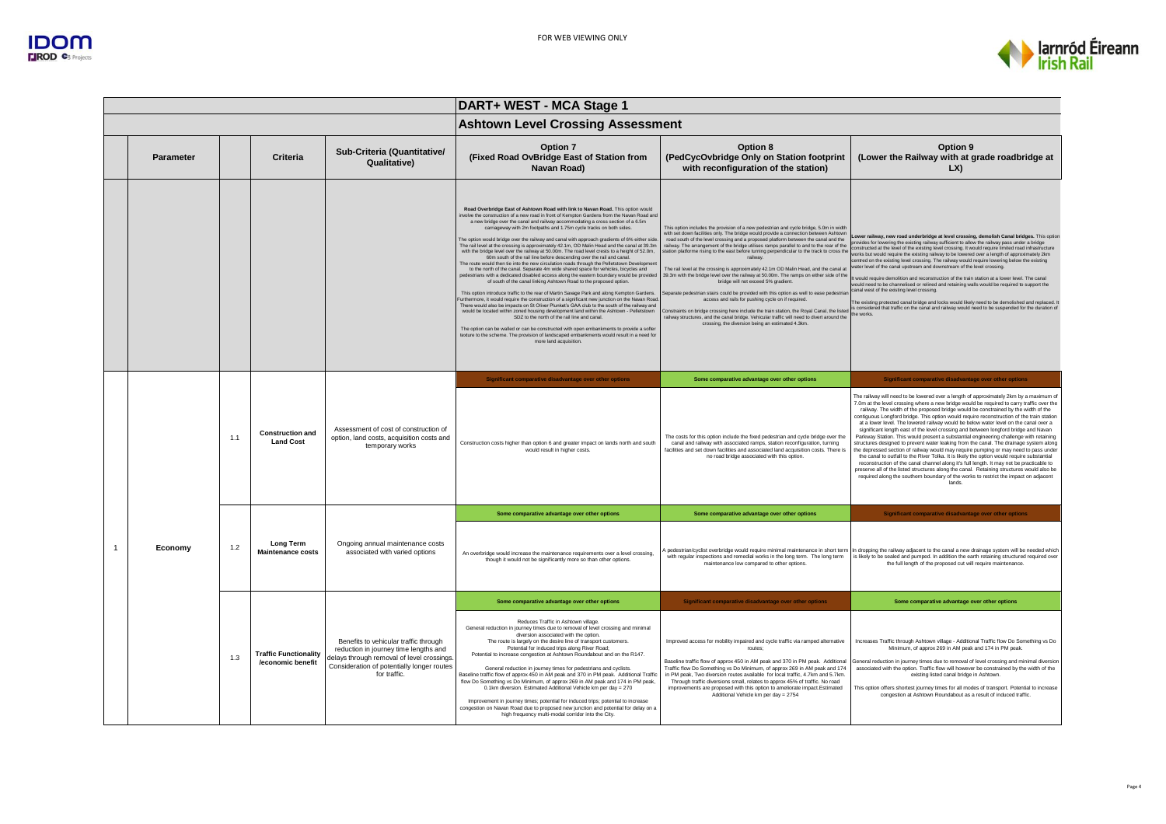

|                  |     |                                                   |                                                                                                                                                                                            | DART+ WEST - MCA Stage 1                                                                                                                                                                                                                                                                                                                                                                                                                                                                                                                                                                                                                                                                                                                                                                                                                                                                                                                                                                                                                                                                                                                                                                                                                                                                                                                                                                                                                                                                                                                                                                                                                                                                                                            |                                                                                                                                                                                                                                                                                                                                                                                                                                                                                                                                                                                                                                                                                                                                                                                                                                                                                                                                                                                                                                                                                                          |                                                                                                                                                                                                                                                                                                                                                                                                                                                                                                                                                                                                                                                                                                                                                                                                                                                                                                                                                                                                                                                                                                                                                                                                                            |  |
|------------------|-----|---------------------------------------------------|--------------------------------------------------------------------------------------------------------------------------------------------------------------------------------------------|-------------------------------------------------------------------------------------------------------------------------------------------------------------------------------------------------------------------------------------------------------------------------------------------------------------------------------------------------------------------------------------------------------------------------------------------------------------------------------------------------------------------------------------------------------------------------------------------------------------------------------------------------------------------------------------------------------------------------------------------------------------------------------------------------------------------------------------------------------------------------------------------------------------------------------------------------------------------------------------------------------------------------------------------------------------------------------------------------------------------------------------------------------------------------------------------------------------------------------------------------------------------------------------------------------------------------------------------------------------------------------------------------------------------------------------------------------------------------------------------------------------------------------------------------------------------------------------------------------------------------------------------------------------------------------------------------------------------------------------|----------------------------------------------------------------------------------------------------------------------------------------------------------------------------------------------------------------------------------------------------------------------------------------------------------------------------------------------------------------------------------------------------------------------------------------------------------------------------------------------------------------------------------------------------------------------------------------------------------------------------------------------------------------------------------------------------------------------------------------------------------------------------------------------------------------------------------------------------------------------------------------------------------------------------------------------------------------------------------------------------------------------------------------------------------------------------------------------------------|----------------------------------------------------------------------------------------------------------------------------------------------------------------------------------------------------------------------------------------------------------------------------------------------------------------------------------------------------------------------------------------------------------------------------------------------------------------------------------------------------------------------------------------------------------------------------------------------------------------------------------------------------------------------------------------------------------------------------------------------------------------------------------------------------------------------------------------------------------------------------------------------------------------------------------------------------------------------------------------------------------------------------------------------------------------------------------------------------------------------------------------------------------------------------------------------------------------------------|--|
|                  |     |                                                   |                                                                                                                                                                                            | <b>Ashtown Level Crossing Assessment</b>                                                                                                                                                                                                                                                                                                                                                                                                                                                                                                                                                                                                                                                                                                                                                                                                                                                                                                                                                                                                                                                                                                                                                                                                                                                                                                                                                                                                                                                                                                                                                                                                                                                                                            |                                                                                                                                                                                                                                                                                                                                                                                                                                                                                                                                                                                                                                                                                                                                                                                                                                                                                                                                                                                                                                                                                                          |                                                                                                                                                                                                                                                                                                                                                                                                                                                                                                                                                                                                                                                                                                                                                                                                                                                                                                                                                                                                                                                                                                                                                                                                                            |  |
| <b>Parameter</b> |     | Criteria                                          | Sub-Criteria (Quantitative/<br>Qualitative)                                                                                                                                                | Option 7<br>(Fixed Road OvBridge East of Station from<br>Navan Road)                                                                                                                                                                                                                                                                                                                                                                                                                                                                                                                                                                                                                                                                                                                                                                                                                                                                                                                                                                                                                                                                                                                                                                                                                                                                                                                                                                                                                                                                                                                                                                                                                                                                | Option 8<br>(PedCycOvbridge Only on Station footprint<br>with reconfiguration of the station)                                                                                                                                                                                                                                                                                                                                                                                                                                                                                                                                                                                                                                                                                                                                                                                                                                                                                                                                                                                                            | Option 9<br>(Lower the Railway with at grade roadbridge at<br>LX)                                                                                                                                                                                                                                                                                                                                                                                                                                                                                                                                                                                                                                                                                                                                                                                                                                                                                                                                                                                                                                                                                                                                                          |  |
|                  |     |                                                   |                                                                                                                                                                                            | Road Overbridge East of Ashtown Road with link to Navan Road. This option would<br>nvolve the construction of a new road in front of Kempton Gardens from the Navan Road an<br>a new bridge over the canal and railway accommodating a cross section of a 6.5m<br>carriageway with 2m footpaths and 1.75m cycle tracks on both sides.<br>The option would bridge over the railway and canal with approach gradients of 6% either side.<br>The rail level at the crossing is approximately 42.1m, OD Malin Head and the canal at 39.3m<br>with the bridge level over the railway at 50.00m. The road level crests to a height of 52.0m,<br>60m south of the rail line before descending over the rail and canal.<br>The route would then tie into the new circulation roads through the Pelletstown Developmen<br>to the north of the canal. Separate 4m wide shared space for vehicles, bicycles and<br>pedestrians with a dedicated disabled access along the eastern boundary would be provided<br>of south of the canal linking Ashtown Road to the proposed option.<br>This option introduce traffic to the rear of Martin Savage Park and along Kempton Gardens.<br>Furthermore, it would require the construction of a significant new iunction on the Navan Road<br>There would also be impacts on St Oliver Plunket's GAA club to the south of the railway and<br>would be located within zoned housing development land within the Ashtown - Pelletstown<br>SDZ to the north of the rail line and canal<br>The option can be walled or can be constructed with open embankments to provide a softer<br>texture to the scheme. The provision of landscaped embankments would result in a need for<br>more land acquisition. | This option includes the provision of a new pedestrian and cycle bridge, 5.0m in width<br>with set down facilities only. The bridge would provide a connection between Ashtown<br>road south of the level crossing and a proposed platform between the canal and the<br>railway. The arrangement of the bridge utilises ramps parallel to and to the rear of the<br>station platforme rising to the east before turning perpendicular to the track to cross the<br>railway.<br>The rail level at the crossing is approximately 42.1m OD Malin Head, and the canal at<br>39.3m with the bridge level over the railway at 50.00m. The ramps on either side of the<br>bridge will not exceed 5% gradient.<br>Separate pedestrian stairs could be provided with this option as well to ease pedestria<br>access and rails for pushing cycle on if required.<br>Constraints on bridge crossing here include the train station, the Royal Canal, the listed<br>railway structures, and the canal bridge. Vehicular traffic will need to divert around the<br>crossing, the diversion being an estimated 4.3km. | ower railway, new road underbridge at level crossing, demolish Canal bridges. This optior<br>provides for lowering the existing railway sufficient to allow the railway pass under a bridge<br>constructed at the level of the existing level crossing. It would require limited road infrastructure<br>works but would require the existing railway to be lowered over a length of approximately 2km<br>centred on the existing level crossing. The railway would require lowering below the existing<br>ater level of the canal upstream and downstream of the level crossing.<br>It would require demolition and reconstruction of the train station at a lower level. The canal<br>would need to be channelised or relined and retaining walls would be required to support the<br>canal west of the existing level crossing.<br>The existing protected canal bridge and locks would likely need to be demolished and replaced.<br>is considered that traffic on the canal and railway would need to be suspended for the duration of<br>the works.                                                                                                                                                                    |  |
|                  |     |                                                   |                                                                                                                                                                                            | Significant comparative disadvantage over other options                                                                                                                                                                                                                                                                                                                                                                                                                                                                                                                                                                                                                                                                                                                                                                                                                                                                                                                                                                                                                                                                                                                                                                                                                                                                                                                                                                                                                                                                                                                                                                                                                                                                             | Some comparative advantage over other options                                                                                                                                                                                                                                                                                                                                                                                                                                                                                                                                                                                                                                                                                                                                                                                                                                                                                                                                                                                                                                                            | Significant comparative disadvantage over other options                                                                                                                                                                                                                                                                                                                                                                                                                                                                                                                                                                                                                                                                                                                                                                                                                                                                                                                                                                                                                                                                                                                                                                    |  |
|                  | 1.1 | <b>Construction and</b><br><b>Land Cost</b>       | Assessment of cost of construction of<br>option, land costs, acquisition costs and<br>temporary works                                                                                      | Construction costs higher than option 6 and greater impact on lands north and south<br>would result in higher costs.                                                                                                                                                                                                                                                                                                                                                                                                                                                                                                                                                                                                                                                                                                                                                                                                                                                                                                                                                                                                                                                                                                                                                                                                                                                                                                                                                                                                                                                                                                                                                                                                                | The costs for this option include the fixed pedestrian and cycle bridge over the<br>canal and railway with associated ramps, station reconfiguration, turning<br>facilities and set down facilities and associated land acquisition costs. There is<br>no road bridge associated with this option.                                                                                                                                                                                                                                                                                                                                                                                                                                                                                                                                                                                                                                                                                                                                                                                                       | The railway will need to be lowered over a length of approximately 2km by a maximum of<br>7.0m at the level crossing where a new bridge would be required to carry traffic over the<br>railway. The width of the proposed bridge would be constrained by the width of the<br>contiguous Longford bridge. This option would require reconstruction of the train station<br>at a lower level. The lowered railway would be below water level on the canal over a<br>significant length east of the level crossing and between longford bridge and Navan<br>Parkway Station. This would present a substantial engineering challenge with retaining<br>structures designed to prevent water leaking from the canal. The drainage system along<br>the depressed section of railway would may require pumping or may need to pass under<br>the canal to outfall to the River Tolka. It is likely the option would require substantial<br>reconstruction of the canal channel along it's full length. It may not be practicable to<br>preserve all of the listed structures along the canal. Retaining structures would also be<br>required along the southern boundary of the works to restrict the impact on adjacent<br>lands. |  |
|                  |     |                                                   |                                                                                                                                                                                            | Some comparative advantage over other options                                                                                                                                                                                                                                                                                                                                                                                                                                                                                                                                                                                                                                                                                                                                                                                                                                                                                                                                                                                                                                                                                                                                                                                                                                                                                                                                                                                                                                                                                                                                                                                                                                                                                       | Some comparative advantage over other options                                                                                                                                                                                                                                                                                                                                                                                                                                                                                                                                                                                                                                                                                                                                                                                                                                                                                                                                                                                                                                                            | Significant comparative disadvantage over other options                                                                                                                                                                                                                                                                                                                                                                                                                                                                                                                                                                                                                                                                                                                                                                                                                                                                                                                                                                                                                                                                                                                                                                    |  |
| Economy          | 1.2 | Long Term<br><b>Maintenance costs</b>             | Ongoing annual maintenance costs<br>associated with varied options                                                                                                                         | An overbridge would increase the maintenance requirements over a level crossing,<br>though it would not be significantly more so than other options.                                                                                                                                                                                                                                                                                                                                                                                                                                                                                                                                                                                                                                                                                                                                                                                                                                                                                                                                                                                                                                                                                                                                                                                                                                                                                                                                                                                                                                                                                                                                                                                | with regular inspections and remedial works in the long term. The long term<br>maintenance low compared to other options                                                                                                                                                                                                                                                                                                                                                                                                                                                                                                                                                                                                                                                                                                                                                                                                                                                                                                                                                                                 | A pedestrian/cyclist overbridge would require minimal maintenance in short term In dropping the railway adjacent to the canal a new drainage system will be needed which<br>is likely to be sealed and pumped. In addition the earth retaining structured required over<br>the full length of the proposed cut will require maintenance.                                                                                                                                                                                                                                                                                                                                                                                                                                                                                                                                                                                                                                                                                                                                                                                                                                                                                   |  |
|                  |     |                                                   |                                                                                                                                                                                            | Some comparative advantage over other options                                                                                                                                                                                                                                                                                                                                                                                                                                                                                                                                                                                                                                                                                                                                                                                                                                                                                                                                                                                                                                                                                                                                                                                                                                                                                                                                                                                                                                                                                                                                                                                                                                                                                       | Significant comparative disadvantage over other options                                                                                                                                                                                                                                                                                                                                                                                                                                                                                                                                                                                                                                                                                                                                                                                                                                                                                                                                                                                                                                                  | Some comparative advantage over other options                                                                                                                                                                                                                                                                                                                                                                                                                                                                                                                                                                                                                                                                                                                                                                                                                                                                                                                                                                                                                                                                                                                                                                              |  |
|                  | 1.3 | <b>Traffic Functionality</b><br>/economic benefit | Benefits to vehicular traffic through<br>reduction in journey time lengths and<br>lelays through removal of level crossings.<br>Consideration of potentially longer routes<br>for traffic. | Reduces Traffic in Ashtown village.<br>General reduction in journey times due to removal of level crossing and minimal<br>diversion associated with the option.<br>The route is largely on the desire line of transport customers<br>Potential for induced trips along River Road<br>Potential to increase congestion at Ashtown Roundabout and on the R147.<br>General reduction in journey times for pedestrians and cyclists.<br>Baseline traffic flow of approx 450 in AM peak and 370 in PM peak. Additional Traffic<br>flow Do Something vs Do Minimum, of approx 269 in AM peak and 174 in PM peak,<br>0.1km diversion. Estimated Additional Vehicle km per day = 270<br>Improvement in journey times; potential for induced trips; potential to increase<br>congestion on Navan Road due to proposed new junction and potential for delay on a<br>high frequency multi-modal corridor into the City.                                                                                                                                                                                                                                                                                                                                                                                                                                                                                                                                                                                                                                                                                                                                                                                                                        | Improved access for mobility impaired and cycle traffic via ramped alternative<br>routes:<br>Baseline traffic flow of approx 450 in AM peak and 370 in PM peak. Additional<br>Traffic flow Do Something vs Do Minimum, of approx 269 in AM peak and 174<br>in PM peak, Two diversion routes available for local traffic, 4.7km and 5.7km.<br>Through traffic diversions small, relates to approx 45% of traffic. No road<br>improvements are proposed with this option to ameliorate impact.Estimated<br>Additional Vehicle km per day = 2754                                                                                                                                                                                                                                                                                                                                                                                                                                                                                                                                                            | Increases Traffic through Ashtown village - Additional Traffic flow Do Something vs Do<br>Minimum, of approx 269 in AM peak and 174 in PM peak.<br>General reduction in journey times due to removal of level crossing and minimal diversion<br>associated with the option. Traffic flow will however be constrained by the width of the<br>existing listed canal bridge in Ashtown.<br>This option offers shortest journey times for all modes of transport. Potential to increase<br>congestion at Ashtown Roundabout as a result of induced traffic.                                                                                                                                                                                                                                                                                                                                                                                                                                                                                                                                                                                                                                                                    |  |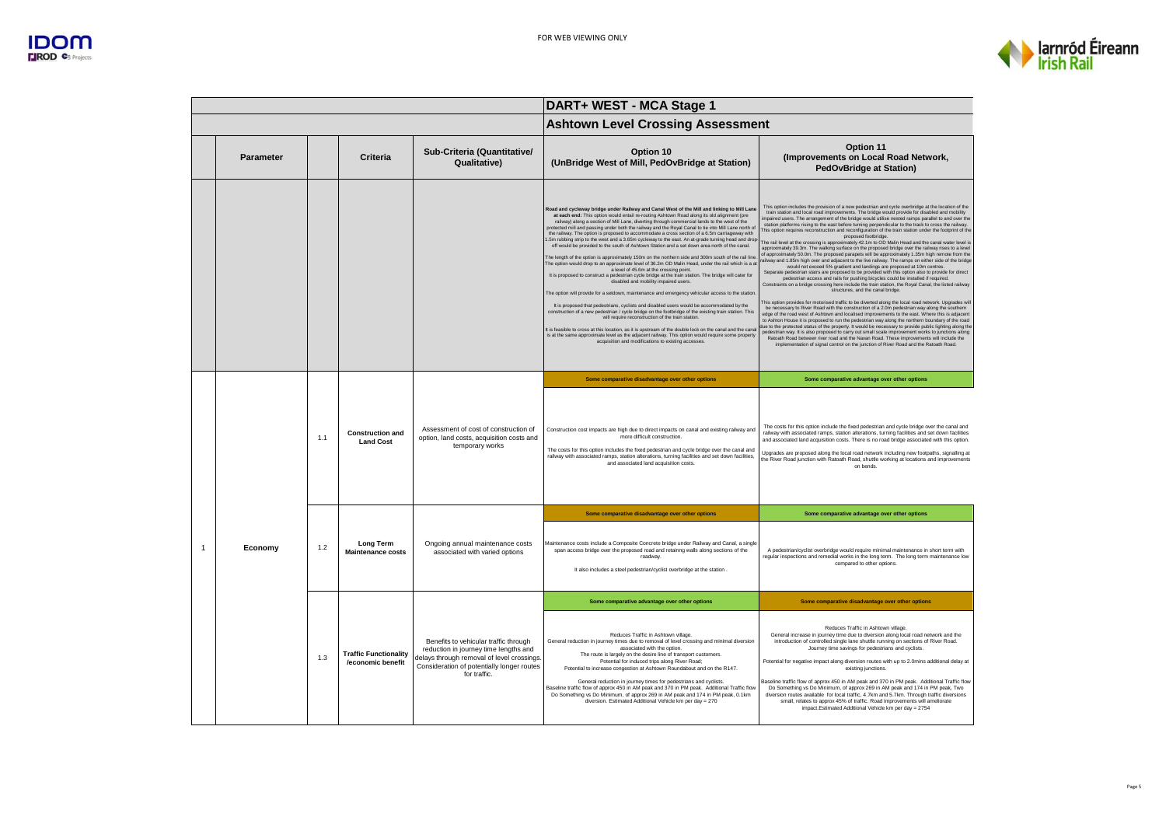



|                |           |     |                                                   |                                                                                                                                                                                            | DART+ WEST - MCA Stage 1                                                                                                                                                                                                                                                                                                                                                                                                                                                                                                                                                                                                                                                                                                                                                                                                                                                                                                                                                                                                                                                                                                                                                                                                                                                                                                                                                                                                                                                                                                                                                                                                                                                                                                                                 |                                                                                                                                                                                                                                                                                                                                                                                                                                                                                                                                                                                                                                                                                                                                                                                                                                                                                                                                                                                                                                                                                                                                                                                                                                                                                                                                                                                                                                                                                                                                                                                                                                                                                                                                                                                                                                                                                                                                                                                                                                                                                                                                                                                                             |  |  |
|----------------|-----------|-----|---------------------------------------------------|--------------------------------------------------------------------------------------------------------------------------------------------------------------------------------------------|----------------------------------------------------------------------------------------------------------------------------------------------------------------------------------------------------------------------------------------------------------------------------------------------------------------------------------------------------------------------------------------------------------------------------------------------------------------------------------------------------------------------------------------------------------------------------------------------------------------------------------------------------------------------------------------------------------------------------------------------------------------------------------------------------------------------------------------------------------------------------------------------------------------------------------------------------------------------------------------------------------------------------------------------------------------------------------------------------------------------------------------------------------------------------------------------------------------------------------------------------------------------------------------------------------------------------------------------------------------------------------------------------------------------------------------------------------------------------------------------------------------------------------------------------------------------------------------------------------------------------------------------------------------------------------------------------------------------------------------------------------|-------------------------------------------------------------------------------------------------------------------------------------------------------------------------------------------------------------------------------------------------------------------------------------------------------------------------------------------------------------------------------------------------------------------------------------------------------------------------------------------------------------------------------------------------------------------------------------------------------------------------------------------------------------------------------------------------------------------------------------------------------------------------------------------------------------------------------------------------------------------------------------------------------------------------------------------------------------------------------------------------------------------------------------------------------------------------------------------------------------------------------------------------------------------------------------------------------------------------------------------------------------------------------------------------------------------------------------------------------------------------------------------------------------------------------------------------------------------------------------------------------------------------------------------------------------------------------------------------------------------------------------------------------------------------------------------------------------------------------------------------------------------------------------------------------------------------------------------------------------------------------------------------------------------------------------------------------------------------------------------------------------------------------------------------------------------------------------------------------------------------------------------------------------------------------------------------------------|--|--|
|                |           |     |                                                   |                                                                                                                                                                                            | <b>Ashtown Level Crossing Assessment</b>                                                                                                                                                                                                                                                                                                                                                                                                                                                                                                                                                                                                                                                                                                                                                                                                                                                                                                                                                                                                                                                                                                                                                                                                                                                                                                                                                                                                                                                                                                                                                                                                                                                                                                                 |                                                                                                                                                                                                                                                                                                                                                                                                                                                                                                                                                                                                                                                                                                                                                                                                                                                                                                                                                                                                                                                                                                                                                                                                                                                                                                                                                                                                                                                                                                                                                                                                                                                                                                                                                                                                                                                                                                                                                                                                                                                                                                                                                                                                             |  |  |
|                | Parameter |     | Criteria                                          | Sub-Criteria (Quantitative/<br>Qualitative)                                                                                                                                                | Option 10<br>(UnBridge West of Mill, PedOvBridge at Station)                                                                                                                                                                                                                                                                                                                                                                                                                                                                                                                                                                                                                                                                                                                                                                                                                                                                                                                                                                                                                                                                                                                                                                                                                                                                                                                                                                                                                                                                                                                                                                                                                                                                                             | Option 11<br>(Improvements on Local Road Network,<br><b>PedOvBridge at Station)</b>                                                                                                                                                                                                                                                                                                                                                                                                                                                                                                                                                                                                                                                                                                                                                                                                                                                                                                                                                                                                                                                                                                                                                                                                                                                                                                                                                                                                                                                                                                                                                                                                                                                                                                                                                                                                                                                                                                                                                                                                                                                                                                                         |  |  |
|                |           |     |                                                   |                                                                                                                                                                                            | Road and cycleway bridge under Railway and Canal West of the Mill and linking to Mill Lane<br>at each end: This option would entail re-routing Ashtown Road along its old alignment (pre<br>railway) along a section of Mill Lane, diverting through commercial lands to the west of the<br>protected mill and passing under both the railway and the Royal Canal to tie into Mill Lane north of<br>the railway. The option is proposed to accommodate a cross section of a 6.5m carriageway with<br>5m rubbing strip to the west and a 3.65m cycleway to the east. An at-grade turning head and drop<br>off would be provided to the south of Ashtown Station and a set down area north of the canal.<br>The length of the option is approximately 150m on the northern side and 300m south of the rail line<br>The option would drop to an approximate level of 36.2m OD Malin Head, under the rail which is a at<br>a level of 45.6m at the crossing point.<br>It is proposed to construct a pedestrian cycle bridge at the train station. The bridge will cater for<br>disabled and mobility impaired users.<br>The option will provide for a setdown, maintenance and emergency vehicular access to the station<br>It is proposed that pedestrians, cyclists and disabled users would be accommodated by the<br>construction of a new pedestrian / cycle bridge on the footbridge of the existing train station. This<br>will require reconstruction of the train station.<br>It is feasible to cross at this location, as it is upstream of the double lock on the canal and the canal<br>is at the same approximate level as the adjacent railway. This option would require some property<br>acquisition and modifications to existing accesses. | This option includes the provision of a new pedestrian and cycle overbridge at the location of the<br>train station and local road improvements. The bridge would provide for disabled and mobility<br>mpaired users. The arrangement of the bridge would utilise nested ramps parallel to and over the<br>station platforms rising to the east before turning perpendicular to the track to cross the railway.<br>This option requires reconstruction and reconfiguration of the train station under the footprint of the<br>proposed footbridge.<br>The rail level at the crossing is approximately 42.1m to OD Malin Head and the canal water level is<br>approximately 39.3m. The walking surface on the proposed bridge over the railway rises to a level<br>of approximately 50.0m. The proposed parapets will be approximately 1.35m high remote from the<br>ailway and 1.85m high over and adjacent to the live railway. The ramps on either side of the bridge<br>would not exceed 5% gradient and landings are proposed at 10m centres.<br>Separate pedestrian stairs are proposed to be provided with this option also to provide for direct<br>pedestrian access and rails for pushing bicycles could be installed if required.<br>Constraints on a bridge crossing here include the train station, the Royal Canal, the listed railway<br>structures, and the canal bridge.<br>This option provides for motorised traffic to be diverted along the local road network. Upgrades will<br>be necessary to River Road with the construction of a 2.0m pedestrian way along the southern<br>edge of the road west of Ashtown and localised improvements to the east. Where this is adjacent<br>to Ashton House it is proposed to run the pedestrian way along the northern boundary of the road<br>due to the protected status of the property. It would be necessary to provide public lighting along the<br>pedestrian way. It is also proposed to carry out small scale improvement works to junctions along<br>Ratoath Road between river road and the Navan Road. These improvements will include the<br>implementation of signal control on the junction of River Road and the Ratoath Road. |  |  |
|                |           | 1.1 | <b>Construction and</b><br><b>Land Cost</b>       | Assessment of cost of construction of<br>option, land costs, acquisition costs and<br>temporary works                                                                                      | Some comparative disadvantage over other options<br>Construction cost impacts are high due to direct impacts on canal and existing railway and<br>more difficult construction<br>The costs for this option includes the fixed pedestrian and cycle bridge over the canal and<br>railway with associated ramps, station alterations, turning facilities and set down facilities<br>and associated land acquisition costs                                                                                                                                                                                                                                                                                                                                                                                                                                                                                                                                                                                                                                                                                                                                                                                                                                                                                                                                                                                                                                                                                                                                                                                                                                                                                                                                  | Some comparative advantage over other options<br>The costs for this option include the fixed pedestrian and cycle bridge over the canal and<br>railway with associated ramps, station alterations, turning facilities and set down facilities<br>and associated land acquisition costs. There is no road bridge associated with this option<br>Upgrades are proposed along the local road network including new footpaths, signalling at<br>the River Road junction with Ratoath Road, shuttle working at locations and improvements<br>on bends                                                                                                                                                                                                                                                                                                                                                                                                                                                                                                                                                                                                                                                                                                                                                                                                                                                                                                                                                                                                                                                                                                                                                                                                                                                                                                                                                                                                                                                                                                                                                                                                                                                            |  |  |
|                |           |     |                                                   |                                                                                                                                                                                            | Some comparative disadvantage over other options                                                                                                                                                                                                                                                                                                                                                                                                                                                                                                                                                                                                                                                                                                                                                                                                                                                                                                                                                                                                                                                                                                                                                                                                                                                                                                                                                                                                                                                                                                                                                                                                                                                                                                         | Some comparative advantage over other options                                                                                                                                                                                                                                                                                                                                                                                                                                                                                                                                                                                                                                                                                                                                                                                                                                                                                                                                                                                                                                                                                                                                                                                                                                                                                                                                                                                                                                                                                                                                                                                                                                                                                                                                                                                                                                                                                                                                                                                                                                                                                                                                                               |  |  |
| $\overline{1}$ | Economy   | 1.2 | <b>Long Term</b><br><b>Maintenance costs</b>      | Ongoing annual maintenance costs<br>associated with varied options                                                                                                                         | Maintenance costs include a Composite Concrete bridge under Railway and Canal, a single<br>span access bridge over the proposed road and retainng walls along sections of the<br>roadway.<br>It also includes a steel pedestrian/cyclist overbridge at the station.                                                                                                                                                                                                                                                                                                                                                                                                                                                                                                                                                                                                                                                                                                                                                                                                                                                                                                                                                                                                                                                                                                                                                                                                                                                                                                                                                                                                                                                                                      | A pedestrian/cyclist overbridge would require minimal maintenance in short term with<br>regular inspections and remedial works in the long term. The long term maintenance low<br>compared to other options.                                                                                                                                                                                                                                                                                                                                                                                                                                                                                                                                                                                                                                                                                                                                                                                                                                                                                                                                                                                                                                                                                                                                                                                                                                                                                                                                                                                                                                                                                                                                                                                                                                                                                                                                                                                                                                                                                                                                                                                                |  |  |
|                |           |     |                                                   |                                                                                                                                                                                            | Some comparative advantage over other options                                                                                                                                                                                                                                                                                                                                                                                                                                                                                                                                                                                                                                                                                                                                                                                                                                                                                                                                                                                                                                                                                                                                                                                                                                                                                                                                                                                                                                                                                                                                                                                                                                                                                                            | Some comparative disadvantage over other options                                                                                                                                                                                                                                                                                                                                                                                                                                                                                                                                                                                                                                                                                                                                                                                                                                                                                                                                                                                                                                                                                                                                                                                                                                                                                                                                                                                                                                                                                                                                                                                                                                                                                                                                                                                                                                                                                                                                                                                                                                                                                                                                                            |  |  |
|                |           | 1.3 | <b>Traffic Functionality</b><br>/economic benefit | Benefits to vehicular traffic through<br>reduction in journey time lengths and<br>delays through removal of level crossings.<br>Consideration of potentially longer routes<br>for traffic. | Reduces Traffic in Ashtown village<br>General reduction in journey times due to removal of level crossing and minimal diversion<br>associated with the option.<br>The route is largely on the desire line of transport customers.<br>Potential for induced trips along River Road;<br>Potential to increase congestion at Ashtown Roundabout and on the R147.<br>General reduction in journey times for pedestrians and cyclists.<br>Baseline traffic flow of approx 450 in AM peak and 370 in PM peak. Additional Traffic flow<br>Do Something vs Do Minimum, of approx 269 in AM peak and 174 in PM peak, 0.1km<br>diversion. Estimated Additional Vehicle km per day = 270                                                                                                                                                                                                                                                                                                                                                                                                                                                                                                                                                                                                                                                                                                                                                                                                                                                                                                                                                                                                                                                                            | Reduces Traffic in Ashtown village.<br>General increase in journey time due to diversion along local road network and the<br>introduction of controlled single lane shuttle running on sections of River Road.<br>Journey time savings for pedestrians and cyclists<br>Potential for negative impact along diversion routes with up to 2.0mins additional delay at<br>existing junctions.<br>Baseline traffic flow of approx 450 in AM peak and 370 in PM peak. Additional Traffic flow<br>Do Something vs Do Minimum, of approx 269 in AM peak and 174 in PM peak, Two<br>diversion routes available for local traffic, 4.7km and 5.7km. Through traffic diversions<br>small, relates to approx 45% of traffic. Road improvements will ameliorate<br>impact.Estimated Additional Vehicle km per day = 2754                                                                                                                                                                                                                                                                                                                                                                                                                                                                                                                                                                                                                                                                                                                                                                                                                                                                                                                                                                                                                                                                                                                                                                                                                                                                                                                                                                                                 |  |  |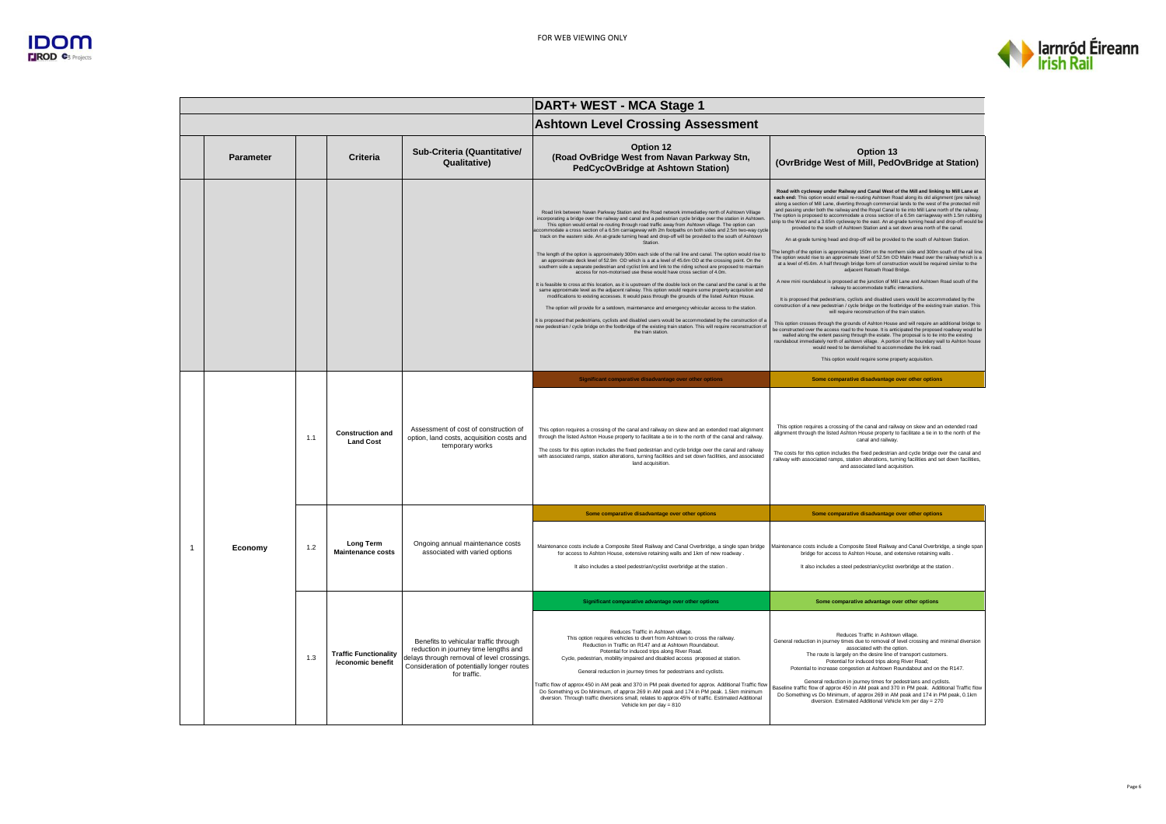



|                |           |     |                                                   |                                                                                                                                                                                            | DART+ WEST - MCA Stage 1                                                                                                                                                                                                                                                                                                                                                                                                                                                                                                                                                                                                                                                                                                                                                                                                                                                                                                                                                                                                                                                                                                                                                                                                                                                                                                                                                                                                                                                                                                                                                                                                                                                        |                                                                                                                                                                                                                                                                                                                                                                                                                                                                                                                                                                                                                                                                                                                                                                                                                                                                                                                                                                                                                                                                                                                                                                                                                                                                                                                                                                                                                                                                                                                                                                                                                                                                                                                                                                                                                                                                                                                                                                                                                                                                                    |  |
|----------------|-----------|-----|---------------------------------------------------|--------------------------------------------------------------------------------------------------------------------------------------------------------------------------------------------|---------------------------------------------------------------------------------------------------------------------------------------------------------------------------------------------------------------------------------------------------------------------------------------------------------------------------------------------------------------------------------------------------------------------------------------------------------------------------------------------------------------------------------------------------------------------------------------------------------------------------------------------------------------------------------------------------------------------------------------------------------------------------------------------------------------------------------------------------------------------------------------------------------------------------------------------------------------------------------------------------------------------------------------------------------------------------------------------------------------------------------------------------------------------------------------------------------------------------------------------------------------------------------------------------------------------------------------------------------------------------------------------------------------------------------------------------------------------------------------------------------------------------------------------------------------------------------------------------------------------------------------------------------------------------------|------------------------------------------------------------------------------------------------------------------------------------------------------------------------------------------------------------------------------------------------------------------------------------------------------------------------------------------------------------------------------------------------------------------------------------------------------------------------------------------------------------------------------------------------------------------------------------------------------------------------------------------------------------------------------------------------------------------------------------------------------------------------------------------------------------------------------------------------------------------------------------------------------------------------------------------------------------------------------------------------------------------------------------------------------------------------------------------------------------------------------------------------------------------------------------------------------------------------------------------------------------------------------------------------------------------------------------------------------------------------------------------------------------------------------------------------------------------------------------------------------------------------------------------------------------------------------------------------------------------------------------------------------------------------------------------------------------------------------------------------------------------------------------------------------------------------------------------------------------------------------------------------------------------------------------------------------------------------------------------------------------------------------------------------------------------------------------|--|
|                |           |     |                                                   |                                                                                                                                                                                            | <b>Ashtown Level Crossing Assessment</b>                                                                                                                                                                                                                                                                                                                                                                                                                                                                                                                                                                                                                                                                                                                                                                                                                                                                                                                                                                                                                                                                                                                                                                                                                                                                                                                                                                                                                                                                                                                                                                                                                                        |                                                                                                                                                                                                                                                                                                                                                                                                                                                                                                                                                                                                                                                                                                                                                                                                                                                                                                                                                                                                                                                                                                                                                                                                                                                                                                                                                                                                                                                                                                                                                                                                                                                                                                                                                                                                                                                                                                                                                                                                                                                                                    |  |
|                | Parameter |     | Criteria                                          | Sub-Criteria (Quantitative/<br><b>Qualitative)</b>                                                                                                                                         | Option 12<br>(Road OvBridge West from Navan Parkway Stn,<br>PedCycOvBridge at Ashtown Station)                                                                                                                                                                                                                                                                                                                                                                                                                                                                                                                                                                                                                                                                                                                                                                                                                                                                                                                                                                                                                                                                                                                                                                                                                                                                                                                                                                                                                                                                                                                                                                                  | Option 13<br>(OvrBridge West of Mill, PedOvBridge at Station)                                                                                                                                                                                                                                                                                                                                                                                                                                                                                                                                                                                                                                                                                                                                                                                                                                                                                                                                                                                                                                                                                                                                                                                                                                                                                                                                                                                                                                                                                                                                                                                                                                                                                                                                                                                                                                                                                                                                                                                                                      |  |
|                |           |     |                                                   |                                                                                                                                                                                            | Road link between Navan Parkway Station and the Road network immediatley north of Ashtown Village<br>incorporating a bridge over the railway and canal and a pedestrian cycle bridge over the station in Ashtown<br>This option would entail re-routing through road traffic away from Ashtown village. The option can<br>ccommodate a cross section of a 6.5m carriageway with 2m footpaths on both sides and 2.5m two-way cycle<br>track on the eastern side. An at-grade turning head and drop-off will be provided to the south of Ashtown<br>Station.<br>The length of the option is approximately 300m each side of the rail line and canal. The option would rise to<br>an approximate deck level of 52.9m OD which is a at a level of 45.6m OD at the crossing point. On the<br>southern side a separate pedestrian and cyclist link and link to the riding school are proposed to maintain<br>access for non-motorised use these would have cross section of 4.0m<br>It is feasible to cross at this location, as it is unstream of the double lock on the canal and the canal is at the<br>same approximate level as the adiacent railway. This option would require some property acquisition and<br>modifications to existing accesses. It would pass through the grounds of the listed Ashton House.<br>The option will provide for a setdown, maintenance and emergency vehicular access to the station<br>It is proposed that pedestrians, cyclists and disabled users would be accommodated by the construction of a<br>new pedestrian / cycle bridge on the footbridge of the existing train station. This will require reconstruction of<br>the train station | Road with cycleway under Railway and Canal West of the Mill and linking to Mill Lane at<br>each end: This option would entail re-routing Ashtown Road along its old alignment (pre railway<br>along a section of Mill Lane, diverting through commercial lands to the west of the protected mill<br>and passing under both the railway and the Royal Canal to tie into Mill Lane north of the railway.<br>The option is proposed to accommodate a cross section of a 6.5m carriageway with 1.5m rubbing<br>trip to the West and a 3.65m cycleway to the east. An at-grade turning head and drop-off would be<br>provided to the south of Ashtown Station and a set down area north of the cana<br>An at-grade turning head and drop-off will be provided to the south of Ashtown Station.<br>he length of the option is approximately 150m on the northern side and 300m south of the rail line<br>The option would rise to an approximate level of 52.5m OD Malin Head over the railway which is a<br>at a level of 45.6m. A half through bridge form of construction would be required similar to the<br>adiacent Ratoath Road Bridge.<br>A new mini roundabout is proposed at the junction of Mill Lane and Ashtown Road south of the<br>railway to accommodate traffic interactions<br>It is proposed that pedestrians, cyclists and disabled users would be accommodated by the<br>construction of a new pedestrian / cycle bridge on the footbridge of the existing train station. This<br>will require reconstruction of the train station.<br>This option crosses through the grounds of Ashton House and will require an additional bridge to<br>e constructed over the access road to the house. It is anticipated the proposed roadway would be<br>walled along the extent passing through the estate. The proposal is to tie into the existing<br>roundabout immediately north of ashtown village. A portion of the boundary wall to Ashton house<br>would need to be demolished to accommodate the link road.<br>This option would require some property acquisition. |  |
|                |           |     |                                                   |                                                                                                                                                                                            | Significant comparative disadvantage over other options                                                                                                                                                                                                                                                                                                                                                                                                                                                                                                                                                                                                                                                                                                                                                                                                                                                                                                                                                                                                                                                                                                                                                                                                                                                                                                                                                                                                                                                                                                                                                                                                                         | Some comparative disadvantage over other options                                                                                                                                                                                                                                                                                                                                                                                                                                                                                                                                                                                                                                                                                                                                                                                                                                                                                                                                                                                                                                                                                                                                                                                                                                                                                                                                                                                                                                                                                                                                                                                                                                                                                                                                                                                                                                                                                                                                                                                                                                   |  |
|                |           | 1.1 | <b>Construction and</b><br><b>Land Cost</b>       | Assessment of cost of construction of<br>option, land costs, acquisition costs and<br>temporary works                                                                                      | This option requires a crossing of the canal and railway on skew and an extended road alignment<br>through the listed Ashton House property to facilitate a tie in to the north of the canal and railway.<br>The costs for this option includes the fixed pedestrian and cycle bridge over the canal and railway<br>with associated ramps, station alterations, turning facilities and set down facilities, and associated<br>land acquisition.                                                                                                                                                                                                                                                                                                                                                                                                                                                                                                                                                                                                                                                                                                                                                                                                                                                                                                                                                                                                                                                                                                                                                                                                                                 | This option requires a crossing of the canal and railway on skew and an extended road<br>alignment through the listed Ashton House property to facilitate a tie in to the north of the<br>canal and railway.<br>The costs for this option includes the fixed pedestrian and cycle bridge over the canal and<br>railway with associated ramps, station alterations, turning facilities and set down facilities,<br>and associated land acquisition                                                                                                                                                                                                                                                                                                                                                                                                                                                                                                                                                                                                                                                                                                                                                                                                                                                                                                                                                                                                                                                                                                                                                                                                                                                                                                                                                                                                                                                                                                                                                                                                                                  |  |
|                |           |     |                                                   |                                                                                                                                                                                            | Some comparative disadvantage over other options                                                                                                                                                                                                                                                                                                                                                                                                                                                                                                                                                                                                                                                                                                                                                                                                                                                                                                                                                                                                                                                                                                                                                                                                                                                                                                                                                                                                                                                                                                                                                                                                                                | Some comparative disadvantage over other options                                                                                                                                                                                                                                                                                                                                                                                                                                                                                                                                                                                                                                                                                                                                                                                                                                                                                                                                                                                                                                                                                                                                                                                                                                                                                                                                                                                                                                                                                                                                                                                                                                                                                                                                                                                                                                                                                                                                                                                                                                   |  |
| $\overline{1}$ | Economy   | 1.2 | <b>Long Term</b><br><b>Maintenance costs</b>      | Ongoing annual maintenance costs<br>associated with varied options                                                                                                                         | Maintenance costs include a Composite Steel Railway and Canal Overbridge, a single span bridge<br>for access to Ashton House, extensive retaining walls and 1km of new roadway<br>It also includes a steel pedestrian/cyclist overbridge at the station                                                                                                                                                                                                                                                                                                                                                                                                                                                                                                                                                                                                                                                                                                                                                                                                                                                                                                                                                                                                                                                                                                                                                                                                                                                                                                                                                                                                                         | Maintenance costs include a Composite Steel Railway and Canal Overbridge, a single span<br>bridge for access to Ashton House, and extensive retaining walls<br>It also includes a steel pedestrian/cyclist overbridge at the station                                                                                                                                                                                                                                                                                                                                                                                                                                                                                                                                                                                                                                                                                                                                                                                                                                                                                                                                                                                                                                                                                                                                                                                                                                                                                                                                                                                                                                                                                                                                                                                                                                                                                                                                                                                                                                               |  |
|                |           |     |                                                   |                                                                                                                                                                                            | Significant comparative advantage over other options                                                                                                                                                                                                                                                                                                                                                                                                                                                                                                                                                                                                                                                                                                                                                                                                                                                                                                                                                                                                                                                                                                                                                                                                                                                                                                                                                                                                                                                                                                                                                                                                                            | Some comparative advantage over other options                                                                                                                                                                                                                                                                                                                                                                                                                                                                                                                                                                                                                                                                                                                                                                                                                                                                                                                                                                                                                                                                                                                                                                                                                                                                                                                                                                                                                                                                                                                                                                                                                                                                                                                                                                                                                                                                                                                                                                                                                                      |  |
|                |           | 1.3 | <b>Traffic Functionality</b><br>/economic benefit | Benefits to vehicular traffic through<br>reduction in journey time lengths and<br>lelays through removal of level crossings.<br>Consideration of potentially longer routes<br>for traffic. | Reduces Traffic in Ashtown village<br>This option requires vehicles to divert from Ashtown to cross the railway.<br>Reduction in Traffic on R147 and at Ashtown Roundabout.<br>Potential for induced trips along River Road.<br>Cycle, pedestrian, mobility impaired and disabled access proposed at station.<br>General reduction in journey times for pedestrians and cyclists.<br>Traffic flow of approx 450 in AM peak and 370 in PM peak diverted for approx. Additional Traffic flow<br>Do Something vs Do Minimum, of approx 269 in AM peak and 174 in PM peak. 1.5km minimum<br>diversion. Through traffic diversions small, relates to approx 45% of traffic. Estimated Additional<br>Vehicle km per day $= 810$                                                                                                                                                                                                                                                                                                                                                                                                                                                                                                                                                                                                                                                                                                                                                                                                                                                                                                                                                       | Reduces Traffic in Ashtown village<br>General reduction in journey times due to removal of level crossing and minimal diversion<br>associated with the option<br>The route is largely on the desire line of transport customers.<br>Potential for induced trips along River Road;<br>Potential to increase congestion at Ashtown Roundabout and on the R147.<br>General reduction in journey times for pedestrians and cyclists.<br>Baseline traffic flow of approx 450 in AM peak and 370 in PM peak. Additional Traffic flow<br>Do Something vs Do Minimum, of approx 269 in AM peak and 174 in PM peak, 0.1km<br>diversion. Estimated Additional Vehicle km per day = 270                                                                                                                                                                                                                                                                                                                                                                                                                                                                                                                                                                                                                                                                                                                                                                                                                                                                                                                                                                                                                                                                                                                                                                                                                                                                                                                                                                                                       |  |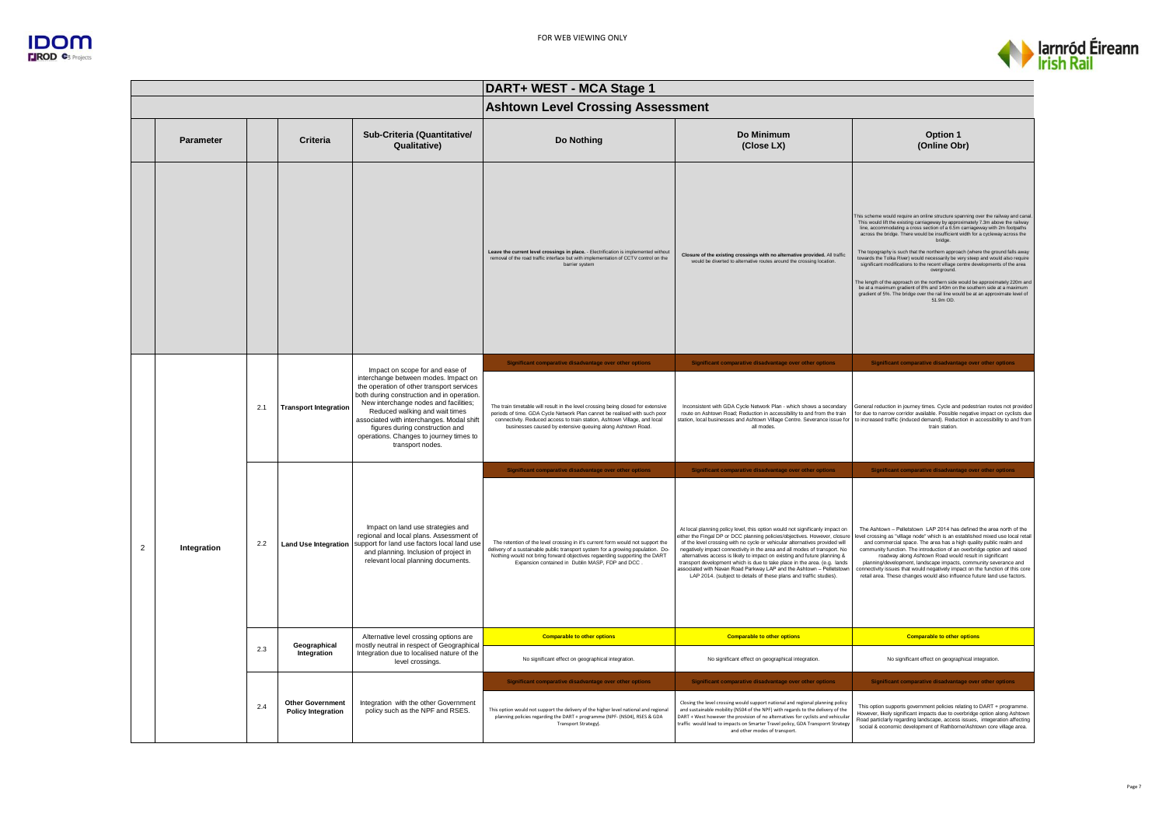



|                |             |     |                                                      |                                                                                                                                                                                                                                                                                                                                                                                              | DART+ WEST - MCA Stage 1                                                                                                                                                                                                                                                                                 |                                                                                                                                                                                                                                                                                                                                                                                                                                                                                                                                                                                                                                |                                                                                                                                                                                                                                                                                                                                                                                                                                                                                                                                                                                                                                                                                                                                                                                                                                                                                           |  |
|----------------|-------------|-----|------------------------------------------------------|----------------------------------------------------------------------------------------------------------------------------------------------------------------------------------------------------------------------------------------------------------------------------------------------------------------------------------------------------------------------------------------------|----------------------------------------------------------------------------------------------------------------------------------------------------------------------------------------------------------------------------------------------------------------------------------------------------------|--------------------------------------------------------------------------------------------------------------------------------------------------------------------------------------------------------------------------------------------------------------------------------------------------------------------------------------------------------------------------------------------------------------------------------------------------------------------------------------------------------------------------------------------------------------------------------------------------------------------------------|-------------------------------------------------------------------------------------------------------------------------------------------------------------------------------------------------------------------------------------------------------------------------------------------------------------------------------------------------------------------------------------------------------------------------------------------------------------------------------------------------------------------------------------------------------------------------------------------------------------------------------------------------------------------------------------------------------------------------------------------------------------------------------------------------------------------------------------------------------------------------------------------|--|
|                |             |     |                                                      |                                                                                                                                                                                                                                                                                                                                                                                              | <b>Ashtown Level Crossing Assessment</b>                                                                                                                                                                                                                                                                 |                                                                                                                                                                                                                                                                                                                                                                                                                                                                                                                                                                                                                                |                                                                                                                                                                                                                                                                                                                                                                                                                                                                                                                                                                                                                                                                                                                                                                                                                                                                                           |  |
|                | Parameter   |     | Criteria                                             | Sub-Criteria (Quantitative/<br>Qualitative)                                                                                                                                                                                                                                                                                                                                                  | Do Nothing                                                                                                                                                                                                                                                                                               | Do Minimum<br>(Close LX)                                                                                                                                                                                                                                                                                                                                                                                                                                                                                                                                                                                                       | Option 1<br>(Online Obr)                                                                                                                                                                                                                                                                                                                                                                                                                                                                                                                                                                                                                                                                                                                                                                                                                                                                  |  |
|                |             |     |                                                      |                                                                                                                                                                                                                                                                                                                                                                                              | Leave the current level crossings in place. - Electrification is implemented without<br>removal of the road traffic interface but with implementation of CCTV control on the<br>barrier system                                                                                                           | Closure of the existing crossings with no alternative provided. All traffic<br>would be diverted to alternative routes around the crossing location                                                                                                                                                                                                                                                                                                                                                                                                                                                                            | This scheme would require an online structure spanning over the railway and canal<br>This would lift the existing carriageway by approximately 7.3m above the railway<br>line, accommodating a cross section of a 6.5m carriageway with 2m footpaths<br>across the bridge. There would be insufficient width for a cycleway across the<br>bridge.<br>The topography is such that the northern approach (where the ground falls away<br>towards the Tolka River) would necessarily be very steep and would also require<br>significant modifications to the recent village centre developments of the area<br>overground.<br>The length of the approach on the northern side would be approximately 220m and<br>be at a maximum gradient of 8% and 140m on the southern side at a maximum<br>gradient of 5%. The bridge over the rail line would be at an approximate level of<br>51 9m OD |  |
|                |             | 2.1 |                                                      | Impact on scope for and ease of<br>interchange between modes. Impact on<br>the operation of other transport services<br>both during construction and in operation.<br>New interchange nodes and facilities;<br>Reduced walking and wait times<br>associated with interchanges. Modal shift<br>figures during construction and<br>operations. Changes to journey times to<br>transport nodes. | Significant comparative disadvantage over other options                                                                                                                                                                                                                                                  | Significant comparative disadvantage over other options                                                                                                                                                                                                                                                                                                                                                                                                                                                                                                                                                                        | Significant comparative disadvantage over other options                                                                                                                                                                                                                                                                                                                                                                                                                                                                                                                                                                                                                                                                                                                                                                                                                                   |  |
|                |             |     | <b>Transport Integration</b>                         |                                                                                                                                                                                                                                                                                                                                                                                              | The train timetable will result in the level crossing being closed for extensive<br>periods of time. GDA Cycle Network Plan cannot be realised with such poor<br>connectivity. Reduced access to train station, Ashtown Village, and local<br>businesses caused by extensive queuing along Ashtown Road. | Inconsistent with GDA Cycle Network Plan - which shows a secondary<br>route on Ashtown Road; Reduction in accessibility to and from the train<br>station, local businesses and Ashtown Village Centre. Severance issue for<br>all modes.                                                                                                                                                                                                                                                                                                                                                                                       | General reduction in journey times. Cycle and pedestrian routes not provided<br>for due to narrow corridor available. Possible negative impact on cyclists due<br>to increased traffic (induced demand). Reduction in accessibility to and from<br>train station                                                                                                                                                                                                                                                                                                                                                                                                                                                                                                                                                                                                                          |  |
|                |             |     |                                                      |                                                                                                                                                                                                                                                                                                                                                                                              | Significant comparative disadvantage over other options                                                                                                                                                                                                                                                  | Significant comparative disadvantage over other options                                                                                                                                                                                                                                                                                                                                                                                                                                                                                                                                                                        | Significant comparative disadvantage over other options                                                                                                                                                                                                                                                                                                                                                                                                                                                                                                                                                                                                                                                                                                                                                                                                                                   |  |
| $\overline{2}$ | Integration | 2.2 | <b>Land Use Integration</b>                          | Impact on land use strategies and<br>regional and local plans. Assessment of<br>support for land use factors local land use<br>and planning. Inclusion of project in<br>relevant local planning documents.                                                                                                                                                                                   | The retention of the level crossing in it's current form would not support the<br>delivery of a sustainable public transport system for a growing population. Do-<br>Nothing would not bring forward objectives regaerding supporting the DART<br>Expansion contained in Dublin MASP, FDP and DCC        | At local planning policy level, this option would not significanly impact on<br>either the Fingal DP or DCC planning policies/objectives. However, closure<br>of the level crossing with no cycle or vehicular alternatives provided will<br>negatively impact connectivity in the area and all modes of transport. No<br>alternatives access is likely to impact on existing and future planning &<br>transport development which is due to take place in the area. (e.g. lands<br>associated with Navan Road Parkway LAP and the Ashtown - Pelletstowr<br>LAP 2014. (subject to details of these plans and traffic studies). | The Ashtown - Pelletstown LAP 2014 has defined the area north of the<br>evel crossing as "village node" which is an established mixed use local retail<br>and commercial space. The area has a high quality public realm and<br>community function. The introduction of an overbridge option and raised<br>roadway along Ashtown Road would result in significant<br>planning/development, landscape impacts, community severance and<br>onnectivity issues that would negatively impact on the function of this core<br>retail area. These changes would also influence future land use factors.                                                                                                                                                                                                                                                                                         |  |
|                |             |     | Geographical                                         | Alternative level crossing options are<br>mostly neutral in respect of Geographical                                                                                                                                                                                                                                                                                                          | <b>Comparable to other options</b>                                                                                                                                                                                                                                                                       | <b>Comparable to other options</b>                                                                                                                                                                                                                                                                                                                                                                                                                                                                                                                                                                                             | <b>Comparable to other options</b>                                                                                                                                                                                                                                                                                                                                                                                                                                                                                                                                                                                                                                                                                                                                                                                                                                                        |  |
|                |             | 2.3 | Integration                                          | Integration due to localised nature of the<br>level crossings.                                                                                                                                                                                                                                                                                                                               | No significant effect on geographical integration.                                                                                                                                                                                                                                                       | No significant effect on geographical integration.                                                                                                                                                                                                                                                                                                                                                                                                                                                                                                                                                                             | No significant effect on geographical integration.                                                                                                                                                                                                                                                                                                                                                                                                                                                                                                                                                                                                                                                                                                                                                                                                                                        |  |
|                |             |     |                                                      |                                                                                                                                                                                                                                                                                                                                                                                              | Significant comparative disadvantage over other options                                                                                                                                                                                                                                                  | Significant comparative disadvantage over other options                                                                                                                                                                                                                                                                                                                                                                                                                                                                                                                                                                        | Significant comparative disadvantage over other options                                                                                                                                                                                                                                                                                                                                                                                                                                                                                                                                                                                                                                                                                                                                                                                                                                   |  |
|                |             | 2.4 | <b>Other Government</b><br><b>Policy Integration</b> | Integration with the other Government<br>policy such as the NPF and RSES.                                                                                                                                                                                                                                                                                                                    | This option would not support the delivery of the higher level national and regional<br>planning policies regarding the DART + programme (NPF- (NS04), RSES & GDA<br>Transport Strategy).                                                                                                                | Closing the level crossing would support national and regional planning policy<br>and sustainable mobility (NS04 of the NPF) with regards to the delivery of the<br>DART + West however the provision of no alternatives for cyclists and vehicuilar<br>traffic would lead to impacts on Smarter Travel policy, GDA Transporrt Strategy<br>and other modes of transport.                                                                                                                                                                                                                                                       | This option supports government policies relating to DART + programme.<br>However, likely significant impacts due to overbridge option along Ashtown<br>Road particlarly regarding landscape, access issues, integeration affecting<br>social & economic development of Rathborne/Ashtown core village area.                                                                                                                                                                                                                                                                                                                                                                                                                                                                                                                                                                              |  |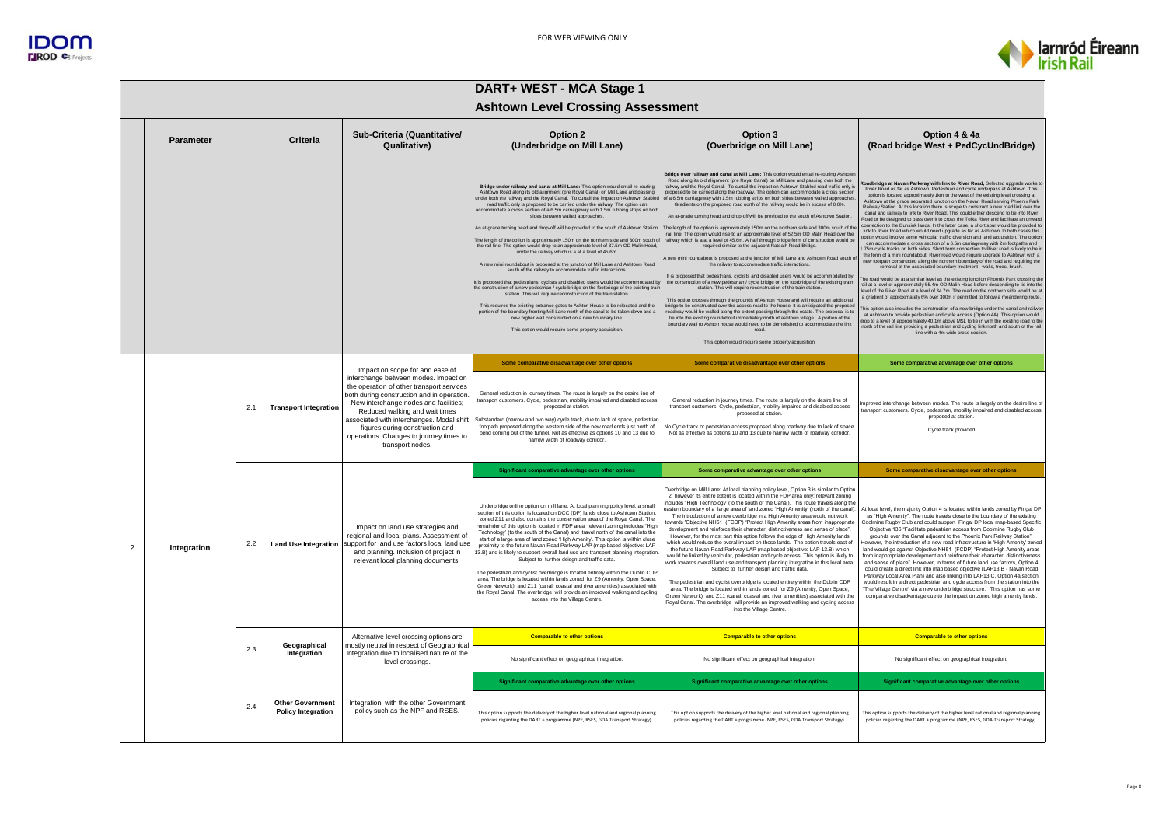



|                |                  |     |                                                      |                                                                                                                                                                                                                                                                                                                                                           | DART+ WEST - MCA Stage 1                                                                                                                                                                                                                                                                                                                                                                                                                                                                                                                                                                                                                                                                                                                                                                                                                                                                                                                                                                                                                                                                                                                                                                                                                                                                                                                                                                                                                                                                             |                                                                                                                                                                                                                                                                                                                                                                                                                                                                                                                                                                                                                                                                                                                                                                                                                                                                                                                                                                                                                                                                                                                                                                                                                                                                                                                                                                                                                                                                                                                                                                                                                                                                                                                                                                                                                                                                                                                                            |                                                                                                                                                                                                                                                                                                                                                                                                                                                                                                                                                                                                                                                                                                                                                                                                                                                                                                                                                                                                                                                                                                                                                                                                                                                                                                                                                                                                                                                                                                                                                                                                                                                                                                                                                                                                                                                                                                                                                                                                                                                                                                   |
|----------------|------------------|-----|------------------------------------------------------|-----------------------------------------------------------------------------------------------------------------------------------------------------------------------------------------------------------------------------------------------------------------------------------------------------------------------------------------------------------|------------------------------------------------------------------------------------------------------------------------------------------------------------------------------------------------------------------------------------------------------------------------------------------------------------------------------------------------------------------------------------------------------------------------------------------------------------------------------------------------------------------------------------------------------------------------------------------------------------------------------------------------------------------------------------------------------------------------------------------------------------------------------------------------------------------------------------------------------------------------------------------------------------------------------------------------------------------------------------------------------------------------------------------------------------------------------------------------------------------------------------------------------------------------------------------------------------------------------------------------------------------------------------------------------------------------------------------------------------------------------------------------------------------------------------------------------------------------------------------------------|--------------------------------------------------------------------------------------------------------------------------------------------------------------------------------------------------------------------------------------------------------------------------------------------------------------------------------------------------------------------------------------------------------------------------------------------------------------------------------------------------------------------------------------------------------------------------------------------------------------------------------------------------------------------------------------------------------------------------------------------------------------------------------------------------------------------------------------------------------------------------------------------------------------------------------------------------------------------------------------------------------------------------------------------------------------------------------------------------------------------------------------------------------------------------------------------------------------------------------------------------------------------------------------------------------------------------------------------------------------------------------------------------------------------------------------------------------------------------------------------------------------------------------------------------------------------------------------------------------------------------------------------------------------------------------------------------------------------------------------------------------------------------------------------------------------------------------------------------------------------------------------------------------------------------------------------|---------------------------------------------------------------------------------------------------------------------------------------------------------------------------------------------------------------------------------------------------------------------------------------------------------------------------------------------------------------------------------------------------------------------------------------------------------------------------------------------------------------------------------------------------------------------------------------------------------------------------------------------------------------------------------------------------------------------------------------------------------------------------------------------------------------------------------------------------------------------------------------------------------------------------------------------------------------------------------------------------------------------------------------------------------------------------------------------------------------------------------------------------------------------------------------------------------------------------------------------------------------------------------------------------------------------------------------------------------------------------------------------------------------------------------------------------------------------------------------------------------------------------------------------------------------------------------------------------------------------------------------------------------------------------------------------------------------------------------------------------------------------------------------------------------------------------------------------------------------------------------------------------------------------------------------------------------------------------------------------------------------------------------------------------------------------------------------------------|
|                |                  |     |                                                      |                                                                                                                                                                                                                                                                                                                                                           | <b>Ashtown Level Crossing Assessment</b>                                                                                                                                                                                                                                                                                                                                                                                                                                                                                                                                                                                                                                                                                                                                                                                                                                                                                                                                                                                                                                                                                                                                                                                                                                                                                                                                                                                                                                                             |                                                                                                                                                                                                                                                                                                                                                                                                                                                                                                                                                                                                                                                                                                                                                                                                                                                                                                                                                                                                                                                                                                                                                                                                                                                                                                                                                                                                                                                                                                                                                                                                                                                                                                                                                                                                                                                                                                                                            |                                                                                                                                                                                                                                                                                                                                                                                                                                                                                                                                                                                                                                                                                                                                                                                                                                                                                                                                                                                                                                                                                                                                                                                                                                                                                                                                                                                                                                                                                                                                                                                                                                                                                                                                                                                                                                                                                                                                                                                                                                                                                                   |
|                | <b>Parameter</b> |     | Criteria                                             | Sub-Criteria (Quantitative/<br>Qualitative)                                                                                                                                                                                                                                                                                                               | Option 2<br>(Underbridge on Mill Lane)                                                                                                                                                                                                                                                                                                                                                                                                                                                                                                                                                                                                                                                                                                                                                                                                                                                                                                                                                                                                                                                                                                                                                                                                                                                                                                                                                                                                                                                               | Option 3<br>(Overbridge on Mill Lane)                                                                                                                                                                                                                                                                                                                                                                                                                                                                                                                                                                                                                                                                                                                                                                                                                                                                                                                                                                                                                                                                                                                                                                                                                                                                                                                                                                                                                                                                                                                                                                                                                                                                                                                                                                                                                                                                                                      | Option 4 & 4a<br>(Road bridge West + PedCycUndBridge)                                                                                                                                                                                                                                                                                                                                                                                                                                                                                                                                                                                                                                                                                                                                                                                                                                                                                                                                                                                                                                                                                                                                                                                                                                                                                                                                                                                                                                                                                                                                                                                                                                                                                                                                                                                                                                                                                                                                                                                                                                             |
|                |                  |     |                                                      |                                                                                                                                                                                                                                                                                                                                                           | Bridge under railway and canal at Mill Lane: This option would entail re-routing<br>Ashtown Road along its old alignment (pre Royal Canal) on Mill Lane and passing<br>under both the railway and the Royal Canal. To curtail the impact on Ashtown Stable<br>road traffic only is proposed to be carried under the railway. The option can<br>nmodate a cross section of a 6.5m carriageway with 1.5m rubbing strips on both<br>sides between walled approaches.<br>An at-grade turning head and drop-off will be provided to the south of Ashtown Station.<br>The length of the option is approximately 150m on the northern side and 300m south o<br>the rail line. The option would drop to an approximate level of 37.5m OD Malin Head,<br>under the railway which is a at a level of 45.6m<br>A new mini roundabout is proposed at the junction of Mill Lane and Ashtown Road<br>south of the railway to accommodate traffic interactions.<br>It is proposed that pedestrians, cyclists and disabled users would be accommodated b<br>the construction of a new pedestrian / cycle bridge on the footbridge of the existing trai<br>station. This will require reconstruction of the train station<br>This requires the existing entrance gates to Ashton House to be relocated and the<br>portion of the boundary fronting Mill Lane north of the canal to be taken down and a<br>new higher wall constructed on a new boundary line.<br>This option would require some property acquisition. | Bridge over railway and canal at Mill Lane: This option would entail re-routing Ashtov<br>Road along its old alignment (pre Royal Canal) on Mill Lane and passing over both the<br>railway and the Royal Canal. To curtail the impact on Ashtown Stabled road traffic only is<br>proposed to be carried along the roadway. The option can accommodate a cross section<br>of a 6.5m carriageway with 1.5m rubbing strips on both sides between walled approacher<br>Gradients on the proposed road north of the railway would be in excess of 8.0%.<br>An at-grade turning head and drop-off will be provided to the south of Ashtown Station<br>The length of the option is approximately 150m on the northern side and 300m south of the<br>rail line. The option would rise to an approximate level of 52.5m OD Malin Head over the<br>railway which is a at a level of 45.6m. A half through bridge form of construction would be<br>required similar to the adiacent Ratoath Road Bridge.<br>new mini roundabout is proposed at the junction of Mill Lane and Ashtown Road south of<br>the railway to accor<br>nodate traffic interactions<br>It is proposed that pedestrians, cyclists and disabled users would be accommodated by<br>the construction of a new pedestrian / cycle bridge on the footbridge of the existing train<br>station. This will require reconstruction of the train station.<br>This option crosses through the grounds of Ashton House and will require an additional<br>bridge to be constructed over the access road to the house. It is anticipated the proposed roadway would be walled along the extent passing through the estate. The proposal is to<br>tie into the existing roundabout immediately north of ashtown village. A portion of the<br>boundary wall to Ashton house would need to be demolished to accommodate the link<br>road.<br>This option would require some property acquisition. | dbridge at Navan Parkway with link to River Road, Selected upgrade works to<br>River Road as far as Ashtown, Pedestrian and cycle underpass at Ashtown This<br>option is located approximately 1km to the west of the existing level crossing at<br>Ashtown at the grade separated junction on the Navan Road serving Phoenix Park<br>Railway Station. At this location there is scope to construct a new road link over the<br>canal and railway to link to River Road. This could either descend to tie into River<br>Road or be designed to pass over it to cross the Tolka River and facilitate an onward<br>onnection to the Dunsink lands. In the latter case, a short spur would be provided to<br>link to River Road which would need upgrade as far as Ashtown. In both cases this option would involve some vehicular traffic diversion and land acquisition. The option<br>can accommodate a cross section of a 6.5m carriageway with 2m footpaths and<br>1.75m cycle tracks on both sides. Short term connection to River road is likely to be in<br>the form of a mini roundabout. River road would require upgrade to Ashtown with a<br>new footpath constructed along the northern boundary of the road and requiring the<br>emoval of the associated boundary treatment - walls, trees, brush<br>The road would be at a similar level as the existing junction Phoenix Park crossing the<br>rail at a level of approximately 55.4m OD Malin Head before descending to tie into the<br>level of the River Road at a level of 34.7m. The road on the northern side would be at<br>a gradient of approximately 6% over 300m if permitted to follow a meandering route.<br>This option also includes the construction of a new bridge under the canal and railway<br>at Ashtown to provide pedestrian and cycle access (Option 4A). This option would<br>drop to a level of approximately 40.1m above MSL to tie in with the existing road to the<br>north of the rail line providing a pedestrian and cycling link north and south of the rail<br>line with a 4m wide cross section. |
|                |                  |     |                                                      | Impact on scope for and ease of                                                                                                                                                                                                                                                                                                                           | Some comparative disadvantage over other options                                                                                                                                                                                                                                                                                                                                                                                                                                                                                                                                                                                                                                                                                                                                                                                                                                                                                                                                                                                                                                                                                                                                                                                                                                                                                                                                                                                                                                                     | Some comparative disadvantage over other options                                                                                                                                                                                                                                                                                                                                                                                                                                                                                                                                                                                                                                                                                                                                                                                                                                                                                                                                                                                                                                                                                                                                                                                                                                                                                                                                                                                                                                                                                                                                                                                                                                                                                                                                                                                                                                                                                           | Some comparative advantage over other options                                                                                                                                                                                                                                                                                                                                                                                                                                                                                                                                                                                                                                                                                                                                                                                                                                                                                                                                                                                                                                                                                                                                                                                                                                                                                                                                                                                                                                                                                                                                                                                                                                                                                                                                                                                                                                                                                                                                                                                                                                                     |
|                |                  | 2.1 | <b>Transport Integration</b>                         | interchange between modes. Impact on<br>the operation of other transport services<br>both during construction and in operation.<br>New interchange nodes and facilities;<br>Reduced walking and wait times<br>associated with interchanges. Modal shift<br>figures during construction and<br>operations. Changes to journey times to<br>transport nodes. | General reduction in journey times. The route is largely on the desire line of<br>transport customers. Cycle, pedestrian, mobility impaired and disabled access<br>proposed at station.<br>Substandard (narrow and two way) cycle track, due to lack of space, pedestria<br>footpath proposed along the western side of the new road ends just north of<br>bend coming out of the tunnel. Not as effective as options 10 and 13 due to<br>narrow width of roadway corridor.                                                                                                                                                                                                                                                                                                                                                                                                                                                                                                                                                                                                                                                                                                                                                                                                                                                                                                                                                                                                                          | General reduction in journey times. The route is largely on the desire line of<br>transport customers. Cycle, pedestrian, mobility impaired and disabled access<br>proposed at station.<br>No Cycle track or pedestrian access proposed along roadway due to lack of space.<br>Not as effective as options 10 and 13 due to narrow width of roadway corridor.                                                                                                                                                                                                                                                                                                                                                                                                                                                                                                                                                                                                                                                                                                                                                                                                                                                                                                                                                                                                                                                                                                                                                                                                                                                                                                                                                                                                                                                                                                                                                                              | mproved interchange between modes. The route is largely on the desire line of<br>transport customers. Cycle, pedestrian, mobility impaired and disabled access<br>proposed at station<br>Cycle track provided.                                                                                                                                                                                                                                                                                                                                                                                                                                                                                                                                                                                                                                                                                                                                                                                                                                                                                                                                                                                                                                                                                                                                                                                                                                                                                                                                                                                                                                                                                                                                                                                                                                                                                                                                                                                                                                                                                    |
|                |                  |     | <b>Land Use Integration</b>                          | Impact on land use strategies and<br>regional and local plans. Assessment of<br>support for land use factors local land use<br>and planning. Inclusion of project in<br>relevant local planning documents.                                                                                                                                                | Significant comparative advantage over other options                                                                                                                                                                                                                                                                                                                                                                                                                                                                                                                                                                                                                                                                                                                                                                                                                                                                                                                                                                                                                                                                                                                                                                                                                                                                                                                                                                                                                                                 | Some comparative advantage over other options                                                                                                                                                                                                                                                                                                                                                                                                                                                                                                                                                                                                                                                                                                                                                                                                                                                                                                                                                                                                                                                                                                                                                                                                                                                                                                                                                                                                                                                                                                                                                                                                                                                                                                                                                                                                                                                                                              | Some comparative disadvantage over other options                                                                                                                                                                                                                                                                                                                                                                                                                                                                                                                                                                                                                                                                                                                                                                                                                                                                                                                                                                                                                                                                                                                                                                                                                                                                                                                                                                                                                                                                                                                                                                                                                                                                                                                                                                                                                                                                                                                                                                                                                                                  |
| $\overline{2}$ | Integration      | 2.2 |                                                      |                                                                                                                                                                                                                                                                                                                                                           | Underbridge online option on mill lane: At local planning policy level, a small<br>section of this option is located on DCC (DP) lands close to Ashtown Station,<br>zoned Z11 and also contains the conservation area of the Roval Canal. The<br>remainder of this option is located in FDP area: relevant zoning includes "High<br>Technology' (to the south of the Canal) and travel north of the canal into the<br>start of a large area of land zoned 'High Amenity'. This option is within close<br>proximity to the future Navan Road Parkway LAP (map based objective: LAP<br>13.B) and is likely to support overall land use and transport planning integration<br>Subject to further deisgn and traffic data.<br>The pedestrian and cyclist overbridge is located entirely within the Dublin CDP<br>area. The bridge is located within lands zoned for Z9 (Amenity, Open Space,<br>Green Network) and Z11 (canal, coastal and river amenities) associated with<br>the Royal Canal. The overbridge will provide an improved walking and cycling<br>access into the Village Centre.                                                                                                                                                                                                                                                                                                                                                                                                           | Overbridge on Mill Lane: At local planning policy level, Option 3 is similar to Option<br>2, however its entire extent is located within the FDP area only: relevant zoning<br>includes "High Technology' (to the south of the Canal). This route travels along the<br>astern boundary of a large area of land zoned 'High Amenity' (north of the canal)<br>The introduction of a new overbridge in a High Amenity area would not work<br>owards 'Objective NH51 (FCDP) "Protect High Amenity areas from inappropriate<br>development and reinforce their character, distinctiveness and sense of place".<br>However, for the most part this option follows the edge of High Amenity lands<br>which would reduce the overal impact on those lands. The option travels east of<br>the future Navan Road Parkway LAP (map based objective: LAP 13.B) which<br>would be linked by vehicular, pedestrian and cycle access. This option is likely to<br>work towards overall land use and transport planning integration in this local area<br>Subject to further deison and traffic data.<br>The pedestrian and cyclist overbridge is located entirely within the Dublin CDP<br>area. The bridge is located within lands zoned for Z9 (Amenity, Open Space,<br>Green Network) and Z11 (canal, coastal and river amenities) associated with the<br>Royal Canal. The overbridge will provide an improved walking and cycling access<br>into the Village Centre.                                                                                                                                                                                                                                                                                                                                                                                                                                                                                  | At local level, the majority Option 4 is located within lands zoned by Fingal DP<br>as "High Amenity". The route travels close to the boundary of the existing<br>Coolmine Rugby Club and could support Fingal DP local map-based Specific<br>Objective 136 "Facilitate pedestrian access from Coolmine Rugby Club<br>grounds over the Canal adjacent to the Phoenix Park Railway Station".<br>lowever, the introduction of a new road infrastructure in 'High Amenity' zoned<br>land would go against Objective NH51 (FCDP) "Protect High Amenity areas<br>from inappropriate development and reinforce their character, distinctiveness<br>and sense of place". However, in terms of future land use factors. Option 4<br>could create a direct link into map based objective (LAP13.B - Navan Road<br>Parkway Local Area Plan) and also linking into LAP13.C. Option 4a section<br>would result in a direct pedestrian and cycle access from the station into the<br>The Village Centre" via a new underbridge structure. This option has some<br>comparative disadvantage due to the impact on zoned high amenity lands.                                                                                                                                                                                                                                                                                                                                                                                                                                                                                                                                                                                                                                                                                                                                                                                                                                                                                                                                                                      |
|                |                  |     | Geographical                                         | Alternative level crossing options are<br>mostly neutral in respect of Geographical                                                                                                                                                                                                                                                                       | <b>Comparable to other options</b>                                                                                                                                                                                                                                                                                                                                                                                                                                                                                                                                                                                                                                                                                                                                                                                                                                                                                                                                                                                                                                                                                                                                                                                                                                                                                                                                                                                                                                                                   | <b>Comparable to other options</b>                                                                                                                                                                                                                                                                                                                                                                                                                                                                                                                                                                                                                                                                                                                                                                                                                                                                                                                                                                                                                                                                                                                                                                                                                                                                                                                                                                                                                                                                                                                                                                                                                                                                                                                                                                                                                                                                                                         | <b>Comparable to other options</b>                                                                                                                                                                                                                                                                                                                                                                                                                                                                                                                                                                                                                                                                                                                                                                                                                                                                                                                                                                                                                                                                                                                                                                                                                                                                                                                                                                                                                                                                                                                                                                                                                                                                                                                                                                                                                                                                                                                                                                                                                                                                |
|                |                  | 2.3 | Integration                                          | Integration due to localised nature of the<br>level crossings.                                                                                                                                                                                                                                                                                            | No significant effect on geographical integration.                                                                                                                                                                                                                                                                                                                                                                                                                                                                                                                                                                                                                                                                                                                                                                                                                                                                                                                                                                                                                                                                                                                                                                                                                                                                                                                                                                                                                                                   | No significant effect on geographical integration.                                                                                                                                                                                                                                                                                                                                                                                                                                                                                                                                                                                                                                                                                                                                                                                                                                                                                                                                                                                                                                                                                                                                                                                                                                                                                                                                                                                                                                                                                                                                                                                                                                                                                                                                                                                                                                                                                         | No significant effect on geographical integration.                                                                                                                                                                                                                                                                                                                                                                                                                                                                                                                                                                                                                                                                                                                                                                                                                                                                                                                                                                                                                                                                                                                                                                                                                                                                                                                                                                                                                                                                                                                                                                                                                                                                                                                                                                                                                                                                                                                                                                                                                                                |
|                |                  |     |                                                      |                                                                                                                                                                                                                                                                                                                                                           | Significant comparative advantage over other options                                                                                                                                                                                                                                                                                                                                                                                                                                                                                                                                                                                                                                                                                                                                                                                                                                                                                                                                                                                                                                                                                                                                                                                                                                                                                                                                                                                                                                                 | Significant comparative advantage over other options                                                                                                                                                                                                                                                                                                                                                                                                                                                                                                                                                                                                                                                                                                                                                                                                                                                                                                                                                                                                                                                                                                                                                                                                                                                                                                                                                                                                                                                                                                                                                                                                                                                                                                                                                                                                                                                                                       | Significant comparative advantage over other options                                                                                                                                                                                                                                                                                                                                                                                                                                                                                                                                                                                                                                                                                                                                                                                                                                                                                                                                                                                                                                                                                                                                                                                                                                                                                                                                                                                                                                                                                                                                                                                                                                                                                                                                                                                                                                                                                                                                                                                                                                              |
|                |                  | 2.4 | <b>Other Government</b><br><b>Policy Integration</b> | Integration with the other Government<br>policy such as the NPF and RSES.                                                                                                                                                                                                                                                                                 | This option supports the delivery of the higher level national and regional planning<br>policies regarding the DART + programme (NPF, RSES, GDA Transport Strategy).                                                                                                                                                                                                                                                                                                                                                                                                                                                                                                                                                                                                                                                                                                                                                                                                                                                                                                                                                                                                                                                                                                                                                                                                                                                                                                                                 | This option supports the delivery of the higher level national and regional planning<br>policies regarding the DART + programme (NPF, RSES, GDA Transport Strategy).                                                                                                                                                                                                                                                                                                                                                                                                                                                                                                                                                                                                                                                                                                                                                                                                                                                                                                                                                                                                                                                                                                                                                                                                                                                                                                                                                                                                                                                                                                                                                                                                                                                                                                                                                                       | This option supports the delivery of the higher level national and regional planning<br>policies regarding the DART + programme (NPF, RSES, GDA Transport Strategy).                                                                                                                                                                                                                                                                                                                                                                                                                                                                                                                                                                                                                                                                                                                                                                                                                                                                                                                                                                                                                                                                                                                                                                                                                                                                                                                                                                                                                                                                                                                                                                                                                                                                                                                                                                                                                                                                                                                              |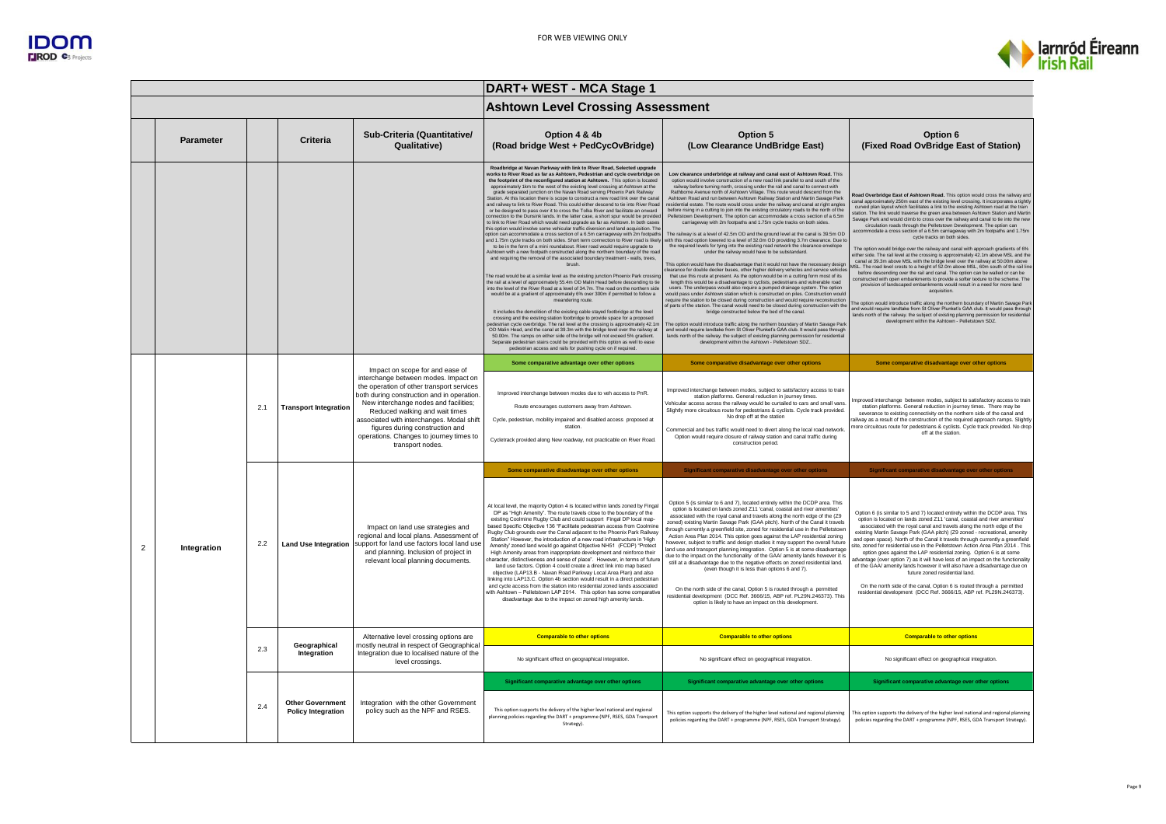

|                |             |     |                                                      |                                                                                                                                                                                                                                                                                                                                                           | DART+ WEST - MCA Stage 1                                                                                                                                                                                                                                                                                                                                                                                                                                                                                                                                                                                                                                                                                                                                                                                                                                                                                                                                                                                                                                                                                                                                                                                                                                                                                                                                                                                                                                                                                                                                                                                                                                                                                                                                                                                                                                                                                                                                                                                                                                                                                                                                                                                                                                                                                                       |                                                                                                                                                                                                                                                                                                                                                                                                                                                                                                                                                                                                                                                                                                                                                                                                                                                                                                                                                                                                                                                                                                                                                                                                                                                                                                                                                                                                                                                                                                                                                                                                                                                                                                                                                                                                                                                                                                                                                                                                                                                                                                                                                                                          |                                                                                                                                                                                                                                                                                                                                                                                                                                                                                                                                                                                                                                                                                                                                                                                                                                                                                                                                                                                                                                                                                                                                                                                                                                                                                                                                                                                                                                                                                                                                                                                               |  |
|----------------|-------------|-----|------------------------------------------------------|-----------------------------------------------------------------------------------------------------------------------------------------------------------------------------------------------------------------------------------------------------------------------------------------------------------------------------------------------------------|--------------------------------------------------------------------------------------------------------------------------------------------------------------------------------------------------------------------------------------------------------------------------------------------------------------------------------------------------------------------------------------------------------------------------------------------------------------------------------------------------------------------------------------------------------------------------------------------------------------------------------------------------------------------------------------------------------------------------------------------------------------------------------------------------------------------------------------------------------------------------------------------------------------------------------------------------------------------------------------------------------------------------------------------------------------------------------------------------------------------------------------------------------------------------------------------------------------------------------------------------------------------------------------------------------------------------------------------------------------------------------------------------------------------------------------------------------------------------------------------------------------------------------------------------------------------------------------------------------------------------------------------------------------------------------------------------------------------------------------------------------------------------------------------------------------------------------------------------------------------------------------------------------------------------------------------------------------------------------------------------------------------------------------------------------------------------------------------------------------------------------------------------------------------------------------------------------------------------------------------------------------------------------------------------------------------------------|------------------------------------------------------------------------------------------------------------------------------------------------------------------------------------------------------------------------------------------------------------------------------------------------------------------------------------------------------------------------------------------------------------------------------------------------------------------------------------------------------------------------------------------------------------------------------------------------------------------------------------------------------------------------------------------------------------------------------------------------------------------------------------------------------------------------------------------------------------------------------------------------------------------------------------------------------------------------------------------------------------------------------------------------------------------------------------------------------------------------------------------------------------------------------------------------------------------------------------------------------------------------------------------------------------------------------------------------------------------------------------------------------------------------------------------------------------------------------------------------------------------------------------------------------------------------------------------------------------------------------------------------------------------------------------------------------------------------------------------------------------------------------------------------------------------------------------------------------------------------------------------------------------------------------------------------------------------------------------------------------------------------------------------------------------------------------------------------------------------------------------------------------------------------------------------|-----------------------------------------------------------------------------------------------------------------------------------------------------------------------------------------------------------------------------------------------------------------------------------------------------------------------------------------------------------------------------------------------------------------------------------------------------------------------------------------------------------------------------------------------------------------------------------------------------------------------------------------------------------------------------------------------------------------------------------------------------------------------------------------------------------------------------------------------------------------------------------------------------------------------------------------------------------------------------------------------------------------------------------------------------------------------------------------------------------------------------------------------------------------------------------------------------------------------------------------------------------------------------------------------------------------------------------------------------------------------------------------------------------------------------------------------------------------------------------------------------------------------------------------------------------------------------------------------|--|
|                |             |     |                                                      |                                                                                                                                                                                                                                                                                                                                                           | <b>Ashtown Level Crossing Assessment</b>                                                                                                                                                                                                                                                                                                                                                                                                                                                                                                                                                                                                                                                                                                                                                                                                                                                                                                                                                                                                                                                                                                                                                                                                                                                                                                                                                                                                                                                                                                                                                                                                                                                                                                                                                                                                                                                                                                                                                                                                                                                                                                                                                                                                                                                                                       |                                                                                                                                                                                                                                                                                                                                                                                                                                                                                                                                                                                                                                                                                                                                                                                                                                                                                                                                                                                                                                                                                                                                                                                                                                                                                                                                                                                                                                                                                                                                                                                                                                                                                                                                                                                                                                                                                                                                                                                                                                                                                                                                                                                          |                                                                                                                                                                                                                                                                                                                                                                                                                                                                                                                                                                                                                                                                                                                                                                                                                                                                                                                                                                                                                                                                                                                                                                                                                                                                                                                                                                                                                                                                                                                                                                                               |  |
|                | Parameter   |     | <b>Criteria</b>                                      | Sub-Criteria (Quantitative/<br>Qualitative)                                                                                                                                                                                                                                                                                                               | Option 4 & 4b<br>(Road bridge West + PedCycOvBridge)                                                                                                                                                                                                                                                                                                                                                                                                                                                                                                                                                                                                                                                                                                                                                                                                                                                                                                                                                                                                                                                                                                                                                                                                                                                                                                                                                                                                                                                                                                                                                                                                                                                                                                                                                                                                                                                                                                                                                                                                                                                                                                                                                                                                                                                                           | Option 5<br>(Low Clearance UndBridge East)                                                                                                                                                                                                                                                                                                                                                                                                                                                                                                                                                                                                                                                                                                                                                                                                                                                                                                                                                                                                                                                                                                                                                                                                                                                                                                                                                                                                                                                                                                                                                                                                                                                                                                                                                                                                                                                                                                                                                                                                                                                                                                                                               | Option 6<br>(Fixed Road OvBridge East of Station)                                                                                                                                                                                                                                                                                                                                                                                                                                                                                                                                                                                                                                                                                                                                                                                                                                                                                                                                                                                                                                                                                                                                                                                                                                                                                                                                                                                                                                                                                                                                             |  |
|                |             |     |                                                      |                                                                                                                                                                                                                                                                                                                                                           | Roadbridge at Navan Parkway with link to River Road, Selected upgrade<br>vorks to River Road as far as Ashtown, Pedestrian and cycle overbridge on<br>the footprint of the reconfigured station at Ashtown. This option is located<br>approximately 1km to the west of the existing level crossing at Ashtown at the<br>grade separated junction on the Navan Road serving Phoenix Park Railway<br>Station. At this location there is scope to construct a new road link over the cana<br>and railway to link to River Road. This could either descend to tie into River Road<br>or be designed to pass over it to cross the Tolka River and facilitate an onward<br>connection to the Dunsink lands. In the latter case, a short spur would be provided<br>to link to River Road which would need upgrade as far as Ashtown. In both cases<br>this option would involve some vehicular traffic diversion and land acquisition. The<br>option can accommodate a cross section of a 6.5m carriageway with 2m footpaths<br>and 1.75m cycle tracks on both sides. Short term connection to River road is likely<br>to be in the form of a mini roundabout. River road would require upgrade to<br>Ashtown with a new footpath constructed along the northern boundary of the road<br>and requiring the removal of the associated boundary treatment - walls, trees,<br>hrush<br>The road would be at a similar level as the existing junction Phoenix Park crossing<br>the rail at a level of approximately 55.4m OD Malin Head before descending to tie<br>into the level of the River Road at a level of 34.7m. The road on the northern side<br>would be at a gradient of approximately 6% over 300m if permitted to follow a<br>meandering route.<br>It includes the demolition of the existing cable stayed footbridge at the level<br>crossing and the existing station footbridge to provide space for a proposed<br>edestrian cycle overbridge. The rail level at the crossing is approximately 42.1m<br>OD Malin Head, and the canal at 39.3m with the bridge level over the railway at<br>50.00m. The ramps on either side of the bridge will not exceed 5% gradient.<br>Separate pedestrian stairs could be provided with this option as well to ease<br>pedestrian access and rails for pushing cycle on if required. | Low clearance underbridge at railway and canal east of Ashtown Road. This<br>option would involve construction of a new road link parallel to and south of the<br>railway before turning north, crossing under the rail and canal to connect with<br>Rathborne Avenue north of Ashtown Village. This route would descend from the<br>Ashtown Road and run between Ashtown Railway Station and Martin Savage Park<br>residential estate. The route would cross under the railway and canal at right angles<br>before rising in a cutting to join into the existing circulatory roads to the north of the<br>Pelletstown Development. The option can accommodate a cross section of a 6.5m<br>carriageway with 2m footpaths and 1.75m cycle tracks on both sides.<br>The railway is at a level of 42.5m OD and the ground level at the canal is 39.5m OD<br>with this road option lowered to a level of 32.0m OD providing 3.7m clearance. Due to<br>the required levels for tying into the existing road network the clearance envelope<br>under the railway would have to be substandard.<br>This option would have the disadvantage that it would not have the necessary design<br>learance for double decker buses, other higher delivery vehicles and service vehicles<br>that use this route at present. As the option would be in a cutting form most of its<br>length this would be a disadvantage to cyclists, pedestrians and vulnerable road users. The underpass would also require a pumped drainage system. The option<br>would pass under Ashtown station which is constructed on piles. Construction would<br>require the station to be closed during construction and would require reconstruction<br>of parts of the station. The canal would need to be closed during construction with the<br>bridge constructed below the bed of the cana<br>The option would introduce traffic along the northern boundary of Martin Savage Parl<br>and would require landtake from St Oliver Plunket's GAA club. It would pass through<br>lands north of the railway. the subject of existing planning permission for residenti<br>development within the Ashtown - Pelletstown SDZ | Road Overbridge East of Ashtown Road. This option would cross the railway and<br>anal approximately 250m east of the existing level crossing. It incorporates a tightly<br>curved plan layout which facilitates a link to the existing Ashtown road at the train<br>station. The link would traverse the green area between Ashtown Station and Martin<br>Savage Park and would climb to cross over the railway and canal to tie into the new<br>circulation roads through the Pelletstown Development. The option can<br>accommodate a cross section of a 6.5m carriageway with 2m footpaths and 1.75m<br>cycle tracks on both sides.<br>The option would bridge over the railway and canal with approach gradients of 6%<br>either side. The rail level at the crossing is approximately 42.1m above MSL and the<br>canal at 39.3m above MSL with the bridge level over the railway at 50.00m above<br>MSL. The road level crests to a height of 52.0m above MSL, 60m south of the rail line<br>before descending over the rail and canal. The option can be walled or can be<br>constructed with open embankments to provide a softer texture to the scheme. The<br>provision of landscaped embankments would result in a need for more land<br>acquisition<br>The option would introduce traffic along the northern boundary of Martin Savage Park<br>and would require landtake from St Oliver Plunket's GAA club. It would pass through<br>lands north of the railway, the subject of existing planning permission for residential<br>development within the Ashtown - Pelletstown SDZ. |  |
|                |             |     |                                                      | Impact on scope for and ease of                                                                                                                                                                                                                                                                                                                           | Some comparative advantage over other options                                                                                                                                                                                                                                                                                                                                                                                                                                                                                                                                                                                                                                                                                                                                                                                                                                                                                                                                                                                                                                                                                                                                                                                                                                                                                                                                                                                                                                                                                                                                                                                                                                                                                                                                                                                                                                                                                                                                                                                                                                                                                                                                                                                                                                                                                  | Some comparative disadvantage over other options                                                                                                                                                                                                                                                                                                                                                                                                                                                                                                                                                                                                                                                                                                                                                                                                                                                                                                                                                                                                                                                                                                                                                                                                                                                                                                                                                                                                                                                                                                                                                                                                                                                                                                                                                                                                                                                                                                                                                                                                                                                                                                                                         | Some comparative disadvantage over other options                                                                                                                                                                                                                                                                                                                                                                                                                                                                                                                                                                                                                                                                                                                                                                                                                                                                                                                                                                                                                                                                                                                                                                                                                                                                                                                                                                                                                                                                                                                                              |  |
|                |             | 2.1 | <b>Transport Integration</b>                         | interchange between modes. Impact on<br>the operation of other transport services<br>both during construction and in operation.<br>New interchange nodes and facilities;<br>Reduced walking and wait times<br>associated with interchanges. Modal shift<br>figures during construction and<br>operations. Changes to journey times to<br>transport nodes. | Improved interchange between modes due to veh access to PnR.<br>Route encourages customers away from Ashtown<br>Cycle, pedestrian, mobility impaired and disabled access proposed at<br>station.<br>Cycletrack provided along New roadway, not practicable on River Road.                                                                                                                                                                                                                                                                                                                                                                                                                                                                                                                                                                                                                                                                                                                                                                                                                                                                                                                                                                                                                                                                                                                                                                                                                                                                                                                                                                                                                                                                                                                                                                                                                                                                                                                                                                                                                                                                                                                                                                                                                                                      | Improved interchange between modes, subject to satisfactory access to train<br>station platforms. General reduction in journey times.<br>Vehicular access across the railway would be curtailed to cars and small vans<br>Slightly more circuitous route for pedestrians & cyclists. Cycle track provided.<br>No drop off at the station<br>Commercial and bus traffic would need to divert along the local road network<br>Option would require closure of railway station and canal traffic during<br>construction period.                                                                                                                                                                                                                                                                                                                                                                                                                                                                                                                                                                                                                                                                                                                                                                                                                                                                                                                                                                                                                                                                                                                                                                                                                                                                                                                                                                                                                                                                                                                                                                                                                                                             | mproved interchange between modes, subject to satisfactory access to train<br>station platforms. General reduction in journey times. There may be<br>severance to existing connectivity on the northern side of the canal and<br>ailway as a result of the construction of the required approach ramps. Slightly<br>nore circuitous route for pedestrians & cyclists. Cycle track provided. No drop<br>off at the station                                                                                                                                                                                                                                                                                                                                                                                                                                                                                                                                                                                                                                                                                                                                                                                                                                                                                                                                                                                                                                                                                                                                                                     |  |
|                |             |     | <b>Land Use Integration</b>                          | Impact on land use strategies and<br>regional and local plans. Assessment of<br>support for land use factors local land use<br>and planning. Inclusion of project in<br>relevant local planning documents.                                                                                                                                                | Some comparative disadvantage over other options                                                                                                                                                                                                                                                                                                                                                                                                                                                                                                                                                                                                                                                                                                                                                                                                                                                                                                                                                                                                                                                                                                                                                                                                                                                                                                                                                                                                                                                                                                                                                                                                                                                                                                                                                                                                                                                                                                                                                                                                                                                                                                                                                                                                                                                                               | Significant comparative disadvantage over other options                                                                                                                                                                                                                                                                                                                                                                                                                                                                                                                                                                                                                                                                                                                                                                                                                                                                                                                                                                                                                                                                                                                                                                                                                                                                                                                                                                                                                                                                                                                                                                                                                                                                                                                                                                                                                                                                                                                                                                                                                                                                                                                                  | Significant comparative disadvantage over other options                                                                                                                                                                                                                                                                                                                                                                                                                                                                                                                                                                                                                                                                                                                                                                                                                                                                                                                                                                                                                                                                                                                                                                                                                                                                                                                                                                                                                                                                                                                                       |  |
| $\overline{2}$ | Integration | 2.2 |                                                      |                                                                                                                                                                                                                                                                                                                                                           | At local level, the majority Option 4 is located within lands zoned by Fingal<br>DP as "High Amenity". The route travels close to the boundary of the<br>existing Coolmine Rugby Club and could support Fingal DP local map-<br>pased Specific Objective 136 "Facilitate pedestrian access from Coolmine<br>Rugby Club grounds over the Canal adjacent to the Phoenix Park Railway<br>Station" However, the introduction of a new road infrastructure in 'High<br>Amenity' zoned land would go against Objective NH51 (FCDP) "Protect<br>High Amenity areas from inappropriate development and reinforce their<br>character, distinctiveness and sense of place". However, in terms of future<br>land use factors. Option 4 could create a direct link into map based<br>objective (LAP13.B - Navan Road Parkway Local Area Plan) and also<br>linking into LAP13.C. Option 4b section would result in a direct pedestrian<br>and cycle access from the station into residential zoned lands associated<br>with Ashtown - Pelletstown LAP 2014. This option has some comparative<br>disadvantage due to the impact on zoned high amenity lands.                                                                                                                                                                                                                                                                                                                                                                                                                                                                                                                                                                                                                                                                                                                                                                                                                                                                                                                                                                                                                                                                                                                                                                                 | Option 5 (is similar to 6 and 7), located entirely within the DCDP area. This<br>option is located on lands zoned Z11 'canal, coastal and river amenities'<br>associated with the royal canal and travels along the north edge of the (Z9<br>zoned) existing Martin Savage Park (GAA pitch). North of the Canal it travels<br>hrough currently a greenfield site, zoned for residential use in the Pelletstowr<br>Action Area Plan 2014. This option goes against the LAP residential zoning<br>however, subiect to traffic and design studies it may support the overall future<br>and use and transport planning integration. Option 5 is at some disadvantage<br>due to the impact on the functionality of the GAA/ amenity lands however it is<br>still at a disadvantage due to the negative effects on zoned residential land.<br>(even though it is less than options 6 and 7).<br>On the north side of the canal, Option 5 is routed through a permitted<br>residential development (DCC Ref. 3666/15, ABP ref. PL29N.246373). This<br>option is likely to have an impact on this development                                                                                                                                                                                                                                                                                                                                                                                                                                                                                                                                                                                                                                                                                                                                                                                                                                                                                                                                                                                                                                                                                    | Option 6 (is similar to 5 and 7) located entirely within the DCDP area. This<br>option is located on lands zoned Z11 'canal, coastal and river amenities'<br>associated with the royal canal and travels along the north edge of the<br>existing Martin Savage Park (GAA pitch) (Z9 zoned - recreational, amenity<br>and open space). North of the Canal it travels through currently a greenfield<br>site, zoned for residential use in the Pelletstown Action Area Plan 2014 . This<br>option goes against the LAP residential zoning. Option 6 is at some<br>advantage (over option 7) as it will have less of an impact on the functionality<br>of the GAA/ amenity lands however it will also have a disadvantage due on<br>future zoned residential land.<br>On the north side of the canal, Option 6 is routed through a permitted<br>residential development (DCC Ref. 3666/15, ABP ref. PL29N.246373).                                                                                                                                                                                                                                                                                                                                                                                                                                                                                                                                                                                                                                                                               |  |
|                |             |     |                                                      | Alternative level crossing options are                                                                                                                                                                                                                                                                                                                    | <b>Comparable to other options</b>                                                                                                                                                                                                                                                                                                                                                                                                                                                                                                                                                                                                                                                                                                                                                                                                                                                                                                                                                                                                                                                                                                                                                                                                                                                                                                                                                                                                                                                                                                                                                                                                                                                                                                                                                                                                                                                                                                                                                                                                                                                                                                                                                                                                                                                                                             | <b>Comparable to other options</b>                                                                                                                                                                                                                                                                                                                                                                                                                                                                                                                                                                                                                                                                                                                                                                                                                                                                                                                                                                                                                                                                                                                                                                                                                                                                                                                                                                                                                                                                                                                                                                                                                                                                                                                                                                                                                                                                                                                                                                                                                                                                                                                                                       | <b>Comparable to other options</b>                                                                                                                                                                                                                                                                                                                                                                                                                                                                                                                                                                                                                                                                                                                                                                                                                                                                                                                                                                                                                                                                                                                                                                                                                                                                                                                                                                                                                                                                                                                                                            |  |
|                |             | 2.3 | Geographical<br>Integration                          | mostly neutral in respect of Geographical<br>Integration due to localised nature of the<br>level crossings.                                                                                                                                                                                                                                               | No significant effect on geographical integration.                                                                                                                                                                                                                                                                                                                                                                                                                                                                                                                                                                                                                                                                                                                                                                                                                                                                                                                                                                                                                                                                                                                                                                                                                                                                                                                                                                                                                                                                                                                                                                                                                                                                                                                                                                                                                                                                                                                                                                                                                                                                                                                                                                                                                                                                             | No significant effect on geographical integration.                                                                                                                                                                                                                                                                                                                                                                                                                                                                                                                                                                                                                                                                                                                                                                                                                                                                                                                                                                                                                                                                                                                                                                                                                                                                                                                                                                                                                                                                                                                                                                                                                                                                                                                                                                                                                                                                                                                                                                                                                                                                                                                                       | No significant effect on geographical integration.                                                                                                                                                                                                                                                                                                                                                                                                                                                                                                                                                                                                                                                                                                                                                                                                                                                                                                                                                                                                                                                                                                                                                                                                                                                                                                                                                                                                                                                                                                                                            |  |
|                |             |     |                                                      |                                                                                                                                                                                                                                                                                                                                                           | Significant comparative advantage over other options                                                                                                                                                                                                                                                                                                                                                                                                                                                                                                                                                                                                                                                                                                                                                                                                                                                                                                                                                                                                                                                                                                                                                                                                                                                                                                                                                                                                                                                                                                                                                                                                                                                                                                                                                                                                                                                                                                                                                                                                                                                                                                                                                                                                                                                                           | Significant comparative advantage over other options                                                                                                                                                                                                                                                                                                                                                                                                                                                                                                                                                                                                                                                                                                                                                                                                                                                                                                                                                                                                                                                                                                                                                                                                                                                                                                                                                                                                                                                                                                                                                                                                                                                                                                                                                                                                                                                                                                                                                                                                                                                                                                                                     | Significant comparative advantage over other options                                                                                                                                                                                                                                                                                                                                                                                                                                                                                                                                                                                                                                                                                                                                                                                                                                                                                                                                                                                                                                                                                                                                                                                                                                                                                                                                                                                                                                                                                                                                          |  |
|                |             | 2.4 | <b>Other Government</b><br><b>Policy Integration</b> | Integration with the other Government<br>policy such as the NPF and RSES.                                                                                                                                                                                                                                                                                 | This option supports the delivery of the higher level national and regional<br>planning policies regarding the DART + programme (NPF, RSES, GDA Transport<br>Strategy).                                                                                                                                                                                                                                                                                                                                                                                                                                                                                                                                                                                                                                                                                                                                                                                                                                                                                                                                                                                                                                                                                                                                                                                                                                                                                                                                                                                                                                                                                                                                                                                                                                                                                                                                                                                                                                                                                                                                                                                                                                                                                                                                                        | This option supports the delivery of the higher level national and regional planning<br>policies regarding the DART + programme (NPF, RSES, GDA Transport Strategy).                                                                                                                                                                                                                                                                                                                                                                                                                                                                                                                                                                                                                                                                                                                                                                                                                                                                                                                                                                                                                                                                                                                                                                                                                                                                                                                                                                                                                                                                                                                                                                                                                                                                                                                                                                                                                                                                                                                                                                                                                     | This option supports the delivery of the higher level national and regional planning<br>policies regarding the DART + programme (NPF, RSES, GDA Transport Strategy).                                                                                                                                                                                                                                                                                                                                                                                                                                                                                                                                                                                                                                                                                                                                                                                                                                                                                                                                                                                                                                                                                                                                                                                                                                                                                                                                                                                                                          |  |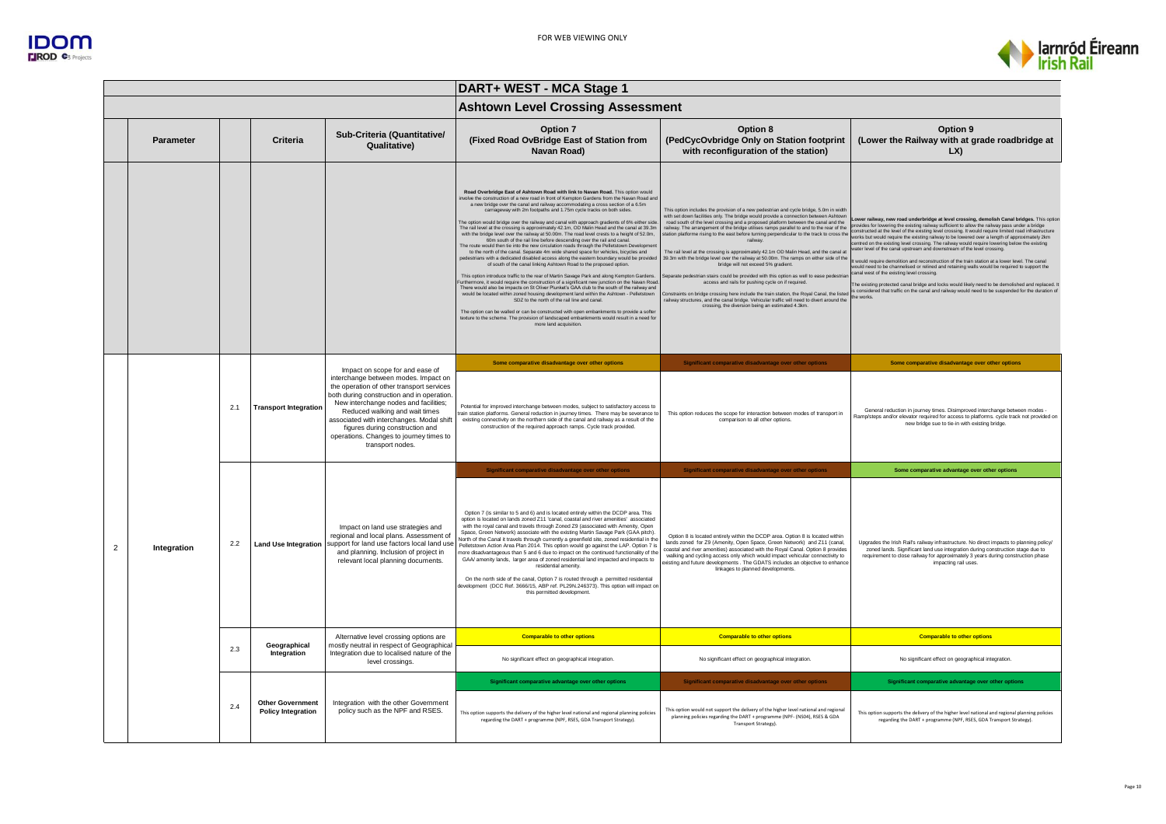



|                |                  |     |                                                      |                                                                                                                                                                                                                                                                                                                                                           | DART+ WEST - MCA Stage 1                                                                                                                                                                                                                                                                                                                                                                                                                                                                                                                                                                                                                                                                                                                                                                                                                                                                                                                                                                                                                                                                                                                                                                                                                                                                                                                                                                                                                                                                                                                                                                                                                                                                                                         |                                                                                                                                                                                                                                                                                                                                                                                                                                                                                                                                                                                                                                                                                                                                                                                                                                                                                                                                                                                                                                                                                                      |                                                                                                                                                                                                                                                                                                                                                                                                                                                                                                                                                                                                                                                                                                                                                                                                                                                                                                                                                                                                                                                         |  |
|----------------|------------------|-----|------------------------------------------------------|-----------------------------------------------------------------------------------------------------------------------------------------------------------------------------------------------------------------------------------------------------------------------------------------------------------------------------------------------------------|----------------------------------------------------------------------------------------------------------------------------------------------------------------------------------------------------------------------------------------------------------------------------------------------------------------------------------------------------------------------------------------------------------------------------------------------------------------------------------------------------------------------------------------------------------------------------------------------------------------------------------------------------------------------------------------------------------------------------------------------------------------------------------------------------------------------------------------------------------------------------------------------------------------------------------------------------------------------------------------------------------------------------------------------------------------------------------------------------------------------------------------------------------------------------------------------------------------------------------------------------------------------------------------------------------------------------------------------------------------------------------------------------------------------------------------------------------------------------------------------------------------------------------------------------------------------------------------------------------------------------------------------------------------------------------------------------------------------------------|------------------------------------------------------------------------------------------------------------------------------------------------------------------------------------------------------------------------------------------------------------------------------------------------------------------------------------------------------------------------------------------------------------------------------------------------------------------------------------------------------------------------------------------------------------------------------------------------------------------------------------------------------------------------------------------------------------------------------------------------------------------------------------------------------------------------------------------------------------------------------------------------------------------------------------------------------------------------------------------------------------------------------------------------------------------------------------------------------|---------------------------------------------------------------------------------------------------------------------------------------------------------------------------------------------------------------------------------------------------------------------------------------------------------------------------------------------------------------------------------------------------------------------------------------------------------------------------------------------------------------------------------------------------------------------------------------------------------------------------------------------------------------------------------------------------------------------------------------------------------------------------------------------------------------------------------------------------------------------------------------------------------------------------------------------------------------------------------------------------------------------------------------------------------|--|
|                |                  |     |                                                      |                                                                                                                                                                                                                                                                                                                                                           | <b>Ashtown Level Crossing Assessment</b>                                                                                                                                                                                                                                                                                                                                                                                                                                                                                                                                                                                                                                                                                                                                                                                                                                                                                                                                                                                                                                                                                                                                                                                                                                                                                                                                                                                                                                                                                                                                                                                                                                                                                         |                                                                                                                                                                                                                                                                                                                                                                                                                                                                                                                                                                                                                                                                                                                                                                                                                                                                                                                                                                                                                                                                                                      |                                                                                                                                                                                                                                                                                                                                                                                                                                                                                                                                                                                                                                                                                                                                                                                                                                                                                                                                                                                                                                                         |  |
|                | <b>Parameter</b> |     | Criteria                                             | Sub-Criteria (Quantitative/<br>Qualitative)                                                                                                                                                                                                                                                                                                               | Option 7<br>(Fixed Road OvBridge East of Station from<br>Navan Road)                                                                                                                                                                                                                                                                                                                                                                                                                                                                                                                                                                                                                                                                                                                                                                                                                                                                                                                                                                                                                                                                                                                                                                                                                                                                                                                                                                                                                                                                                                                                                                                                                                                             | Option 8<br>(PedCycOvbridge Only on Station footprint<br>with reconfiguration of the station)                                                                                                                                                                                                                                                                                                                                                                                                                                                                                                                                                                                                                                                                                                                                                                                                                                                                                                                                                                                                        | Option 9<br>(Lower the Railway with at grade roadbridge at<br>LX                                                                                                                                                                                                                                                                                                                                                                                                                                                                                                                                                                                                                                                                                                                                                                                                                                                                                                                                                                                        |  |
|                |                  |     |                                                      |                                                                                                                                                                                                                                                                                                                                                           | Road Overbridge East of Ashtown Road with link to Navan Road, This option would<br>wolve the construction of a new road in front of Kempton Gardens from the Navan Road and<br>a new bridge over the canal and railway accommodating a cross section of a 6.5m<br>carriageway with 2m footpaths and 1.75m cycle tracks on both sides.<br>The option would bridge over the railway and canal with approach gradients of 6% either side<br>The rail level at the crossing is approximately 42.1m, OD Malin Head and the canal at 39.3m<br>with the bridge level over the railway at 50.00m. The road level crests to a height of 52.0m,<br>60m south of the rail line before descending over the rail and canal<br>The route would then tie into the new circulation roads through the Pelletstown Developmer<br>to the north of the canal. Separate 4m wide shared space for vehicles, bicycles and<br>bedestrians with a dedicated disabled access along the eastern boundary would be provided<br>of south of the canal linking Ashtown Road to the proposed option.<br>This option introduce traffic to the rear of Martin Savage Park and along Kempton Gardens.<br>urthermore, it would require the construction of a significant new junction on the Navan Road<br>There would also be impacts on St Oliver Plunket's GAA club to the south of the railway and<br>would be located within zoned housing development land within the Ashtown - Pelletstown<br>SDZ to the north of the rail line and canal.<br>The option can be walled or can be constructed with open embankments to provide a softer<br>texture to the scheme. The provision of landscaped embankments would result in a need fo<br>more land acquisition. | This option includes the provision of a new pedestrian and cycle bridge, 5.0m in width<br>with set down facilities only. The bridge would provide a connection between Ashtown<br>road south of the level crossing and a proposed platform between the canal and the<br>railway. The arrangement of the bridge utilises ramps parallel to and to the rear of the<br>tation platforme rising to the east before turning perpendicular to the track to cross the<br>railwa<br>The rail level at the crossing is approximately 42.1m OD Malin Head, and the canal at<br>39.3m with the bridge level over the railway at 50.00m. The ramps on either side of the<br>bridge will not exceed 5% gradient.<br>eparate pedestrian stairs could be provided with this option as well to ease pedestria<br>access and rails for pushing cycle on if required.<br>Constraints on bridge crossing here include the train station, the Royal Canal, the listed<br>railway structures, and the canal bridge. Vehicular traffic will need to divert around the<br>crossing, the diversion being an estimated 4.3km. | Lower railway, new road underbridge at level crossing, demolish Canal bridges. This option<br>provides for lowering the existing railway sufficient to allow the railway pass under a bridge<br>constructed at the level of the existing level crossing. It would require limited road infrastructure<br>works but would require the existing railway to be lowered over a length of approximately 2km<br>centred on the existing level crossing. The railway would require lowering below the existing<br>ater level of the canal upstream and downstream of the level crossing.<br>It would require demolition and reconstruction of the train station at a lower level. The canal<br>would need to be channelised or relined and retaining walls would be required to support the<br>canal west of the existing level crossing.<br>The existing protected canal bridge and locks would likely need to be demolished and replaced.<br>is considered that traffic on the canal and railway would need to be suspended for the duration of<br>the works |  |
|                |                  |     |                                                      | Impact on scope for and ease of                                                                                                                                                                                                                                                                                                                           | Some comparative disadvantage over other options                                                                                                                                                                                                                                                                                                                                                                                                                                                                                                                                                                                                                                                                                                                                                                                                                                                                                                                                                                                                                                                                                                                                                                                                                                                                                                                                                                                                                                                                                                                                                                                                                                                                                 | Significant comparative disadvantage over other options                                                                                                                                                                                                                                                                                                                                                                                                                                                                                                                                                                                                                                                                                                                                                                                                                                                                                                                                                                                                                                              | Some comparative disadvantage over other options                                                                                                                                                                                                                                                                                                                                                                                                                                                                                                                                                                                                                                                                                                                                                                                                                                                                                                                                                                                                        |  |
|                |                  | 2.1 | <b>Transport Integration</b>                         | interchange between modes. Impact on<br>the operation of other transport services<br>both during construction and in operation.<br>New interchange nodes and facilities;<br>Reduced walking and wait times<br>associated with interchanges. Modal shift<br>figures during construction and<br>operations. Changes to journey times to<br>transport nodes. | Potential for improved interchange between modes, subject to satisfactory access to<br>rain station platforms. General reduction in journey times. There may be severance to<br>existing connectivity on the northern side of the canal and railway as a result of the<br>construction of the required approach ramps. Cycle track provided.                                                                                                                                                                                                                                                                                                                                                                                                                                                                                                                                                                                                                                                                                                                                                                                                                                                                                                                                                                                                                                                                                                                                                                                                                                                                                                                                                                                     | This option reduces the scope for interaction between modes of transport in<br>comparison to all other options                                                                                                                                                                                                                                                                                                                                                                                                                                                                                                                                                                                                                                                                                                                                                                                                                                                                                                                                                                                       | General reduction in journey times. Disimproved interchange between modes -<br>Ramp/steps and/or elevator required for access to platforms, cycle track not provided on<br>new bridge sue to tie-in with existing bridge.                                                                                                                                                                                                                                                                                                                                                                                                                                                                                                                                                                                                                                                                                                                                                                                                                               |  |
|                |                  |     |                                                      | Impact on land use strategies and<br>regional and local plans. Assessment of<br>support for land use factors local land use<br>and planning. Inclusion of project in<br>relevant local planning documents.                                                                                                                                                | Significant comparative disadvantage over other options                                                                                                                                                                                                                                                                                                                                                                                                                                                                                                                                                                                                                                                                                                                                                                                                                                                                                                                                                                                                                                                                                                                                                                                                                                                                                                                                                                                                                                                                                                                                                                                                                                                                          | Significant comparative disadvantage over other options                                                                                                                                                                                                                                                                                                                                                                                                                                                                                                                                                                                                                                                                                                                                                                                                                                                                                                                                                                                                                                              | Some comparative advantage over other options                                                                                                                                                                                                                                                                                                                                                                                                                                                                                                                                                                                                                                                                                                                                                                                                                                                                                                                                                                                                           |  |
| $\overline{2}$ | Integration      | 2.2 | <b>Land Use Integration</b>                          |                                                                                                                                                                                                                                                                                                                                                           | Option 7 (is similar to 5 and 6) and is located entirely within the DCDP area. This<br>option is located on lands zoned Z11 'canal, coastal and river amenities' associated<br>with the royal canal and travels through Zoned Z9 (associated with Amenity, Open<br>Space, Green Network) associate with the existing Martin Savage Park (GAA pitch).<br>North of the Canal it travels through currently a greenfield site, zoned residential in the<br>Pelletstown Action Area Plan 2014. This option would go against the LAP. Option 7 is<br>more disadvantageous than 5 and 6 due to impact on the continued functionality of the<br>GAA/ amenity lands, larger area of zoned residential land impacted and impacts to<br>residential amenity.<br>On the north side of the canal, Option 7 is routed through a permitted residential<br>evelopment (DCC Ref. 3666/15, ABP ref. PL29N.246373). This option will impact or<br>this permitted development                                                                                                                                                                                                                                                                                                                                                                                                                                                                                                                                                                                                                                                                                                                                                                        | Option 8 is located entirely within the DCDP area. Option 8 is located within<br>lands zoned for Z9 (Amenity, Open Space, Green Network) and Z11 (canal,<br>coastal and river amenities) associated with the Royal Canal. Option 8 provides<br>walking and cycling access only which would impact vehicular connectivity to<br>ixisting and future developments . The GDATS includes an objective to enhance<br>linkages to planned developments                                                                                                                                                                                                                                                                                                                                                                                                                                                                                                                                                                                                                                                     | Upgrades the Irish Rail's railway infrastructure. No direct impacts to planning policy/<br>zoned lands. Significant land use integration during construction stage due to<br>requirement to close railway for approximately 3 years during construction phase<br>impacting rail uses.                                                                                                                                                                                                                                                                                                                                                                                                                                                                                                                                                                                                                                                                                                                                                                   |  |
|                |                  |     | Geographical                                         | Alternative level crossing options are<br>mostly neutral in respect of Geographical                                                                                                                                                                                                                                                                       | <b>Comparable to other options</b>                                                                                                                                                                                                                                                                                                                                                                                                                                                                                                                                                                                                                                                                                                                                                                                                                                                                                                                                                                                                                                                                                                                                                                                                                                                                                                                                                                                                                                                                                                                                                                                                                                                                                               | <b>Comparable to other options</b>                                                                                                                                                                                                                                                                                                                                                                                                                                                                                                                                                                                                                                                                                                                                                                                                                                                                                                                                                                                                                                                                   | <b>Comparable to other options</b>                                                                                                                                                                                                                                                                                                                                                                                                                                                                                                                                                                                                                                                                                                                                                                                                                                                                                                                                                                                                                      |  |
|                |                  | 2.3 | Integration                                          | Integration due to localised nature of the<br>level crossings.                                                                                                                                                                                                                                                                                            | No significant effect on geographical integration.                                                                                                                                                                                                                                                                                                                                                                                                                                                                                                                                                                                                                                                                                                                                                                                                                                                                                                                                                                                                                                                                                                                                                                                                                                                                                                                                                                                                                                                                                                                                                                                                                                                                               | No significant effect on geographical integration.                                                                                                                                                                                                                                                                                                                                                                                                                                                                                                                                                                                                                                                                                                                                                                                                                                                                                                                                                                                                                                                   | No significant effect on geographical integration.                                                                                                                                                                                                                                                                                                                                                                                                                                                                                                                                                                                                                                                                                                                                                                                                                                                                                                                                                                                                      |  |
|                |                  |     |                                                      |                                                                                                                                                                                                                                                                                                                                                           | Significant comparative advantage over other options                                                                                                                                                                                                                                                                                                                                                                                                                                                                                                                                                                                                                                                                                                                                                                                                                                                                                                                                                                                                                                                                                                                                                                                                                                                                                                                                                                                                                                                                                                                                                                                                                                                                             | Significant comparative disadvantage over other options                                                                                                                                                                                                                                                                                                                                                                                                                                                                                                                                                                                                                                                                                                                                                                                                                                                                                                                                                                                                                                              | Significant comparative advantage over other options                                                                                                                                                                                                                                                                                                                                                                                                                                                                                                                                                                                                                                                                                                                                                                                                                                                                                                                                                                                                    |  |
|                |                  | 2.4 | <b>Other Government</b><br><b>Policy Integration</b> | Integration with the other Government<br>policy such as the NPF and RSES.                                                                                                                                                                                                                                                                                 | This option supports the delivery of the higher level national and regional planning policies<br>regarding the DART + programme (NPF, RSES, GDA Transport Strategy).                                                                                                                                                                                                                                                                                                                                                                                                                                                                                                                                                                                                                                                                                                                                                                                                                                                                                                                                                                                                                                                                                                                                                                                                                                                                                                                                                                                                                                                                                                                                                             | This option would not support the delivery of the higher level national and regional<br>planning policies regarding the DART + programme (NPF- (NS04), RSES & GDA<br>Transport Strategy).                                                                                                                                                                                                                                                                                                                                                                                                                                                                                                                                                                                                                                                                                                                                                                                                                                                                                                            | This option supports the delivery of the higher level national and regional planning policies<br>regarding the DART + programme (NPF, RSES, GDA Transport Strategy).                                                                                                                                                                                                                                                                                                                                                                                                                                                                                                                                                                                                                                                                                                                                                                                                                                                                                    |  |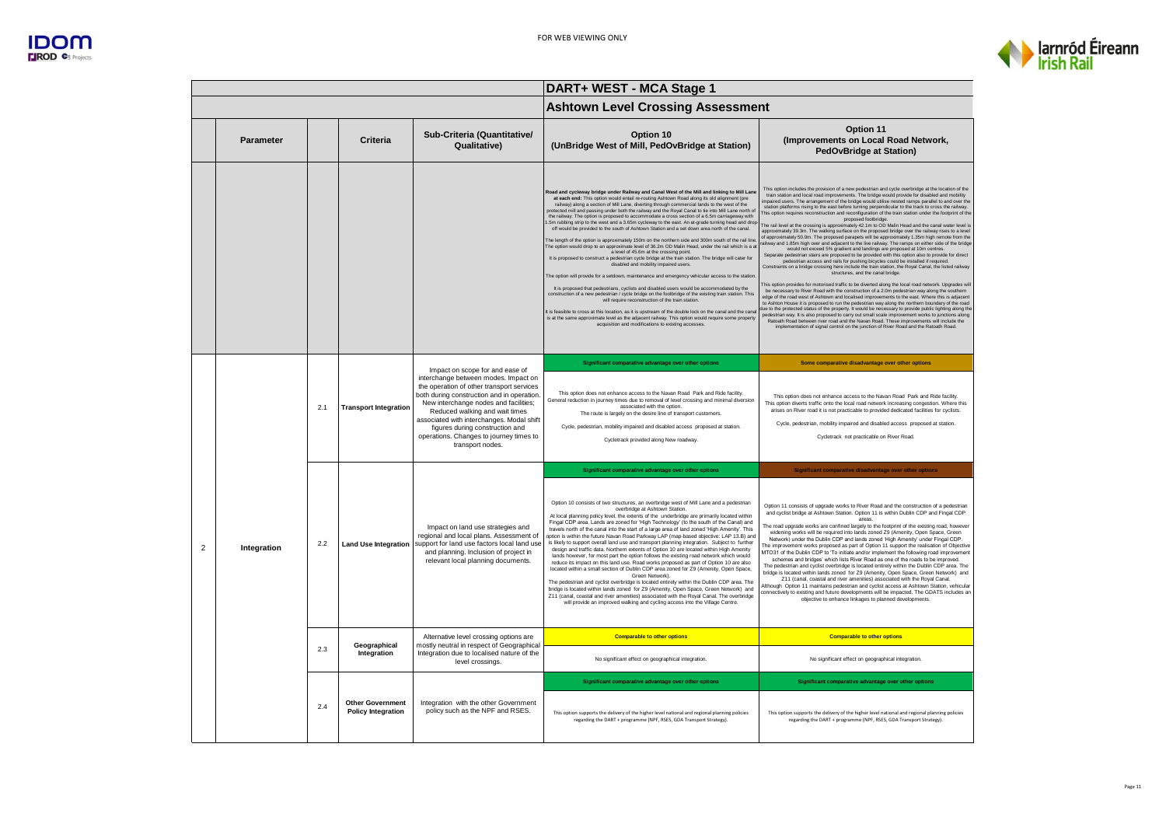



|                |                  |     |                                                      |                                                                                                                                                                                                                                                                                                                                                                                             | DART+ WEST - MCA Stage 1                                                                                                                                                                                                                                                                                                                                                                                                                                                                                                                                                                                                                                                                                                                                                                                                                                                                                                                                                                                                                                                                                                                                                                                                                                                                                                                                                                                                                                                                                                                                                                                                                                                                                                                                |                                                                                                                                                                                                                                                                                                                                                                                                                                                                                                                                                                                                                                                                                                                                                                                                                                                                                                                                                                                                                                                                                                                                                                                                                                                                                                                                                                                                                                                                                                                                                                                                                                                                                                                                                                                                                                                                                                                                                                                                                                                                                                                                                                                                           |  |  |
|----------------|------------------|-----|------------------------------------------------------|---------------------------------------------------------------------------------------------------------------------------------------------------------------------------------------------------------------------------------------------------------------------------------------------------------------------------------------------------------------------------------------------|---------------------------------------------------------------------------------------------------------------------------------------------------------------------------------------------------------------------------------------------------------------------------------------------------------------------------------------------------------------------------------------------------------------------------------------------------------------------------------------------------------------------------------------------------------------------------------------------------------------------------------------------------------------------------------------------------------------------------------------------------------------------------------------------------------------------------------------------------------------------------------------------------------------------------------------------------------------------------------------------------------------------------------------------------------------------------------------------------------------------------------------------------------------------------------------------------------------------------------------------------------------------------------------------------------------------------------------------------------------------------------------------------------------------------------------------------------------------------------------------------------------------------------------------------------------------------------------------------------------------------------------------------------------------------------------------------------------------------------------------------------|-----------------------------------------------------------------------------------------------------------------------------------------------------------------------------------------------------------------------------------------------------------------------------------------------------------------------------------------------------------------------------------------------------------------------------------------------------------------------------------------------------------------------------------------------------------------------------------------------------------------------------------------------------------------------------------------------------------------------------------------------------------------------------------------------------------------------------------------------------------------------------------------------------------------------------------------------------------------------------------------------------------------------------------------------------------------------------------------------------------------------------------------------------------------------------------------------------------------------------------------------------------------------------------------------------------------------------------------------------------------------------------------------------------------------------------------------------------------------------------------------------------------------------------------------------------------------------------------------------------------------------------------------------------------------------------------------------------------------------------------------------------------------------------------------------------------------------------------------------------------------------------------------------------------------------------------------------------------------------------------------------------------------------------------------------------------------------------------------------------------------------------------------------------------------------------------------------------|--|--|
|                |                  |     |                                                      |                                                                                                                                                                                                                                                                                                                                                                                             | <b>Ashtown Level Crossing Assessment</b>                                                                                                                                                                                                                                                                                                                                                                                                                                                                                                                                                                                                                                                                                                                                                                                                                                                                                                                                                                                                                                                                                                                                                                                                                                                                                                                                                                                                                                                                                                                                                                                                                                                                                                                |                                                                                                                                                                                                                                                                                                                                                                                                                                                                                                                                                                                                                                                                                                                                                                                                                                                                                                                                                                                                                                                                                                                                                                                                                                                                                                                                                                                                                                                                                                                                                                                                                                                                                                                                                                                                                                                                                                                                                                                                                                                                                                                                                                                                           |  |  |
|                | <b>Parameter</b> |     | Criteria                                             | Sub-Criteria (Quantitative/<br>Qualitative)                                                                                                                                                                                                                                                                                                                                                 | Option 10<br>(UnBridge West of Mill, PedOvBridge at Station)                                                                                                                                                                                                                                                                                                                                                                                                                                                                                                                                                                                                                                                                                                                                                                                                                                                                                                                                                                                                                                                                                                                                                                                                                                                                                                                                                                                                                                                                                                                                                                                                                                                                                            | Option 11<br>(Improvements on Local Road Network,<br><b>PedOvBridge at Station)</b>                                                                                                                                                                                                                                                                                                                                                                                                                                                                                                                                                                                                                                                                                                                                                                                                                                                                                                                                                                                                                                                                                                                                                                                                                                                                                                                                                                                                                                                                                                                                                                                                                                                                                                                                                                                                                                                                                                                                                                                                                                                                                                                       |  |  |
|                |                  |     |                                                      |                                                                                                                                                                                                                                                                                                                                                                                             | Road and cycleway bridge under Railway and Canal West of the Mill and linking to Mill Lane<br>at each end: This option would entail re-routing Ashtown Road along its old alignment (pre<br>railway) along a section of Mill Lane, diverting through commercial lands to the west of the<br>protected mill and passing under both the railway and the Royal Canal to tie into Mill Lane north of<br>the railway. The option is proposed to accommodate a cross section of a 6.5m carriageway with<br>.5m rubbing strip to the west and a 3.65m cycleway to the east. An at-grade turning head and drop<br>off would be provided to the south of Ashtown Station and a set down area north of the canal.<br>The length of the option is approximately 150m on the northern side and 300m south of the rail line<br>The option would drop to an approximate level of 36.2m OD Malin Head, under the rail which is a a<br>a level of 45.6m at the crossing point.<br>It is proposed to construct a pedestrian cycle bridge at the train station. The bridge will cater for<br>disabled and mobility impaired users.<br>The option will provide for a setdown, maintenance and emergency vehicular access to the station<br>It is proposed that pedestrians, cyclists and disabled users would be accommodated by the<br>construction of a new pedestrian / cycle bridge on the footbridge of the existing train station. This<br>will require reconstruction of the train station.<br>It is feasible to cross at this location, as it is upstream of the double lock on the canal and the cana<br>is at the same approximate level as the adjacent railway. This option would require some property<br>acquisition and modifications to existing accesses. | This option includes the provision of a new pedestrian and cycle overbridge at the location of the<br>train station and local road improvements. The bridge would provide for disabled and mobility<br>mpaired users. The arrangement of the bridge would utilise nested ramps parallel to and over the<br>station platforms rising to the east before turning perpendicular to the track to cross the railway.<br>This option requires reconstruction and reconfiguration of the train station under the footprint of the<br>proposed footbridge.<br>The rail level at the crossing is approximately 42.1m to OD Malin Head and the canal water level is<br>approximately 39.3m. The walking surface on the proposed bridge over the railway rises to a level<br>of approximately 50.0m. The proposed parapets will be approximately 1.35m high remote from the<br>ailway and 1.85m high over and adjacent to the live railway. The ramps on either side of the bridge<br>would not exceed 5% gradient and landings are proposed at 10m centres.<br>Separate pedestrian stairs are proposed to be provided with this option also to provide for direct<br>pedestrian access and rails for pushing bicycles could be installed if required.<br>Constraints on a bridge crossing here include the train station, the Royal Canal, the listed railway<br>structures, and the canal bridge<br>This option provides for motorised traffic to be diverted along the local road network. Upgrades will<br>be necessary to River Road with the construction of a 2.0m pedestrian way along the southern<br>edge of the road west of Ashtown and localised improvements to the east. Where this is adjacent<br>to Ashton House it is proposed to run the pedestrian way along the northern boundary of the road<br>ue to the protected status of the property. It would be necessary to provide public lighting along the<br>pedestrian way. It is also proposed to carry out small scale improvement works to junctions along<br>Ratoath Road between river road and the Navan Road. These improvements will include the<br>implementation of signal control on the junction of River Road and the Ratoath Road. |  |  |
|                |                  |     |                                                      |                                                                                                                                                                                                                                                                                                                                                                                             | Significant comparative advantage over other options                                                                                                                                                                                                                                                                                                                                                                                                                                                                                                                                                                                                                                                                                                                                                                                                                                                                                                                                                                                                                                                                                                                                                                                                                                                                                                                                                                                                                                                                                                                                                                                                                                                                                                    | Some comparative disadvantage over other options                                                                                                                                                                                                                                                                                                                                                                                                                                                                                                                                                                                                                                                                                                                                                                                                                                                                                                                                                                                                                                                                                                                                                                                                                                                                                                                                                                                                                                                                                                                                                                                                                                                                                                                                                                                                                                                                                                                                                                                                                                                                                                                                                          |  |  |
|                |                  | 2.1 | <b>Transport Integration</b>                         | Impact on scope for and ease of<br>interchange between modes. Impact on<br>the operation of other transport services<br>both during construction and in operation<br>New interchange nodes and facilities;<br>Reduced walking and wait times<br>associated with interchanges. Modal shift<br>figures during construction and<br>operations. Changes to journey times to<br>transport nodes. | This option does not enhance access to the Navan Road Park and Ride facility.<br>General reduction in journey times due to removal of level crossing and minimal diversion<br>associated with the option.<br>The route is largely on the desire line of transport customers.<br>Cycle, pedestrian, mobility impaired and disabled access proposed at station.<br>Cycletrack provided along New roadway.                                                                                                                                                                                                                                                                                                                                                                                                                                                                                                                                                                                                                                                                                                                                                                                                                                                                                                                                                                                                                                                                                                                                                                                                                                                                                                                                                 | This option does not enhance access to the Navan Road Park and Ride facility.<br>This option diverts traffic onto the local road network increasing congestion. Where this<br>arises on River road it is not practicable to provided dedicated facilities for cyclists.<br>Cycle, pedestrian, mobility impaired and disabled access proposed at station.<br>Cycletrack not practicable on River Road                                                                                                                                                                                                                                                                                                                                                                                                                                                                                                                                                                                                                                                                                                                                                                                                                                                                                                                                                                                                                                                                                                                                                                                                                                                                                                                                                                                                                                                                                                                                                                                                                                                                                                                                                                                                      |  |  |
|                |                  |     |                                                      |                                                                                                                                                                                                                                                                                                                                                                                             | Significant comparative advantage over other options                                                                                                                                                                                                                                                                                                                                                                                                                                                                                                                                                                                                                                                                                                                                                                                                                                                                                                                                                                                                                                                                                                                                                                                                                                                                                                                                                                                                                                                                                                                                                                                                                                                                                                    | Significant comparative disadvantage over other options                                                                                                                                                                                                                                                                                                                                                                                                                                                                                                                                                                                                                                                                                                                                                                                                                                                                                                                                                                                                                                                                                                                                                                                                                                                                                                                                                                                                                                                                                                                                                                                                                                                                                                                                                                                                                                                                                                                                                                                                                                                                                                                                                   |  |  |
| $\overline{2}$ | Integration      | 2.2 | <b>Land Use Integration</b>                          | Impact on land use strategies and<br>regional and local plans. Assessment of<br>support for land use factors local land use<br>and planning. Inclusion of project in<br>relevant local planning documents.                                                                                                                                                                                  | Option 10 consists of two structures, an overbridge west of Mill Lane and a pedestrian<br>overbridge at Ashtown Station.<br>At local planning policy level, the extents of the underbridge are primarily located within<br>Fingal CDP area. Lands are zoned for 'High Technology' (to the south of the Canal) and<br>travels north of the canal into the start of a large area of land zoned 'High Amenity'. This<br>option is within the future Navan Road Parkway LAP (map-based objective: LAP 13.B) and<br>is likely to support overall land use and transport planning integration. Subject to further<br>design and traffic data. Northern extents of Option 10 are located within High Amenity<br>lands however, for most part the option follows the existing road network which would<br>reduce its impact on this land use. Road works proposed as part of Option 10 are also<br>located within a small section of Dublin CDP area zoned for Z9 (Amenity, Open Space,<br>Green Network)<br>The pedestrian and cyclist overbridge is located entirely within the Dublin CDP area. The<br>bridge is located within lands zoned for Z9 (Amenity, Open Space, Green Network) and<br>Z11 (canal, coastal and river amenities) associated with the Royal Canal. The overbridge<br>will provide an improved walking and cycling access into the Village Centre.                                                                                                                                                                                                                                                                                                                                                                                      | Option 11 consists of upgrade works to River Road and the construction of a pedestrian<br>and cyclist bridge at Ashtown Station. Option 11 is within Dublin CDP and Fingal CDP<br>areas.<br>The road upgrade works are confined largely to the footprint of the existing road, however<br>widening works will be required into lands zoned Z9 (Amenity, Open Space, Green<br>Network) under the Dublin CDP and lands zoned 'High Amenity' under Fingal CDP.<br>The improvement works proposed as part of Option 11 support the realisation of Objective<br>MTO31 of the Dublin CDP to 'To initiate and/or implement the following road improvement<br>schemes and bridges' which lists River Road as one of the roads to be improved.<br>The pedestrian and cyclist overbridge is located entirely within the Dublin CDP area. The<br>bridge is located within lands zoned for Z9 (Amenity, Open Space, Green Network) and<br>Z11 (canal, coastal and river amenities) associated with the Royal Canal.<br>Although Option 11 maintains pedestrian and cyclist access at Ashtown Station, vehicular<br>connectively to existing and future developments will be impacted. The GDATS includes an<br>objective to enhance linkages to planned developments.                                                                                                                                                                                                                                                                                                                                                                                                                                                                                                                                                                                                                                                                                                                                                                                                                                                                                                                                                 |  |  |
|                |                  |     |                                                      | Alternative level crossing options are                                                                                                                                                                                                                                                                                                                                                      | <b>Comparable to other options</b>                                                                                                                                                                                                                                                                                                                                                                                                                                                                                                                                                                                                                                                                                                                                                                                                                                                                                                                                                                                                                                                                                                                                                                                                                                                                                                                                                                                                                                                                                                                                                                                                                                                                                                                      | <b>Comparable to other options</b>                                                                                                                                                                                                                                                                                                                                                                                                                                                                                                                                                                                                                                                                                                                                                                                                                                                                                                                                                                                                                                                                                                                                                                                                                                                                                                                                                                                                                                                                                                                                                                                                                                                                                                                                                                                                                                                                                                                                                                                                                                                                                                                                                                        |  |  |
|                |                  | 2.3 | Geographical<br>Integration                          | mostly neutral in respect of Geographical<br>Integration due to localised nature of the<br>level crossings.                                                                                                                                                                                                                                                                                 | No significant effect on geographical integration.                                                                                                                                                                                                                                                                                                                                                                                                                                                                                                                                                                                                                                                                                                                                                                                                                                                                                                                                                                                                                                                                                                                                                                                                                                                                                                                                                                                                                                                                                                                                                                                                                                                                                                      | No significant effect on geographical integration.                                                                                                                                                                                                                                                                                                                                                                                                                                                                                                                                                                                                                                                                                                                                                                                                                                                                                                                                                                                                                                                                                                                                                                                                                                                                                                                                                                                                                                                                                                                                                                                                                                                                                                                                                                                                                                                                                                                                                                                                                                                                                                                                                        |  |  |
|                |                  |     |                                                      |                                                                                                                                                                                                                                                                                                                                                                                             | Significant comparative advantage over other options                                                                                                                                                                                                                                                                                                                                                                                                                                                                                                                                                                                                                                                                                                                                                                                                                                                                                                                                                                                                                                                                                                                                                                                                                                                                                                                                                                                                                                                                                                                                                                                                                                                                                                    | Significant comparative advantage over other options                                                                                                                                                                                                                                                                                                                                                                                                                                                                                                                                                                                                                                                                                                                                                                                                                                                                                                                                                                                                                                                                                                                                                                                                                                                                                                                                                                                                                                                                                                                                                                                                                                                                                                                                                                                                                                                                                                                                                                                                                                                                                                                                                      |  |  |
|                |                  | 2.4 | <b>Other Government</b><br><b>Policy Integration</b> | Integration with the other Government<br>policy such as the NPF and RSES.                                                                                                                                                                                                                                                                                                                   | This option supports the delivery of the higher level national and regional planning policies<br>regarding the DART + programme (NPF, RSES, GDA Transport Strategy).                                                                                                                                                                                                                                                                                                                                                                                                                                                                                                                                                                                                                                                                                                                                                                                                                                                                                                                                                                                                                                                                                                                                                                                                                                                                                                                                                                                                                                                                                                                                                                                    | This option supports the delivery of the higher level national and regional planning policies<br>regarding the DART + programme (NPF, RSES, GDA Transport Strategy).                                                                                                                                                                                                                                                                                                                                                                                                                                                                                                                                                                                                                                                                                                                                                                                                                                                                                                                                                                                                                                                                                                                                                                                                                                                                                                                                                                                                                                                                                                                                                                                                                                                                                                                                                                                                                                                                                                                                                                                                                                      |  |  |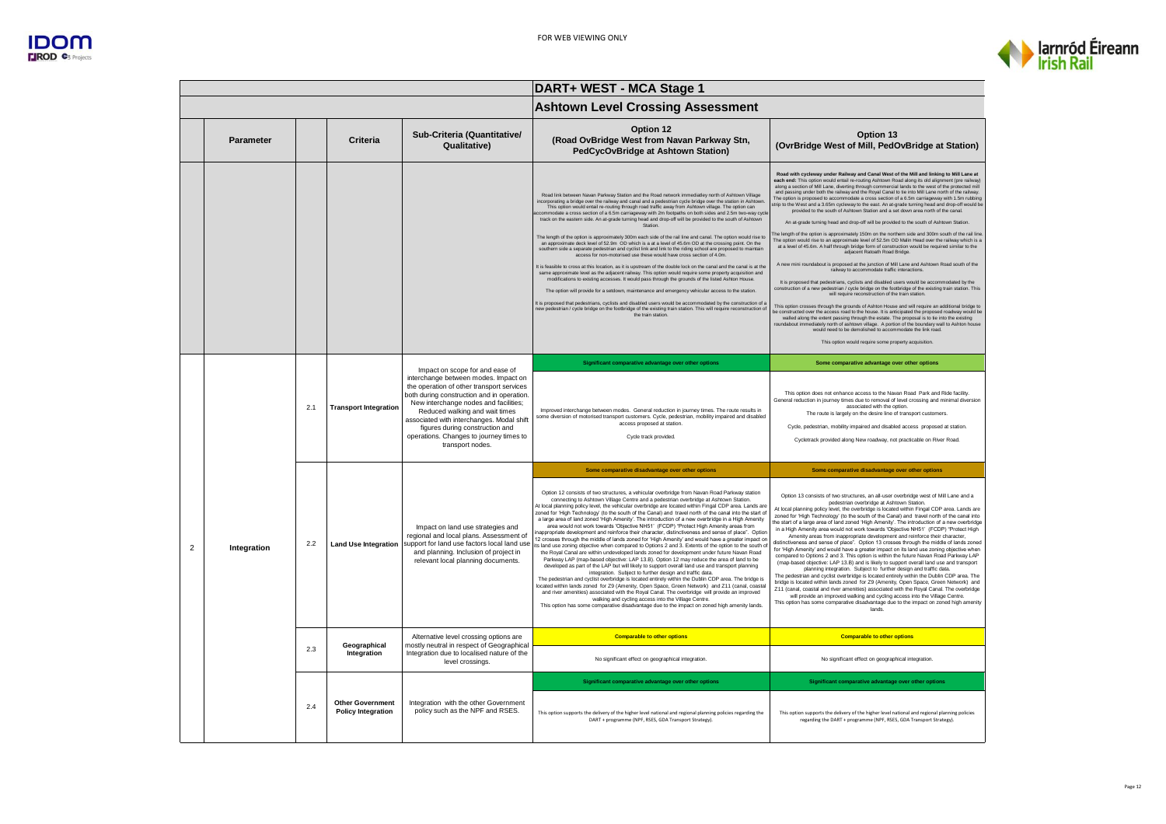



|                |                  |     |                                                      |                                                                                                                                                                                                                                                                                                                                                                                              | DART+ WEST - MCA Stage 1                                                                                                                                                                                                                                                                                                                                                                                                                                                                                                                                                                                                                                                                                                                                                                                                                                                                                                                                                                                                                                                                                                                                                                                                                                                                                                                                                                                                                                                                                                                                                                                                                                                                                                                           |                                                                                                                                                                                                                                                                                                                                                                                                                                                                                                                                                                                                                                                                                                                                                                                                                                                                                                                                                                                                                                                                                                                                                                                                                                                                                                                                                                                                                                                                                                                                                                                                                                                                                                                                                                                                                                                                                                                                                                                                                                                                                      |
|----------------|------------------|-----|------------------------------------------------------|----------------------------------------------------------------------------------------------------------------------------------------------------------------------------------------------------------------------------------------------------------------------------------------------------------------------------------------------------------------------------------------------|----------------------------------------------------------------------------------------------------------------------------------------------------------------------------------------------------------------------------------------------------------------------------------------------------------------------------------------------------------------------------------------------------------------------------------------------------------------------------------------------------------------------------------------------------------------------------------------------------------------------------------------------------------------------------------------------------------------------------------------------------------------------------------------------------------------------------------------------------------------------------------------------------------------------------------------------------------------------------------------------------------------------------------------------------------------------------------------------------------------------------------------------------------------------------------------------------------------------------------------------------------------------------------------------------------------------------------------------------------------------------------------------------------------------------------------------------------------------------------------------------------------------------------------------------------------------------------------------------------------------------------------------------------------------------------------------------------------------------------------------------|--------------------------------------------------------------------------------------------------------------------------------------------------------------------------------------------------------------------------------------------------------------------------------------------------------------------------------------------------------------------------------------------------------------------------------------------------------------------------------------------------------------------------------------------------------------------------------------------------------------------------------------------------------------------------------------------------------------------------------------------------------------------------------------------------------------------------------------------------------------------------------------------------------------------------------------------------------------------------------------------------------------------------------------------------------------------------------------------------------------------------------------------------------------------------------------------------------------------------------------------------------------------------------------------------------------------------------------------------------------------------------------------------------------------------------------------------------------------------------------------------------------------------------------------------------------------------------------------------------------------------------------------------------------------------------------------------------------------------------------------------------------------------------------------------------------------------------------------------------------------------------------------------------------------------------------------------------------------------------------------------------------------------------------------------------------------------------------|
|                |                  |     |                                                      |                                                                                                                                                                                                                                                                                                                                                                                              | <b>Ashtown Level Crossing Assessment</b>                                                                                                                                                                                                                                                                                                                                                                                                                                                                                                                                                                                                                                                                                                                                                                                                                                                                                                                                                                                                                                                                                                                                                                                                                                                                                                                                                                                                                                                                                                                                                                                                                                                                                                           |                                                                                                                                                                                                                                                                                                                                                                                                                                                                                                                                                                                                                                                                                                                                                                                                                                                                                                                                                                                                                                                                                                                                                                                                                                                                                                                                                                                                                                                                                                                                                                                                                                                                                                                                                                                                                                                                                                                                                                                                                                                                                      |
|                | <b>Parameter</b> |     | Criteria                                             | Sub-Criteria (Quantitative/<br><b>Qualitative)</b>                                                                                                                                                                                                                                                                                                                                           | Option 12<br>(Road OvBridge West from Navan Parkway Stn,<br>PedCycOvBridge at Ashtown Station)                                                                                                                                                                                                                                                                                                                                                                                                                                                                                                                                                                                                                                                                                                                                                                                                                                                                                                                                                                                                                                                                                                                                                                                                                                                                                                                                                                                                                                                                                                                                                                                                                                                     | Option 13<br>(OvrBridge West of Mill, PedOvBridge at Station)                                                                                                                                                                                                                                                                                                                                                                                                                                                                                                                                                                                                                                                                                                                                                                                                                                                                                                                                                                                                                                                                                                                                                                                                                                                                                                                                                                                                                                                                                                                                                                                                                                                                                                                                                                                                                                                                                                                                                                                                                        |
|                |                  |     |                                                      |                                                                                                                                                                                                                                                                                                                                                                                              | Road link between Navan Parkway Station and the Road network immediatley north of Ashtown Village<br>incorporating a bridge over the railway and canal and a pedestrian cycle bridge over the station in Ashtowr<br>This option would entail re-routing through road traffic away from Ashtown village. The option can<br>ccommodate a cross section of a 6.5m carriageway with 2m footpaths on both sides and 2.5m two-way cycl<br>track on the eastern side. An at-grade turning head and drop-off will be provided to the south of Ashtown<br>Station<br>The length of the option is approximately 300m each side of the rail line and canal. The option would rise to<br>an approximate deck level of 52.9m OD which is a at a level of 45.6m OD at the crossing point. On the<br>southern side a separate pedestrian and cyclist link and link to the riding school are proposed to maintain<br>access for non-motorised use these would have cross section of 4.0m.<br>It is feasible to cross at this location, as it is upstream of the double lock on the canal and the canal is at the<br>same approximate level as the adiacent railway. This option would require some property acquisition and<br>modifications to existing accesses. It would pass through the grounds of the listed Ashton House.<br>The option will provide for a setdown, maintenance and emergency vehicular access to the station<br>It is proposed that pedestrians, cyclists and disabled users would be accommodated by the construction of a<br>new pedestrian / cycle bridge on the footbridge of the existing train station. This will require reconstruction of<br>the train station.                                                                    | Road with cycleway under Railway and Canal West of the Mill and linking to Mill Lane at<br>each end: This option would entail re-routing Ashtown Road along its old alignment (pre railway)<br>along a section of Mill Lane, diverting through commercial lands to the west of the protected mill<br>and passing under both the railway and the Royal Canal to tie into Mill Lane north of the railway.<br>The option is proposed to accommodate a cross section of a 6.5m carriageway with 1.5m rubbing<br>trip to the West and a 3.65m cycleway to the east. An at-grade turning head and drop-off would be<br>provided to the south of Ashtown Station and a set down area north of the canal.<br>An at-grade turning head and drop-off will be provided to the south of Ashtown Station.<br>he length of the option is approximately 150m on the northern side and 300m south of the rail line<br>The option would rise to an approximate level of 52.5m OD Malin Head over the railway which is a<br>at a level of 45.6m. A half through bridge form of construction would be required similar to the<br>adjacent Ratoath Road Bridge.<br>A new mini roundabout is proposed at the junction of Mill Lane and Ashtown Road south of the<br>railway to accommodate traffic interactions<br>It is proposed that pedestrians, cyclists and disabled users would be accommodated by the<br>construction of a new pedestrian / cycle bridge on the footbridge of the existing train station. This<br>will require reconstruction of the train station<br>This option crosses through the grounds of Ashton House and will require an additional bridge to<br>be constructed over the access road to the house. It is anticipated the proposed roadway would be<br>walled along the extent passing through the estate. The proposal is to tie into the existing<br>roundabout immediately north of ashtown village. A portion of the boundary wall to Ashton house<br>would need to be demolished to accommodate the link road.<br>This option would require some property acquisition |
|                |                  | 2.1 | <b>Transport Integration</b>                         | Impact on scope for and ease of<br>interchange between modes. Impact on<br>the operation of other transport services<br>both during construction and in operation.<br>New interchange nodes and facilities;<br>Reduced walking and wait times<br>associated with interchanges. Modal shift<br>figures during construction and<br>operations. Changes to journey times to<br>transport nodes. | Significant comparative advantage over other options                                                                                                                                                                                                                                                                                                                                                                                                                                                                                                                                                                                                                                                                                                                                                                                                                                                                                                                                                                                                                                                                                                                                                                                                                                                                                                                                                                                                                                                                                                                                                                                                                                                                                               | Some comparative advantage over other options                                                                                                                                                                                                                                                                                                                                                                                                                                                                                                                                                                                                                                                                                                                                                                                                                                                                                                                                                                                                                                                                                                                                                                                                                                                                                                                                                                                                                                                                                                                                                                                                                                                                                                                                                                                                                                                                                                                                                                                                                                        |
|                |                  |     |                                                      |                                                                                                                                                                                                                                                                                                                                                                                              | Improved interchange between modes. General reduction in journey times. The route results in<br>some diversion of motorised transport customers. Cycle, pedestrian, mobility impaired and disabled<br>access proposed at station.<br>Cycle track provided.                                                                                                                                                                                                                                                                                                                                                                                                                                                                                                                                                                                                                                                                                                                                                                                                                                                                                                                                                                                                                                                                                                                                                                                                                                                                                                                                                                                                                                                                                         | This option does not enhance access to the Navan Road, Park and Ride facility<br>General reduction in journey times due to removal of level crossing and minimal diversion<br>associated with the option.<br>The route is largely on the desire line of transport customers.<br>Cycle, pedestrian, mobility impaired and disabled access proposed at station.<br>Cycletrack provided along New roadway, not practicable on River Road                                                                                                                                                                                                                                                                                                                                                                                                                                                                                                                                                                                                                                                                                                                                                                                                                                                                                                                                                                                                                                                                                                                                                                                                                                                                                                                                                                                                                                                                                                                                                                                                                                                |
|                |                  |     |                                                      |                                                                                                                                                                                                                                                                                                                                                                                              | Some comparative disadvantage over other options                                                                                                                                                                                                                                                                                                                                                                                                                                                                                                                                                                                                                                                                                                                                                                                                                                                                                                                                                                                                                                                                                                                                                                                                                                                                                                                                                                                                                                                                                                                                                                                                                                                                                                   | Some comparative disadvantage over other options                                                                                                                                                                                                                                                                                                                                                                                                                                                                                                                                                                                                                                                                                                                                                                                                                                                                                                                                                                                                                                                                                                                                                                                                                                                                                                                                                                                                                                                                                                                                                                                                                                                                                                                                                                                                                                                                                                                                                                                                                                     |
| $\overline{2}$ | Integration      | 2.2 | <b>Land Use Integration</b>                          | Impact on land use strategies and<br>regional and local plans. Assessment of<br>support for land use factors local land use<br>and planning. Inclusion of project in<br>relevant local planning documents.                                                                                                                                                                                   | Option 12 consists of two structures, a vehicular overbridge from Navan Road Parkway station<br>connecting to Ashtown Village Centre and a pedestrian overbridge at Ashtown Station.<br>At local planning policy level, the vehicular overbridge are located within Fingal CDP area. Lands are<br>zoned for 'High Technology' (to the south of the Canal) and travel north of the canal into the start of<br>a large area of land zoned 'High Amenity'. The introduction of a new overbridge in a High Amenity<br>area would not work towards 'Objective NH51' (FCDP) "Protect High Amenity areas from<br>nappropriate development and reinforce their character, distinctiveness and sense of place". Option<br>12 crosses through the middle of lands zoned for 'High Amenity' and would have a greater impact on<br>ts land use zoning objective when compared to Options 2 and 3. Extents of the option to the south of<br>the Royal Canal are within undeveloped lands zoned for development under future Navan Road<br>Parkway LAP (map-based objective: LAP 13.B). Option 12 may reduce the area of land to be<br>developed as part of the LAP but will likely to support overall land use and transport planning<br>integration. Subject to further design and traffic data.<br>The pedestrian and cyclist overbridge is located entirely within the Dublin CDP area. The bridge is<br>located within lands zoned for Z9 (Amenity, Open Space, Green Network) and Z11 (canal, coasta<br>and river amenities) associated with the Royal Canal. The overbridge will provide an improved<br>walking and cycling access into the Village Centre<br>This option has some comparative disadvantage due to the impact on zoned high amenity lands | Option 13 consists of two structures, an all-user overbridge west of Mill Lane and a<br>pedestrian overbridge at Ashtown Station.<br>At local planning policy level, the overbridge is located within Fingal CDP area. Lands are<br>zoned for 'High Technology' (to the south of the Canal) and travel north of the canal into<br>he start of a large area of land zoned 'High Amenity'. The introduction of a new overbridge<br>in a High Amenity area would not work towards 'Objective NH51' (FCDP) "Protect High<br>Amenity areas from inappropriate development and reinforce their character.<br>distinctiveness and sense of place". Option 13 crosses through the middle of lands zoned<br>for 'High Amenity' and would have a greater impact on its land use zoning objective when<br>compared to Options 2 and 3. This option is within the future Navan Road Parkway LAP<br>(map-based objective: LAP 13.B) and is likely to support overall land use and transport<br>planning integration. Subject to further design and traffic data.<br>The pedestrian and cyclist overbridge is located entirely within the Dublin CDP area. The<br>bridge is located within lands zoned for Z9 (Amenity, Open Space, Green Network) and<br>Z11 (canal, coastal and river amenities) associated with the Royal Canal. The overbridge<br>will provide an improved walking and cycling access into the Village Centre.<br>This option has some comparative disadvantage due to the impact on zoned high amenity<br>lands.                                                                                                                                                                                                                                                                                                                                                                                                                                                                                                                                                              |
|                |                  |     | Geographical                                         | Alternative level crossing options are<br>mostly neutral in respect of Geographical                                                                                                                                                                                                                                                                                                          | <b>Comparable to other options</b>                                                                                                                                                                                                                                                                                                                                                                                                                                                                                                                                                                                                                                                                                                                                                                                                                                                                                                                                                                                                                                                                                                                                                                                                                                                                                                                                                                                                                                                                                                                                                                                                                                                                                                                 | <b>Comparable to other options</b>                                                                                                                                                                                                                                                                                                                                                                                                                                                                                                                                                                                                                                                                                                                                                                                                                                                                                                                                                                                                                                                                                                                                                                                                                                                                                                                                                                                                                                                                                                                                                                                                                                                                                                                                                                                                                                                                                                                                                                                                                                                   |
|                |                  | 2.3 | Integration                                          | Integration due to localised nature of the<br>level crossings.                                                                                                                                                                                                                                                                                                                               | No significant effect on geographical integration.                                                                                                                                                                                                                                                                                                                                                                                                                                                                                                                                                                                                                                                                                                                                                                                                                                                                                                                                                                                                                                                                                                                                                                                                                                                                                                                                                                                                                                                                                                                                                                                                                                                                                                 | No significant effect on geographical integration                                                                                                                                                                                                                                                                                                                                                                                                                                                                                                                                                                                                                                                                                                                                                                                                                                                                                                                                                                                                                                                                                                                                                                                                                                                                                                                                                                                                                                                                                                                                                                                                                                                                                                                                                                                                                                                                                                                                                                                                                                    |
|                |                  |     |                                                      |                                                                                                                                                                                                                                                                                                                                                                                              | Significant comparative advantage over other options                                                                                                                                                                                                                                                                                                                                                                                                                                                                                                                                                                                                                                                                                                                                                                                                                                                                                                                                                                                                                                                                                                                                                                                                                                                                                                                                                                                                                                                                                                                                                                                                                                                                                               | Significant comparative advantage over other options                                                                                                                                                                                                                                                                                                                                                                                                                                                                                                                                                                                                                                                                                                                                                                                                                                                                                                                                                                                                                                                                                                                                                                                                                                                                                                                                                                                                                                                                                                                                                                                                                                                                                                                                                                                                                                                                                                                                                                                                                                 |
|                |                  | 2.4 | <b>Other Government</b><br><b>Policy Integration</b> | Integration with the other Government<br>policy such as the NPF and RSES.                                                                                                                                                                                                                                                                                                                    | This option supports the delivery of the higher level national and regional planning policies regarding the<br>DART + programme (NPF, RSES, GDA Transport Strategy).                                                                                                                                                                                                                                                                                                                                                                                                                                                                                                                                                                                                                                                                                                                                                                                                                                                                                                                                                                                                                                                                                                                                                                                                                                                                                                                                                                                                                                                                                                                                                                               | This option supports the delivery of the higher level national and regional planning policies<br>regarding the DART + programme (NPF, RSES, GDA Transport Strategy).                                                                                                                                                                                                                                                                                                                                                                                                                                                                                                                                                                                                                                                                                                                                                                                                                                                                                                                                                                                                                                                                                                                                                                                                                                                                                                                                                                                                                                                                                                                                                                                                                                                                                                                                                                                                                                                                                                                 |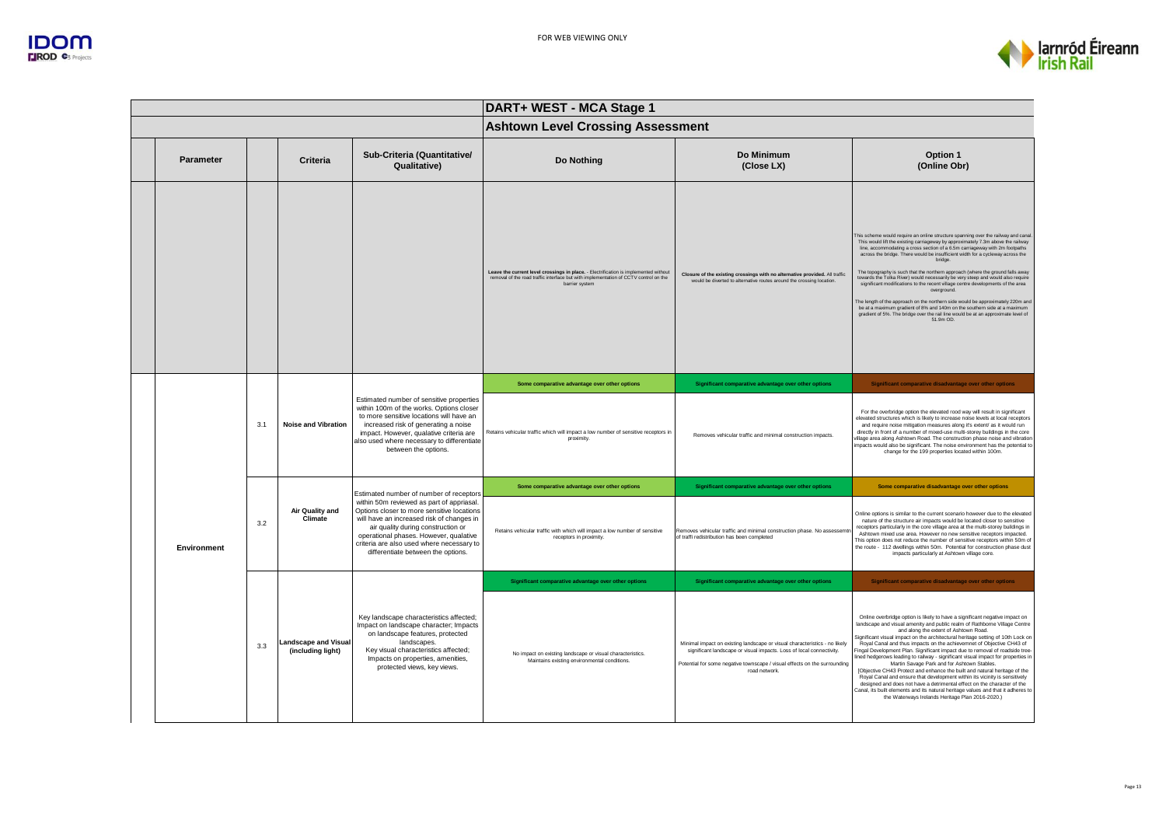

| DART+ WEST - MCA Stage 1 |     |                                           |                                                                                                                                                                                                                                                                                                         |                                                                                                                                                                                                |                                                                                                                                                                                                                                                 |                                                                                                                                                                                                                                                                                                                                                                                                                                                                                                                                                                                                                                                                                                                                                                                                                                                                                                                                                              |  |  |
|--------------------------|-----|-------------------------------------------|---------------------------------------------------------------------------------------------------------------------------------------------------------------------------------------------------------------------------------------------------------------------------------------------------------|------------------------------------------------------------------------------------------------------------------------------------------------------------------------------------------------|-------------------------------------------------------------------------------------------------------------------------------------------------------------------------------------------------------------------------------------------------|--------------------------------------------------------------------------------------------------------------------------------------------------------------------------------------------------------------------------------------------------------------------------------------------------------------------------------------------------------------------------------------------------------------------------------------------------------------------------------------------------------------------------------------------------------------------------------------------------------------------------------------------------------------------------------------------------------------------------------------------------------------------------------------------------------------------------------------------------------------------------------------------------------------------------------------------------------------|--|--|
|                          |     |                                           |                                                                                                                                                                                                                                                                                                         | <b>Ashtown Level Crossing Assessment</b>                                                                                                                                                       |                                                                                                                                                                                                                                                 |                                                                                                                                                                                                                                                                                                                                                                                                                                                                                                                                                                                                                                                                                                                                                                                                                                                                                                                                                              |  |  |
| <b>Parameter</b>         |     | Criteria                                  | Sub-Criteria (Quantitative/<br>Qualitative)                                                                                                                                                                                                                                                             | Do Nothing                                                                                                                                                                                     | Do Minimum<br>(Close LX)                                                                                                                                                                                                                        | Option 1<br>(Online Obr)                                                                                                                                                                                                                                                                                                                                                                                                                                                                                                                                                                                                                                                                                                                                                                                                                                                                                                                                     |  |  |
|                          |     |                                           |                                                                                                                                                                                                                                                                                                         | Leave the current level crossings in place. - Electrification is implemented without<br>removal of the road traffic interface but with implementation of CCTV control on the<br>barrier system | Closure of the existing crossings with no alternative provided. All traffic<br>would be diverted to alternative routes around the crossing location.                                                                                            | This scheme would require an online structure spanning over the railway and canal<br>This would lift the existing carriageway by approximately 7.3m above the railway<br>line, accommodating a cross section of a 6.5m carriageway with 2m footpaths<br>across the bridge. There would be insufficient width for a cycleway across the<br>bridge.<br>The topography is such that the northern approach (where the ground falls away<br>towards the Tolka River) would necessarily be very steep and would also require<br>significant modifications to the recent village centre developments of the area<br>overground.<br>The length of the approach on the northern side would be approximately 220m and<br>be at a maximum gradient of 8% and 140m on the southern side at a maximum<br>gradient of 5%. The bridge over the rail line would be at an approximate level of<br>51.9m OD.                                                                   |  |  |
|                          |     |                                           |                                                                                                                                                                                                                                                                                                         | Some comparative advantage over other options                                                                                                                                                  | Significant comparative advantage over other options                                                                                                                                                                                            | Significant comparative disadvantage over other options                                                                                                                                                                                                                                                                                                                                                                                                                                                                                                                                                                                                                                                                                                                                                                                                                                                                                                      |  |  |
|                          | 3.1 | <b>Noise and Vibration</b>                | Estimated number of sensitive properties<br>within 100m of the works. Options closer<br>to more sensitive locations will have an<br>increased risk of generating a noise<br>impact. However, qualative criteria are<br>also used where necessary to differentiate<br>between the options.               | Retains vehicular traffic which will impact a low number of sensitive receptors in<br>proximity                                                                                                | Removes vehicular traffic and minimal construction impacts.                                                                                                                                                                                     | For the overbridge option the elevated rood way will result in significant<br>elevated structures which is likely to increase noise levels at local receptors<br>and require noise mitigation measures along it's extent/ as it would run<br>directly in front of a number of mixed-use multi-storey buildings in the core<br>village area along Ashtown Road. The construction phase noise and vibration<br>impacts would also be significant. The noise environment has the potential to<br>change for the 199 properties located within 100m.                                                                                                                                                                                                                                                                                                                                                                                                             |  |  |
|                          |     |                                           | Estimated number of number of receptors                                                                                                                                                                                                                                                                 | Some comparative advantage over other options                                                                                                                                                  | Significant comparative advantage over other options                                                                                                                                                                                            | Some comparative disadvantage over other options                                                                                                                                                                                                                                                                                                                                                                                                                                                                                                                                                                                                                                                                                                                                                                                                                                                                                                             |  |  |
| Environment              | 3.2 | Air Quality and<br>Climate                | within 50m reviewed as part of appriasal.<br>Options closer to more sensitive locations<br>will have an increased risk of changes in<br>air quality during construction or<br>operational phases. However, qualative<br>criteria are also used where necessary to<br>differentiate between the options. | Retains vehicular traffic with which will impact a low number of sensitive<br>receptors in proximity.                                                                                          | Removes vehicular traffic and minimal construction phase. No assessemt<br>of traffi redistribution has been completed                                                                                                                           | Online options is similar to the current scenario however due to the elevated<br>nature of the structure air impacts would be located closer to sensitive<br>receptors particularly in the core village area at the multi-storey buildings in<br>Ashtown mixed use area. However no new sensitive receptors impacted.<br>This option does not reduce the number of sensitive receptors within 50m of<br>the route - 112 dwellings within 50m. Potential for construction phase dust<br>impacts particularly at Ashtown village core.                                                                                                                                                                                                                                                                                                                                                                                                                         |  |  |
|                          |     |                                           |                                                                                                                                                                                                                                                                                                         | Significant comparative advantage over other options                                                                                                                                           | Significant comparative advantage over other options                                                                                                                                                                                            | Significant comparative disadvantage over other options                                                                                                                                                                                                                                                                                                                                                                                                                                                                                                                                                                                                                                                                                                                                                                                                                                                                                                      |  |  |
|                          | 3.3 | Landscape and Visual<br>(including light) | Key landscape characteristics affected;<br>Impact on landscape character; Impacts<br>on landscape features, protected<br>landscapes.<br>Key visual characteristics affected;<br>Impacts on properties, amenities,<br>protected views, key views.                                                        | No impact on existing landscape or visual characteristics.<br>Maintains existing environmental conditions.                                                                                     | Minimal impact on existing landscape or visual characteristics - no likely<br>significant landscape or visual impacts. Loss of local connectivity.<br>Potential for some negative townscape / visual effects on the surrounding<br>road network | Online overbridge option is likely to have a significant negative impact on<br>landscape and visual amenity and public realm of Rathborne Village Centre<br>and along the extent of Ashtown Road.<br>Significant visual impact on the architectural heritage setting of 10th Lock on<br>Royal Canal and thus impacts on the achievemnet of Objective CH43 of<br>Fingal Development Plan. Significant impact due to removal of roadside tree<br>lined hedgerows leading to railway - significant visual impact for properties in<br>Martin Savage Park and for Ashtown Stables.<br>[Objective CH43 Protect and enhance the built and natural heritage of the<br>Royal Canal and ensure that development within its vicinity is sensitively<br>designed and does not have a detrimental effect on the character of the<br>Canal, its built elements and its natural heritage values and that it adheres to<br>the Waterways Irelands Heritage Plan 2016-2020.) |  |  |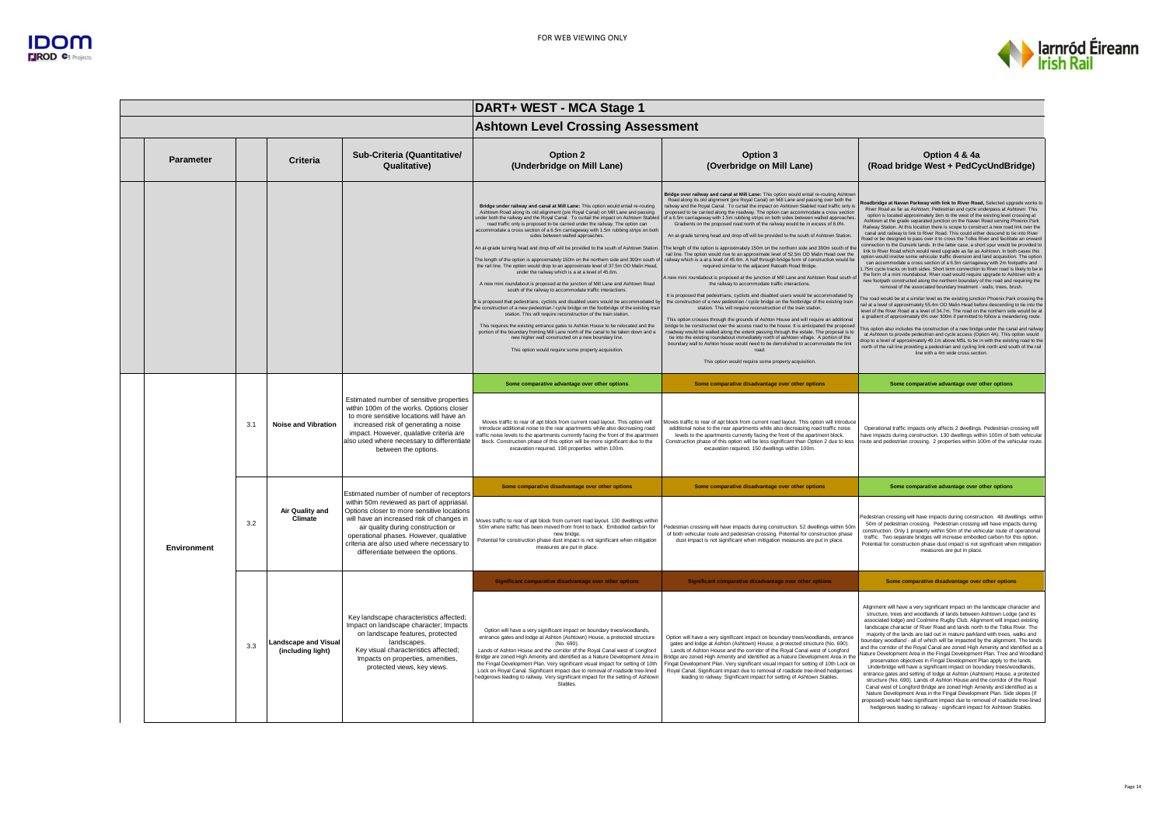

| DART+ WEST - MCA Stage 1 |     |                                                  |                                                                                                                                                                                                                                                                                                                                                    |                                                                                                                                                                                                                                                                                                                                                                                                                                                                                                                                                                                                                                                                                                                                                                                                                                                                                                                                                                                                                                                                                                                                                                                                                                                                                                                                                                                                                                                                                                        |                                                                                                                                                                                                                                                                                                                                                                                                                                                                                                                                                                                                                                                                                                                                                                                                                                                                                                                                                                                                                                                                                                                                                                                                                                                                                                                                                                                                                                                                                                                                                                                                                                                                                                                                                                                                                                                                                                                                           |                                                                                                                                                                                                                                                                                                                                                                                                                                                                                                                                                                                                                                                                                                                                                                                                                                                                                                                                                                                                                                                                                                                                                                                                                                                                                                                                                                                                                                                                                                                                                                                                                                                                                                                                                                                                                                                                                                                                                                                                                                                                                                      |  |  |  |
|--------------------------|-----|--------------------------------------------------|----------------------------------------------------------------------------------------------------------------------------------------------------------------------------------------------------------------------------------------------------------------------------------------------------------------------------------------------------|--------------------------------------------------------------------------------------------------------------------------------------------------------------------------------------------------------------------------------------------------------------------------------------------------------------------------------------------------------------------------------------------------------------------------------------------------------------------------------------------------------------------------------------------------------------------------------------------------------------------------------------------------------------------------------------------------------------------------------------------------------------------------------------------------------------------------------------------------------------------------------------------------------------------------------------------------------------------------------------------------------------------------------------------------------------------------------------------------------------------------------------------------------------------------------------------------------------------------------------------------------------------------------------------------------------------------------------------------------------------------------------------------------------------------------------------------------------------------------------------------------|-------------------------------------------------------------------------------------------------------------------------------------------------------------------------------------------------------------------------------------------------------------------------------------------------------------------------------------------------------------------------------------------------------------------------------------------------------------------------------------------------------------------------------------------------------------------------------------------------------------------------------------------------------------------------------------------------------------------------------------------------------------------------------------------------------------------------------------------------------------------------------------------------------------------------------------------------------------------------------------------------------------------------------------------------------------------------------------------------------------------------------------------------------------------------------------------------------------------------------------------------------------------------------------------------------------------------------------------------------------------------------------------------------------------------------------------------------------------------------------------------------------------------------------------------------------------------------------------------------------------------------------------------------------------------------------------------------------------------------------------------------------------------------------------------------------------------------------------------------------------------------------------------------------------------------------------|------------------------------------------------------------------------------------------------------------------------------------------------------------------------------------------------------------------------------------------------------------------------------------------------------------------------------------------------------------------------------------------------------------------------------------------------------------------------------------------------------------------------------------------------------------------------------------------------------------------------------------------------------------------------------------------------------------------------------------------------------------------------------------------------------------------------------------------------------------------------------------------------------------------------------------------------------------------------------------------------------------------------------------------------------------------------------------------------------------------------------------------------------------------------------------------------------------------------------------------------------------------------------------------------------------------------------------------------------------------------------------------------------------------------------------------------------------------------------------------------------------------------------------------------------------------------------------------------------------------------------------------------------------------------------------------------------------------------------------------------------------------------------------------------------------------------------------------------------------------------------------------------------------------------------------------------------------------------------------------------------------------------------------------------------------------------------------------------------|--|--|--|
|                          |     |                                                  |                                                                                                                                                                                                                                                                                                                                                    | <b>Ashtown Level Crossing Assessment</b>                                                                                                                                                                                                                                                                                                                                                                                                                                                                                                                                                                                                                                                                                                                                                                                                                                                                                                                                                                                                                                                                                                                                                                                                                                                                                                                                                                                                                                                               |                                                                                                                                                                                                                                                                                                                                                                                                                                                                                                                                                                                                                                                                                                                                                                                                                                                                                                                                                                                                                                                                                                                                                                                                                                                                                                                                                                                                                                                                                                                                                                                                                                                                                                                                                                                                                                                                                                                                           |                                                                                                                                                                                                                                                                                                                                                                                                                                                                                                                                                                                                                                                                                                                                                                                                                                                                                                                                                                                                                                                                                                                                                                                                                                                                                                                                                                                                                                                                                                                                                                                                                                                                                                                                                                                                                                                                                                                                                                                                                                                                                                      |  |  |  |
| <b>Parameter</b>         |     | Criteria                                         | Sub-Criteria (Quantitative/<br>Qualitative)                                                                                                                                                                                                                                                                                                        | Option 2<br>(Underbridge on Mill Lane)                                                                                                                                                                                                                                                                                                                                                                                                                                                                                                                                                                                                                                                                                                                                                                                                                                                                                                                                                                                                                                                                                                                                                                                                                                                                                                                                                                                                                                                                 | Option 3<br>(Overbridge on Mill Lane)                                                                                                                                                                                                                                                                                                                                                                                                                                                                                                                                                                                                                                                                                                                                                                                                                                                                                                                                                                                                                                                                                                                                                                                                                                                                                                                                                                                                                                                                                                                                                                                                                                                                                                                                                                                                                                                                                                     | Option 4 & 4a<br>(Road bridge West + PedCycUndBridge)                                                                                                                                                                                                                                                                                                                                                                                                                                                                                                                                                                                                                                                                                                                                                                                                                                                                                                                                                                                                                                                                                                                                                                                                                                                                                                                                                                                                                                                                                                                                                                                                                                                                                                                                                                                                                                                                                                                                                                                                                                                |  |  |  |
|                          |     |                                                  |                                                                                                                                                                                                                                                                                                                                                    | Bridge under railway and canal at Mill Lane: This option would entail re-routing<br>Ashtown Road along its old alignment (pre Royal Canal) on Mill Lane and passing<br>under both the railway and the Royal Canal. To curtail the impact on Ashtown Stabled<br>road traffic only is proposed to be carried under the railway. The option can<br>accommodate a cross section of a 6.5m carriageway with 1.5m rubbing strips on both<br>sides between walled approaches.<br>An at-grade turning head and drop-off will be provided to the south of Ashtown Station<br>The length of the option is approximately 150m on the northern side and 300m south<br>the rail line. The option would drop to an approximate level of 37.5m OD Malin Head,<br>under the railway which is a at a level of 45.6m.<br>A new mini roundabout is proposed at the junction of Mill Lane and Ashtown Road<br>south of the railway to accommodate traffic interactions.<br>It is proposed that pedestrians, cyclists and disabled users would be accommodated b<br>the construction of a new pedestrian / cycle bridge on the footbridge of the existing trai<br>station. This will require reconstruction of the train station<br>This requires the existing entrance gates to Ashton House to be relocated and the<br>portion of the boundary fronting Mill Lane north of the canal to be taken down and a<br>new higher wall constructed on a new boundary line.<br>This option would require some property acquisition | Bridge over railway and canal at Mill Lane: This option would entail re-routing Ashtow<br>Road along its old alignment (pre Royal Canal) on Mill Lane and passing over both the<br>railway and the Royal Canal. To curtail the impact on Ashtown Stabled road traffic only is<br>proposed to be carried along the roadway. The option can accommodate a cross section<br>of a 6.5m carriageway with 1.5m rubbing strips on both sides between walled approaches.<br>Gradients on the proposed road north of the railway would be in excess of 8.0%.<br>An at-grade turning head and drop-off will be provided to the south of Ashtown Station.<br>The length of the option is approximately 150m on the northern side and 300m south of the<br>rail line. The option would rise to an approximate level of 52.5m OD Malin Head over the<br>ailway which is a at a level of 45.6m. A half through bridge form of construction would be<br>required similar to the adjacent Ratoath Road Bridge.<br>new mini roundabout is proposed at the junction of Mill Lane and Ashtown Road south of<br>the railway to accommodate traffic interactions.<br>It is proposed that pedestrians, cyclists and disabled users would be accommodated by<br>the construction of a new pedestrian / cycle bridge on the footbridge of the existing train<br>station. This will require reconstruction of the train station<br>This option crosses through the grounds of Ashton House and will require an additional<br>bridge to be constructed over the access road to the house. It is anticipated the proposed<br>roadway would be walled along the extent passing through the estate. The proposal is to<br>tie into the existing roundabout immediately north of ashtown village. A portion of the<br>boundary wall to Ashton house would need to be demolished to accommodate the link<br>road<br>This option would require some property acquisition. | toadbridge at Navan Parkway with link to River Road, Selected upgrade works to<br>River Road as far as Ashtown, Pedestrian and cycle underpass at Ashtown This<br>option is located approximately 1km to the west of the existing level crossing at<br>Ashtown at the grade separated junction on the Navan Road serving Phoenix Park<br>Railway Station. At this location there is scope to construct a new road link over the<br>canal and railway to link to River Road. This could either descend to tie into River<br>Road or be designed to pass over it to cross the Tolka River and facilitate an onward<br>connection to the Dunsink lands. In the latter case, a short spur would be provided to<br>link to River Road which would need upgrade as far as Ashtown. In both cases this<br>option would involve some vehicular traffic diversion and land acquisition. The option<br>can accommodate a cross section of a 6.5m carriageway with 2m footpaths and<br>75m cycle tracks on both sides. Short term connection to River road is likely to be i<br>the form of a mini roundabout. River road would require upgrade to Ashtown with a<br>new footpath constructed along the northern boundary of the road and requiring the<br>removal of the associated boundary treatment - walls, trees, brush<br>The road would be at a similar level as the existing junction Phoenix Park crossing the<br>rail at a level of approximately 55.4m OD Malin Head before descending to tie into the<br>level of the River Road at a level of 34.7m. The road on the northern side would be at<br>a gradient of approximately 6% over 300m if permitted to follow a meandering route.<br>This option also includes the construction of a new bridge under the canal and railwa<br>at Ashtown to provide pedestrian and cycle access (Option 4A). This option would<br>drop to a level of approximately 40.1m above MSL to tie in with the existing road to the<br>north of the rail line providing a pedestrian and cycling link north and south of the rail<br>line with a 4m wide cross section |  |  |  |
|                          |     |                                                  |                                                                                                                                                                                                                                                                                                                                                    | Some comparative advantage over other options                                                                                                                                                                                                                                                                                                                                                                                                                                                                                                                                                                                                                                                                                                                                                                                                                                                                                                                                                                                                                                                                                                                                                                                                                                                                                                                                                                                                                                                          | Some comparative disadvantage over other options                                                                                                                                                                                                                                                                                                                                                                                                                                                                                                                                                                                                                                                                                                                                                                                                                                                                                                                                                                                                                                                                                                                                                                                                                                                                                                                                                                                                                                                                                                                                                                                                                                                                                                                                                                                                                                                                                          | Some comparative advantage over other options                                                                                                                                                                                                                                                                                                                                                                                                                                                                                                                                                                                                                                                                                                                                                                                                                                                                                                                                                                                                                                                                                                                                                                                                                                                                                                                                                                                                                                                                                                                                                                                                                                                                                                                                                                                                                                                                                                                                                                                                                                                        |  |  |  |
|                          | 3.1 | <b>Noise and Vibration</b>                       | Estimated number of sensitive properties<br>within 100m of the works. Options closer<br>to more sensitive locations will have an<br>increased risk of generating a noise<br>impact. However, qualative criteria are<br>also used where necessary to differentiate<br>between the options.                                                          | Moves traffic to rear of apt block from current road layout. This option will<br>introduce additional noise to the rear apartments while also decreasing road<br>traffic noise levels to the apartments currently facing the front of the apartment<br>block. Construction phase of this option will be more significant due to the<br>excavation required. 198 properties within 100m.                                                                                                                                                                                                                                                                                                                                                                                                                                                                                                                                                                                                                                                                                                                                                                                                                                                                                                                                                                                                                                                                                                                | floves traffic to rear of apt block from current road layout. This option will introduce<br>additional noise to the rear apartments while also decreasing road traffic noise<br>levels to the apartments currently facing the front of the apartment block.<br>Construction phase of this option will be less significant than Option 2 due to less<br>excavation required. 150 dwellings within 100m.                                                                                                                                                                                                                                                                                                                                                                                                                                                                                                                                                                                                                                                                                                                                                                                                                                                                                                                                                                                                                                                                                                                                                                                                                                                                                                                                                                                                                                                                                                                                    | Operational traffic impacts only affects 2 dwellings. Pedestrian crossing will<br>have impacts during construction. 130 dwellings within 100m of both vehicular<br>route and pedestrian crossing. 2 properties within 100m of the vehicular route.                                                                                                                                                                                                                                                                                                                                                                                                                                                                                                                                                                                                                                                                                                                                                                                                                                                                                                                                                                                                                                                                                                                                                                                                                                                                                                                                                                                                                                                                                                                                                                                                                                                                                                                                                                                                                                                   |  |  |  |
|                          |     | Air Quality and<br>Climate                       |                                                                                                                                                                                                                                                                                                                                                    | Some comparative disadvantage over other options                                                                                                                                                                                                                                                                                                                                                                                                                                                                                                                                                                                                                                                                                                                                                                                                                                                                                                                                                                                                                                                                                                                                                                                                                                                                                                                                                                                                                                                       | Some comparative disadvantage over other options                                                                                                                                                                                                                                                                                                                                                                                                                                                                                                                                                                                                                                                                                                                                                                                                                                                                                                                                                                                                                                                                                                                                                                                                                                                                                                                                                                                                                                                                                                                                                                                                                                                                                                                                                                                                                                                                                          | Some comparative advantage over other options                                                                                                                                                                                                                                                                                                                                                                                                                                                                                                                                                                                                                                                                                                                                                                                                                                                                                                                                                                                                                                                                                                                                                                                                                                                                                                                                                                                                                                                                                                                                                                                                                                                                                                                                                                                                                                                                                                                                                                                                                                                        |  |  |  |
| Environment              | 3.2 |                                                  | Estimated number of number of receptors<br>within 50m reviewed as part of appriasal.<br>Options closer to more sensitive locations<br>will have an increased risk of changes in<br>air quality during construction or<br>operational phases. However, qualative<br>criteria are also used where necessary to<br>differentiate between the options. | Moves traffic to rear of apt block from current road layout. 130 dwellings within<br>50m where traffic has been moved from front to back. Embodied carbon for<br>new bridge.<br>Potential for construction phase dust impact is not significant when mitigation<br>measures are put in place.                                                                                                                                                                                                                                                                                                                                                                                                                                                                                                                                                                                                                                                                                                                                                                                                                                                                                                                                                                                                                                                                                                                                                                                                          | Pedestrian crossing will have impacts during construction. 52 dwellings within 50m<br>of both vehicular route and pedestrian crossing. Potential for construction phase<br>dust impact is not significant when mitigation measures are put in place.                                                                                                                                                                                                                                                                                                                                                                                                                                                                                                                                                                                                                                                                                                                                                                                                                                                                                                                                                                                                                                                                                                                                                                                                                                                                                                                                                                                                                                                                                                                                                                                                                                                                                      | Pedestrian crossing will have impacts during construction. 48 dwellings withir<br>50m of pedestrian crossing. Pedestrian crossing will have impacts during<br>construction. Only 1 property within 50m of the vehicular route of operational<br>traffic. Two separate bridges will increase embodied carbon for this option.<br>Potential for construction phase dust impact is not significant when mitigation<br>measures are put in place.                                                                                                                                                                                                                                                                                                                                                                                                                                                                                                                                                                                                                                                                                                                                                                                                                                                                                                                                                                                                                                                                                                                                                                                                                                                                                                                                                                                                                                                                                                                                                                                                                                                        |  |  |  |
|                          |     |                                                  |                                                                                                                                                                                                                                                                                                                                                    | Significant comparative disadvantage over other options                                                                                                                                                                                                                                                                                                                                                                                                                                                                                                                                                                                                                                                                                                                                                                                                                                                                                                                                                                                                                                                                                                                                                                                                                                                                                                                                                                                                                                                | Significant comparative disadvantage over other options                                                                                                                                                                                                                                                                                                                                                                                                                                                                                                                                                                                                                                                                                                                                                                                                                                                                                                                                                                                                                                                                                                                                                                                                                                                                                                                                                                                                                                                                                                                                                                                                                                                                                                                                                                                                                                                                                   | Some comparative disadvantage over other options                                                                                                                                                                                                                                                                                                                                                                                                                                                                                                                                                                                                                                                                                                                                                                                                                                                                                                                                                                                                                                                                                                                                                                                                                                                                                                                                                                                                                                                                                                                                                                                                                                                                                                                                                                                                                                                                                                                                                                                                                                                     |  |  |  |
|                          | 3.3 | <b>Landscape and Visual</b><br>(including light) | Key landscape characteristics affected;<br>Impact on landscape character; Impacts<br>on landscape features, protected<br>landscapes.<br>Key visual characteristics affected;<br>Impacts on properties, amenities,<br>protected views, key views.                                                                                                   | Option will have a very significant impact on boundary trees/woodlands,<br>entrance gates and lodge at Ashton (Ashtown) House, a protected structure<br>(No. 690).<br>Lands of Ashton House and the corridor of the Royal Canal west of Longford<br>Bridge are zoned High Amenity and identified as a Nature Development Area in<br>the Fingal Development Plan, Very significant visual impact for setting of 10th<br>Lock on Royal Canal. Significant impact due to removal of roadside tree-lined<br>nedgerows leading to railway. Very significant impact for the setting of Ashtowr<br>Stables                                                                                                                                                                                                                                                                                                                                                                                                                                                                                                                                                                                                                                                                                                                                                                                                                                                                                                    | Option will have a very significant impact on boundary trees/woodlands, entrance<br>gates and lodge at Ashton (Ashtown) House, a protected structure (No. 690).<br>Lands of Ashton House and the corridor of the Royal Canal west of Longford<br>Bridge are zoned High Amenity and identified as a Nature Development Area in the<br>Fingal Development Plan. Very significant visual impact for setting of 10th Lock on<br>Royal Canal. Significant impact due to removal of roadside tree-lined hedgerows<br>leading to railway. Significant impact for setting of Ashtown Stables.                                                                                                                                                                                                                                                                                                                                                                                                                                                                                                                                                                                                                                                                                                                                                                                                                                                                                                                                                                                                                                                                                                                                                                                                                                                                                                                                                     | Alignment will have a very significant impact on the landscape character and<br>structure, trees and woodlands of lands between Ashtown Lodge (and its<br>associated lodge) and Coolmine Rugby Club. Alignment will impact existing<br>landscape character of River Road and lands north to the Tolka River. The<br>majority of the lands are laid out in mature parkland with trees, walks and<br>boundary woodland - all of which will be impacted by the alignment. The lands<br>and the corridor of the Roval Canal are zoned High Amenity and identified as a<br>lature Development Area in the Fingal Development Plan. Tree and Woodland<br>preservation objectives in Fingal Development Plan apply to the lands.<br>Underbridge will have a significant impact on boundary trees/woodlands,<br>entrance gates and setting of lodge at Ashton (Ashtown) House, a protected<br>structure (No. 690). Lands of Ashton House and the corridor of the Roval<br>Canal west of Longford Bridge are zoned High Amenity and identified as a<br>Nature Development Area in the Fingal Development Plan. Side slopes (if<br>proposed) would have significant impact due to removal of roadside tree-lined<br>hedgerows leading to railway - significant impact for Ashtown Stables.                                                                                                                                                                                                                                                                                                                                                                                                                                                                                                                                                                                                                                                                                                                                                                                                                     |  |  |  |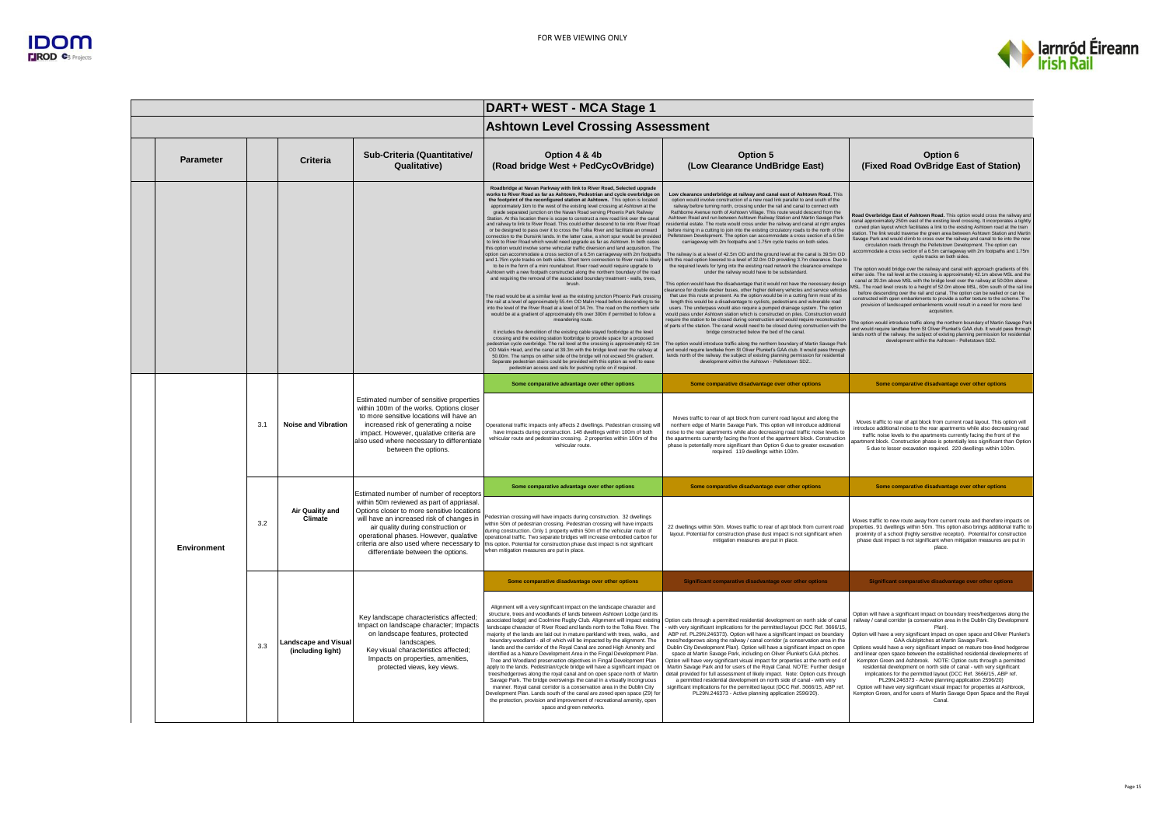

|             |     |                                                  |                                                                                                                                                                                                                                                                                                                                                                                                                                                                                                                                                                                                                                                                                                                                                                                                                                                                                                                                                                                                                                                                                                                                                                                                                                                                                                                                                                                                                                                                                                                                                                                                                                                                                                                                                                                                                                                                                                                                                                                                                                                                                                                                                                                                                                                                                                                               | DART+ WEST - MCA Stage 1                                                                                                                                                                                                                                                                                                                                                                                                                                                                                                                                                                                                                                                                                                                                                                                                                                                                                                                                                                                                                                                                                                                                                                                                                                                                                                                                                                                                                                                                                                                                                                                                                                                                                                                                                                                                                                                                                                                                                                                                                                                                                                                                                                    |                                                                                                                                                                                                                                                                                                                                                                                                                                                                                                                                                                                                                                                                                                                                                                                                                                                                                                                                                                                                                                                                                                                                                                                                                                                                                                                                                                                                                                                                                                                                                                                                 |                                                                                                                                                                                                                                                                                                                                                                                                                                                                                                                                                                                                                                                                                                                                                                                                                                                                                                          |  |
|-------------|-----|--------------------------------------------------|-------------------------------------------------------------------------------------------------------------------------------------------------------------------------------------------------------------------------------------------------------------------------------------------------------------------------------------------------------------------------------------------------------------------------------------------------------------------------------------------------------------------------------------------------------------------------------------------------------------------------------------------------------------------------------------------------------------------------------------------------------------------------------------------------------------------------------------------------------------------------------------------------------------------------------------------------------------------------------------------------------------------------------------------------------------------------------------------------------------------------------------------------------------------------------------------------------------------------------------------------------------------------------------------------------------------------------------------------------------------------------------------------------------------------------------------------------------------------------------------------------------------------------------------------------------------------------------------------------------------------------------------------------------------------------------------------------------------------------------------------------------------------------------------------------------------------------------------------------------------------------------------------------------------------------------------------------------------------------------------------------------------------------------------------------------------------------------------------------------------------------------------------------------------------------------------------------------------------------------------------------------------------------------------------------------------------------|---------------------------------------------------------------------------------------------------------------------------------------------------------------------------------------------------------------------------------------------------------------------------------------------------------------------------------------------------------------------------------------------------------------------------------------------------------------------------------------------------------------------------------------------------------------------------------------------------------------------------------------------------------------------------------------------------------------------------------------------------------------------------------------------------------------------------------------------------------------------------------------------------------------------------------------------------------------------------------------------------------------------------------------------------------------------------------------------------------------------------------------------------------------------------------------------------------------------------------------------------------------------------------------------------------------------------------------------------------------------------------------------------------------------------------------------------------------------------------------------------------------------------------------------------------------------------------------------------------------------------------------------------------------------------------------------------------------------------------------------------------------------------------------------------------------------------------------------------------------------------------------------------------------------------------------------------------------------------------------------------------------------------------------------------------------------------------------------------------------------------------------------------------------------------------------------|-------------------------------------------------------------------------------------------------------------------------------------------------------------------------------------------------------------------------------------------------------------------------------------------------------------------------------------------------------------------------------------------------------------------------------------------------------------------------------------------------------------------------------------------------------------------------------------------------------------------------------------------------------------------------------------------------------------------------------------------------------------------------------------------------------------------------------------------------------------------------------------------------------------------------------------------------------------------------------------------------------------------------------------------------------------------------------------------------------------------------------------------------------------------------------------------------------------------------------------------------------------------------------------------------------------------------------------------------------------------------------------------------------------------------------------------------------------------------------------------------------------------------------------------------------------------------------------------------|----------------------------------------------------------------------------------------------------------------------------------------------------------------------------------------------------------------------------------------------------------------------------------------------------------------------------------------------------------------------------------------------------------------------------------------------------------------------------------------------------------------------------------------------------------------------------------------------------------------------------------------------------------------------------------------------------------------------------------------------------------------------------------------------------------------------------------------------------------------------------------------------------------|--|
|             |     |                                                  |                                                                                                                                                                                                                                                                                                                                                                                                                                                                                                                                                                                                                                                                                                                                                                                                                                                                                                                                                                                                                                                                                                                                                                                                                                                                                                                                                                                                                                                                                                                                                                                                                                                                                                                                                                                                                                                                                                                                                                                                                                                                                                                                                                                                                                                                                                                               | <b>Ashtown Level Crossing Assessment</b>                                                                                                                                                                                                                                                                                                                                                                                                                                                                                                                                                                                                                                                                                                                                                                                                                                                                                                                                                                                                                                                                                                                                                                                                                                                                                                                                                                                                                                                                                                                                                                                                                                                                                                                                                                                                                                                                                                                                                                                                                                                                                                                                                    |                                                                                                                                                                                                                                                                                                                                                                                                                                                                                                                                                                                                                                                                                                                                                                                                                                                                                                                                                                                                                                                                                                                                                                                                                                                                                                                                                                                                                                                                                                                                                                                                 |                                                                                                                                                                                                                                                                                                                                                                                                                                                                                                                                                                                                                                                                                                                                                                                                                                                                                                          |  |
| Parameter   |     | Criteria                                         | Sub-Criteria (Quantitative/<br><b>Qualitative)</b>                                                                                                                                                                                                                                                                                                                                                                                                                                                                                                                                                                                                                                                                                                                                                                                                                                                                                                                                                                                                                                                                                                                                                                                                                                                                                                                                                                                                                                                                                                                                                                                                                                                                                                                                                                                                                                                                                                                                                                                                                                                                                                                                                                                                                                                                            | Option 4 & 4b<br>(Road bridge West + PedCycOvBridge)                                                                                                                                                                                                                                                                                                                                                                                                                                                                                                                                                                                                                                                                                                                                                                                                                                                                                                                                                                                                                                                                                                                                                                                                                                                                                                                                                                                                                                                                                                                                                                                                                                                                                                                                                                                                                                                                                                                                                                                                                                                                                                                                        | Option 5<br>(Low Clearance UndBridge East)                                                                                                                                                                                                                                                                                                                                                                                                                                                                                                                                                                                                                                                                                                                                                                                                                                                                                                                                                                                                                                                                                                                                                                                                                                                                                                                                                                                                                                                                                                                                                      | Option 6<br>(Fixed Road OvBridge East of Station)                                                                                                                                                                                                                                                                                                                                                                                                                                                                                                                                                                                                                                                                                                                                                                                                                                                        |  |
|             |     |                                                  | Roadbridge at Navan Parkway with link to River Road, Selected upgrade<br>works to River Road as far as Ashtown, Pedestrian and cycle overbridge on<br>the footprint of the reconfigured station at Ashtown. This option is located<br>approximately 1km to the west of the existing level crossing at Ashtown at the<br>grade separated junction on the Navan Road serving Phoenix Park Railway<br>Station. At this location there is scope to construct a new road link over the cana<br>and railway to link to River Road. This could either descend to tie into River Road<br>or be designed to pass over it to cross the Tolka River and facilitate an onward<br>connection to the Dunsink lands. In the latter case, a short sour would be provide<br>to link to River Road which would need upgrade as far as Ashtown. In both cases<br>this option would involve some vehicular traffic diversion and land acquisition. The<br>option can accommodate a cross section of a 6.5m carriageway with 2m footpaths<br>and 1.75m cycle tracks on both sides. Short term connection to River road is likel<br>to be in the form of a mini roundabout. River road would require upgrade to<br>Ashtown with a new footpath constructed along the northern boundary of the road<br>and requiring the removal of the associated boundary treatment - walls, trees,<br>brush.<br>The road would be at a similar level as the existing junction Phoenix Park crossing<br>the rail at a level of approximately 55.4m OD Malin Head before descending to tie<br>into the level of the River Road at a level of 34.7m. The road on the northern side<br>would be at a gradient of approximately 6% over 300m if permitted to follow a<br>meandering route.<br>It includes the demolition of the existing cable stayed footbridge at the level<br>crossing and the existing station footbridge to provide space for a proposed<br>edestrian cycle overbridge. The rail level at the crossing is approximately 42.1m<br>OD Malin Head, and the canal at 39.3m with the bridge level over the railway at<br>50,00m. The ramps on either side of the bridge will not exceed 5% gradient.<br>Separate pedestrian stairs could be provided with this option as well to ease<br>pedestrian access and rails for pushing cycle on if required. | Low clearance underbridge at railway and canal east of Ashtown Road. This<br>option would involve construction of a new road link parallel to and south of the<br>railway before turning north, crossing under the rail and canal to connect with<br>Rathborne Avenue north of Ashtown Village. This route would descend from the<br>Ashtown Road and run between Ashtown Railway Station and Martin Savage Park<br>esidential estate. The route would cross under the railway and canal at right angles<br>before rising in a cutting to join into the existing circulatory roads to the north of the<br>Pelletstown Develooment. The option can accommodate a cross section of a 6.5m<br>carriageway with 2m footpaths and 1.75m cycle tracks on both sides.<br>The railway is at a level of 42.5m OD and the ground level at the canal is 39.5m OD<br>ith this road option lowered to a level of 32.0m OD providing 3.7m clearance. Due to<br>the required levels for tying into the existing road network the clearance envelope<br>under the railway would have to be substandard.<br>This option would have the disadvantage that it would not have the necessary design<br>learance for double decker buses, other higher delivery vehicles and service vehicle<br>that use this route at present. As the option would be in a cutting form most of its<br>length this would be a disadvantage to cyclists, pedestrians and vulnerable road<br>users. The underpass would also require a pumped drainage system. The option<br>would pass under Ashtown station which is constructed on piles. Construction would<br>require the station to be closed during construction and would require reconstruction<br>of parts of the station. The canal would need to be closed during construction with the<br>bridge constructed below the bed of the canal.<br>he option would introduce traffic along the northern boundary of Martin Savage Park<br>and would require landtake from St Oliver Plunket's GAA club, It would pass through<br>lands north of the railway. the subject of existing planning permission for residentia<br>development within the Ashtown - Pelletstown SDZ. | Road Overbridge East of Ashtown Road. This option would cross the railway and<br>canal approximately 250m east of the existing level crossing. It incorporates a tightly<br>curved plan layout which facilitates a link to the existing Ashtown road at the train<br>station. The link would traverse the green area between Ashtown Station and Martin<br>Savage Park and would climb to cross over the railway and canal to tie into the new<br>circulation roads through the Pelletstown Development. The option can<br>accommodate a cross section of a 6.5m carriageway with 2m footpaths and 1.75m<br>cycle tracks on both sides.<br>The option would bridge over the railway and canal with approach gradients of 6%<br>either side. The rail level at the crossing is approximately 42.1m above MSL and the<br>canal at 39.3m above MSL with the bridge level over the railway at 50.00m above<br>MSL. The road level crests to a height of 52.0m above MSL, 60m south of the rail line<br>before descending over the rail and canal. The option can be walled or can be<br>constructed with open embankments to provide a softer texture to the scheme. The<br>provision of landscaped embankments would result in a need for more land<br>acquisition.<br>The option would introduce traffic along the northern boundary of Martin Savage Park<br>and would require landtake from St Oliver Plunket's GAA club. It would pass through<br>lands north of the railway, the subject of existing planning permission for residential<br>development within the Ashtown - Pelletstown SDZ. |                                                                                                                                                                                                                                                                                                                                                                                                                                                                                                                                                                                                                                                                                                                                                                                                                                                                                                          |  |
|             |     |                                                  |                                                                                                                                                                                                                                                                                                                                                                                                                                                                                                                                                                                                                                                                                                                                                                                                                                                                                                                                                                                                                                                                                                                                                                                                                                                                                                                                                                                                                                                                                                                                                                                                                                                                                                                                                                                                                                                                                                                                                                                                                                                                                                                                                                                                                                                                                                                               | Some comparative advantage over other options                                                                                                                                                                                                                                                                                                                                                                                                                                                                                                                                                                                                                                                                                                                                                                                                                                                                                                                                                                                                                                                                                                                                                                                                                                                                                                                                                                                                                                                                                                                                                                                                                                                                                                                                                                                                                                                                                                                                                                                                                                                                                                                                               | Some comparative disadvantage over other options                                                                                                                                                                                                                                                                                                                                                                                                                                                                                                                                                                                                                                                                                                                                                                                                                                                                                                                                                                                                                                                                                                                                                                                                                                                                                                                                                                                                                                                                                                                                                | Some comparative disadvantage over other options                                                                                                                                                                                                                                                                                                                                                                                                                                                                                                                                                                                                                                                                                                                                                                                                                                                         |  |
|             | 3.1 | <b>Noise and Vibration</b>                       | Estimated number of sensitive properties<br>within 100m of the works. Options closer<br>to more sensitive locations will have an<br>increased risk of generating a noise<br>impact. However, qualative criteria are<br>also used where necessary to differentiate<br>between the options.                                                                                                                                                                                                                                                                                                                                                                                                                                                                                                                                                                                                                                                                                                                                                                                                                                                                                                                                                                                                                                                                                                                                                                                                                                                                                                                                                                                                                                                                                                                                                                                                                                                                                                                                                                                                                                                                                                                                                                                                                                     | Operational traffic impacts only affects 2 dwellings. Pedestrian crossing will<br>have impacts during construction. 148 dwellings within 100m of both<br>vehicular route and pedestrian crossing. 2 properties within 100m of the<br>vehicular route.                                                                                                                                                                                                                                                                                                                                                                                                                                                                                                                                                                                                                                                                                                                                                                                                                                                                                                                                                                                                                                                                                                                                                                                                                                                                                                                                                                                                                                                                                                                                                                                                                                                                                                                                                                                                                                                                                                                                       | Moves traffic to rear of apt block from current road layout and along the<br>northern edge of Martin Savage Park. This option will introduce additional<br>noise to the rear apartments while also decreasing road traffic noise levels to<br>the apartments currently facing the front of the apartment block. Construction<br>phase is potentially more significant than Option 6 due to greater excavation<br>required. 119 dwellings within 100m.                                                                                                                                                                                                                                                                                                                                                                                                                                                                                                                                                                                                                                                                                                                                                                                                                                                                                                                                                                                                                                                                                                                                           | Moves traffic to rear of apt block from current road layout. This option will<br>introduce additional noise to the rear apartments while also decreasing road<br>traffic noise levels to the apartments currently facing the front of the<br>partment block. Construction phase is potentially less significant than Option<br>5 due to lesser excavation required. 220 dwellings within 100m.                                                                                                                                                                                                                                                                                                                                                                                                                                                                                                           |  |
|             |     |                                                  | Estimated number of number of receptors                                                                                                                                                                                                                                                                                                                                                                                                                                                                                                                                                                                                                                                                                                                                                                                                                                                                                                                                                                                                                                                                                                                                                                                                                                                                                                                                                                                                                                                                                                                                                                                                                                                                                                                                                                                                                                                                                                                                                                                                                                                                                                                                                                                                                                                                                       | Some comparative advantage over other options                                                                                                                                                                                                                                                                                                                                                                                                                                                                                                                                                                                                                                                                                                                                                                                                                                                                                                                                                                                                                                                                                                                                                                                                                                                                                                                                                                                                                                                                                                                                                                                                                                                                                                                                                                                                                                                                                                                                                                                                                                                                                                                                               | Some comparative disadvantage over other options                                                                                                                                                                                                                                                                                                                                                                                                                                                                                                                                                                                                                                                                                                                                                                                                                                                                                                                                                                                                                                                                                                                                                                                                                                                                                                                                                                                                                                                                                                                                                | Some comparative disadvantage over other options                                                                                                                                                                                                                                                                                                                                                                                                                                                                                                                                                                                                                                                                                                                                                                                                                                                         |  |
| Environment | 3.2 | Air Quality and<br>Climate                       | within 50m reviewed as part of appriasal.<br>Options closer to more sensitive locations<br>will have an increased risk of changes in<br>air quality during construction or<br>operational phases. However, qualative<br>criteria are also used where necessary to<br>differentiate between the options.                                                                                                                                                                                                                                                                                                                                                                                                                                                                                                                                                                                                                                                                                                                                                                                                                                                                                                                                                                                                                                                                                                                                                                                                                                                                                                                                                                                                                                                                                                                                                                                                                                                                                                                                                                                                                                                                                                                                                                                                                       | Pedestrian crossing will have impacts during construction. 32 dwellings<br>within 50m of pedestrian crossing. Pedestrian crossing will have impacts<br>during construction. Only 1 property within 50m of the vehicular route of<br>perational traffic. Two separate bridges will increase embodied carbon for<br>this option. Potential for construction phase dust impact is not significant<br>vhen mitigation measures are put in place.                                                                                                                                                                                                                                                                                                                                                                                                                                                                                                                                                                                                                                                                                                                                                                                                                                                                                                                                                                                                                                                                                                                                                                                                                                                                                                                                                                                                                                                                                                                                                                                                                                                                                                                                                | 22 dwellings within 50m. Moves traffic to rear of apt block from current road<br>layout. Potential for construction phase dust impact is not significant when<br>mitigation measures are put in place.                                                                                                                                                                                                                                                                                                                                                                                                                                                                                                                                                                                                                                                                                                                                                                                                                                                                                                                                                                                                                                                                                                                                                                                                                                                                                                                                                                                          | Moves traffic to new route away from current route and therefore impacts on<br>properties. 91 dwellings within 50m. This option also brings additional traffic to<br>proximity of a school (highly sensitive receptor). Potential for construction<br>phase dust impact is not significant when mitigation measures are put in<br>place                                                                                                                                                                                                                                                                                                                                                                                                                                                                                                                                                                  |  |
|             |     |                                                  |                                                                                                                                                                                                                                                                                                                                                                                                                                                                                                                                                                                                                                                                                                                                                                                                                                                                                                                                                                                                                                                                                                                                                                                                                                                                                                                                                                                                                                                                                                                                                                                                                                                                                                                                                                                                                                                                                                                                                                                                                                                                                                                                                                                                                                                                                                                               | Some comparative disadvantage over other options                                                                                                                                                                                                                                                                                                                                                                                                                                                                                                                                                                                                                                                                                                                                                                                                                                                                                                                                                                                                                                                                                                                                                                                                                                                                                                                                                                                                                                                                                                                                                                                                                                                                                                                                                                                                                                                                                                                                                                                                                                                                                                                                            | Significant comparative disadvantage over other options                                                                                                                                                                                                                                                                                                                                                                                                                                                                                                                                                                                                                                                                                                                                                                                                                                                                                                                                                                                                                                                                                                                                                                                                                                                                                                                                                                                                                                                                                                                                         | Significant comparative disadvantage over other options                                                                                                                                                                                                                                                                                                                                                                                                                                                                                                                                                                                                                                                                                                                                                                                                                                                  |  |
|             | 3.3 | <b>Landscape and Visual</b><br>(including light) | Key landscape characteristics affected;<br>Impact on landscape character; Impacts<br>on landscape features, protected<br>landscapes.<br>Key visual characteristics affected;<br>Impacts on properties, amenities,<br>protected views, key views.                                                                                                                                                                                                                                                                                                                                                                                                                                                                                                                                                                                                                                                                                                                                                                                                                                                                                                                                                                                                                                                                                                                                                                                                                                                                                                                                                                                                                                                                                                                                                                                                                                                                                                                                                                                                                                                                                                                                                                                                                                                                              | Alignment will a very significant impact on the landscape character and<br>structure, trees and woodlands of lands between Ashtown Lodge (and its<br>associated lodge) and Coolmine Rugby Club. Alignment will impact existing<br>landscape character of River Road and lands north to the Tolka River. The<br>majority of the lands are laid out in mature parkland with trees, walks, and<br>boundary woodland - all of which will be impacted by the alignment. The<br>lands and the corridor of the Royal Canal are zoned High Amenity and<br>identified as a Nature Development Area in the Fingal Development Plan<br>Tree and Woodland preservation objectives in Fingal Development Plan<br>apply to the lands. Pedestrian/cycle bridge will have a significant impact on<br>trees/hedgerows along the royal canal and on open space north of Martin<br>Savage Park. The bridge overswings the canal in a visually incongruous<br>manner. Royal canal corridor is a conservation area in the Dublin City<br>Development Plan, Lands south of the canal are zoned open space (Z9) fo<br>the protection, provision and improvement of recreational amenity, open<br>space and green networks.                                                                                                                                                                                                                                                                                                                                                                                                                                                                                                                                                                                                                                                                                                                                                                                                                                                                                                                                                                                         | Option cuts through a permitted residential development on north side of cana<br>with very significant implications for the permitted layout (DCC Ref. 3666/15<br>ABP ref. PL29N.246373). Option will have a significant impact on boundary<br>rees/hedgerows along the railway / canal corridor (a conservation area in the<br>Dublin City Development Plan). Option will have a significant impact on open<br>space at Martin Savage Park, including on Oliver Plunket's GAA pitches.<br>otion will have very significant visual impact for properties at the north end of<br>Martin Savage Park and for users of the Royal Canal. NOTE: Further design<br>detail provided for full assessment of likely impact. Note: Option cuts through<br>a permitted residential development on north side of canal - with very<br>significant implications for the permitted layout (DCC Ref. 3666/15, ABP ref.<br>PL29N.246373 - Active planning application 2596/20).                                                                                                                                                                                                                                                                                                                                                                                                                                                                                                                                                                                                                                 | Option will have a significant impact on boundary trees/hedgerows along the<br>railway / canal corridor (a conservation area in the Dublin City Development<br>Plan)<br>Option will have a very significant impact on open space and Oliver Plunket's<br>GAA club/pitches at Martin Savage Park.<br>Options would have a very significant impact on mature tree-lined hedgerow<br>and linear open space between the established residential developments of<br>Kempton Green and Ashbrook. NOTE: Option cuts through a permitted<br>residential development on north side of canal - with very significant<br>implications for the permitted layout (DCC Ref. 3666/15, ABP ref.<br>PL29N.246373 - Active planning application 2596/20)<br>Option will have very significant visual impact for properties at Ashbrook,<br>Kempton Green, and for users of Martin Savage Open Space and the Royal<br>Canal |  |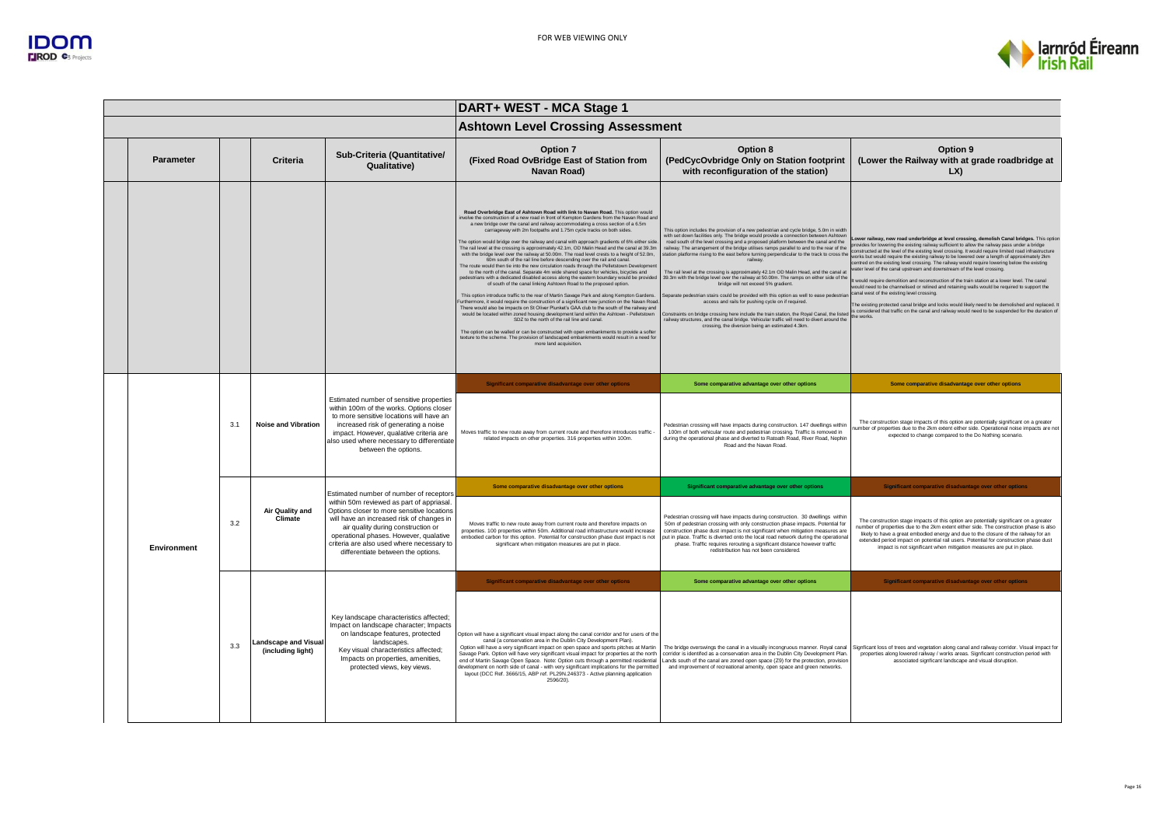

|             |     |                                                  |                                                                                                                                                                                                                                                                                                        | DART+ WEST - MCA Stage 1                                                                                                                                                                                                                                                                                                                                                                                                                                                                                                                                                                                                                                                                                                                                                                                                                                                                                                                                                                                                                                                                                                                                                                                                                                                                                                                                                                                                                                                                                                                                                                                                                                                                                                           |                                                                                                                                                                                                                                                                                                                                                                                                                                                                                                                                                                                                                                                                                                                                                                                                                                                                                                                                                                                                                                                                                                       |                                                                                                                                                                                                                                                                                                                                                                                                                                                                                                                                                                                                                                                                                                                                                                                                                                                                                                                                                                                                                                                          |  |
|-------------|-----|--------------------------------------------------|--------------------------------------------------------------------------------------------------------------------------------------------------------------------------------------------------------------------------------------------------------------------------------------------------------|------------------------------------------------------------------------------------------------------------------------------------------------------------------------------------------------------------------------------------------------------------------------------------------------------------------------------------------------------------------------------------------------------------------------------------------------------------------------------------------------------------------------------------------------------------------------------------------------------------------------------------------------------------------------------------------------------------------------------------------------------------------------------------------------------------------------------------------------------------------------------------------------------------------------------------------------------------------------------------------------------------------------------------------------------------------------------------------------------------------------------------------------------------------------------------------------------------------------------------------------------------------------------------------------------------------------------------------------------------------------------------------------------------------------------------------------------------------------------------------------------------------------------------------------------------------------------------------------------------------------------------------------------------------------------------------------------------------------------------|-------------------------------------------------------------------------------------------------------------------------------------------------------------------------------------------------------------------------------------------------------------------------------------------------------------------------------------------------------------------------------------------------------------------------------------------------------------------------------------------------------------------------------------------------------------------------------------------------------------------------------------------------------------------------------------------------------------------------------------------------------------------------------------------------------------------------------------------------------------------------------------------------------------------------------------------------------------------------------------------------------------------------------------------------------------------------------------------------------|----------------------------------------------------------------------------------------------------------------------------------------------------------------------------------------------------------------------------------------------------------------------------------------------------------------------------------------------------------------------------------------------------------------------------------------------------------------------------------------------------------------------------------------------------------------------------------------------------------------------------------------------------------------------------------------------------------------------------------------------------------------------------------------------------------------------------------------------------------------------------------------------------------------------------------------------------------------------------------------------------------------------------------------------------------|--|
|             |     |                                                  |                                                                                                                                                                                                                                                                                                        |                                                                                                                                                                                                                                                                                                                                                                                                                                                                                                                                                                                                                                                                                                                                                                                                                                                                                                                                                                                                                                                                                                                                                                                                                                                                                                                                                                                                                                                                                                                                                                                                                                                                                                                                    |                                                                                                                                                                                                                                                                                                                                                                                                                                                                                                                                                                                                                                                                                                                                                                                                                                                                                                                                                                                                                                                                                                       |                                                                                                                                                                                                                                                                                                                                                                                                                                                                                                                                                                                                                                                                                                                                                                                                                                                                                                                                                                                                                                                          |  |
| Parameter   |     | Criteria                                         | Sub-Criteria (Quantitative/<br>Qualitative)                                                                                                                                                                                                                                                            | Option 7<br>(Fixed Road OvBridge East of Station from<br>Navan Road)                                                                                                                                                                                                                                                                                                                                                                                                                                                                                                                                                                                                                                                                                                                                                                                                                                                                                                                                                                                                                                                                                                                                                                                                                                                                                                                                                                                                                                                                                                                                                                                                                                                               | Option 8<br>(PedCycOvbridge Only on Station footprint<br>with reconfiguration of the station)                                                                                                                                                                                                                                                                                                                                                                                                                                                                                                                                                                                                                                                                                                                                                                                                                                                                                                                                                                                                         | Option 9<br>(Lower the Railway with at grade roadbridge at<br>LX)                                                                                                                                                                                                                                                                                                                                                                                                                                                                                                                                                                                                                                                                                                                                                                                                                                                                                                                                                                                        |  |
|             |     |                                                  |                                                                                                                                                                                                                                                                                                        | Road Overbridge East of Ashtown Road with link to Navan Road, This option would<br>ivolve the construction of a new road in front of Kempton Gardens from the Navan Road and<br>a new bridge over the canal and railway accommodating a cross section of a 6.5m<br>carriageway with 2m footpaths and 1.75m cycle tracks on both sides.<br>The option would bridge over the railway and canal with approach gradients of 6% either side<br>The rail level at the crossing is approximately 42.1m, OD Malin Head and the canal at 39.3m<br>with the bridge level over the railway at 50.00m. The road level crests to a height of 52.0m,<br>60m south of the rail line before descending over the rail and canal<br>The route would then tie into the new circulation roads through the Pelletstown Developmer<br>to the north of the canal. Separate 4m wide shared space for vehicles, bicycles and<br>pedestrians with a dedicated disabled access along the eastern boundary would be provide<br>of south of the canal linking Ashtown Road to the proposed option.<br>This option introduce traffic to the rear of Martin Savage Park and along Kempton Gardens.<br>Furthermore, it would require the construction of a significant new junction on the Navan Road<br>There would also be impacts on St Oliver Plunket's GAA club to the south of the railway and<br>would be located within zoned housing development land within the Ashtown - Pelletstown<br>SDZ to the north of the rail line and canal.<br>The option can be walled or can be constructed with open embankments to provide a softer<br>texture to the scheme. The provision of landscaped embankments would result in a need for<br>more land acquisition. | This option includes the provision of a new pedestrian and cycle bridge, 5.0m in width<br>with set down facilities only. The bridge would provide a connection between Ashtown<br>road south of the level crossing and a proposed platform between the canal and the<br>railway. The arrangement of the bridge utilises ramps parallel to and to the rear of the<br>station platforme rising to the east before turning perpendicular to the track to cross the<br>railway<br>The rail level at the crossing is approximately 42.1m OD Malin Head, and the canal at<br>39.3m with the bridge level over the railway at 50.00m. The ramps on either side of the<br>bridge will not exceed 5% gradient.<br>eparate pedestrian stairs could be provided with this option as well to ease pedestria<br>access and rails for pushing cycle on if required.<br>Constraints on bridge crossing here include the train station, the Royal Canal, the listed<br>ailway structures, and the canal bridge. Vehicular traffic will need to divert around the<br>crossing, the diversion being an estimated 4.3km. | Lower railway, new road underbridge at level crossing, demolish Canal bridges. This option<br>provides for lowering the existing railway sufficient to allow the railway pass under a bridge<br>constructed at the level of the existing level crossing. It would require limited road infrastructure<br>works but would require the existing railway to be lowered over a length of approximately 2km<br>entred on the existing level crossing. The railway would require lowering below the existing<br>water level of the canal upstream and downstream of the level crossing<br>It would require demolition and reconstruction of the train station at a lower level. The canal<br>would need to be channelised or relined and retaining walls would be required to support the<br>canal west of the existing level crossing.<br>The existing protected canal bridge and locks would likely need to be demolished and replaced. I<br>is considered that traffic on the canal and railway would need to be suspended for the duration of<br>the works |  |
|             | 3.1 |                                                  |                                                                                                                                                                                                                                                                                                        | Significant comparative disadvantage over other options                                                                                                                                                                                                                                                                                                                                                                                                                                                                                                                                                                                                                                                                                                                                                                                                                                                                                                                                                                                                                                                                                                                                                                                                                                                                                                                                                                                                                                                                                                                                                                                                                                                                            | Some comparative advantage over other options                                                                                                                                                                                                                                                                                                                                                                                                                                                                                                                                                                                                                                                                                                                                                                                                                                                                                                                                                                                                                                                         | Some comparative disadvantage over other options                                                                                                                                                                                                                                                                                                                                                                                                                                                                                                                                                                                                                                                                                                                                                                                                                                                                                                                                                                                                         |  |
|             |     | <b>Noise and Vibration</b>                       | Estimated number of sensitive properties<br>within 100m of the works. Options closer<br>to more sensitive locations will have an<br>increased risk of generating a noise<br>impact. However, qualative criteria are<br>also used where necessary to differentiate<br>between the options.              | Moves traffic to new route away from current route and therefore introduces traffic -<br>related impacts on other properties, 316 properties within 100m.                                                                                                                                                                                                                                                                                                                                                                                                                                                                                                                                                                                                                                                                                                                                                                                                                                                                                                                                                                                                                                                                                                                                                                                                                                                                                                                                                                                                                                                                                                                                                                          | Pedestrian crossing will have impacts during construction. 147 dwellings within<br>100m of both vehicular route and pedestrian crossing. Traffic is removed in<br>during the operational phase and diverted to Ratoath Road, River Road, Nephin<br>Road and the Navan Road.                                                                                                                                                                                                                                                                                                                                                                                                                                                                                                                                                                                                                                                                                                                                                                                                                           | The construction stage impacts of this option are potentially significant on a greater<br>umber of properties due to the 2km extent either side. Operational noise impacts are not<br>expected to change compared to the Do Nothing scenario.                                                                                                                                                                                                                                                                                                                                                                                                                                                                                                                                                                                                                                                                                                                                                                                                            |  |
|             |     |                                                  |                                                                                                                                                                                                                                                                                                        | Some comparative disadvantage over other options                                                                                                                                                                                                                                                                                                                                                                                                                                                                                                                                                                                                                                                                                                                                                                                                                                                                                                                                                                                                                                                                                                                                                                                                                                                                                                                                                                                                                                                                                                                                                                                                                                                                                   | Significant comparative advantage over other options                                                                                                                                                                                                                                                                                                                                                                                                                                                                                                                                                                                                                                                                                                                                                                                                                                                                                                                                                                                                                                                  | Significant comparative disadvantage over other options                                                                                                                                                                                                                                                                                                                                                                                                                                                                                                                                                                                                                                                                                                                                                                                                                                                                                                                                                                                                  |  |
| Environment | 3.2 | Air Quality and<br>Climate                       | within 50m reviewed as part of appriasal<br>Options closer to more sensitive locations<br>will have an increased risk of changes in<br>air quality during construction or<br>operational phases. However, qualative<br>criteria are also used where necessary to<br>differentiate between the options. | Moves traffic to new route away from current route and therefore impacts on<br>properties. 100 properties within 50m. Additional road infrastructure would increase<br>embodied carbon for this option. Potential for construction phase dust impact is not<br>significant when mitigation measures are put in place.                                                                                                                                                                                                                                                                                                                                                                                                                                                                                                                                                                                                                                                                                                                                                                                                                                                                                                                                                                                                                                                                                                                                                                                                                                                                                                                                                                                                              | Pedestrian crossing will have impacts during construction. 30 dwellings within<br>50m of pedestrian crossing with only construction phase impacts. Potential for<br>construction phase dust impact is not significant when mitigation measures are<br>put in place. Traffic is diverted onto the local road network during the operational<br>phase. Traffic requires rerouting a significant distance however traffic.<br>redistribution has not been considered.                                                                                                                                                                                                                                                                                                                                                                                                                                                                                                                                                                                                                                    | The construction stage impacts of this option are potentially significant on a greater<br>number of properties due to the 2km extent either side. The construction phase is also<br>likely to have a great embodied energy and due to the closure of the railway for an<br>extended period impact on potential rail users. Potential for construction phase dust<br>impact is not significant when mitigation measures are put in place.                                                                                                                                                                                                                                                                                                                                                                                                                                                                                                                                                                                                                 |  |
|             |     |                                                  |                                                                                                                                                                                                                                                                                                        | Significant comparative disadvantage over other options                                                                                                                                                                                                                                                                                                                                                                                                                                                                                                                                                                                                                                                                                                                                                                                                                                                                                                                                                                                                                                                                                                                                                                                                                                                                                                                                                                                                                                                                                                                                                                                                                                                                            | Some comparative advantage over other options                                                                                                                                                                                                                                                                                                                                                                                                                                                                                                                                                                                                                                                                                                                                                                                                                                                                                                                                                                                                                                                         | Significant comparative disadvantage over other options                                                                                                                                                                                                                                                                                                                                                                                                                                                                                                                                                                                                                                                                                                                                                                                                                                                                                                                                                                                                  |  |
|             | 3.3 | <b>Landscape and Visual</b><br>(including light) | Key landscape characteristics affected;<br>Impact on landscape character; Impacts<br>on landscape features, protected<br>landscapes.<br>Key visual characteristics affected;<br>Impacts on properties, amenities,<br>protected views, key views.                                                       | Option will have a significant visual impact along the canal corridor and for users of the<br>canal (a conservation area in the Dublin City Development Plan)<br>Option will have a very significant impact on open space and sports pitches at Martin<br>Savage Park. Option will have very significant visual impact for properties at the north<br>end of Martin Savage Open Space. Note: Option cuts through a permitted residential<br>evelopment on north side of canal - with very significant implications for the permitted<br>layout (DCC Ref. 3666/15, ABP ref. PL29N.246373 - Active planning application<br>2596/20)                                                                                                                                                                                                                                                                                                                                                                                                                                                                                                                                                                                                                                                                                                                                                                                                                                                                                                                                                                                                                                                                                                  | The bridge overswings the canal in a visually incongruous manner. Royal canal<br>corridor is identifed as a conservation area in the Dublin City Development Plan<br>Lands south of the canal are zoned open space (Z9) for the protection, provision<br>and improvement of recreational amenity, open space and green networks.                                                                                                                                                                                                                                                                                                                                                                                                                                                                                                                                                                                                                                                                                                                                                                      | Signficant loss of trees and vegetation along canal and railway corridor. Visual impact for<br>properties along lowered railway / works areas. Signficant construction period with<br>associated signficant landscape and visual disruption.                                                                                                                                                                                                                                                                                                                                                                                                                                                                                                                                                                                                                                                                                                                                                                                                             |  |
|             |     |                                                  |                                                                                                                                                                                                                                                                                                        | Estimated number of number of receptors                                                                                                                                                                                                                                                                                                                                                                                                                                                                                                                                                                                                                                                                                                                                                                                                                                                                                                                                                                                                                                                                                                                                                                                                                                                                                                                                                                                                                                                                                                                                                                                                                                                                                            |                                                                                                                                                                                                                                                                                                                                                                                                                                                                                                                                                                                                                                                                                                                                                                                                                                                                                                                                                                                                                                                                                                       | <b>Ashtown Level Crossing Assessment</b>                                                                                                                                                                                                                                                                                                                                                                                                                                                                                                                                                                                                                                                                                                                                                                                                                                                                                                                                                                                                                 |  |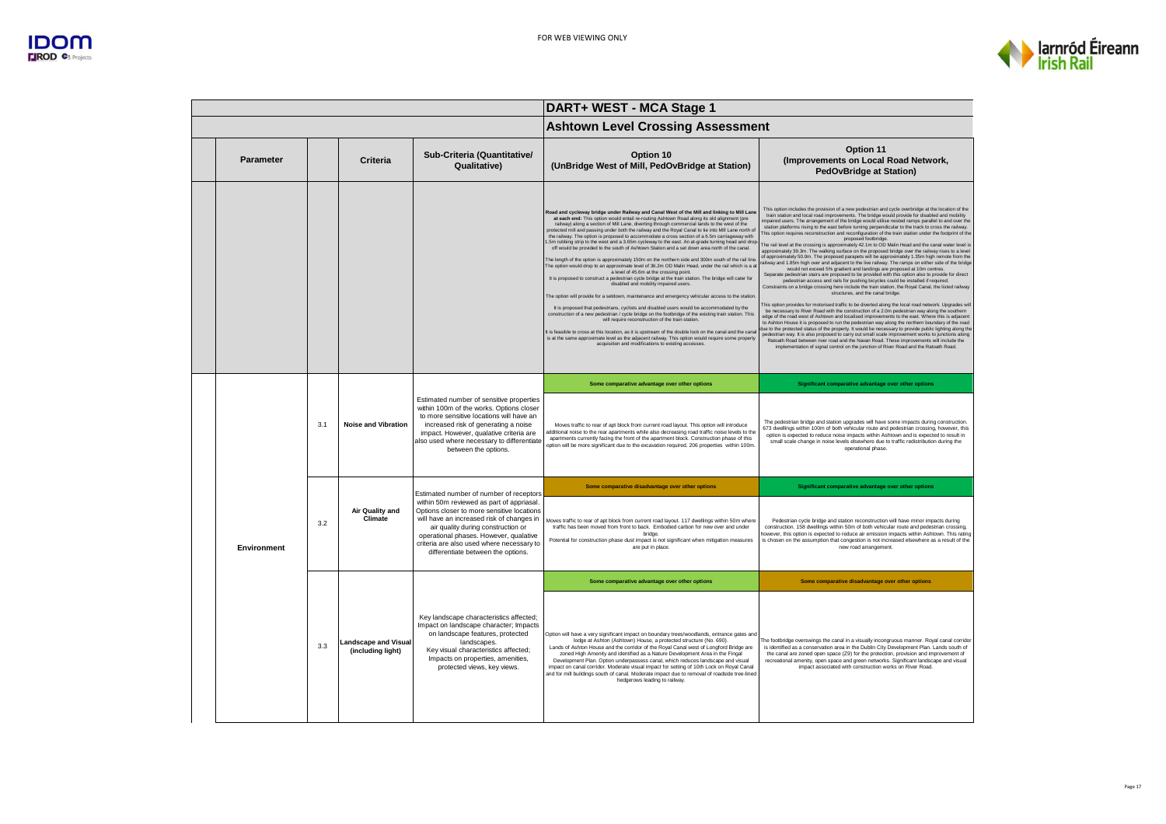



|             |     |                                                  |                                                                                                                                                                                                                                                                                                                                                    | DART+ WEST - MCA Stage 1                                                                                                                                                                                                                                                                                                                                                                                                                                                                                                                                                                                                                                                                                                                                                                                                                                                                                                                                                                                                                                                                                                                                                                                                                                                                                                                                                                                                                                                                                                                                                                                                                                                                                                                                  |                                                                                                                                                                                                                                                                                                                                                                                                                                                                                                                                                                                                                                                                                                                                                                                                                                                                                                                                                                                                                                                                                                                                                                                                                                                                                                                                                                                                                                                                                                                                                                                                                                                                                                                                                                                                                                                                                                                                                                                                                                                                                                                                                                                                             |  |
|-------------|-----|--------------------------------------------------|----------------------------------------------------------------------------------------------------------------------------------------------------------------------------------------------------------------------------------------------------------------------------------------------------------------------------------------------------|-----------------------------------------------------------------------------------------------------------------------------------------------------------------------------------------------------------------------------------------------------------------------------------------------------------------------------------------------------------------------------------------------------------------------------------------------------------------------------------------------------------------------------------------------------------------------------------------------------------------------------------------------------------------------------------------------------------------------------------------------------------------------------------------------------------------------------------------------------------------------------------------------------------------------------------------------------------------------------------------------------------------------------------------------------------------------------------------------------------------------------------------------------------------------------------------------------------------------------------------------------------------------------------------------------------------------------------------------------------------------------------------------------------------------------------------------------------------------------------------------------------------------------------------------------------------------------------------------------------------------------------------------------------------------------------------------------------------------------------------------------------|-------------------------------------------------------------------------------------------------------------------------------------------------------------------------------------------------------------------------------------------------------------------------------------------------------------------------------------------------------------------------------------------------------------------------------------------------------------------------------------------------------------------------------------------------------------------------------------------------------------------------------------------------------------------------------------------------------------------------------------------------------------------------------------------------------------------------------------------------------------------------------------------------------------------------------------------------------------------------------------------------------------------------------------------------------------------------------------------------------------------------------------------------------------------------------------------------------------------------------------------------------------------------------------------------------------------------------------------------------------------------------------------------------------------------------------------------------------------------------------------------------------------------------------------------------------------------------------------------------------------------------------------------------------------------------------------------------------------------------------------------------------------------------------------------------------------------------------------------------------------------------------------------------------------------------------------------------------------------------------------------------------------------------------------------------------------------------------------------------------------------------------------------------------------------------------------------------------|--|
|             |     |                                                  |                                                                                                                                                                                                                                                                                                                                                    | <b>Ashtown Level Crossing Assessment</b>                                                                                                                                                                                                                                                                                                                                                                                                                                                                                                                                                                                                                                                                                                                                                                                                                                                                                                                                                                                                                                                                                                                                                                                                                                                                                                                                                                                                                                                                                                                                                                                                                                                                                                                  |                                                                                                                                                                                                                                                                                                                                                                                                                                                                                                                                                                                                                                                                                                                                                                                                                                                                                                                                                                                                                                                                                                                                                                                                                                                                                                                                                                                                                                                                                                                                                                                                                                                                                                                                                                                                                                                                                                                                                                                                                                                                                                                                                                                                             |  |
| Parameter   |     | <b>Criteria</b>                                  | Sub-Criteria (Quantitative/<br>Qualitative)                                                                                                                                                                                                                                                                                                        | Option 10<br>(UnBridge West of Mill, PedOvBridge at Station)                                                                                                                                                                                                                                                                                                                                                                                                                                                                                                                                                                                                                                                                                                                                                                                                                                                                                                                                                                                                                                                                                                                                                                                                                                                                                                                                                                                                                                                                                                                                                                                                                                                                                              | Option 11<br>(Improvements on Local Road Network,<br><b>PedOvBridge at Station)</b>                                                                                                                                                                                                                                                                                                                                                                                                                                                                                                                                                                                                                                                                                                                                                                                                                                                                                                                                                                                                                                                                                                                                                                                                                                                                                                                                                                                                                                                                                                                                                                                                                                                                                                                                                                                                                                                                                                                                                                                                                                                                                                                         |  |
|             |     |                                                  |                                                                                                                                                                                                                                                                                                                                                    | Road and cycleway bridge under Railway and Canal West of the Mill and linking to Mill Lane<br>at each end: This option would entail re-routing Ashtown Road along its old alignment (pre<br>railway) along a section of Mill Lane, diverting through commercial lands to the west of the<br>protected mill and passing under both the railway and the Royal Canal to tie into Mill Lane north of<br>the railway. The option is proposed to accommodate a cross section of a 6.5m carriageway with<br>.5m rubbing strip to the west and a 3.65m cycleway to the east. An at-grade turning head and drop<br>off would be provided to the south of Ashtown Station and a set down area north of the canal.<br>The length of the option is approximately 150m on the northern side and 300m south of the rail line<br>The option would drop to an approximate level of 36.2m OD Malin Head, under the rail which is a at<br>a level of 45.6m at the crossing point.<br>It is proposed to construct a pedestrian cycle bridge at the train station. The bridge will cater for<br>disabled and mobility impaired users.<br>The option will provide for a setdown, maintenance and emergency vehicular access to the station<br>It is proposed that pedestrians, cyclists and disabled users would be accommodated by the<br>construction of a new pedestrian / cycle bridge on the footbridge of the existing train station. This<br>will require reconstruction of the train station.<br>It is feasible to cross at this location, as it is upstream of the double lock on the canal and the canal<br>is at the same approximate level as the adjacent railway. This option would require some property<br>acquisition and modifications to existing accesses. | This option includes the provision of a new pedestrian and cycle overbridge at the location of the<br>train station and local road improvements. The bridge would provide for disabled and mobility<br>impaired users. The arrangement of the bridge would utilise nested ramps parallel to and over the<br>station platforms rising to the east before turning perpendicular to the track to cross the railway.<br>This option requires reconstruction and reconfiguration of the train station under the footprint of the<br>proposed footbridge.<br>The rail level at the crossing is approximately 42.1m to OD Malin Head and the canal water level is<br>approximately 39.3m. The walking surface on the proposed bridge over the railway rises to a level<br>of approximately 50.0m. The proposed parapets will be approximately 1.35m high remote from the<br>ailway and 1.85m high over and adjacent to the live railway. The ramps on either side of the bridge<br>would not exceed 5% gradient and landings are proposed at 10m centres.<br>Separate pedestrian stairs are proposed to be provided with this option also to provide for direct<br>pedestrian access and rails for pushing bicycles could be installed if required.<br>Constraints on a bridge crossing here include the train station, the Royal Canal, the listed railway<br>structures, and the canal bridge.<br>This option provides for motorised traffic to be diverted along the local road network. Upgrades wil<br>be necessary to River Road with the construction of a 2.0m pedestrian way along the southern<br>edge of the road west of Ashtown and localised improvements to the east. Where this is adjacent<br>to Ashton House it is proposed to run the pedestrian way along the northern boundary of the road<br>lue to the protected status of the property. It would be necessary to provide public lighting along the<br>pedestrian way. It is also proposed to carry out small scale improvement works to junctions along<br>Ratoath Road between river road and the Navan Road. These improvements will include the<br>implementation of signal control on the junction of River Road and the Ratoath Road. |  |
|             |     |                                                  | Estimated number of sensitive properties<br>within 100m of the works. Options closer<br>to more sensitive locations will have an<br>increased risk of generating a noise<br>impact. However, qualative criteria are<br>also used where necessary to differentiate<br>between the options.                                                          | Some comparative advantage over other options                                                                                                                                                                                                                                                                                                                                                                                                                                                                                                                                                                                                                                                                                                                                                                                                                                                                                                                                                                                                                                                                                                                                                                                                                                                                                                                                                                                                                                                                                                                                                                                                                                                                                                             | Significant comparative advantage over other options                                                                                                                                                                                                                                                                                                                                                                                                                                                                                                                                                                                                                                                                                                                                                                                                                                                                                                                                                                                                                                                                                                                                                                                                                                                                                                                                                                                                                                                                                                                                                                                                                                                                                                                                                                                                                                                                                                                                                                                                                                                                                                                                                        |  |
|             | 3.1 | <b>Noise and Vibration</b>                       |                                                                                                                                                                                                                                                                                                                                                    | Moves traffic to rear of apt block from current road layout. This option will introduce<br>additional noise to the rear apartments while also decreasing road traffic noise levels to the<br>apartments currently facing the front of the apartment block. Construction phase of this<br>option will be more significant due to the excavation required. 206 properties within 100m                                                                                                                                                                                                                                                                                                                                                                                                                                                                                                                                                                                                                                                                                                                                                                                                                                                                                                                                                                                                                                                                                                                                                                                                                                                                                                                                                                       | The pedestrian bridge and station upgrades will have some impacts during construction.<br>673 dwellings within 100m of both vehicular route and pedestrian crossing, however, this<br>option is expected to reduce noise impacts within Ashtown and is expected to result in<br>small scale change in noise levels elsewhere due to traffic redistribution during the<br>operational phase.                                                                                                                                                                                                                                                                                                                                                                                                                                                                                                                                                                                                                                                                                                                                                                                                                                                                                                                                                                                                                                                                                                                                                                                                                                                                                                                                                                                                                                                                                                                                                                                                                                                                                                                                                                                                                 |  |
|             |     |                                                  |                                                                                                                                                                                                                                                                                                                                                    | Some comparative disadvantage over other options                                                                                                                                                                                                                                                                                                                                                                                                                                                                                                                                                                                                                                                                                                                                                                                                                                                                                                                                                                                                                                                                                                                                                                                                                                                                                                                                                                                                                                                                                                                                                                                                                                                                                                          | Significant comparative advantage over other options                                                                                                                                                                                                                                                                                                                                                                                                                                                                                                                                                                                                                                                                                                                                                                                                                                                                                                                                                                                                                                                                                                                                                                                                                                                                                                                                                                                                                                                                                                                                                                                                                                                                                                                                                                                                                                                                                                                                                                                                                                                                                                                                                        |  |
| Environment | 3.2 | <b>Air Quality and</b><br>Climate                | Estimated number of number of receptors<br>within 50m reviewed as part of appriasal.<br>Options closer to more sensitive locations<br>will have an increased risk of changes in<br>air quality during construction or<br>operational phases. However, qualative<br>criteria are also used where necessary to<br>differentiate between the options. | Moves traffic to rear of apt block from current road lavout, 117 dwellings within 50m where<br>traffic has been moved from front to back. Embodied carbon for new over and under<br>bridge<br>Potential for construction phase dust impact is not significant when mitigation measures<br>are put in place                                                                                                                                                                                                                                                                                                                                                                                                                                                                                                                                                                                                                                                                                                                                                                                                                                                                                                                                                                                                                                                                                                                                                                                                                                                                                                                                                                                                                                                | Pedestrian cycle bridge and station reconstruction will have minor impacts during<br>construction. 158 dwellings within 50m of both vehicular route and pedestrian crossing.<br>however, this option is expected to reduce air emission impacts within Ashtown. This rating<br>is chosen on the assumption that congestion is not increased elsewhere as a result of the<br>new road arrangement                                                                                                                                                                                                                                                                                                                                                                                                                                                                                                                                                                                                                                                                                                                                                                                                                                                                                                                                                                                                                                                                                                                                                                                                                                                                                                                                                                                                                                                                                                                                                                                                                                                                                                                                                                                                            |  |
|             |     |                                                  |                                                                                                                                                                                                                                                                                                                                                    | Some comparative advantage over other options                                                                                                                                                                                                                                                                                                                                                                                                                                                                                                                                                                                                                                                                                                                                                                                                                                                                                                                                                                                                                                                                                                                                                                                                                                                                                                                                                                                                                                                                                                                                                                                                                                                                                                             | Some comparative disadvantage over other options                                                                                                                                                                                                                                                                                                                                                                                                                                                                                                                                                                                                                                                                                                                                                                                                                                                                                                                                                                                                                                                                                                                                                                                                                                                                                                                                                                                                                                                                                                                                                                                                                                                                                                                                                                                                                                                                                                                                                                                                                                                                                                                                                            |  |
|             | 3.3 | <b>Landscape and Visual</b><br>(including light) | Key landscape characteristics affected;<br>Impact on landscape character; Impacts<br>on landscape features, protected<br>landscapes.<br>Key visual characteristics affected;<br>Impacts on properties, amenities,<br>protected views, key views.                                                                                                   | Option will have a very significant impact on boundary trees/woodlands, entrance gates and<br>lodge at Ashton (Ashtown) House, a protected structure (No. 690).<br>Lands of Ashton House and the corridor of the Royal Canal west of Longford Bridge are<br>zoned High Amenity and identified as a Nature Development Area in the Fingal<br>Development Plan. Option underpassess canal, which reduces landscape and visual<br>impact on canal corridor. Moderate visual impact for setting of 10th Lock on Royal Canal<br>and for mill buildings south of canal. Moderate impact due to removal of roadside tree-lined<br>hedgerows leading to railway                                                                                                                                                                                                                                                                                                                                                                                                                                                                                                                                                                                                                                                                                                                                                                                                                                                                                                                                                                                                                                                                                                   | The footbridge overswings the canal in a visually incongruous manner. Royal canal corridor<br>is identified as a conservation area in the Dublin City Development Plan. Lands south of<br>the canal are zoned open space (Z9) for the protection, provision and improvement of<br>recreational amenity, open space and green networks. Significant landscape and visual<br>impact associated with construction works on River Road.                                                                                                                                                                                                                                                                                                                                                                                                                                                                                                                                                                                                                                                                                                                                                                                                                                                                                                                                                                                                                                                                                                                                                                                                                                                                                                                                                                                                                                                                                                                                                                                                                                                                                                                                                                         |  |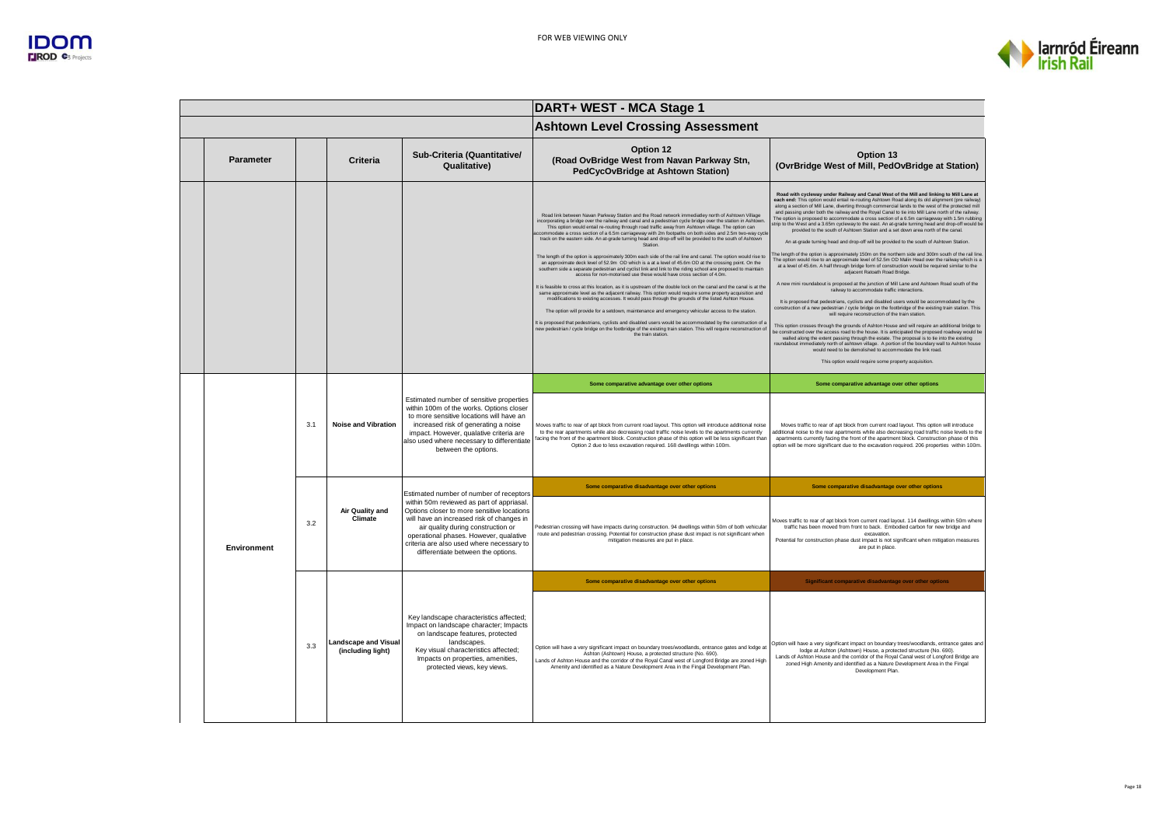

|             |     |                                                  |                                                                                                                                                                                                                                                                                                                                                    | DART+ WEST - MCA Stage 1                                                                                                                                                                                                                                                                                                                                                                                                                                                                                                                                                                                                                                                                                                                                                                                                                                                                                                                                                                                                                                                                                                                                                                                                                                                                                                                                                                                                                                                                                                                                                                                                                                                          |                                                                                                                                                                                                                                                                                                                                                                                                                                                                                                                                                                                                                                                                                                                                                                                                                                                                                                                                                                                                                                                                                                                                                                                                                                                                                                                                                                                                                                                                                                                                                                                                                                                                                                                                                                                                                                                                                                                                                                                                                                                                                         |  |
|-------------|-----|--------------------------------------------------|----------------------------------------------------------------------------------------------------------------------------------------------------------------------------------------------------------------------------------------------------------------------------------------------------------------------------------------------------|-----------------------------------------------------------------------------------------------------------------------------------------------------------------------------------------------------------------------------------------------------------------------------------------------------------------------------------------------------------------------------------------------------------------------------------------------------------------------------------------------------------------------------------------------------------------------------------------------------------------------------------------------------------------------------------------------------------------------------------------------------------------------------------------------------------------------------------------------------------------------------------------------------------------------------------------------------------------------------------------------------------------------------------------------------------------------------------------------------------------------------------------------------------------------------------------------------------------------------------------------------------------------------------------------------------------------------------------------------------------------------------------------------------------------------------------------------------------------------------------------------------------------------------------------------------------------------------------------------------------------------------------------------------------------------------|-----------------------------------------------------------------------------------------------------------------------------------------------------------------------------------------------------------------------------------------------------------------------------------------------------------------------------------------------------------------------------------------------------------------------------------------------------------------------------------------------------------------------------------------------------------------------------------------------------------------------------------------------------------------------------------------------------------------------------------------------------------------------------------------------------------------------------------------------------------------------------------------------------------------------------------------------------------------------------------------------------------------------------------------------------------------------------------------------------------------------------------------------------------------------------------------------------------------------------------------------------------------------------------------------------------------------------------------------------------------------------------------------------------------------------------------------------------------------------------------------------------------------------------------------------------------------------------------------------------------------------------------------------------------------------------------------------------------------------------------------------------------------------------------------------------------------------------------------------------------------------------------------------------------------------------------------------------------------------------------------------------------------------------------------------------------------------------------|--|
|             |     |                                                  |                                                                                                                                                                                                                                                                                                                                                    | <b>Ashtown Level Crossing Assessment</b>                                                                                                                                                                                                                                                                                                                                                                                                                                                                                                                                                                                                                                                                                                                                                                                                                                                                                                                                                                                                                                                                                                                                                                                                                                                                                                                                                                                                                                                                                                                                                                                                                                          |                                                                                                                                                                                                                                                                                                                                                                                                                                                                                                                                                                                                                                                                                                                                                                                                                                                                                                                                                                                                                                                                                                                                                                                                                                                                                                                                                                                                                                                                                                                                                                                                                                                                                                                                                                                                                                                                                                                                                                                                                                                                                         |  |
| Parameter   |     | Criteria                                         | Sub-Criteria (Quantitative/<br>Qualitative)                                                                                                                                                                                                                                                                                                        | Option 12<br>(Road OvBridge West from Navan Parkway Stn,<br>PedCycOvBridge at Ashtown Station)                                                                                                                                                                                                                                                                                                                                                                                                                                                                                                                                                                                                                                                                                                                                                                                                                                                                                                                                                                                                                                                                                                                                                                                                                                                                                                                                                                                                                                                                                                                                                                                    | Option 13<br>(OvrBridge West of Mill, PedOvBridge at Station)                                                                                                                                                                                                                                                                                                                                                                                                                                                                                                                                                                                                                                                                                                                                                                                                                                                                                                                                                                                                                                                                                                                                                                                                                                                                                                                                                                                                                                                                                                                                                                                                                                                                                                                                                                                                                                                                                                                                                                                                                           |  |
|             |     |                                                  |                                                                                                                                                                                                                                                                                                                                                    | Road link between Navan Parkway Station and the Road network immediatley north of Ashtown Village<br>incorporating a bridge over the railway and canal and a pedestrian cycle bridge over the station in Ashtown<br>This option would entail re-routing through road traffic away from Ashtown village. The option can<br>ccommodate a cross section of a 6.5m carriageway with 2m footpaths on both sides and 2.5m two-way cycl<br>track on the eastern side. An at-grade turning head and drop-off will be provided to the south of Ashtown<br>Station.<br>The length of the option is approximately 300m each side of the rail line and canal. The option would rise to<br>an approximate deck level of 52.9m OD which is a at a level of 45.6m OD at the crossing point. On the<br>southern side a separate pedestrian and cyclist link and link to the riding school are proposed to maintain<br>access for non-motorised use these would have cross section of 4.0m.<br>It is feasible to cross at this location, as it is upstream of the double lock on the canal and the canal is at the<br>same approximate level as the adjacent railway. This option would require some property acquisition and<br>modifications to existing accesses. It would pass through the grounds of the listed Ashton House.<br>The option will provide for a setdown, maintenance and emergency vehicular access to the station.<br>It is proposed that pedestrians, cyclists and disabled users would be accommodated by the construction of a<br>new pedestrian / cycle bridge on the footbridge of the existing train station. This will require reconstruction of<br>the train station. | Road with cycleway under Railway and Canal West of the Mill and linking to Mill Lane at<br>each end: This option would entail re-routing Ashtown Road along its old alignment (pre railway)<br>along a section of Mill Lane, diverting through commercial lands to the west of the protected mill<br>and passing under both the railway and the Royal Canal to tie into Mill Lane north of the railway.<br>The option is proposed to accommodate a cross section of a 6.5m carriageway with 1.5m rubbing<br>strip to the West and a 3.65m cycleway to the east. An at-grade turning head and drop-off would be<br>provided to the south of Ashtown Station and a set down area north of the canal.<br>An at-grade turning head and drop-off will be provided to the south of Ashtown Station.<br>The length of the option is approximately 150m on the northern side and 300m south of the rail line<br>The option would rise to an approximate level of 52.5m OD Malin Head over the railway which is a<br>at a level of 45.6m. A half through bridge form of construction would be required similar to the<br>adiacent Ratoath Road Bridge.<br>A new mini roundabout is proposed at the junction of Mill Lane and Ashtown Road south of the<br>railway to accommodate traffic interactions.<br>It is proposed that pedestrians, cyclists and disabled users would be accommodated by the<br>construction of a new pedestrian / cycle bridge on the footbridge of the existing train station. This<br>will require reconstruction of the train station<br>This option crosses through the grounds of Ashton House and will require an additional bridge to<br>be constructed over the access road to the house. It is anticipated the proposed roadway would be<br>walled along the extent passing through the estate. The proposal is to tie into the existing<br>roundabout immediately north of ashtown village. A portion of the boundary wall to Ashton house<br>would need to be demolished to accommodate the link road.<br>This option would require some property acquisition |  |
|             |     | <b>Noise and Vibration</b>                       | Estimated number of sensitive properties<br>within 100m of the works. Options closer<br>to more sensitive locations will have an<br>increased risk of generating a noise<br>impact. However, qualative criteria are<br>also used where necessary to differentiate<br>between the options.                                                          | Some comparative advantage over other options                                                                                                                                                                                                                                                                                                                                                                                                                                                                                                                                                                                                                                                                                                                                                                                                                                                                                                                                                                                                                                                                                                                                                                                                                                                                                                                                                                                                                                                                                                                                                                                                                                     | Some comparative advantage over other options                                                                                                                                                                                                                                                                                                                                                                                                                                                                                                                                                                                                                                                                                                                                                                                                                                                                                                                                                                                                                                                                                                                                                                                                                                                                                                                                                                                                                                                                                                                                                                                                                                                                                                                                                                                                                                                                                                                                                                                                                                           |  |
|             | 3.1 |                                                  |                                                                                                                                                                                                                                                                                                                                                    | Moves traffic to rear of apt block from current road layout. This option will introduce additional noise<br>to the rear apartments while also decreasing road traffic noise levels to the apartments currently<br>facing the front of the apartment block. Construction phase of this option will be less significant than<br>Option 2 due to less excavation required. 168 dwellings within 100m.                                                                                                                                                                                                                                                                                                                                                                                                                                                                                                                                                                                                                                                                                                                                                                                                                                                                                                                                                                                                                                                                                                                                                                                                                                                                                | Moves traffic to rear of apt block from current road lavout. This option will introduce<br>additional noise to the rear apartments while also decreasing road traffic noise levels to the<br>apartments currently facing the front of the apartment block. Construction phase of this<br>option will be more significant due to the excavation required. 206 properties within 100m.                                                                                                                                                                                                                                                                                                                                                                                                                                                                                                                                                                                                                                                                                                                                                                                                                                                                                                                                                                                                                                                                                                                                                                                                                                                                                                                                                                                                                                                                                                                                                                                                                                                                                                    |  |
|             |     |                                                  |                                                                                                                                                                                                                                                                                                                                                    | Some comparative disadvantage over other options                                                                                                                                                                                                                                                                                                                                                                                                                                                                                                                                                                                                                                                                                                                                                                                                                                                                                                                                                                                                                                                                                                                                                                                                                                                                                                                                                                                                                                                                                                                                                                                                                                  | Some comparative disadvantage over other options                                                                                                                                                                                                                                                                                                                                                                                                                                                                                                                                                                                                                                                                                                                                                                                                                                                                                                                                                                                                                                                                                                                                                                                                                                                                                                                                                                                                                                                                                                                                                                                                                                                                                                                                                                                                                                                                                                                                                                                                                                        |  |
| Environment | 3.2 | <b>Air Quality and</b><br>Climate                | Estimated number of number of receptors<br>within 50m reviewed as part of appriasal.<br>Options closer to more sensitive locations<br>will have an increased risk of changes in<br>air quality during construction or<br>operational phases. However, qualative<br>criteria are also used where necessary to<br>differentiate between the options. | Pedestrian crossing will have impacts during construction. 94 dwellings within 50m of both vehicular<br>route and pedestrian crossing. Potential for construction phase dust impact is not significant when<br>mitigation measures are put in place                                                                                                                                                                                                                                                                                                                                                                                                                                                                                                                                                                                                                                                                                                                                                                                                                                                                                                                                                                                                                                                                                                                                                                                                                                                                                                                                                                                                                               | Moves traffic to rear of apt block from current road layout. 114 dwellings within 50m where<br>traffic has been moved from front to back. Embodied carbon for new bridge and<br>excavation<br>Potential for construction phase dust impact is not significant when mitigation measures<br>are put in place                                                                                                                                                                                                                                                                                                                                                                                                                                                                                                                                                                                                                                                                                                                                                                                                                                                                                                                                                                                                                                                                                                                                                                                                                                                                                                                                                                                                                                                                                                                                                                                                                                                                                                                                                                              |  |
|             |     |                                                  |                                                                                                                                                                                                                                                                                                                                                    | Some comparative disadvantage over other options                                                                                                                                                                                                                                                                                                                                                                                                                                                                                                                                                                                                                                                                                                                                                                                                                                                                                                                                                                                                                                                                                                                                                                                                                                                                                                                                                                                                                                                                                                                                                                                                                                  | Significant comparative disadvantage over other options                                                                                                                                                                                                                                                                                                                                                                                                                                                                                                                                                                                                                                                                                                                                                                                                                                                                                                                                                                                                                                                                                                                                                                                                                                                                                                                                                                                                                                                                                                                                                                                                                                                                                                                                                                                                                                                                                                                                                                                                                                 |  |
|             | 3.3 | <b>Landscape and Visual</b><br>(including light) | Key landscape characteristics affected;<br>Impact on landscape character; Impacts<br>on landscape features, protected<br>landscapes.<br>Key visual characteristics affected;<br>Impacts on properties, amenities,<br>protected views, key views.                                                                                                   | Option will have a very significant impact on boundary trees/woodlands, entrance gates and lodge at<br>Ashton (Ashtown) House, a protected structure (No. 690).<br>Lands of Ashton House and the corridor of the Royal Canal west of Longford Bridge are zoned High<br>Amenity and identified as a Nature Development Area in the Fingal Development Plan.                                                                                                                                                                                                                                                                                                                                                                                                                                                                                                                                                                                                                                                                                                                                                                                                                                                                                                                                                                                                                                                                                                                                                                                                                                                                                                                        | Option will have a very significant impact on boundary trees/woodlands, entrance gates and<br>lodge at Ashton (Ashtown) House, a protected structure (No. 690).<br>Lands of Ashton House and the corridor of the Royal Canal west of Longford Bridge are<br>zoned High Amenity and identified as a Nature Development Area in the Fingal<br>Development Plan.                                                                                                                                                                                                                                                                                                                                                                                                                                                                                                                                                                                                                                                                                                                                                                                                                                                                                                                                                                                                                                                                                                                                                                                                                                                                                                                                                                                                                                                                                                                                                                                                                                                                                                                           |  |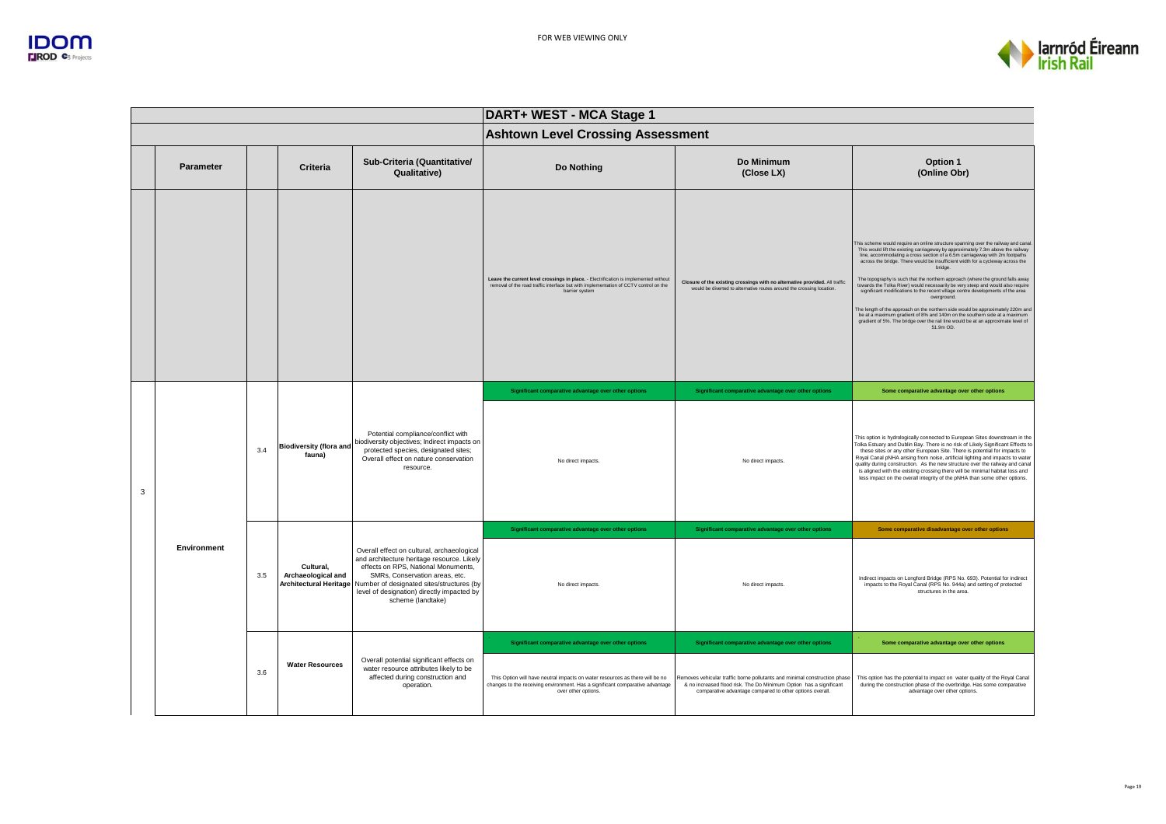



|   | DART+ WEST - MCA Stage 1 |     |                                                                  |                                                                                                                                                                                                                                                                                   |                                                                                                                                                                                                |                                                                                                                                                                                                             |                                                                                                                                                                                                                                                                                                                                                                                                                                                                                                                                                                                                                                                                                                                                                                                                                                                                                         |  |  |  |
|---|--------------------------|-----|------------------------------------------------------------------|-----------------------------------------------------------------------------------------------------------------------------------------------------------------------------------------------------------------------------------------------------------------------------------|------------------------------------------------------------------------------------------------------------------------------------------------------------------------------------------------|-------------------------------------------------------------------------------------------------------------------------------------------------------------------------------------------------------------|-----------------------------------------------------------------------------------------------------------------------------------------------------------------------------------------------------------------------------------------------------------------------------------------------------------------------------------------------------------------------------------------------------------------------------------------------------------------------------------------------------------------------------------------------------------------------------------------------------------------------------------------------------------------------------------------------------------------------------------------------------------------------------------------------------------------------------------------------------------------------------------------|--|--|--|
|   |                          |     |                                                                  |                                                                                                                                                                                                                                                                                   | <b>Ashtown Level Crossing Assessment</b>                                                                                                                                                       |                                                                                                                                                                                                             |                                                                                                                                                                                                                                                                                                                                                                                                                                                                                                                                                                                                                                                                                                                                                                                                                                                                                         |  |  |  |
|   | <b>Parameter</b>         |     | Criteria                                                         | Sub-Criteria (Quantitative/<br>Qualitative)                                                                                                                                                                                                                                       | Do Nothing                                                                                                                                                                                     | Do Minimum<br>(Close LX)                                                                                                                                                                                    | Option 1<br>(Online Obr)                                                                                                                                                                                                                                                                                                                                                                                                                                                                                                                                                                                                                                                                                                                                                                                                                                                                |  |  |  |
|   |                          |     |                                                                  |                                                                                                                                                                                                                                                                                   | Leave the current level crossings in place. - Electrification is implemented without<br>removal of the road traffic interface but with implementation of CCTV control on the<br>barrier system | Closure of the existing crossings with no alternative provided. All traffic<br>would be diverted to alternative routes around the crossing location                                                         | This scheme would require an online structure spanning over the railway and canal<br>This would lift the existing carriageway by approximately 7.3m above the railway<br>line, accommodating a cross section of a 6.5m carriageway with 2m footpaths<br>across the bridge. There would be insufficient width for a cycleway across the<br>bridge.<br>The topography is such that the northern approach (where the ground falls away<br>towards the Tolka River) would necessarily be very steep and would also require<br>significant modifications to the recent village centre developments of the area<br>overground.<br>The length of the approach on the northern side would be approximately 220m and<br>be at a maximum gradient of 8% and 140m on the southern side at a maximum gradient of 5%. The bridge over the rail line would be at an approximate level of<br>51.9m OD. |  |  |  |
|   |                          |     | <b>Biodiversity (flora and</b><br>fauna)                         | Potential compliance/conflict with<br>biodiversity objectives; Indirect impacts on<br>protected species, designated sites;<br>Overall effect on nature conservation<br>resource.                                                                                                  | Significant comparative advantage over other options                                                                                                                                           | Significant comparative advantage over other options                                                                                                                                                        | Some comparative advantage over other options                                                                                                                                                                                                                                                                                                                                                                                                                                                                                                                                                                                                                                                                                                                                                                                                                                           |  |  |  |
| 3 |                          | 3.4 |                                                                  |                                                                                                                                                                                                                                                                                   | No direct impacts.                                                                                                                                                                             | No direct impacts.                                                                                                                                                                                          | This option is hydrologically connected to European Sites downstream in the<br>Tolka Estuary and Dublin Bay. There is no risk of Likely Significant Effects to<br>these sites or any other European Site. There is potential for impacts to<br>Royal Canal pNHA arising from noise, artificial lighting and impacts to water<br>quality during construction. As the new structure over the railway and canal<br>is aligned with the existing crossing there will be minimal habitat loss and<br>less impact on the overall integrity of the pNHA than some other options.                                                                                                                                                                                                                                                                                                               |  |  |  |
|   |                          |     |                                                                  |                                                                                                                                                                                                                                                                                   | Significant comparative advantage over other options                                                                                                                                           | Significant comparative advantage over other options                                                                                                                                                        | Some comparative disadvantage over other options                                                                                                                                                                                                                                                                                                                                                                                                                                                                                                                                                                                                                                                                                                                                                                                                                                        |  |  |  |
|   | Environment              | 3.5 | Cultural,<br>Archaeological and<br><b>Architectural Heritage</b> | Overall effect on cultural, archaeological<br>and architecture heritage resource. Likely<br>effects on RPS, National Monuments,<br>SMRs, Conservation areas, etc.<br>Number of designated sites/structures (by<br>level of designation) directly impacted by<br>scheme (landtake) | No direct impacts.                                                                                                                                                                             | No direct impacts                                                                                                                                                                                           | Indirect impacts on Longford Bridge (RPS No. 693). Potential for indirect<br>impacts to the Royal Canal (RPS No. 944a) and setting of protected<br>structures in the area.                                                                                                                                                                                                                                                                                                                                                                                                                                                                                                                                                                                                                                                                                                              |  |  |  |
|   |                          |     |                                                                  |                                                                                                                                                                                                                                                                                   | Significant comparative advantage over other options                                                                                                                                           | Significant comparative advantage over other options                                                                                                                                                        | Some comparative advantage over other options                                                                                                                                                                                                                                                                                                                                                                                                                                                                                                                                                                                                                                                                                                                                                                                                                                           |  |  |  |
|   |                          | 3.6 | <b>Water Resources</b>                                           | Overall potential significant effects on<br>water resource attributes likely to be<br>affected during construction and<br>operation.                                                                                                                                              | This Option will have neutral impacts on water resources as there will be no<br>changes to the receiving environment. Has a significant comparative advantage<br>over other options.           | Removes vehicular traffic borne pollutants and minimal construction phase<br>& no increased flood risk. The Do Minimum Option has a significant<br>comparative advantage compared to other options overall. | This option has the potential to impact on water quality of the Royal Canal<br>during the construction phase of the overbridge. Has some comparative<br>advantage over other options.                                                                                                                                                                                                                                                                                                                                                                                                                                                                                                                                                                                                                                                                                                   |  |  |  |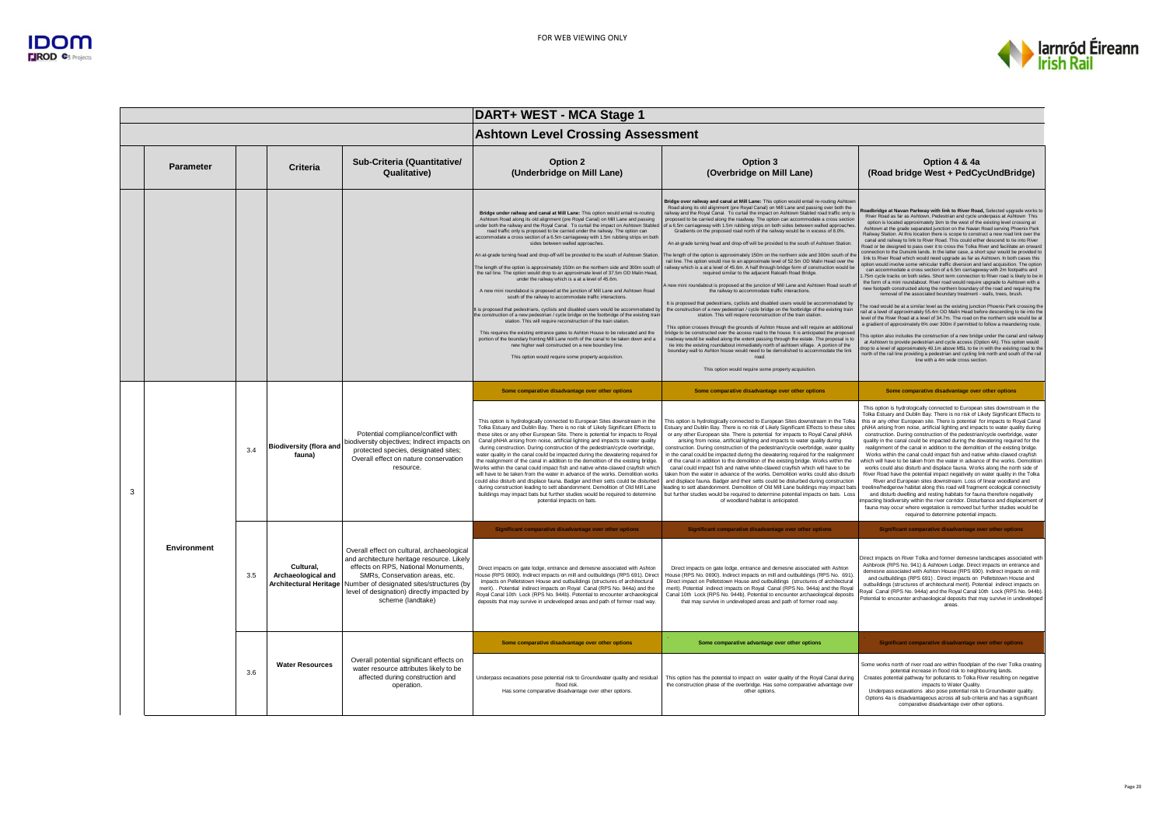

|   |                    |     |                                          |                                                                                                                                                                                                                                                                                                          | DART+ WEST - MCA Stage 1                                                                                                                                                                                                                                                                                                                                                                                                                                                                                                                                                                                                                                                                                                                                                                                                                                                                                                                                                                                                                                                                                                                                                                                                                                                                                                                                                                                                                                                                                 |                                                                                                                                                                                                                                                                                                                                                                                                                                                                                                                                                                                                                                                                                                                                                                                                                                                                                                                                                                                                                                                                                                                                                                                                                                                                                                                                                                                                                                                                                                                                                                                                                                                                                                                                                                                                                                                                                                                                           |                                                                                                                                                                                                                                                                                                                                                                                                                                                                                                                                                                                                                                                                                                                                                                                                                                                                                                                                                                                                                                                                                                                                                                                                                                                                                                                                                                                                                                                                                                                                                                                                                                                                                                                                                                                                                                                                                                                                                                                                                                                                                                          |  |
|---|--------------------|-----|------------------------------------------|----------------------------------------------------------------------------------------------------------------------------------------------------------------------------------------------------------------------------------------------------------------------------------------------------------|----------------------------------------------------------------------------------------------------------------------------------------------------------------------------------------------------------------------------------------------------------------------------------------------------------------------------------------------------------------------------------------------------------------------------------------------------------------------------------------------------------------------------------------------------------------------------------------------------------------------------------------------------------------------------------------------------------------------------------------------------------------------------------------------------------------------------------------------------------------------------------------------------------------------------------------------------------------------------------------------------------------------------------------------------------------------------------------------------------------------------------------------------------------------------------------------------------------------------------------------------------------------------------------------------------------------------------------------------------------------------------------------------------------------------------------------------------------------------------------------------------|-------------------------------------------------------------------------------------------------------------------------------------------------------------------------------------------------------------------------------------------------------------------------------------------------------------------------------------------------------------------------------------------------------------------------------------------------------------------------------------------------------------------------------------------------------------------------------------------------------------------------------------------------------------------------------------------------------------------------------------------------------------------------------------------------------------------------------------------------------------------------------------------------------------------------------------------------------------------------------------------------------------------------------------------------------------------------------------------------------------------------------------------------------------------------------------------------------------------------------------------------------------------------------------------------------------------------------------------------------------------------------------------------------------------------------------------------------------------------------------------------------------------------------------------------------------------------------------------------------------------------------------------------------------------------------------------------------------------------------------------------------------------------------------------------------------------------------------------------------------------------------------------------------------------------------------------|----------------------------------------------------------------------------------------------------------------------------------------------------------------------------------------------------------------------------------------------------------------------------------------------------------------------------------------------------------------------------------------------------------------------------------------------------------------------------------------------------------------------------------------------------------------------------------------------------------------------------------------------------------------------------------------------------------------------------------------------------------------------------------------------------------------------------------------------------------------------------------------------------------------------------------------------------------------------------------------------------------------------------------------------------------------------------------------------------------------------------------------------------------------------------------------------------------------------------------------------------------------------------------------------------------------------------------------------------------------------------------------------------------------------------------------------------------------------------------------------------------------------------------------------------------------------------------------------------------------------------------------------------------------------------------------------------------------------------------------------------------------------------------------------------------------------------------------------------------------------------------------------------------------------------------------------------------------------------------------------------------------------------------------------------------------------------------------------------------|--|
|   |                    |     |                                          |                                                                                                                                                                                                                                                                                                          | <b>Ashtown Level Crossing Assessment</b>                                                                                                                                                                                                                                                                                                                                                                                                                                                                                                                                                                                                                                                                                                                                                                                                                                                                                                                                                                                                                                                                                                                                                                                                                                                                                                                                                                                                                                                                 |                                                                                                                                                                                                                                                                                                                                                                                                                                                                                                                                                                                                                                                                                                                                                                                                                                                                                                                                                                                                                                                                                                                                                                                                                                                                                                                                                                                                                                                                                                                                                                                                                                                                                                                                                                                                                                                                                                                                           |                                                                                                                                                                                                                                                                                                                                                                                                                                                                                                                                                                                                                                                                                                                                                                                                                                                                                                                                                                                                                                                                                                                                                                                                                                                                                                                                                                                                                                                                                                                                                                                                                                                                                                                                                                                                                                                                                                                                                                                                                                                                                                          |  |
|   | Parameter          |     | Criteria                                 | Sub-Criteria (Quantitative/<br>Qualitative)                                                                                                                                                                                                                                                              | Option 2<br>(Underbridge on Mill Lane)                                                                                                                                                                                                                                                                                                                                                                                                                                                                                                                                                                                                                                                                                                                                                                                                                                                                                                                                                                                                                                                                                                                                                                                                                                                                                                                                                                                                                                                                   | Option 3<br>(Overbridge on Mill Lane)                                                                                                                                                                                                                                                                                                                                                                                                                                                                                                                                                                                                                                                                                                                                                                                                                                                                                                                                                                                                                                                                                                                                                                                                                                                                                                                                                                                                                                                                                                                                                                                                                                                                                                                                                                                                                                                                                                     | Option 4 & 4a<br>(Road bridge West + PedCycUndBridge)                                                                                                                                                                                                                                                                                                                                                                                                                                                                                                                                                                                                                                                                                                                                                                                                                                                                                                                                                                                                                                                                                                                                                                                                                                                                                                                                                                                                                                                                                                                                                                                                                                                                                                                                                                                                                                                                                                                                                                                                                                                    |  |
|   |                    |     |                                          |                                                                                                                                                                                                                                                                                                          | Bridge under railway and canal at Mill Lane: This option would entail re-routing<br>Ashtown Road along its old alignment (pre Royal Canal) on Mill Lane and passing<br>under both the railway and the Royal Canal. To curtail the impact on Ashtown Stable<br>road traffic only is proposed to be carried under the railway. The option can<br>accommodate a cross section of a 6.5m carriageway with 1.5m rubbing strips on both<br>sides between walled approaches.<br>An at-grade turning head and drop-off will be provided to the south of Ashtown Station.<br>The length of the option is approximately 150m on the northern side and 300m south o<br>the rail line. The option would drop to an approximate level of 37.5m OD Malin Head,<br>under the railway which is a at a level of 45.6m.<br>A new mini roundabout is proposed at the junction of Mill Lane and Ashtown Road<br>south of the railway to accommodate traffic interactions.<br>It is proposed that pedestrians, cyclists and disabled users would be accommodated b<br>the construction of a new pedestrian / cycle bridge on the footbridge of the existing trai<br>station. This will require reconstruction of the train station<br>This requires the existing entrance gates to Ashton House to be relocated and the<br>portion of the boundary fronting Mill Lane north of the canal to be taken down and a<br>new higher wall constructed on a new boundary line.<br>This option would require some property acquisition | Bridge over railway and canal at Mill Lane: This option would entail re-routing Ashtow<br>Road along its old alignment (pre Royal Canal) on Mill Lane and passing over both the<br>railway and the Royal Canal. To curtail the impact on Ashtown Stabled road traffic only is<br>proposed to be carried along the roadway. The option can accommodate a cross section<br>of a 6.5m carriageway with 1.5m rubbing strips on both sides between walled approaches<br>Gradients on the proposed road north of the railway would be in excess of 8.0%.<br>An at-grade turning head and drop-off will be provided to the south of Ashtown Station<br>The length of the option is approximately 150m on the northern side and 300m south of th<br>rail line. The option would rise to an approximate level of 52.5m OD Malin Head over the<br>railway which is a at a level of 45.6m. A half through bridge form of construction would be<br>required similar to the adiacent Ratoath Road Bridge.<br>A new mini roundabout is proposed at the junction of Mill Lane and Ashtown Road south o<br>the railway to accommodate traffic interactions.<br>It is proposed that pedestrians, cyclists and disabled users would be accommodated by<br>the construction of a new pedestrian / cycle bridge on the footbridge of the existing train<br>station. This will require reconstruction of the train station.<br>This option crosses through the grounds of Ashton House and will require an additional<br>bridge to be constructed over the access road to the house. It is anticipated the proposed<br>roadway would be walled along the extent passing through the estate. The proposal is to<br>tie into the existing roundabout immediately north of ashtown village. A portion of the<br>boundary wall to Ashton house would need to be demolished to accommodate the link<br>road<br>This option would require some property acquisition. | <b>Roadbridge at Navan Parkway with link to River Road, Selected upgrade works to</b><br>River Road as far as Ashtown, Pedestrian and cycle underpass at Ashtown This<br>option is located approximately 1km to the west of the existing level crossing at<br>Ashtown at the grade separated junction on the Navan Road serving Phoenix Park<br>Railway Station. At this location there is scope to construct a new road link over the<br>canal and railway to link to River Road. This could either descend to tie into River<br>Road or be designed to pass over it to cross the Tolka River and facilitate an onward<br>connection to the Dunsink lands. In the latter case, a short spur would be provided to<br>link to River Road which would need upgrade as far as Ashtown. In both cases this<br>potion would involve some vehicular traffic diversion and land acquisition. The option<br>can accommodate a cross section of a 6.5m carriageway with 2m footpaths and<br>75m cycle tracks on both sides. Short term connection to River mad is likely to be in<br>the form of a mini roundabout. River road would require upgrade to Ashtown with a<br>new footpath constructed along the northern boundary of the road and requiring the<br>removal of the associated boundary treatment - walls, trees, brush.<br>he road would be at a similar level as the existing junction Phoenix Park crossing the<br>ail at a level of approximately 55.4m OD Malin Head before descending to tie into the<br>evel of the River Road at a level of 34.7m. The road on the northern side would be at<br>a gradient of approximately 6% over 300m if permitted to follow a meandering route<br>his option also includes the construction of a new bridge under the canal and railwa'<br>at Ashtown to provide pedestrian and cycle access (Option 4A). This option would<br>frop to a level of approximately 40.1m above MSL to tie in with the existing road to the<br>north of the rail line providing a pedestrian and cycling link north and south of the rail<br>line with a 4m wide cross section |  |
|   |                    |     |                                          |                                                                                                                                                                                                                                                                                                          | Some comparative disadvantage over other options                                                                                                                                                                                                                                                                                                                                                                                                                                                                                                                                                                                                                                                                                                                                                                                                                                                                                                                                                                                                                                                                                                                                                                                                                                                                                                                                                                                                                                                         | Some comparative disadvantage over other options                                                                                                                                                                                                                                                                                                                                                                                                                                                                                                                                                                                                                                                                                                                                                                                                                                                                                                                                                                                                                                                                                                                                                                                                                                                                                                                                                                                                                                                                                                                                                                                                                                                                                                                                                                                                                                                                                          | Some comparative disadvantage over other options                                                                                                                                                                                                                                                                                                                                                                                                                                                                                                                                                                                                                                                                                                                                                                                                                                                                                                                                                                                                                                                                                                                                                                                                                                                                                                                                                                                                                                                                                                                                                                                                                                                                                                                                                                                                                                                                                                                                                                                                                                                         |  |
| 3 |                    | 3.4 | <b>Biodiversity (flora and</b><br>fauna) | Potential compliance/conflict with<br>biodiversity objectives; Indirect impacts on<br>protected species, designated sites;<br>Overall effect on nature conservation<br>resource.                                                                                                                         | This option is hydrologically connected to European Sites downstream in the<br>Tolka Estuary and Dublin Bay. There is no risk of Likely Significant Effects to<br>these sites or any other European Site. There is potential for impacts to Royal<br>Canal pNHA arising from noise, artificial lighting and impacts to water quality<br>during construction. During construction of the pedestrian/cycle overbridge,<br>water quality in the canal could be impacted during the dewatering required for<br>the realignment of the canal in addition to the demolition of the existing bridge.<br>Works within the canal could impact fish and native white-clawed cravfish which<br>will have to be taken from the water in advance of the works. Demolition works<br>could also disturb and displace fauna. Badger and their setts could be disturbed<br>during construction leading to sett abandonment. Demolition of Old Mill Lane<br>buildings may impact bats but further studies would be required to determine<br>potential impacts on bats.                                                                                                                                                                                                                                                                                                                                                                                                                                                     | This option is hydrologically connected to European Sites downstream in the Tolka<br>Estuary and Dublin Bay. There is no risk of Likely Significant Effects to these sites<br>or any other European site. There is potential for impacts to Royal Canal pNHA<br>arising from noise, artificial lighting and impacts to water quality during<br>construction. During construction of the pedestrian/cycle overbridge, water quality<br>in the canal could be impacted during the dewatering required for the realignment<br>of the canal in addition to the demolition of the existing bridge. Works within the<br>canal could impact fish and native white-clawed cravfish which will have to be<br>taken from the water in advance of the works. Demolition works could also disturb<br>and displace fauna. Badger and their setts could be disturbed during construction<br>leading to sett abandonment. Demolition of Old Mill Lane buildings may impact bats<br>but further studies would be required to determine potential impacts on bats. Loss<br>of woodland habitat is anticinated.                                                                                                                                                                                                                                                                                                                                                                                                                                                                                                                                                                                                                                                                                                                                                                                                                                             | This option is hydrologically connected to European sites downstream in the<br>Tolka Estuary and Dublin Bay. There is no risk of Likely Significant Effects to<br>this or any other European site. There is potential for impacts to Royal Canal<br>pNHA arising from noise, artificial lighting and impacts to water quality during<br>construction. During construction of the pedestrian/cycle overbridge, water<br>quality in the canal could be impacted during the dewatering required for the<br>realignment of the canal in addition to the demolition of the existing bridge.<br>Works within the canal could impact fish and native white-clawed crayfish<br>which will have to be taken from the water in advance of the works. Demolition<br>works could also disturb and displace fauna. Works along the north side of<br>River Road have the potential impact negatively on water quality in the Tolka<br>River and European sites downstream. Loss of linear woodland and<br>treeline/hedgerow habitat along this road will fragment ecological connectivity<br>and disturb dwelling and resting habitats for fauna therefore negatively<br>mpacting biodiversity within the river corridor. Disturbance and displacement of<br>fauna may occur where vegetation is removed but further studies would be<br>required to determine potential impacts.                                                                                                                                                                                                                                                                                                                                                                                                                                                                                                                                                                                                                                                                                                                                      |  |
|   |                    |     |                                          |                                                                                                                                                                                                                                                                                                          | Significant comparative disadvantage over other options                                                                                                                                                                                                                                                                                                                                                                                                                                                                                                                                                                                                                                                                                                                                                                                                                                                                                                                                                                                                                                                                                                                                                                                                                                                                                                                                                                                                                                                  | Significant comparative disadvantage over other options                                                                                                                                                                                                                                                                                                                                                                                                                                                                                                                                                                                                                                                                                                                                                                                                                                                                                                                                                                                                                                                                                                                                                                                                                                                                                                                                                                                                                                                                                                                                                                                                                                                                                                                                                                                                                                                                                   | Significant comparative disadvantage over other options                                                                                                                                                                                                                                                                                                                                                                                                                                                                                                                                                                                                                                                                                                                                                                                                                                                                                                                                                                                                                                                                                                                                                                                                                                                                                                                                                                                                                                                                                                                                                                                                                                                                                                                                                                                                                                                                                                                                                                                                                                                  |  |
|   | <b>Environment</b> | 3.5 | Cultural.<br>Archaeological and          | Overall effect on cultural, archaeological<br>and architecture heritage resource. Likely<br>effects on RPS. National Monuments.<br>SMRs. Conservation areas, etc.<br>Architectural Heritage Number of designated sites/structures (by<br>level of designation) directly impacted by<br>scheme (landtake) | Direct impacts on gate lodge, entrance and demesne associated with Ashton<br>House (RPS 0690). Indirect impacts on mill and outbuildings (RPS 691). Direct<br>impacts on Pelletstown House and outbuildings (structures of architectural<br>merit). . Potential indirect impacts on Royal Canal (RPS No. 944a) and the<br>Royal Canal 10th Lock (RPS No. 944b). Potential to encounter archaeological<br>deposits that may survive in undeveloped areas and path of former road way.                                                                                                                                                                                                                                                                                                                                                                                                                                                                                                                                                                                                                                                                                                                                                                                                                                                                                                                                                                                                                     | Direct impacts on gate lodge, entrance and demesne associated with Ashton<br>House (RPS No. 0690). Indirect impacts on mill and outbuildings (RPS No. 691).<br>Direct impact on Pelletstown House and outbuildings (structures of architectural<br>merit). Potential indirect impacts on Royal Canal (RPS No. 944a) and the Royal<br>Canal 10th Lock (RPS No. 944b). Potential to encounter archaeological deposits<br>that may survive in undeveloped areas and path of former road way.                                                                                                                                                                                                                                                                                                                                                                                                                                                                                                                                                                                                                                                                                                                                                                                                                                                                                                                                                                                                                                                                                                                                                                                                                                                                                                                                                                                                                                                 | Direct impacts on River Tolka and former demesne landscapes associated with<br>Ashbrook (RPS No. 941) & Ashtown Lodge. Direct impacts on entrance and<br>demesne associated with Ashton House (RPS 690), Indirect impacts on mill<br>and outbuildings (RPS 691). Direct impacts on Pelletstown House and<br>outbuildings (structures of architectural merit). Potential indirect impacts on<br>Royal Canal (RPS No. 944a) and the Royal Canal 10th Lock (RPS No. 944b).<br>Potential to encounter archaeological deposits that may survive in undeveloped<br>areas.                                                                                                                                                                                                                                                                                                                                                                                                                                                                                                                                                                                                                                                                                                                                                                                                                                                                                                                                                                                                                                                                                                                                                                                                                                                                                                                                                                                                                                                                                                                                      |  |
|   |                    |     |                                          |                                                                                                                                                                                                                                                                                                          | Some comparative disadvantage over other options                                                                                                                                                                                                                                                                                                                                                                                                                                                                                                                                                                                                                                                                                                                                                                                                                                                                                                                                                                                                                                                                                                                                                                                                                                                                                                                                                                                                                                                         | Some comparative advantage over other options                                                                                                                                                                                                                                                                                                                                                                                                                                                                                                                                                                                                                                                                                                                                                                                                                                                                                                                                                                                                                                                                                                                                                                                                                                                                                                                                                                                                                                                                                                                                                                                                                                                                                                                                                                                                                                                                                             | Significant comparative disadvantage over other options                                                                                                                                                                                                                                                                                                                                                                                                                                                                                                                                                                                                                                                                                                                                                                                                                                                                                                                                                                                                                                                                                                                                                                                                                                                                                                                                                                                                                                                                                                                                                                                                                                                                                                                                                                                                                                                                                                                                                                                                                                                  |  |
|   |                    | 3.6 | <b>Water Resources</b>                   | Overall potential significant effects on<br>water resource attributes likely to be<br>affected during construction and<br>operation.                                                                                                                                                                     | Underpass excavations pose potential risk to Groundwater quality and residual<br>flood risk.<br>Has some comparative disadvantage over other options                                                                                                                                                                                                                                                                                                                                                                                                                                                                                                                                                                                                                                                                                                                                                                                                                                                                                                                                                                                                                                                                                                                                                                                                                                                                                                                                                     | This option has the potential to impact on water quality of the Royal Canal during<br>the construction phase of the overbridge. Has some comparative advantage over<br>other options.                                                                                                                                                                                                                                                                                                                                                                                                                                                                                                                                                                                                                                                                                                                                                                                                                                                                                                                                                                                                                                                                                                                                                                                                                                                                                                                                                                                                                                                                                                                                                                                                                                                                                                                                                     | Some works north of river road are within floodplain of the river Tolka creating<br>potential increase in flood risk to neighbouring lands.<br>Creates potential pathway for pollutants to Tolka River resulting on negative<br>impacts to Water Quality.<br>Underpass excavations also pose potential risk to Groundwater quality.<br>Options 4a is disadvantageous across all sub-criteria and has a significant<br>comparative disadvantage over other options.                                                                                                                                                                                                                                                                                                                                                                                                                                                                                                                                                                                                                                                                                                                                                                                                                                                                                                                                                                                                                                                                                                                                                                                                                                                                                                                                                                                                                                                                                                                                                                                                                                       |  |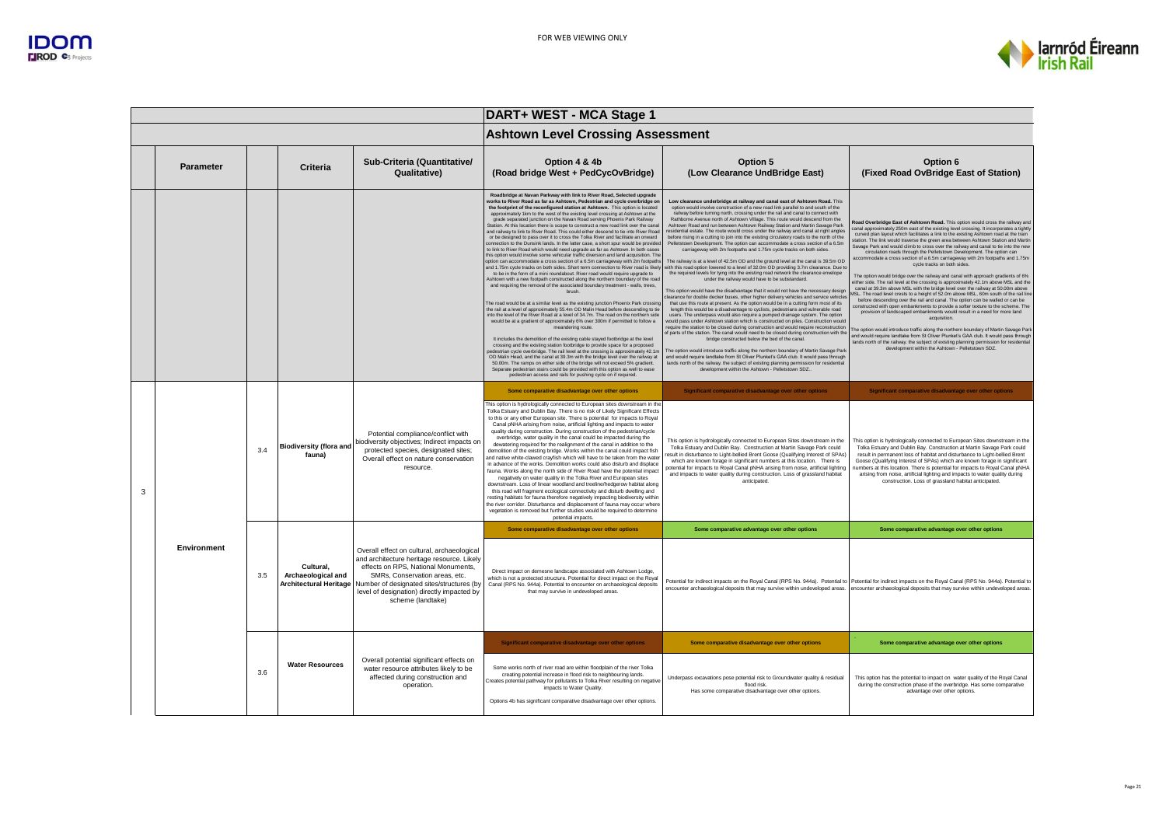

|   |                  |     |                                                                  |                                                                                                                                                                                                                                                                                   | DART+ WEST - MCA Stage 1                                                                                                                                                                                                                                                                                                                                                                                                                                                                                                                                                                                                                                                                                                                                                                                                                                                                                                                                                                                                                                                                                                                                                                                                                                                                                                                                                                                                                                                                                                                                                                                                                                                                                                                                                                                                                                                                                                                                                                                                                                                                                                                                                                                                                                                                                                         |                                                                                                                                                                                                                                                                                                                                                                                                                                                                                                                                                                                                                                                                                                                                                                                                                                                                                                                                                                                                                                                                                                                                                                                                                                                                                                                                                                                                                                                                                                                                                                                                                                                                                                                                                                                                                                                                                                                                                                                                                                                                                                                                                                                              |                                                                                                                                                                                                                                                                                                                                                                                                                                                                                                                                                                                                                                                                                                                                                                                                                                                                                                                                                                                                                                                                                                                                                                                                                                                                                                                                                                                                                                                                                                                                                                                                 |  |
|---|------------------|-----|------------------------------------------------------------------|-----------------------------------------------------------------------------------------------------------------------------------------------------------------------------------------------------------------------------------------------------------------------------------|----------------------------------------------------------------------------------------------------------------------------------------------------------------------------------------------------------------------------------------------------------------------------------------------------------------------------------------------------------------------------------------------------------------------------------------------------------------------------------------------------------------------------------------------------------------------------------------------------------------------------------------------------------------------------------------------------------------------------------------------------------------------------------------------------------------------------------------------------------------------------------------------------------------------------------------------------------------------------------------------------------------------------------------------------------------------------------------------------------------------------------------------------------------------------------------------------------------------------------------------------------------------------------------------------------------------------------------------------------------------------------------------------------------------------------------------------------------------------------------------------------------------------------------------------------------------------------------------------------------------------------------------------------------------------------------------------------------------------------------------------------------------------------------------------------------------------------------------------------------------------------------------------------------------------------------------------------------------------------------------------------------------------------------------------------------------------------------------------------------------------------------------------------------------------------------------------------------------------------------------------------------------------------------------------------------------------------|----------------------------------------------------------------------------------------------------------------------------------------------------------------------------------------------------------------------------------------------------------------------------------------------------------------------------------------------------------------------------------------------------------------------------------------------------------------------------------------------------------------------------------------------------------------------------------------------------------------------------------------------------------------------------------------------------------------------------------------------------------------------------------------------------------------------------------------------------------------------------------------------------------------------------------------------------------------------------------------------------------------------------------------------------------------------------------------------------------------------------------------------------------------------------------------------------------------------------------------------------------------------------------------------------------------------------------------------------------------------------------------------------------------------------------------------------------------------------------------------------------------------------------------------------------------------------------------------------------------------------------------------------------------------------------------------------------------------------------------------------------------------------------------------------------------------------------------------------------------------------------------------------------------------------------------------------------------------------------------------------------------------------------------------------------------------------------------------------------------------------------------------------------------------------------------------|-------------------------------------------------------------------------------------------------------------------------------------------------------------------------------------------------------------------------------------------------------------------------------------------------------------------------------------------------------------------------------------------------------------------------------------------------------------------------------------------------------------------------------------------------------------------------------------------------------------------------------------------------------------------------------------------------------------------------------------------------------------------------------------------------------------------------------------------------------------------------------------------------------------------------------------------------------------------------------------------------------------------------------------------------------------------------------------------------------------------------------------------------------------------------------------------------------------------------------------------------------------------------------------------------------------------------------------------------------------------------------------------------------------------------------------------------------------------------------------------------------------------------------------------------------------------------------------------------|--|
|   |                  |     |                                                                  |                                                                                                                                                                                                                                                                                   | <b>Ashtown Level Crossing Assessment</b>                                                                                                                                                                                                                                                                                                                                                                                                                                                                                                                                                                                                                                                                                                                                                                                                                                                                                                                                                                                                                                                                                                                                                                                                                                                                                                                                                                                                                                                                                                                                                                                                                                                                                                                                                                                                                                                                                                                                                                                                                                                                                                                                                                                                                                                                                         |                                                                                                                                                                                                                                                                                                                                                                                                                                                                                                                                                                                                                                                                                                                                                                                                                                                                                                                                                                                                                                                                                                                                                                                                                                                                                                                                                                                                                                                                                                                                                                                                                                                                                                                                                                                                                                                                                                                                                                                                                                                                                                                                                                                              |                                                                                                                                                                                                                                                                                                                                                                                                                                                                                                                                                                                                                                                                                                                                                                                                                                                                                                                                                                                                                                                                                                                                                                                                                                                                                                                                                                                                                                                                                                                                                                                                 |  |
|   | <b>Parameter</b> |     | Criteria                                                         | Sub-Criteria (Quantitative/<br>Qualitative)                                                                                                                                                                                                                                       | Option 4 & 4b<br>(Road bridge West + PedCycOvBridge)                                                                                                                                                                                                                                                                                                                                                                                                                                                                                                                                                                                                                                                                                                                                                                                                                                                                                                                                                                                                                                                                                                                                                                                                                                                                                                                                                                                                                                                                                                                                                                                                                                                                                                                                                                                                                                                                                                                                                                                                                                                                                                                                                                                                                                                                             | Option 5<br>(Low Clearance UndBridge East)                                                                                                                                                                                                                                                                                                                                                                                                                                                                                                                                                                                                                                                                                                                                                                                                                                                                                                                                                                                                                                                                                                                                                                                                                                                                                                                                                                                                                                                                                                                                                                                                                                                                                                                                                                                                                                                                                                                                                                                                                                                                                                                                                   | Option 6<br>(Fixed Road OvBridge East of Station)                                                                                                                                                                                                                                                                                                                                                                                                                                                                                                                                                                                                                                                                                                                                                                                                                                                                                                                                                                                                                                                                                                                                                                                                                                                                                                                                                                                                                                                                                                                                               |  |
|   |                  |     |                                                                  |                                                                                                                                                                                                                                                                                   | Roadbridge at Navan Parkway with link to River Road, Selected upgrade<br>works to River Road as far as Ashtown. Pedestrian and cycle overbridge on<br>the footprint of the reconfigured station at Ashtown. This option is located<br>approximately 1km to the west of the existing level crossing at Ashtown at the<br>grade separated junction on the Navan Road serving Phoenix Park Railway<br>Station. At this location there is scope to construct a new road link over the canal<br>and railway to link to River Road. This could either descend to tie into River Road<br>or be designed to pass over it to cross the Tolka River and facilitate an onward<br>connection to the Dunsink lands. In the latter case, a short spur would be provided<br>to link to River Road which would need upgrade as far as Ashtown. In both cases<br>this option would involve some vehicular traffic diversion and land acquisition. The<br>option can accommodate a cross section of a 6.5m carriageway with 2m footpaths<br>and 1.75m cycle tracks on both sides. Short term connection to River road is likely<br>to be in the form of a mini roundabout. River road would require upgrade to<br>Ashtown with a new footpath constructed along the northern boundary of the road<br>and requiring the removal of the associated boundary treatment - walls, trees,<br>brush.<br>The road would be at a similar level as the existing junction Phoenix Park crossing<br>the rail at a level of approximately 55.4m OD Malin Head before descending to tie<br>into the level of the River Road at a level of 34.7m. The road on the northern side<br>would be at a gradient of approximately 6% over 300m if permitted to follow a<br>meandering route.<br>It includes the demolition of the existing cable stayed footbridge at the level<br>crossing and the existing station footbridge to provide space for a proposed<br>edestrian cycle overbridge. The rail level at the crossing is approximately 42.1m<br>OD Malin Head, and the canal at 39.3m with the bridge level over the railway at<br>50,00m. The ramps on either side of the bridge will not exceed 5% gradient.<br>Separate pedestrian stairs could be provided with this option as well to ease<br>pedestrian access and rails for pushing cycle on if required. | Low clearance underbridge at railway and canal east of Ashtown Road. This<br>option would involve construction of a new road link parallel to and south of the<br>railway before turning north, crossing under the rail and canal to connect with<br>Rathborne Avenue north of Ashtown Village. This route would descend from the<br>Ashtown Road and run between Ashtown Railway Station and Martin Savage Park<br>residential estate. The route would cross under the railway and canal at right angles<br>before rising in a cutting to join into the existing circulatory roads to the north of the<br>Pelletstown Development. The option can accommodate a cross section of a 6.5m<br>carriageway with 2m footpaths and 1.75m cycle tracks on both sides.<br>The railway is at a level of 42.5m OD and the ground level at the canal is 39.5m OD<br>rith this road option lowered to a level of 32.0m OD providing 3.7m clearance. Due to<br>the required levels for tying into the existing road network the clearance envelope<br>under the railway would have to be substandard.<br>This option would have the disadvantage that it would not have the necessary design<br>learance for double decker buses, other higher delivery vehicles and service vehicle<br>that use this route at present. As the option would be in a cutting form most of its<br>length this would be a disadvantage to cyclists, pedestrians and vulnerable road<br>users. The underpass would also require a pumped drainage system. The option<br>would pass under Ashtown station which is constructed on piles. Construction would<br>equire the station to be closed during construction and would require reconstruction<br>f parts of the station. The canal would need to be closed during construction with the<br>bridge constructed below the bed of the canal<br>The option would introduce traffic along the northern boundary of Martin Savage Park<br>and would require landtake from St Oliver Plunket's GAA club, It would pass through<br>lands north of the railway, the subject of existing planning permission for residential<br>development within the Ashtown - Pelletstown SDZ. | load Overbridge East of Ashtown Road. This option would cross the railway and<br>canal approximately 250m east of the existing level crossing. It incorporates a tightly<br>curved plan layout which facilitates a link to the existing Ashtown road at the train<br>station. The link would traverse the green area between Ashtown Station and Martin<br>Savage Park and would climb to cross over the railway and canal to tie into the new<br>circulation roads through the Pelletstown Development. The option can<br>accommodate a cross section of a 6.5m carriageway with 2m footpaths and 1.75m<br>cycle tracks on both sides.<br>The option would bridge over the railway and canal with approach gradients of 6%<br>either side. The rail level at the crossing is approximately 42.1m above MSL and the<br>canal at 39.3m above MSL with the bridge level over the railway at 50.00m above<br>MSL. The road level crests to a height of 52.0m above MSL, 60m south of the rail line<br>before descending over the rail and canal. The option can be walled or can be<br>constructed with open embankments to provide a softer texture to the scheme. The<br>provision of landscaped embankments would result in a need for more land<br>acquisition.<br>The option would introduce traffic along the northern boundary of Martin Savage Park<br>and would require landtake from St Oliver Plunket's GAA club, It would pass through<br>lands north of the railway, the subject of existing planning permission for residential<br>development within the Ashtown - Pelletstown SDZ. |  |
|   |                  |     |                                                                  |                                                                                                                                                                                                                                                                                   | Some comparative disadvantage over other options                                                                                                                                                                                                                                                                                                                                                                                                                                                                                                                                                                                                                                                                                                                                                                                                                                                                                                                                                                                                                                                                                                                                                                                                                                                                                                                                                                                                                                                                                                                                                                                                                                                                                                                                                                                                                                                                                                                                                                                                                                                                                                                                                                                                                                                                                 | Significant comparative disadvantage over other options                                                                                                                                                                                                                                                                                                                                                                                                                                                                                                                                                                                                                                                                                                                                                                                                                                                                                                                                                                                                                                                                                                                                                                                                                                                                                                                                                                                                                                                                                                                                                                                                                                                                                                                                                                                                                                                                                                                                                                                                                                                                                                                                      | Significant comparative disadvantage over other options                                                                                                                                                                                                                                                                                                                                                                                                                                                                                                                                                                                                                                                                                                                                                                                                                                                                                                                                                                                                                                                                                                                                                                                                                                                                                                                                                                                                                                                                                                                                         |  |
| 3 |                  | 3.4 | <b>Biodiversity (flora and</b><br>fauna)                         | Potential compliance/conflict with<br>biodiversity objectives; Indirect impacts on<br>protected species, designated sites;<br>Overall effect on nature conservation<br>resource.                                                                                                  | This option is hydrologically connected to European sites downstream in the<br>Tolka Estuary and Dublin Bay. There is no risk of Likely Significant Effects<br>to this or any other European site. There is potential for impacts to Royal<br>Canal pNHA arising from noise, artificial lighting and impacts to water<br>quality during construction. During construction of the pedestrian/cycle<br>overbridge, water quality in the canal could be impacted during the<br>dewatering required for the realignment of the canal in addition to the<br>demolition of the existing bridge. Works within the canal could impact fish<br>and native white-clawed crayfish which will have to be taken from the water<br>in advance of the works. Demolition works could also disturb and displace<br>fauna. Works along the north side of River Road have the potential impact<br>negatively on water quality in the Tolka River and European sites<br>downstream. Loss of linear woodland and treeline/hedgerow habitat along<br>this road will fragment ecological connectivity and disturb dwelling and<br>resting habitats for fauna therefore negatively impacting biodiversity within<br>the river corridor. Disturbance and displacement of fauna may occur where<br>vegetation is removed but further studies would be required to determine<br>potential impacts.                                                                                                                                                                                                                                                                                                                                                                                                                                                                                                                                                                                                                                                                                                                                                                                                                                                                                                                                                          | This option is hydrologically connected to European Sites downstream in the<br>Tolka Estuary and Dublin Bay. Construction at Martin Savage Park could<br>esult in disturbance to Light-bellied Brent Goose (Qualifying Interest of SPAs)<br>which are known forage in significant numbers at this location. There is<br>ootential for impacts to Royal Canal pNHA arising from noise, artificial lighting<br>and impacts to water quality during construction. Loss of grassland habitat<br>anticipated.                                                                                                                                                                                                                                                                                                                                                                                                                                                                                                                                                                                                                                                                                                                                                                                                                                                                                                                                                                                                                                                                                                                                                                                                                                                                                                                                                                                                                                                                                                                                                                                                                                                                                     | This option is hydrologically connected to European Sites downstream in the<br>Tolka Estuary and Dublin Bay. Construction at Martin Savage Park could<br>result in permanent loss of habitat and disturbance to Light-bellied Brent<br>Goose (Qualifying Interest of SPAs) which are known forage in significant<br>numbers at this location. There is potential for impacts to Royal Canal pNHA<br>arising from noise, artificial lighting and impacts to water quality during<br>construction. Loss of grassland habitat anticipated.                                                                                                                                                                                                                                                                                                                                                                                                                                                                                                                                                                                                                                                                                                                                                                                                                                                                                                                                                                                                                                                         |  |
|   |                  |     |                                                                  |                                                                                                                                                                                                                                                                                   | Some comparative disadvantage over other options                                                                                                                                                                                                                                                                                                                                                                                                                                                                                                                                                                                                                                                                                                                                                                                                                                                                                                                                                                                                                                                                                                                                                                                                                                                                                                                                                                                                                                                                                                                                                                                                                                                                                                                                                                                                                                                                                                                                                                                                                                                                                                                                                                                                                                                                                 | Some comparative advantage over other options                                                                                                                                                                                                                                                                                                                                                                                                                                                                                                                                                                                                                                                                                                                                                                                                                                                                                                                                                                                                                                                                                                                                                                                                                                                                                                                                                                                                                                                                                                                                                                                                                                                                                                                                                                                                                                                                                                                                                                                                                                                                                                                                                | Some comparative advantage over other options                                                                                                                                                                                                                                                                                                                                                                                                                                                                                                                                                                                                                                                                                                                                                                                                                                                                                                                                                                                                                                                                                                                                                                                                                                                                                                                                                                                                                                                                                                                                                   |  |
|   | Environment      | 3.5 | Cultural,<br>Archaeological and<br><b>Architectural Heritage</b> | Overall effect on cultural, archaeological<br>and architecture heritage resource. Likely<br>effects on RPS, National Monuments,<br>SMRs, Conservation areas, etc.<br>Number of designated sites/structures (by<br>level of designation) directly impacted by<br>scheme (landtake) | Direct impact on demesne landscape associated with Ashtown Lodge,<br>which is not a protected structure. Potential for direct impact on the Royal<br>Canal (RPS No. 944a). Potential to encounter on archaeological deposits<br>that may survive in undeveloped areas.                                                                                                                                                                                                                                                                                                                                                                                                                                                                                                                                                                                                                                                                                                                                                                                                                                                                                                                                                                                                                                                                                                                                                                                                                                                                                                                                                                                                                                                                                                                                                                                                                                                                                                                                                                                                                                                                                                                                                                                                                                                           |                                                                                                                                                                                                                                                                                                                                                                                                                                                                                                                                                                                                                                                                                                                                                                                                                                                                                                                                                                                                                                                                                                                                                                                                                                                                                                                                                                                                                                                                                                                                                                                                                                                                                                                                                                                                                                                                                                                                                                                                                                                                                                                                                                                              | Potential for indirect impacts on the Royal Canal (RPS No. 944a). Potential to Potential for indirect impacts on the Royal Canal (RPS No. 944a). Potential to<br>ancounter archaeological deposits that may survive within undeveloped areas. encounter archaeological deposits that may survive within undeveloped areas.                                                                                                                                                                                                                                                                                                                                                                                                                                                                                                                                                                                                                                                                                                                                                                                                                                                                                                                                                                                                                                                                                                                                                                                                                                                                      |  |
|   |                  |     |                                                                  |                                                                                                                                                                                                                                                                                   | Significant comparative disadvantage over other options                                                                                                                                                                                                                                                                                                                                                                                                                                                                                                                                                                                                                                                                                                                                                                                                                                                                                                                                                                                                                                                                                                                                                                                                                                                                                                                                                                                                                                                                                                                                                                                                                                                                                                                                                                                                                                                                                                                                                                                                                                                                                                                                                                                                                                                                          | Some comparative disadvantage over other options                                                                                                                                                                                                                                                                                                                                                                                                                                                                                                                                                                                                                                                                                                                                                                                                                                                                                                                                                                                                                                                                                                                                                                                                                                                                                                                                                                                                                                                                                                                                                                                                                                                                                                                                                                                                                                                                                                                                                                                                                                                                                                                                             | Some comparative advantage over other options                                                                                                                                                                                                                                                                                                                                                                                                                                                                                                                                                                                                                                                                                                                                                                                                                                                                                                                                                                                                                                                                                                                                                                                                                                                                                                                                                                                                                                                                                                                                                   |  |
|   |                  | 3.6 | <b>Water Resources</b>                                           | Overall potential significant effects on<br>water resource attributes likely to be<br>affected during construction and<br>operation.                                                                                                                                              | Some works north of river road are within floodplain of the river Tolka<br>creating potential increase in flood risk to neighbouring lands.<br>Creates potential pathway for pollutants to Tolka River resulting on negative<br>impacts to Water Quality<br>Options 4b has significant comparative disadvantage over other options.                                                                                                                                                                                                                                                                                                                                                                                                                                                                                                                                                                                                                                                                                                                                                                                                                                                                                                                                                                                                                                                                                                                                                                                                                                                                                                                                                                                                                                                                                                                                                                                                                                                                                                                                                                                                                                                                                                                                                                                              | Underpass excavations pose potential risk to Groundwater quality & residual<br>flood risk<br>Has some comparative disadvantage over other options.                                                                                                                                                                                                                                                                                                                                                                                                                                                                                                                                                                                                                                                                                                                                                                                                                                                                                                                                                                                                                                                                                                                                                                                                                                                                                                                                                                                                                                                                                                                                                                                                                                                                                                                                                                                                                                                                                                                                                                                                                                           | This option has the potential to impact on water quality of the Royal Canal<br>during the construction phase of the overbridge. Has some comparative<br>advantage over other options.                                                                                                                                                                                                                                                                                                                                                                                                                                                                                                                                                                                                                                                                                                                                                                                                                                                                                                                                                                                                                                                                                                                                                                                                                                                                                                                                                                                                           |  |
|   |                  |     |                                                                  |                                                                                                                                                                                                                                                                                   |                                                                                                                                                                                                                                                                                                                                                                                                                                                                                                                                                                                                                                                                                                                                                                                                                                                                                                                                                                                                                                                                                                                                                                                                                                                                                                                                                                                                                                                                                                                                                                                                                                                                                                                                                                                                                                                                                                                                                                                                                                                                                                                                                                                                                                                                                                                                  |                                                                                                                                                                                                                                                                                                                                                                                                                                                                                                                                                                                                                                                                                                                                                                                                                                                                                                                                                                                                                                                                                                                                                                                                                                                                                                                                                                                                                                                                                                                                                                                                                                                                                                                                                                                                                                                                                                                                                                                                                                                                                                                                                                                              |                                                                                                                                                                                                                                                                                                                                                                                                                                                                                                                                                                                                                                                                                                                                                                                                                                                                                                                                                                                                                                                                                                                                                                                                                                                                                                                                                                                                                                                                                                                                                                                                 |  |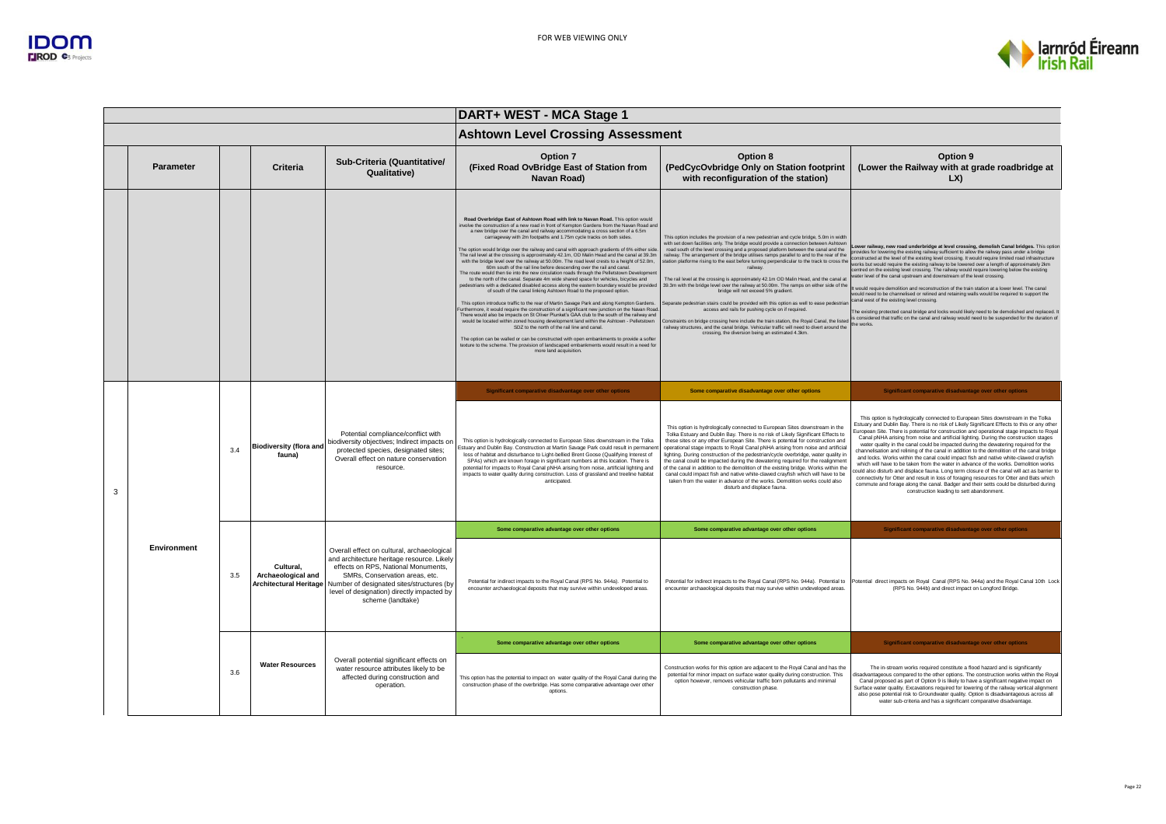

| DART+ WEST - MCA Stage 1                                                                                                                                                                                                                                                                                                                                                                                                                                                                                                                                                                                                                                                                                                                                                                                                                                                                                                                                                                                                                                                                                                                                                                                                                                                                                                                                                                                                                                                                                                                                                                                                                                                                                                                                                                                                                                                                                                                                                                                 |  |  |  |
|----------------------------------------------------------------------------------------------------------------------------------------------------------------------------------------------------------------------------------------------------------------------------------------------------------------------------------------------------------------------------------------------------------------------------------------------------------------------------------------------------------------------------------------------------------------------------------------------------------------------------------------------------------------------------------------------------------------------------------------------------------------------------------------------------------------------------------------------------------------------------------------------------------------------------------------------------------------------------------------------------------------------------------------------------------------------------------------------------------------------------------------------------------------------------------------------------------------------------------------------------------------------------------------------------------------------------------------------------------------------------------------------------------------------------------------------------------------------------------------------------------------------------------------------------------------------------------------------------------------------------------------------------------------------------------------------------------------------------------------------------------------------------------------------------------------------------------------------------------------------------------------------------------------------------------------------------------------------------------------------------------|--|--|--|
|                                                                                                                                                                                                                                                                                                                                                                                                                                                                                                                                                                                                                                                                                                                                                                                                                                                                                                                                                                                                                                                                                                                                                                                                                                                                                                                                                                                                                                                                                                                                                                                                                                                                                                                                                                                                                                                                                                                                                                                                          |  |  |  |
| Option 9<br>(PedCycOvbridge Only on Station footprint<br>(Lower the Railway with at grade roadbridge at<br>LX                                                                                                                                                                                                                                                                                                                                                                                                                                                                                                                                                                                                                                                                                                                                                                                                                                                                                                                                                                                                                                                                                                                                                                                                                                                                                                                                                                                                                                                                                                                                                                                                                                                                                                                                                                                                                                                                                            |  |  |  |
| This option includes the provision of a new pedestrian and cycle bridge, 5.0m in width<br>vith set down facilities only. The bridge would provide a connection between Ashtown<br>Lower railway, new road underbridge at level crossing, demolish Canal bridges. This option<br>road south of the level crossing and a proposed platform between the canal and the<br>provides for lowering the existing railway sufficient to allow the railway pass under a bridge<br>railway. The arrangement of the bridge utilises ramps parallel to and to the rear of the<br>constructed at the level of the existing level crossing, It would require limited road infrastructure<br>station platforme rising to the east before turning perpendicular to the track to cross the<br>works but would require the existing railway to be lowered over a length of approximately 2km<br>centred on the existing level crossing. The railway would require lowering below the existing<br>water level of the canal upstream and downstream of the level crossing.<br>The rail level at the crossing is approximately 42.1m OD Malin Head, and the canal at<br>39.3m with the bridge level over the railway at 50.00m. The ramps on either side of the<br>t would require demolition and reconstruction of the train station at a lower level. The canal<br>would need to be channelised or relined and retaining walls would be required to support the<br>anal west of the existing level crossing.<br>Separate pedestrian stairs could be provided with this option as well to ease pedestriar<br>The existing protected canal bridge and locks would likely need to be demolished and replaced. I<br>is considered that traffic on the canal and railway would need to be suspended for the duration of<br>Constraints on bridge crossing here include the train station, the Royal Canal, the listed<br>the works.<br>railway structures, and the canal bridge. Vehicular traffic will need to divert around the |  |  |  |
| Significant comparative disadvantage over other options                                                                                                                                                                                                                                                                                                                                                                                                                                                                                                                                                                                                                                                                                                                                                                                                                                                                                                                                                                                                                                                                                                                                                                                                                                                                                                                                                                                                                                                                                                                                                                                                                                                                                                                                                                                                                                                                                                                                                  |  |  |  |
| This option is hydrologically connected to European Sites downstream in the Tolka<br>Estuary and Dublin Bay. There is no risk of Likely Significant Effects to this or any other<br>This option is hydrologically connected to European Sites downstream in the<br>European Site. There is potential for construction and operational stage impacts to Royal<br>Tolka Estuary and Dublin Bay. There is no risk of Likely Significant Effects to<br>Canal pNHA arising from noise and artificial lighting. During the construction stages<br>these sites or any other European Site. There is potential for construction and<br>water quality in the canal could be impacted during the dewatering required for the<br>operational stage impacts to Royal Canal pNHA arising from noise and artificial<br>channelisation and relining of the canal in addition to the demolition of the canal bridge<br>lighting. During construction of the pedestrian/cycle overbridge, water quality in<br>and locks. Works within the canal could impact fish and native white-clawed crayfish<br>the canal could be impacted during the dewatering required for the realignment<br>which will have to be taken from the water in advance of the works. Demolition works<br>of the canal in addition to the demolition of the existing bridge. Works within the<br>could also disturb and displace fauna. Long term closure of the canal will act as barrier to<br>canal could impact fish and native white-clawed crayfish which will have to be<br>connectivity for Otter and result in loss of foraging resources for Otter and Bats which<br>taken from the water in advance of the works. Demolition works could also<br>commute and forage along the canal. Badger and their setts could be disturbed during<br>construction leading to sett abandonment.                                                                                                                                                       |  |  |  |
| Significant comparative disadvantage over other options                                                                                                                                                                                                                                                                                                                                                                                                                                                                                                                                                                                                                                                                                                                                                                                                                                                                                                                                                                                                                                                                                                                                                                                                                                                                                                                                                                                                                                                                                                                                                                                                                                                                                                                                                                                                                                                                                                                                                  |  |  |  |
| Potential for indirect impacts to the Royal Canal (RPS No. 944a). Potential to<br>Potential direct impacts on Royal Canal (RPS No. 944a) and the Royal Canal 10th Lock<br>encounter archaeological deposits that may survive within undeveloped areas.<br>(RPS No. 944b) and direct impact on Longford Bridge.                                                                                                                                                                                                                                                                                                                                                                                                                                                                                                                                                                                                                                                                                                                                                                                                                                                                                                                                                                                                                                                                                                                                                                                                                                                                                                                                                                                                                                                                                                                                                                                                                                                                                           |  |  |  |
| Significant comparative disadvantage over other options                                                                                                                                                                                                                                                                                                                                                                                                                                                                                                                                                                                                                                                                                                                                                                                                                                                                                                                                                                                                                                                                                                                                                                                                                                                                                                                                                                                                                                                                                                                                                                                                                                                                                                                                                                                                                                                                                                                                                  |  |  |  |
| Construction works for this option are adjacent to the Royal Canal and has the<br>The in-stream works required constitute a flood hazard and is significantly<br>disadvantageous compared to the other options. The construction works within the Roya<br>potential for minor impact on surface water quality during construction. This<br>Canal proposed as part of Option 9 is likely to have a significant negative impact on<br>Surface water quality. Excavations required for lowering of the railway vertical alignment<br>also pose potential risk to Groundwater quality. Option is disadvantageous across all<br>water sub-criteria and has a significant comparative disadvantage.                                                                                                                                                                                                                                                                                                                                                                                                                                                                                                                                                                                                                                                                                                                                                                                                                                                                                                                                                                                                                                                                                                                                                                                                                                                                                                            |  |  |  |
|                                                                                                                                                                                                                                                                                                                                                                                                                                                                                                                                                                                                                                                                                                                                                                                                                                                                                                                                                                                                                                                                                                                                                                                                                                                                                                                                                                                                                                                                                                                                                                                                                                                                                                                                                                                                                                                                                                                                                                                                          |  |  |  |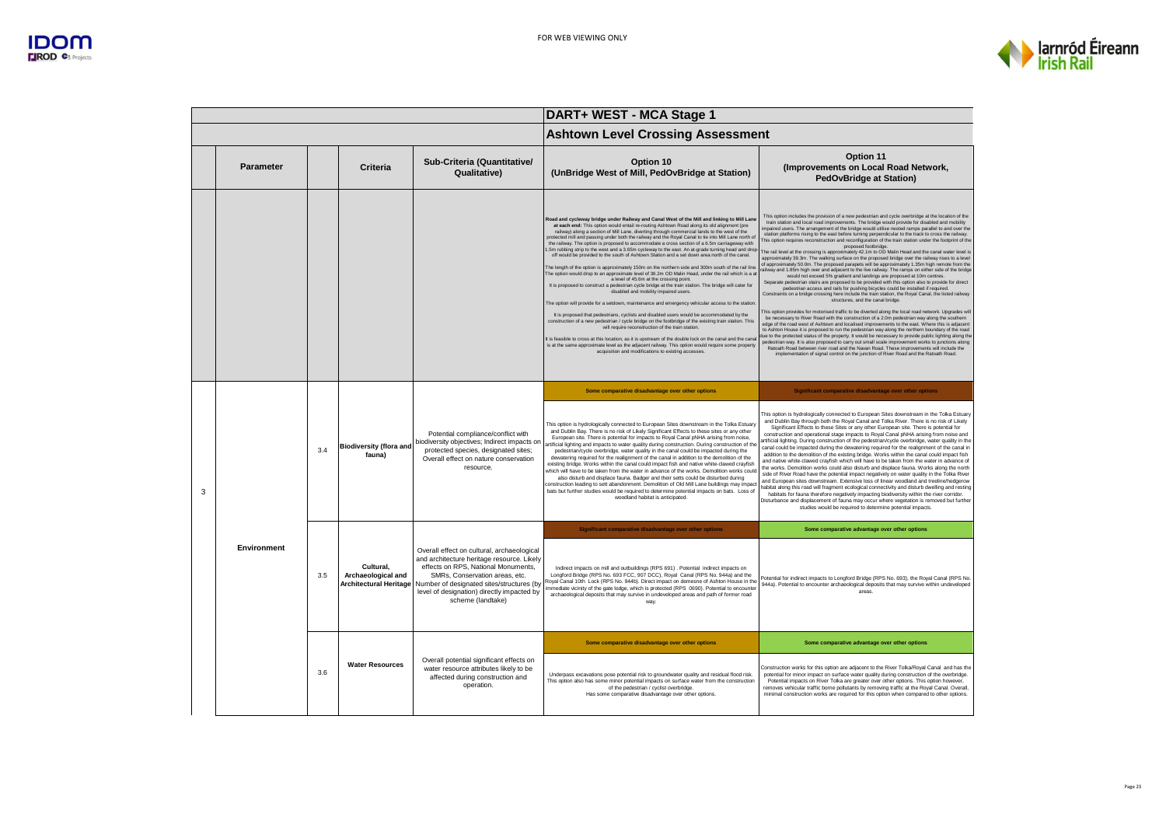

|   |                  |            |                                                                  |                                                                                                                                                                                                                                                                                   | DART+ WEST - MCA Stage 1                                                                                                                                                                                                                                                                                                                                                                                                                                                                                                                                                                                                                                                                                                                                                                                                                                                                                                                                                                                                                                                                                                                                                                                                                                                                                                                                                                                                                                                                                                                                                                                                                                                                                                                                |                                                                                                                                                                                                                                                                                                                                                                                                                                                                                                                                                                                                                                                                                                                                                                                                                                                                                                                                                                                                                                                                                                                                                                                                                                                                                                                                                                                                                                                                                                                                                                                                                                                                                                                                                                                                                                                                                                                                                                                                                                                                                                                                                                                                              |  |
|---|------------------|------------|------------------------------------------------------------------|-----------------------------------------------------------------------------------------------------------------------------------------------------------------------------------------------------------------------------------------------------------------------------------|---------------------------------------------------------------------------------------------------------------------------------------------------------------------------------------------------------------------------------------------------------------------------------------------------------------------------------------------------------------------------------------------------------------------------------------------------------------------------------------------------------------------------------------------------------------------------------------------------------------------------------------------------------------------------------------------------------------------------------------------------------------------------------------------------------------------------------------------------------------------------------------------------------------------------------------------------------------------------------------------------------------------------------------------------------------------------------------------------------------------------------------------------------------------------------------------------------------------------------------------------------------------------------------------------------------------------------------------------------------------------------------------------------------------------------------------------------------------------------------------------------------------------------------------------------------------------------------------------------------------------------------------------------------------------------------------------------------------------------------------------------|--------------------------------------------------------------------------------------------------------------------------------------------------------------------------------------------------------------------------------------------------------------------------------------------------------------------------------------------------------------------------------------------------------------------------------------------------------------------------------------------------------------------------------------------------------------------------------------------------------------------------------------------------------------------------------------------------------------------------------------------------------------------------------------------------------------------------------------------------------------------------------------------------------------------------------------------------------------------------------------------------------------------------------------------------------------------------------------------------------------------------------------------------------------------------------------------------------------------------------------------------------------------------------------------------------------------------------------------------------------------------------------------------------------------------------------------------------------------------------------------------------------------------------------------------------------------------------------------------------------------------------------------------------------------------------------------------------------------------------------------------------------------------------------------------------------------------------------------------------------------------------------------------------------------------------------------------------------------------------------------------------------------------------------------------------------------------------------------------------------------------------------------------------------------------------------------------------------|--|
|   |                  |            |                                                                  |                                                                                                                                                                                                                                                                                   | <b>Ashtown Level Crossing Assessment</b>                                                                                                                                                                                                                                                                                                                                                                                                                                                                                                                                                                                                                                                                                                                                                                                                                                                                                                                                                                                                                                                                                                                                                                                                                                                                                                                                                                                                                                                                                                                                                                                                                                                                                                                |                                                                                                                                                                                                                                                                                                                                                                                                                                                                                                                                                                                                                                                                                                                                                                                                                                                                                                                                                                                                                                                                                                                                                                                                                                                                                                                                                                                                                                                                                                                                                                                                                                                                                                                                                                                                                                                                                                                                                                                                                                                                                                                                                                                                              |  |
|   | <b>Parameter</b> |            | Criteria                                                         | Sub-Criteria (Quantitative/<br>Qualitative)                                                                                                                                                                                                                                       | Option 10<br>(UnBridge West of Mill, PedOvBridge at Station)                                                                                                                                                                                                                                                                                                                                                                                                                                                                                                                                                                                                                                                                                                                                                                                                                                                                                                                                                                                                                                                                                                                                                                                                                                                                                                                                                                                                                                                                                                                                                                                                                                                                                            | <b>Option 11</b><br>(Improvements on Local Road Network,<br><b>PedOvBridge at Station)</b>                                                                                                                                                                                                                                                                                                                                                                                                                                                                                                                                                                                                                                                                                                                                                                                                                                                                                                                                                                                                                                                                                                                                                                                                                                                                                                                                                                                                                                                                                                                                                                                                                                                                                                                                                                                                                                                                                                                                                                                                                                                                                                                   |  |
|   |                  |            |                                                                  |                                                                                                                                                                                                                                                                                   | Road and cycleway bridge under Railway and Canal West of the Mill and linking to Mill Lane<br>at each end: This option would entail re-routing Ashtown Road along its old alignment (pre<br>railway) along a section of Mill Lane, diverting through commercial lands to the west of the<br>protected mill and passing under both the railway and the Royal Canal to tie into Mill Lane north of<br>the railway. The option is proposed to accommodate a cross section of a 6.5m carriageway with<br>.5m rubbing strip to the west and a 3.65m cycleway to the east. An at-grade turning head and drop<br>off would be provided to the south of Ashtown Station and a set down area north of the canal.<br>The length of the option is approximately 150m on the northern side and 300m south of the rail line<br>The option would drop to an approximate level of 36.2m OD Malin Head, under the rail which is a at<br>a level of 45.6m at the crossing point.<br>It is proposed to construct a pedestrian cycle bridge at the train station. The bridge will cater for<br>disabled and mobility impaired users<br>The option will provide for a setdown, maintenance and emergency vehicular access to the station<br>It is proposed that pedestrians, cyclists and disabled users would be accommodated by the<br>construction of a new pedestrian / cycle bridge on the footbridge of the existing train station. This<br>will require reconstruction of the train station.<br>It is feasible to cross at this location, as it is upstream of the double lock on the canal and the cana<br>is at the same approximate level as the adjacent railway. This option would require some property<br>acquisition and modifications to existing accesses. | This option includes the provision of a new pedestrian and cycle overbridge at the location of the<br>train station and local road improvements. The bridge would provide for disabled and mobility<br>impaired users. The arrangement of the bridge would utilise nested ramps parallel to and over the<br>station platforms rising to the east before turning perpendicular to the track to cross the railway.<br>This option requires reconstruction and reconfiguration of the train station under the footprint of the<br>proposed footbridge.<br>The rail level at the crossing is approximately 42.1m to OD Malin Head and the canal water level is<br>approximately 39.3m. The walking surface on the proposed bridge over the railway rises to a level<br>of approximately 50.0m. The proposed parapets will be approximately 1.35m high remote from the<br>ailway and 1.85m high over and adjacent to the live railway. The ramps on either side of the bridge<br>would not exceed 5% gradient and landings are proposed at 10m centres.<br>Separate pedestrian stairs are proposed to be provided with this option also to provide for direct<br>pedestrian access and rails for pushing bicycles could be installed if required.<br>Constraints on a bridge crossing here include the train station, the Royal Canal, the listed railway<br>structures, and the canal bridge.<br>This option provides for motorised traffic to be diverted along the local road network. Upgrades will<br>be necessary to River Road with the construction of a 2.0m pedestrian way along the southern<br>edge of the road west of Ashtown and localised improvements to the east. Where this is adjacent<br>to Ashton House it is proposed to run the pedestrian way along the northern boundary of the road<br>lue to the protected status of the property. It would be necessary to provide public lighting along the<br>pedestrian way. It is also proposed to carry out small scale improvement works to junctions along<br>Ratoath Road between river road and the Navan Road. These improvements will include the<br>implementation of signal control on the junction of River Road and the Ratoath Road. |  |
|   |                  |            |                                                                  |                                                                                                                                                                                                                                                                                   | Some comparative disadvantage over other options                                                                                                                                                                                                                                                                                                                                                                                                                                                                                                                                                                                                                                                                                                                                                                                                                                                                                                                                                                                                                                                                                                                                                                                                                                                                                                                                                                                                                                                                                                                                                                                                                                                                                                        | Significant comparative disadvantage over other options                                                                                                                                                                                                                                                                                                                                                                                                                                                                                                                                                                                                                                                                                                                                                                                                                                                                                                                                                                                                                                                                                                                                                                                                                                                                                                                                                                                                                                                                                                                                                                                                                                                                                                                                                                                                                                                                                                                                                                                                                                                                                                                                                      |  |
| 3 |                  | 3.4        | <b>Biodiversity (flora and</b><br>fauna)                         | Potential compliance/conflict with<br>piodiversity objectives; Indirect impacts on<br>protected species, designated sites;<br>Overall effect on nature conservation<br>resource                                                                                                   | This option is hydrologically connected to European Sites downstream in the Tolka Estuary<br>and Dublin Bay. There is no risk of Likely Significant Effects to these sites or any other<br>European site. There is potential for impacts to Royal Canal pNHA arising from noise.<br>artificial lighting and impacts to water quality during construction. During construction of the<br>pedestrian/cycle overbridge, water quality in the canal could be impacted during the<br>dewatering required for the realignment of the canal in addition to the demolition of the<br>existing bridge. Works within the canal could impact fish and native white-clawed cravfish<br>which will have to be taken from the water in advance of the works. Demolition works could<br>also disturb and displace fauna. Badger and their setts could be disturbed during<br>construction leading to sett abandonment. Demolition of Old Mill Lane buildings may impact<br>bats but further studies would be required to determine potential impacts on bats. Loss of<br>woodland habitat is anticipated.                                                                                                                                                                                                                                                                                                                                                                                                                                                                                                                                                                                                                                                              | This option is hydrologically connected to European Sites downstream in the Tolka Estuary<br>and Dublin Bay through both the Royal Canal and Tolka River. There is no risk of Likely<br>Significant Effects to these Sites or any other European site. There is potential for<br>construction and operational stage impacts to Royal Canal pNHA arising from noise and<br>artificial lighting. During construction of the pedestrian/cycle overbridge, water quality in the<br>canal could be impacted during the dewatering required for the realignment of the canal in<br>addition to the demolition of the existing bridge. Works within the canal could impact fish<br>and native white-clawed crayfish which will have to be taken from the water in advance of<br>the works. Demolition works could also disturb and displace fauna. Works along the north<br>side of River Road have the potential impact negatively on water quality in the Tolka River<br>and European sites downstream. Extensive loss of linear woodland and treeline/hedgerow<br>habitat along this road will fragment ecological connectivity and disturb dwelling and resting<br>habitats for fauna therefore negatively impacting biodiversity within the river corridor.<br>Disturbance and displacement of fauna may occur where vegetation is removed but further<br>studies would be required to determine potential impacts.                                                                                                                                                                                                                                                                                                                                                                                                                                                                                                                                                                                                                                                                                                                                                                                            |  |
|   |                  |            |                                                                  |                                                                                                                                                                                                                                                                                   | Significant comparative disadvantage over other options                                                                                                                                                                                                                                                                                                                                                                                                                                                                                                                                                                                                                                                                                                                                                                                                                                                                                                                                                                                                                                                                                                                                                                                                                                                                                                                                                                                                                                                                                                                                                                                                                                                                                                 | Some comparative advantage over other options                                                                                                                                                                                                                                                                                                                                                                                                                                                                                                                                                                                                                                                                                                                                                                                                                                                                                                                                                                                                                                                                                                                                                                                                                                                                                                                                                                                                                                                                                                                                                                                                                                                                                                                                                                                                                                                                                                                                                                                                                                                                                                                                                                |  |
|   | Environment      | 3.5<br>3.6 | Cultural,<br>Archaeological and<br><b>Architectural Heritage</b> | Overall effect on cultural, archaeological<br>and architecture heritage resource. Likely<br>effects on RPS, National Monuments,<br>SMRs, Conservation areas, etc.<br>Number of designated sites/structures (by<br>level of designation) directly impacted by<br>scheme (landtake) | Indirect impacts on mill and outbuildings (RPS 691) . Potential indirect impacts on<br>Longford Bridge (RPS No. 693 FCC, 907 DCC), Royal Canal (RPS No. 944a) and the<br>Royal Canal 10th Lock (RPS No. 944b). Direct impact on demesne of Ashton House in the<br>nmediate vicinity of the gate lodge, which is protected (RPS 0690). Potential to encounter<br>archaeological deposits that may survive in undeveloped areas and path of former road<br>way.                                                                                                                                                                                                                                                                                                                                                                                                                                                                                                                                                                                                                                                                                                                                                                                                                                                                                                                                                                                                                                                                                                                                                                                                                                                                                           | Potential for indirect impacts to Longford Bridge (RPS No. 693), the Royal Canal (RPS No.<br>944a). Potential to encounter archaeological deposits that may survive within undeveloped<br>areas.                                                                                                                                                                                                                                                                                                                                                                                                                                                                                                                                                                                                                                                                                                                                                                                                                                                                                                                                                                                                                                                                                                                                                                                                                                                                                                                                                                                                                                                                                                                                                                                                                                                                                                                                                                                                                                                                                                                                                                                                             |  |
|   |                  |            | <b>Water Resources</b>                                           |                                                                                                                                                                                                                                                                                   | Some comparative disadvantage over other options                                                                                                                                                                                                                                                                                                                                                                                                                                                                                                                                                                                                                                                                                                                                                                                                                                                                                                                                                                                                                                                                                                                                                                                                                                                                                                                                                                                                                                                                                                                                                                                                                                                                                                        | Some comparative advantage over other options                                                                                                                                                                                                                                                                                                                                                                                                                                                                                                                                                                                                                                                                                                                                                                                                                                                                                                                                                                                                                                                                                                                                                                                                                                                                                                                                                                                                                                                                                                                                                                                                                                                                                                                                                                                                                                                                                                                                                                                                                                                                                                                                                                |  |
|   |                  |            |                                                                  | Overall potential significant effects on<br>water resource attributes likely to be<br>affected during construction and<br>operation.                                                                                                                                              | Underpass excavations pose potential risk to groundwater quality and residual flood risk.<br>This option also has some minor potential impacts on surface water from the construction<br>of the pedestrian / cyclist overbridge<br>Has some comparative disadvantage over other options                                                                                                                                                                                                                                                                                                                                                                                                                                                                                                                                                                                                                                                                                                                                                                                                                                                                                                                                                                                                                                                                                                                                                                                                                                                                                                                                                                                                                                                                 | Construction works for this option are adjacent to the River Tolka/Royal Canal and has the<br>potential for minor impact on surface water quality during construction of the overbridge.<br>Potential impacts on River Tolka are greater over other options. This option however,<br>removes vehicular traffic borne pollutants by removing traffic at the Royal Canal. Overall<br>minimal construction works are required for this option when compared to other options.                                                                                                                                                                                                                                                                                                                                                                                                                                                                                                                                                                                                                                                                                                                                                                                                                                                                                                                                                                                                                                                                                                                                                                                                                                                                                                                                                                                                                                                                                                                                                                                                                                                                                                                                   |  |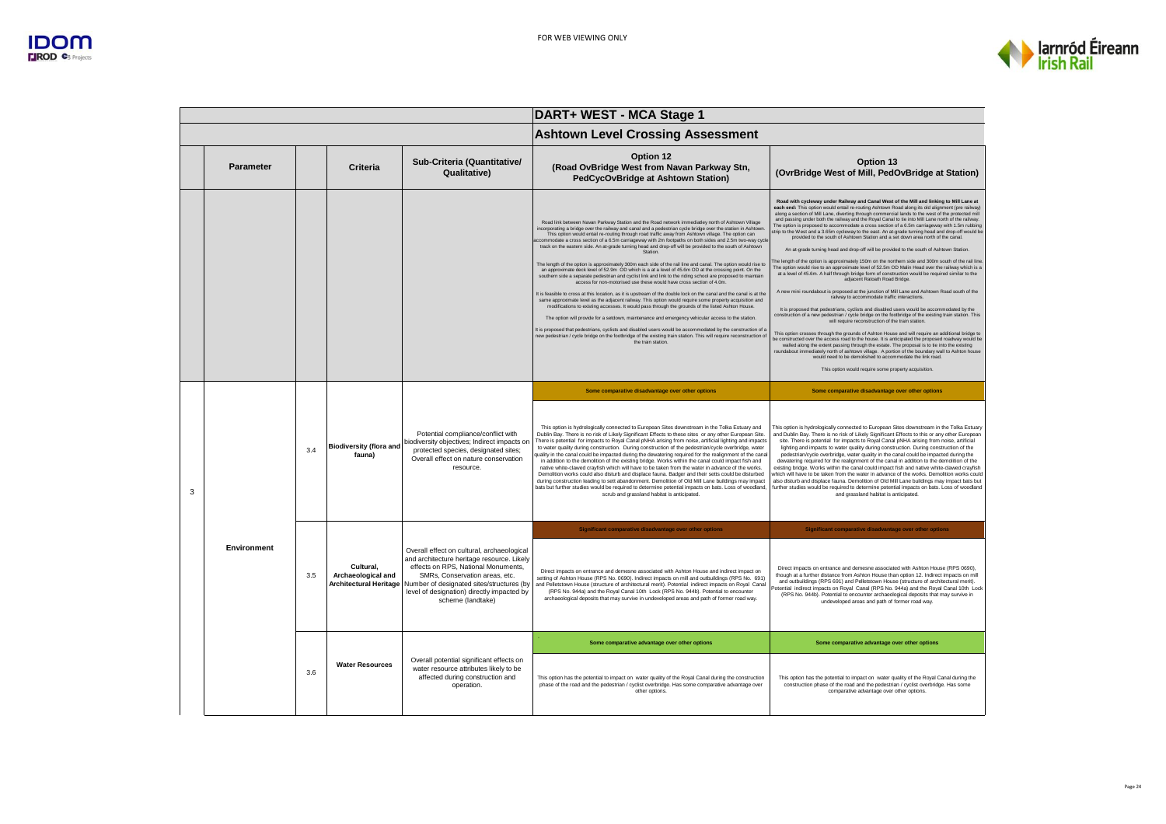

|   |             |     |                                                                  |                                                                                                                                                                                                                                                                                   | DART+ WEST - MCA Stage 1                                                                                                                                                                                                                                                                                                                                                                                                                                                                                                                                                                                                                                                                                                                                                                                                                                                                                                                                                                                                                                                                                                                                                                                                                                                                                                                                                                                                                                                                                                                                                                                                                                                          |                                                                                                                                                                                                                                                                                                                                                                                                                                                                                                                                                                                                                                                                                                                                                                                                                                                                                                                                                                                                                                                                                                                                                                                                                                                                                                                                                                                                                                                                                                                                                                                                                                                                                                                                                                                                                                                                                                                                                                                                                                                                                          |  |
|---|-------------|-----|------------------------------------------------------------------|-----------------------------------------------------------------------------------------------------------------------------------------------------------------------------------------------------------------------------------------------------------------------------------|-----------------------------------------------------------------------------------------------------------------------------------------------------------------------------------------------------------------------------------------------------------------------------------------------------------------------------------------------------------------------------------------------------------------------------------------------------------------------------------------------------------------------------------------------------------------------------------------------------------------------------------------------------------------------------------------------------------------------------------------------------------------------------------------------------------------------------------------------------------------------------------------------------------------------------------------------------------------------------------------------------------------------------------------------------------------------------------------------------------------------------------------------------------------------------------------------------------------------------------------------------------------------------------------------------------------------------------------------------------------------------------------------------------------------------------------------------------------------------------------------------------------------------------------------------------------------------------------------------------------------------------------------------------------------------------|------------------------------------------------------------------------------------------------------------------------------------------------------------------------------------------------------------------------------------------------------------------------------------------------------------------------------------------------------------------------------------------------------------------------------------------------------------------------------------------------------------------------------------------------------------------------------------------------------------------------------------------------------------------------------------------------------------------------------------------------------------------------------------------------------------------------------------------------------------------------------------------------------------------------------------------------------------------------------------------------------------------------------------------------------------------------------------------------------------------------------------------------------------------------------------------------------------------------------------------------------------------------------------------------------------------------------------------------------------------------------------------------------------------------------------------------------------------------------------------------------------------------------------------------------------------------------------------------------------------------------------------------------------------------------------------------------------------------------------------------------------------------------------------------------------------------------------------------------------------------------------------------------------------------------------------------------------------------------------------------------------------------------------------------------------------------------------------|--|
|   |             |     |                                                                  |                                                                                                                                                                                                                                                                                   | <b>Ashtown Level Crossing Assessment</b>                                                                                                                                                                                                                                                                                                                                                                                                                                                                                                                                                                                                                                                                                                                                                                                                                                                                                                                                                                                                                                                                                                                                                                                                                                                                                                                                                                                                                                                                                                                                                                                                                                          |                                                                                                                                                                                                                                                                                                                                                                                                                                                                                                                                                                                                                                                                                                                                                                                                                                                                                                                                                                                                                                                                                                                                                                                                                                                                                                                                                                                                                                                                                                                                                                                                                                                                                                                                                                                                                                                                                                                                                                                                                                                                                          |  |
|   | Parameter   |     | Criteria                                                         | Sub-Criteria (Quantitative/<br>Qualitative)                                                                                                                                                                                                                                       | Option 12<br>(Road OvBridge West from Navan Parkway Stn,<br>PedCycOvBridge at Ashtown Station)                                                                                                                                                                                                                                                                                                                                                                                                                                                                                                                                                                                                                                                                                                                                                                                                                                                                                                                                                                                                                                                                                                                                                                                                                                                                                                                                                                                                                                                                                                                                                                                    | Option 13<br>(OvrBridge West of Mill, PedOvBridge at Station)                                                                                                                                                                                                                                                                                                                                                                                                                                                                                                                                                                                                                                                                                                                                                                                                                                                                                                                                                                                                                                                                                                                                                                                                                                                                                                                                                                                                                                                                                                                                                                                                                                                                                                                                                                                                                                                                                                                                                                                                                            |  |
|   |             |     |                                                                  |                                                                                                                                                                                                                                                                                   | Road link between Navan Parkway Station and the Road network immediatiev north of Ashtown Village<br>incorporating a bridge over the railway and canal and a pedestrian cycle bridge over the station in Ashtown<br>This option would entail re-routing through road traffic away from Ashtown village. The option can<br>ccommodate a cross section of a 6.5m carriageway with 2m footpaths on both sides and 2.5m two-way cycle<br>track on the eastern side. An at-grade turning head and drop-off will be provided to the south of Ashtown<br>Station<br>The length of the option is approximately 300m each side of the rail line and canal. The option would rise to<br>an approximate deck level of 52.9m OD which is a at a level of 45.6m OD at the crossing point. On the<br>southern side a separate pedestrian and cyclist link and link to the riding school are proposed to maintain<br>access for non-motorised use these would have cross section of 4.0m.<br>It is feasible to cross at this location, as it is upstream of the double lock on the canal and the canal is at the<br>same approximate level as the adjacent railway. This option would require some property acquisition and<br>modifications to existing accesses. It would pass through the grounds of the listed Ashton House.<br>The option will provide for a setdown, maintenance and emergency vehicular access to the station.<br>It is proposed that pedestrians, cyclists and disabled users would be accommodated by the construction of a<br>new pedestrian / cycle bridge on the footbridge of the existing train station. This will require reconstruction of<br>the train station. | Road with cycleway under Railway and Canal West of the Mill and linking to Mill Lane at<br>each end: This option would entail re-routing Ashtown Road along its old alignment (pre railway)<br>along a section of Mill Lane, diverting through commercial lands to the west of the protected mill<br>and passing under both the railway and the Royal Canal to tie into Mill Lane north of the railway.<br>The option is proposed to accommodate a cross section of a 6.5m carriageway with 1.5m rubbing<br>strip to the West and a 3.65m cycleway to the east. An at-grade turning head and drop-off would be<br>provided to the south of Ashtown Station and a set down area north of the canal.<br>An at-grade turning head and drop-off will be provided to the south of Ashtown Station<br>The length of the option is approximately 150m on the northern side and 300m south of the rail line<br>The option would rise to an approximate level of 52.5m OD Malin Head over the railway which is a<br>at a level of 45.6m. A half through bridge form of construction would be required similar to the<br>adjacent Ratoath Road Bridge.<br>A new mini roundabout is proposed at the junction of Mill Lane and Ashtown Road south of the<br>railway to accommodate traffic interactions.<br>It is proposed that pedestrians, cyclists and disabled users would be accommodated by the<br>construction of a new pedestrian / cycle bridge on the footbridge of the existing train station. This<br>will require reconstruction of the train station.<br>This option crosses through the grounds of Ashton House and will require an additional bridge to<br>be constructed over the access road to the house. It is anticipated the proposed roadway would be<br>walled along the extent passing through the estate. The proposal is to tie into the existing<br>roundabout immediately north of ashtown village. A portion of the boundary wall to Ashton house<br>would need to be demolished to accommodate the link road.<br>This option would require some property acquisition. |  |
|   |             |     |                                                                  |                                                                                                                                                                                                                                                                                   | Some comparative disadvantage over other options                                                                                                                                                                                                                                                                                                                                                                                                                                                                                                                                                                                                                                                                                                                                                                                                                                                                                                                                                                                                                                                                                                                                                                                                                                                                                                                                                                                                                                                                                                                                                                                                                                  | Some comparative disadvantage over other options                                                                                                                                                                                                                                                                                                                                                                                                                                                                                                                                                                                                                                                                                                                                                                                                                                                                                                                                                                                                                                                                                                                                                                                                                                                                                                                                                                                                                                                                                                                                                                                                                                                                                                                                                                                                                                                                                                                                                                                                                                         |  |
| 3 |             | 3.4 | <b>Biodiversity (flora and</b><br>fauna)                         | Potential compliance/conflict with<br>biodiversity objectives; Indirect impacts on<br>protected species, designated sites;<br>Overall effect on nature conservation<br>resource.                                                                                                  | This option is hydrologically connected to European Sites downstream in the Tolka Estuary and<br>Dublin Bay. There is no risk of Likely Significant Effects to these sites or any other European Site.<br>There is potential for impacts to Royal Canal pNHA arising from noise, artificial lighting and impacts<br>to water quality during construction. During construction of the pedestrian/cycle overbridge, water<br>quality in the canal could be impacted during the dewatering required for the realignment of the canal<br>in addition to the demolition of the existing bridge. Works within the canal could impact fish and<br>native white-clawed cravfish which will have to be taken from the water in advance of the works.<br>Demolition works could also disturb and displace fauna. Badger and their setts could be disturbed<br>during construction leading to sett abandonment. Demolition of Old Mill Lane buildings may impact<br>bats but further studies would be required to determine potential impacts on bats. Loss of woodland,<br>scrub and grassland habitat is anticipated.                                                                                                                                                                                                                                                                                                                                                                                                                                                                                                                                                                      | This option is hydrologically connected to European Sites downstream in the Tolka Estuary<br>and Dublin Bay. There is no risk of Likely Significant Effects to this or any other European<br>site. There is potential for impacts to Royal Canal pNHA arising from noise, artificial<br>lighting and impacts to water quality during construction. During construction of the<br>pedestrian/cycle overbridge, water quality in the canal could be impacted during the<br>dewatering required for the realignment of the canal in addition to the demolition of the<br>existing bridge. Works within the canal could impact fish and native white-clawed crayfish<br>which will have to be taken from the water in advance of the works. Demolition works could<br>also disturb and displace fauna. Demolition of Old Mill Lane buildings may impact bats but<br>further studies would be required to determine potential impacts on bats. Loss of woodland<br>and grassland habitat is anticipated.                                                                                                                                                                                                                                                                                                                                                                                                                                                                                                                                                                                                                                                                                                                                                                                                                                                                                                                                                                                                                                                                                      |  |
|   |             |     |                                                                  |                                                                                                                                                                                                                                                                                   | Significant comparative disadvantage over other options                                                                                                                                                                                                                                                                                                                                                                                                                                                                                                                                                                                                                                                                                                                                                                                                                                                                                                                                                                                                                                                                                                                                                                                                                                                                                                                                                                                                                                                                                                                                                                                                                           | Significant comparative disadvantage over other options                                                                                                                                                                                                                                                                                                                                                                                                                                                                                                                                                                                                                                                                                                                                                                                                                                                                                                                                                                                                                                                                                                                                                                                                                                                                                                                                                                                                                                                                                                                                                                                                                                                                                                                                                                                                                                                                                                                                                                                                                                  |  |
|   | Environment | 3.5 | Cultural.<br>Archaeological and<br><b>Architectural Heritage</b> | Overall effect on cultural, archaeological<br>and architecture heritage resource. Likely<br>effects on RPS. National Monuments.<br>SMRs, Conservation areas, etc.<br>Number of designated sites/structures (by<br>level of designation) directly impacted by<br>scheme (landtake) | Direct impacts on entrance and demesne associated with Ashton House and indirect impact on<br>setting of Ashton House (RPS No. 0690). Indirect impacts on mill and outbuildings (RPS No. 691)<br>and Pelletstown House (structure of architectural merit). Potential indirect impacts on Royal Canal<br>(RPS No. 944a) and the Royal Canal 10th Lock (RPS No. 944b). Potential to encounter<br>archaeological deposits that may survive in undeveloped areas and path of former road way.                                                                                                                                                                                                                                                                                                                                                                                                                                                                                                                                                                                                                                                                                                                                                                                                                                                                                                                                                                                                                                                                                                                                                                                         | Direct impacts on entrance and demesne associated with Ashton House (RPS 0690),<br>though at a further distance from Ashton House than option 12. Indirect impacts on mill<br>and outbuildings (RPS 691) and Pelletstown House (structure of architectural merit).<br>Potential indirect impacts on Royal Canal (RPS No. 944a) and the Royal Canal 10th Lock<br>(RPS No. 944b). Potential to encounter archaeological deposits that may survive in<br>undeveloped areas and path of former road way.                                                                                                                                                                                                                                                                                                                                                                                                                                                                                                                                                                                                                                                                                                                                                                                                                                                                                                                                                                                                                                                                                                                                                                                                                                                                                                                                                                                                                                                                                                                                                                                     |  |
|   |             |     | <b>Water Resources</b>                                           |                                                                                                                                                                                                                                                                                   | Some comparative advantage over other options                                                                                                                                                                                                                                                                                                                                                                                                                                                                                                                                                                                                                                                                                                                                                                                                                                                                                                                                                                                                                                                                                                                                                                                                                                                                                                                                                                                                                                                                                                                                                                                                                                     | Some comparative advantage over other options                                                                                                                                                                                                                                                                                                                                                                                                                                                                                                                                                                                                                                                                                                                                                                                                                                                                                                                                                                                                                                                                                                                                                                                                                                                                                                                                                                                                                                                                                                                                                                                                                                                                                                                                                                                                                                                                                                                                                                                                                                            |  |
|   |             | 3.6 |                                                                  | Overall potential significant effects on<br>water resource attributes likely to be<br>affected during construction and<br>operation.                                                                                                                                              | This option has the potential to impact on water quality of the Royal Canal during the construction<br>phase of the road and the pedestrian / cyclist overbridge. Has some comparative advantage over<br>other options.                                                                                                                                                                                                                                                                                                                                                                                                                                                                                                                                                                                                                                                                                                                                                                                                                                                                                                                                                                                                                                                                                                                                                                                                                                                                                                                                                                                                                                                           | This option has the potential to impact on water quality of the Royal Canal during the<br>construction phase of the road and the pedestrian / cyclist overbridge. Has some<br>comparative advantage over other options                                                                                                                                                                                                                                                                                                                                                                                                                                                                                                                                                                                                                                                                                                                                                                                                                                                                                                                                                                                                                                                                                                                                                                                                                                                                                                                                                                                                                                                                                                                                                                                                                                                                                                                                                                                                                                                                   |  |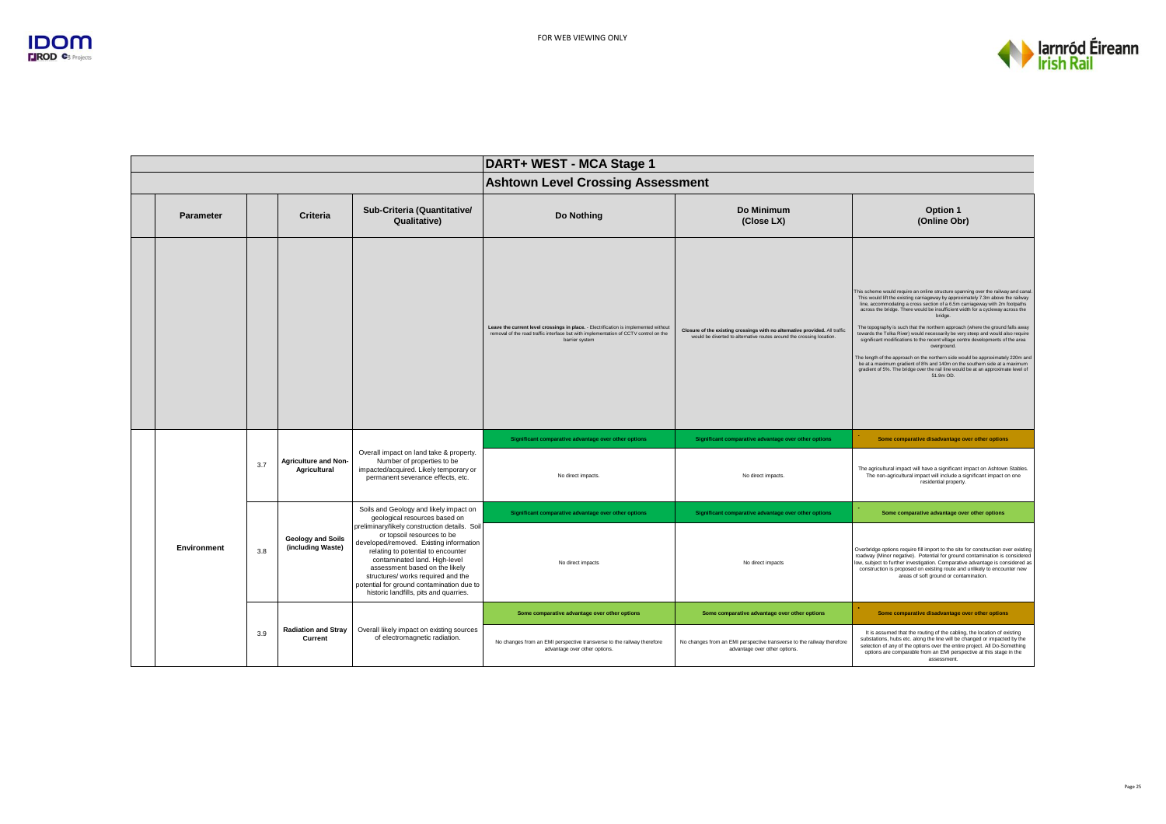

|                  |     |                                               |                                                                                                                                                                                                                                                                                                                                                              | DART+ WEST - MCA Stage 1                                                                                                                                                                       |                                                                                                                                                      |                                                                                                                                                                                                                                                                                                                                                                                                                                                                                                                                                                                                                                                                                                                                                                                                                                                                                             |  |
|------------------|-----|-----------------------------------------------|--------------------------------------------------------------------------------------------------------------------------------------------------------------------------------------------------------------------------------------------------------------------------------------------------------------------------------------------------------------|------------------------------------------------------------------------------------------------------------------------------------------------------------------------------------------------|------------------------------------------------------------------------------------------------------------------------------------------------------|---------------------------------------------------------------------------------------------------------------------------------------------------------------------------------------------------------------------------------------------------------------------------------------------------------------------------------------------------------------------------------------------------------------------------------------------------------------------------------------------------------------------------------------------------------------------------------------------------------------------------------------------------------------------------------------------------------------------------------------------------------------------------------------------------------------------------------------------------------------------------------------------|--|
|                  |     |                                               |                                                                                                                                                                                                                                                                                                                                                              | <b>Ashtown Level Crossing Assessment</b>                                                                                                                                                       |                                                                                                                                                      |                                                                                                                                                                                                                                                                                                                                                                                                                                                                                                                                                                                                                                                                                                                                                                                                                                                                                             |  |
| <b>Parameter</b> |     | Criteria                                      | Sub-Criteria (Quantitative/<br>Qualitative)                                                                                                                                                                                                                                                                                                                  | <b>Do Nothing</b>                                                                                                                                                                              | Do Minimum<br>(Close LX)                                                                                                                             | Option 1<br>(Online Obr)                                                                                                                                                                                                                                                                                                                                                                                                                                                                                                                                                                                                                                                                                                                                                                                                                                                                    |  |
|                  |     |                                               |                                                                                                                                                                                                                                                                                                                                                              | Leave the current level crossings in place. - Electrification is implemented without<br>removal of the road traffic interface but with implementation of CCTV control on the<br>barrier system | Closure of the existing crossings with no alternative provided. All traffic<br>would be diverted to alternative routes around the crossing location. | This scheme would require an online structure spanning over the railway and canal.<br>This would lift the existing carriageway by approximately 7.3m above the railway<br>line, accommodating a cross section of a 6.5m carriageway with 2m footpaths<br>across the bridge. There would be insufficient width for a cycleway across the<br>bridge.<br>The topography is such that the northern approach (where the ground falls away<br>towards the Tolka River) would necessarily be very steep and would also require<br>significant modifications to the recent village centre developments of the area<br>overground.<br>The length of the approach on the northern side would be approximately 220m and<br>be at a maximum gradient of 8% and 140m on the southern side at a maximum<br>gradient of 5%. The bridge over the rail line would be at an approximate level of<br>51.9m OD. |  |
|                  |     | <b>Agriculture and Non-</b><br>Agricultural   | Overall impact on land take & property.<br>Number of properties to be<br>impacted/acquired. Likely temporary or<br>permanent severance effects, etc.                                                                                                                                                                                                         | Significant comparative advantage over other options                                                                                                                                           | Significant comparative advantage over other options                                                                                                 | Some comparative disadvantage over other options                                                                                                                                                                                                                                                                                                                                                                                                                                                                                                                                                                                                                                                                                                                                                                                                                                            |  |
|                  | 3.7 |                                               |                                                                                                                                                                                                                                                                                                                                                              | No direct impacts.                                                                                                                                                                             | No direct impacts.                                                                                                                                   | The agricultural impact will have a significant impact on Ashtown Stables.<br>The non-agricultural impact will include a significant impact on one<br>residential property.                                                                                                                                                                                                                                                                                                                                                                                                                                                                                                                                                                                                                                                                                                                 |  |
|                  |     |                                               | Soils and Geology and likely impact on<br>geological resources based on                                                                                                                                                                                                                                                                                      | Significant comparative advantage over other options                                                                                                                                           | Significant comparative advantage over other options                                                                                                 | Some comparative advantage over other options                                                                                                                                                                                                                                                                                                                                                                                                                                                                                                                                                                                                                                                                                                                                                                                                                                               |  |
| Environment      | 3.8 | <b>Geology and Soils</b><br>(including Waste) | preliminary/likely construction details. Soil<br>or topsoil resources to be<br>developed/removed. Existing information<br>relating to potential to encounter<br>contaminated land. High-level<br>assessment based on the likely<br>structures/ works required and the<br>potential for ground contamination due to<br>historic landfills, pits and quarries. | No direct impacts                                                                                                                                                                              | No direct impacts                                                                                                                                    | Overbridge options require fill import to the site for construction over existing<br>roadway (Minor negative). Potential for ground contamination is considered<br>low, subject to further investigation. Comparative advantage is considered as<br>construction is proposed on existing route and unlikely to encounter new<br>areas of soft ground or contamination.                                                                                                                                                                                                                                                                                                                                                                                                                                                                                                                      |  |
|                  |     |                                               |                                                                                                                                                                                                                                                                                                                                                              | Some comparative advantage over other options                                                                                                                                                  | Some comparative advantage over other options                                                                                                        | Some comparative disadvantage over other options                                                                                                                                                                                                                                                                                                                                                                                                                                                                                                                                                                                                                                                                                                                                                                                                                                            |  |
|                  | 3.9 | <b>Radiation and Stray</b><br>Current         | Overall likely impact on existing sources<br>of electromagnetic radiation.                                                                                                                                                                                                                                                                                   | No changes from an EMI perspective transverse to the railway therefore<br>advantage over other options.                                                                                        | No changes from an EMI perspective transverse to the railway therefore<br>advantage over other options.                                              | It is assumed that the routing of the cabling, the location of existing<br>substations, hubs etc. along the line will be changed or impacted by the<br>selection of any of the options over the entire project. All Do-Something<br>options are comparable from an EMI perspective at this stage in the<br>assessment.                                                                                                                                                                                                                                                                                                                                                                                                                                                                                                                                                                      |  |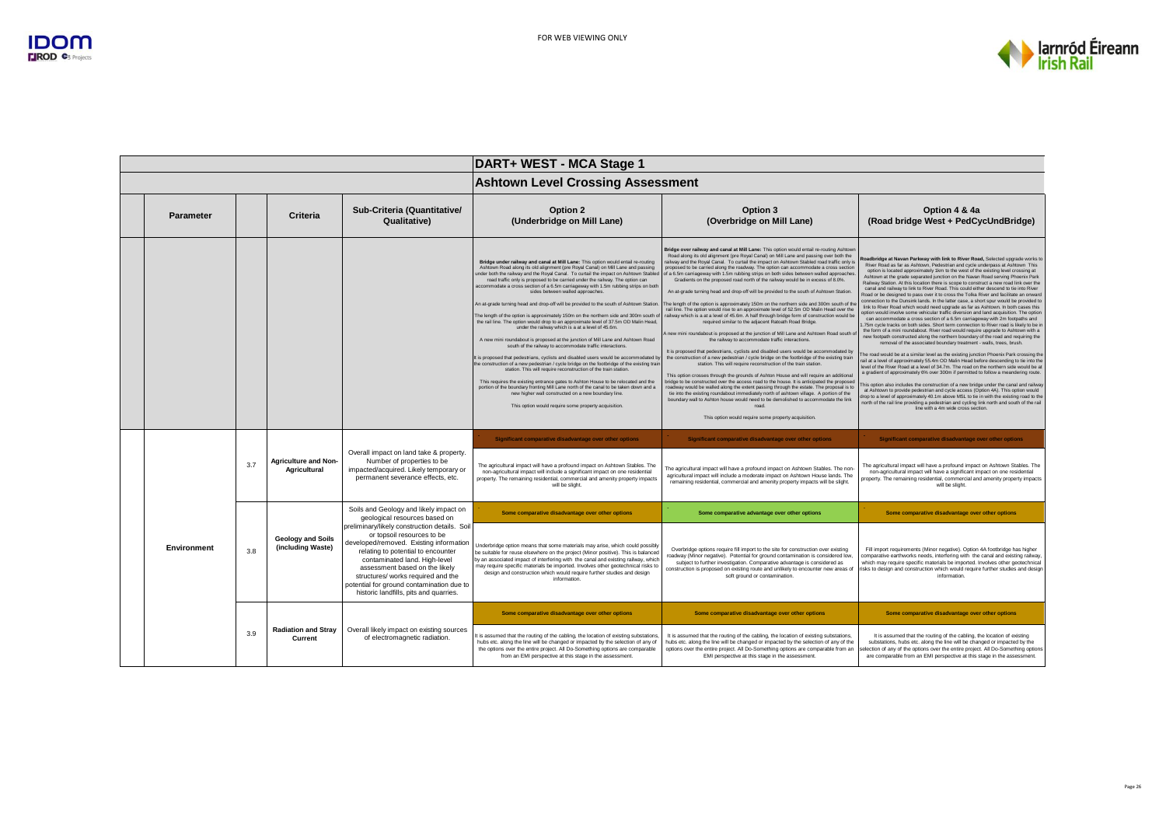

|                  |     |                                               |                                                                                                                                                                                                                                                                                                                                                              | DART+ WEST - MCA Stage 1                                                                                                                                                                                                                                                                                                                                                                                                                                                                                                                                                                                                                                                                                                                                                                                                                                                                                                                                                                                                                                                                                                                                                                                                                                                                                                                                                                                                                                                                                       |                                                                                                                                                                                                                                                                                                                                                                                                                                                                                                                                                                                                                                                                                                                                                                                                                                                                                                                                                                                                                                                                                                                                                                                                                                                                                                                                                                                                                                                                                                                                                                                                                                                                                                                                                                                                                                                                                                                                                 |                                                                                                                                                                                                                                                                                                                                                                                                                                                                                                                                                                                                                                                                                                                                                                                                                                                                                                                                                                                                                                                                                                                                                                                                                                                                                                                                                                                                                                                                                                                                                                                                                                                                                                                                                                                                                                                                                                                                                                                                                                                                                                         |
|------------------|-----|-----------------------------------------------|--------------------------------------------------------------------------------------------------------------------------------------------------------------------------------------------------------------------------------------------------------------------------------------------------------------------------------------------------------------|----------------------------------------------------------------------------------------------------------------------------------------------------------------------------------------------------------------------------------------------------------------------------------------------------------------------------------------------------------------------------------------------------------------------------------------------------------------------------------------------------------------------------------------------------------------------------------------------------------------------------------------------------------------------------------------------------------------------------------------------------------------------------------------------------------------------------------------------------------------------------------------------------------------------------------------------------------------------------------------------------------------------------------------------------------------------------------------------------------------------------------------------------------------------------------------------------------------------------------------------------------------------------------------------------------------------------------------------------------------------------------------------------------------------------------------------------------------------------------------------------------------|-------------------------------------------------------------------------------------------------------------------------------------------------------------------------------------------------------------------------------------------------------------------------------------------------------------------------------------------------------------------------------------------------------------------------------------------------------------------------------------------------------------------------------------------------------------------------------------------------------------------------------------------------------------------------------------------------------------------------------------------------------------------------------------------------------------------------------------------------------------------------------------------------------------------------------------------------------------------------------------------------------------------------------------------------------------------------------------------------------------------------------------------------------------------------------------------------------------------------------------------------------------------------------------------------------------------------------------------------------------------------------------------------------------------------------------------------------------------------------------------------------------------------------------------------------------------------------------------------------------------------------------------------------------------------------------------------------------------------------------------------------------------------------------------------------------------------------------------------------------------------------------------------------------------------------------------------|---------------------------------------------------------------------------------------------------------------------------------------------------------------------------------------------------------------------------------------------------------------------------------------------------------------------------------------------------------------------------------------------------------------------------------------------------------------------------------------------------------------------------------------------------------------------------------------------------------------------------------------------------------------------------------------------------------------------------------------------------------------------------------------------------------------------------------------------------------------------------------------------------------------------------------------------------------------------------------------------------------------------------------------------------------------------------------------------------------------------------------------------------------------------------------------------------------------------------------------------------------------------------------------------------------------------------------------------------------------------------------------------------------------------------------------------------------------------------------------------------------------------------------------------------------------------------------------------------------------------------------------------------------------------------------------------------------------------------------------------------------------------------------------------------------------------------------------------------------------------------------------------------------------------------------------------------------------------------------------------------------------------------------------------------------------------------------------------------------|
|                  |     |                                               |                                                                                                                                                                                                                                                                                                                                                              | <b>Ashtown Level Crossing Assessment</b>                                                                                                                                                                                                                                                                                                                                                                                                                                                                                                                                                                                                                                                                                                                                                                                                                                                                                                                                                                                                                                                                                                                                                                                                                                                                                                                                                                                                                                                                       |                                                                                                                                                                                                                                                                                                                                                                                                                                                                                                                                                                                                                                                                                                                                                                                                                                                                                                                                                                                                                                                                                                                                                                                                                                                                                                                                                                                                                                                                                                                                                                                                                                                                                                                                                                                                                                                                                                                                                 |                                                                                                                                                                                                                                                                                                                                                                                                                                                                                                                                                                                                                                                                                                                                                                                                                                                                                                                                                                                                                                                                                                                                                                                                                                                                                                                                                                                                                                                                                                                                                                                                                                                                                                                                                                                                                                                                                                                                                                                                                                                                                                         |
| <b>Parameter</b> |     | Criteria                                      | Sub-Criteria (Quantitative/<br>Qualitative)                                                                                                                                                                                                                                                                                                                  | Option 2<br>(Underbridge on Mill Lane)                                                                                                                                                                                                                                                                                                                                                                                                                                                                                                                                                                                                                                                                                                                                                                                                                                                                                                                                                                                                                                                                                                                                                                                                                                                                                                                                                                                                                                                                         | Option 3<br>(Overbridge on Mill Lane)                                                                                                                                                                                                                                                                                                                                                                                                                                                                                                                                                                                                                                                                                                                                                                                                                                                                                                                                                                                                                                                                                                                                                                                                                                                                                                                                                                                                                                                                                                                                                                                                                                                                                                                                                                                                                                                                                                           | Option 4 & 4a<br>(Road bridge West + PedCycUndBridge)                                                                                                                                                                                                                                                                                                                                                                                                                                                                                                                                                                                                                                                                                                                                                                                                                                                                                                                                                                                                                                                                                                                                                                                                                                                                                                                                                                                                                                                                                                                                                                                                                                                                                                                                                                                                                                                                                                                                                                                                                                                   |
|                  |     |                                               |                                                                                                                                                                                                                                                                                                                                                              | Bridge under railway and canal at Mill Lane: This option would entail re-routing<br>Ashtown Road along its old alignment (pre Royal Canal) on Mill Lane and passing<br>under both the railway and the Royal Canal. To curtail the impact on Ashtown Stabled<br>road traffic only is proposed to be carried under the railway. The option can<br>accommodate a cross section of a 6.5m carriageway with 1.5m rubbing strips on both<br>sides between walled approaches.<br>An at-grade turning head and drop-off will be provided to the south of Ashtown Station.<br>The length of the option is approximately 150m on the northern side and 300m south of<br>the rail line. The option would drop to an approximate level of 37.5m OD Malin Head,<br>under the railway which is a at a level of 45.6m.<br>A new mini roundabout is proposed at the junction of Mill Lane and Ashtown Road<br>south of the railway to accommodate traffic interactions.<br>It is proposed that pedestrians, cyclists and disabled users would be accommodated by<br>the construction of a new pedestrian / cycle bridge on the footbridge of the existing train<br>station. This will require reconstruction of the train station.<br>This requires the existing entrance gates to Ashton House to be relocated and the<br>portion of the boundary fronting Mill Lane north of the canal to be taken down and a<br>new higher wall constructed on a new boundary line.<br>This option would require some property acquisition. | Bridge over railway and canal at Mill Lane: This option would entail re-routing Ashtown<br>Road along its old alignment (pre Royal Canal) on Mill Lane and passing over both the<br>railway and the Royal Canal. To curtail the impact on Ashtown Stabled road traffic only is<br>proposed to be carried along the roadway. The option can accommodate a cross section<br>of a 6.5m carriageway with 1.5m rubbing strips on both sides between walled approaches.<br>Gradients on the proposed road north of the railway would be in excess of 8.0%.<br>An at-grade turning head and drop-off will be provided to the south of Ashtown Station.<br>The length of the option is approximately 150m on the northern side and 300m south of the<br>rail line. The option would rise to an approximate level of 52.5m OD Malin Head over the<br>railway which is a at a level of 45.6m. A half through bridge form of construction would be<br>required similar to the adjacent Ratoath Road Bridge.<br>A new mini roundabout is proposed at the junction of Mill Lane and Ashtown Road south of<br>the railway to accommodate traffic interactions.<br>It is proposed that pedestrians, cyclists and disabled users would be accommodated by<br>the construction of a new pedestrian / cycle bridge on the footbridge of the existing train<br>station. This will require reconstruction of the train station.<br>This option crosses through the grounds of Ashton House and will require an additional<br>bridge to be constructed over the access road to the house. It is anticipated the proposed<br>roadway would be walled along the extent passing through the estate. The proposal is to<br>tie into the existing roundabout immediately north of ashtown village. A portion of the<br>boundary wall to Ashton house would need to be demolished to accommodate the link<br>road.<br>This option would require some property acquisition. | Roadbridge at Navan Parkway with link to River Road, Selected upgrade works to<br>River Road as far as Ashtown, Pedestrian and cycle underpass at Ashtown This<br>option is located approximately 1km to the west of the existing level crossing at<br>Ashtown at the grade separated junction on the Navan Road serving Phoenix Park<br>Railway Station. At this location there is scope to construct a new road link over the<br>canal and railway to link to River Road. This could either descend to tie into River<br>Road or be designed to pass over it to cross the Tolka River and facilitate an onward<br>connection to the Dunsink lands. In the latter case, a short spur would be provided to<br>link to River Road which would need upgrade as far as Ashtown. In both cases this<br>option would involve some vehicular traffic diversion and land acquisition. The option<br>can accommodate a cross section of a 6.5m carriageway with 2m footpaths and<br>.75m cycle tracks on both sides. Short term connection to River road is likely to be in<br>the form of a mini roundabout. River road would require upgrade to Ashtown with a<br>new footpath constructed along the northern boundary of the road and requiring the<br>removal of the associated boundary treatment - walls, trees, brush.<br>he road would be at a similar level as the existing junction Phoenix Park crossing the<br>rail at a level of approximately 55.4m OD Malin Head before descending to tie into the<br>level of the River Road at a level of 34.7m. The road on the northern side would be at<br>a gradient of approximately 6% over 300m if permitted to follow a meandering route.<br>his option also includes the construction of a new bridge under the canal and railway<br>at Ashtown to provide pedestrian and cycle access (Option 4A). This option would<br>drop to a level of approximately 40.1m above MSL to tie in with the existing road to the<br>north of the rail line providing a pedestrian and cycling link north and south of the rail<br>line with a 4m wide cross section. |
|                  | 3.7 | <b>Agriculture and Non-</b><br>Agricultural   | Overall impact on land take & property.<br>Number of properties to be<br>impacted/acquired. Likely temporary or<br>permanent severance effects, etc.                                                                                                                                                                                                         | Significant comparative disadvantage over other options<br>The agricultural impact will have a profound impact on Ashtown Stables. The<br>non-agricultural impact will include a significant impact on one residential<br>property. The remaining residential, commercial and amenity property impacts<br>will be slight.                                                                                                                                                                                                                                                                                                                                                                                                                                                                                                                                                                                                                                                                                                                                                                                                                                                                                                                                                                                                                                                                                                                                                                                      | Significant comparative disadvantage over other options<br>The agricultural impact will have a profound impact on Ashtown Stables. The non-<br>agricultural impact will include a moderate impact on Ashtown House lands. The<br>remaining residential, commercial and amenity property impacts will be slight.                                                                                                                                                                                                                                                                                                                                                                                                                                                                                                                                                                                                                                                                                                                                                                                                                                                                                                                                                                                                                                                                                                                                                                                                                                                                                                                                                                                                                                                                                                                                                                                                                                 | Significant comparative disadvantage over other options<br>The agricultural impact will have a profound impact on Ashtown Stables. The<br>non-agricultural impact will have a significant impact on one residential<br>property. The remaining residential, commercial and amenity property impacts<br>will be slight.                                                                                                                                                                                                                                                                                                                                                                                                                                                                                                                                                                                                                                                                                                                                                                                                                                                                                                                                                                                                                                                                                                                                                                                                                                                                                                                                                                                                                                                                                                                                                                                                                                                                                                                                                                                  |
|                  |     |                                               | Soils and Geology and likely impact on<br>geological resources based on                                                                                                                                                                                                                                                                                      | Some comparative disadvantage over other options                                                                                                                                                                                                                                                                                                                                                                                                                                                                                                                                                                                                                                                                                                                                                                                                                                                                                                                                                                                                                                                                                                                                                                                                                                                                                                                                                                                                                                                               | Some comparative advantage over other options                                                                                                                                                                                                                                                                                                                                                                                                                                                                                                                                                                                                                                                                                                                                                                                                                                                                                                                                                                                                                                                                                                                                                                                                                                                                                                                                                                                                                                                                                                                                                                                                                                                                                                                                                                                                                                                                                                   | Some comparative disadvantage over other options                                                                                                                                                                                                                                                                                                                                                                                                                                                                                                                                                                                                                                                                                                                                                                                                                                                                                                                                                                                                                                                                                                                                                                                                                                                                                                                                                                                                                                                                                                                                                                                                                                                                                                                                                                                                                                                                                                                                                                                                                                                        |
| Environment      | 3.8 | <b>Geology and Soils</b><br>(including Waste) | preliminary/likely construction details. Soil<br>or topsoil resources to be<br>developed/removed. Existing information<br>relating to potential to encounter<br>contaminated land, High-level<br>assessment based on the likely<br>structures/ works required and the<br>potential for ground contamination due to<br>historic landfills, pits and quarries. | Underbridge option means that some materials may arise, which could possibly<br>be suitable for reuse elsewhere on the project (Minor positive). This is balanced<br>by an associated impact of interfering with the canal and existing railway, which<br>may require specific materials be imported. Involves other geotechnical risks to<br>design and construction which would require further studies and design<br>information                                                                                                                                                                                                                                                                                                                                                                                                                                                                                                                                                                                                                                                                                                                                                                                                                                                                                                                                                                                                                                                                            | Overbridge options require fill import to the site for construction over existing<br>roadway (Minor negative). Potential for ground contamination is considered low,<br>subject to further investigation. Comparative advantage is considered as<br>construction is proposed on existing route and unlikely to encounter new areas of<br>soft ground or contamination.                                                                                                                                                                                                                                                                                                                                                                                                                                                                                                                                                                                                                                                                                                                                                                                                                                                                                                                                                                                                                                                                                                                                                                                                                                                                                                                                                                                                                                                                                                                                                                          | Fill import requirements (Minor negative). Option 4A footbridge has higher<br>comparative earthworks needs, interfering with the canal and existing railway,<br>which may require specific materials be imported. Involves other geotechnical<br>risks to design and construction which would require further studies and design<br>information.                                                                                                                                                                                                                                                                                                                                                                                                                                                                                                                                                                                                                                                                                                                                                                                                                                                                                                                                                                                                                                                                                                                                                                                                                                                                                                                                                                                                                                                                                                                                                                                                                                                                                                                                                        |
|                  | 3.9 | <b>Radiation and Stray</b><br>Current         | Overall likely impact on existing sources<br>of electromagnetic radiation.                                                                                                                                                                                                                                                                                   | Some comparative disadvantage over other options<br>It is assumed that the routing of the cabling, the location of existing substations.<br>hubs etc. along the line will be changed or impacted by the selection of any of<br>the options over the entire project. All Do-Something options are comparable                                                                                                                                                                                                                                                                                                                                                                                                                                                                                                                                                                                                                                                                                                                                                                                                                                                                                                                                                                                                                                                                                                                                                                                                    | Some comparative disadvantage over other options<br>It is assumed that the routing of the cabling, the location of existing substations,<br>hubs etc. along the line will be changed or impacted by the selection of any of the<br>options over the entire project. All Do-Something options are comparable from an                                                                                                                                                                                                                                                                                                                                                                                                                                                                                                                                                                                                                                                                                                                                                                                                                                                                                                                                                                                                                                                                                                                                                                                                                                                                                                                                                                                                                                                                                                                                                                                                                             | Some comparative disadvantage over other options<br>It is assumed that the routing of the cabling, the location of existing<br>substations, hubs etc. along the line will be changed or impacted by the<br>selection of any of the options over the entire project. All Do-Something options                                                                                                                                                                                                                                                                                                                                                                                                                                                                                                                                                                                                                                                                                                                                                                                                                                                                                                                                                                                                                                                                                                                                                                                                                                                                                                                                                                                                                                                                                                                                                                                                                                                                                                                                                                                                            |
|                  |     |                                               |                                                                                                                                                                                                                                                                                                                                                              | from an EMI perspective at this stage in the assessment.                                                                                                                                                                                                                                                                                                                                                                                                                                                                                                                                                                                                                                                                                                                                                                                                                                                                                                                                                                                                                                                                                                                                                                                                                                                                                                                                                                                                                                                       | EMI perspective at this stage in the assessment.                                                                                                                                                                                                                                                                                                                                                                                                                                                                                                                                                                                                                                                                                                                                                                                                                                                                                                                                                                                                                                                                                                                                                                                                                                                                                                                                                                                                                                                                                                                                                                                                                                                                                                                                                                                                                                                                                                | are comparable from an EMI perspective at this stage in the assessment.                                                                                                                                                                                                                                                                                                                                                                                                                                                                                                                                                                                                                                                                                                                                                                                                                                                                                                                                                                                                                                                                                                                                                                                                                                                                                                                                                                                                                                                                                                                                                                                                                                                                                                                                                                                                                                                                                                                                                                                                                                 |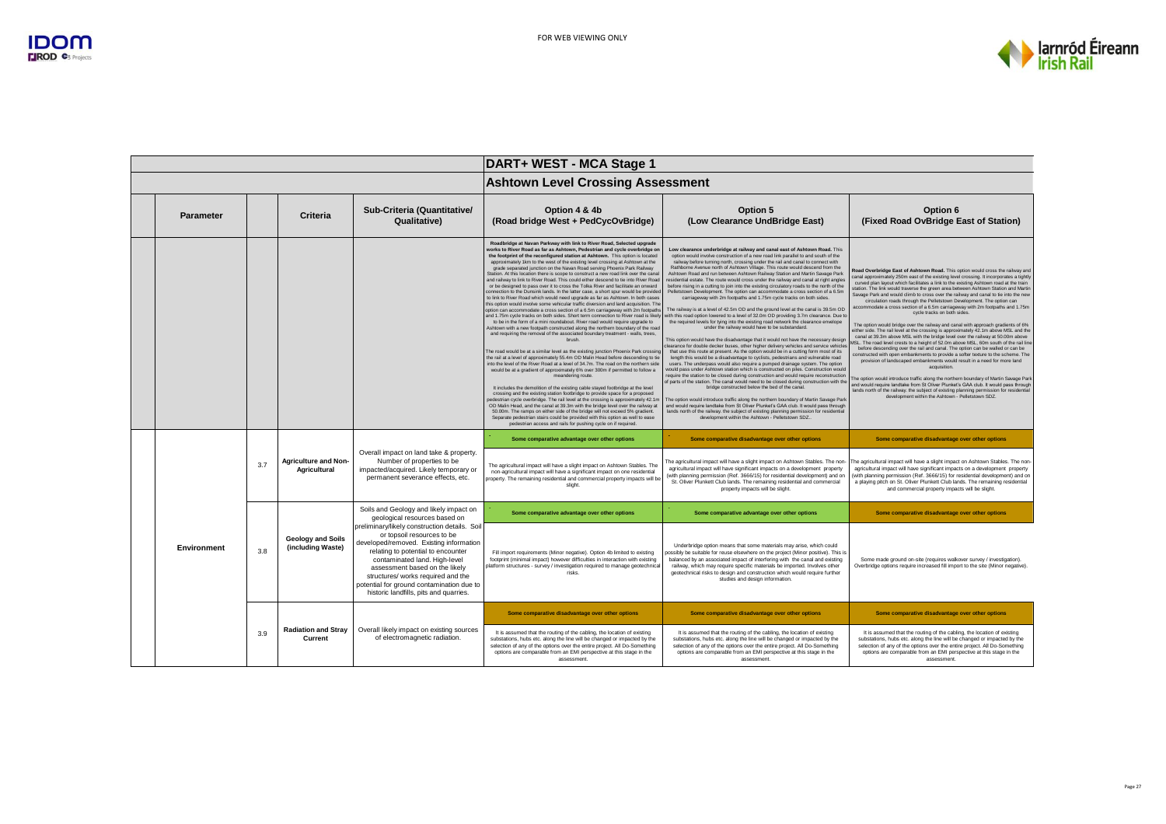

|  |             |     |                                               |                                                                                                                                                                                                                                                                                                                                                              | DART+ WEST - MCA Stage 1                                                                                                                                                                                                                                                                                                                                                                                                                                                                                                                                                                                                                                                                                                                                                                                                                                                                                                                                                                                                                                                                                                                                                                                                                                                                                                                                                                                                                                                                                                                                                                                                                                                                                                                                                                                                                                                                                                                                                                                                                                                                                                                                                                                                                                                                                                         |                                                                                                                                                                                                                                                                                                                                                                                                                                                                                                                                                                                                                                                                                                                                                                                                                                                                                                                                                                                                                                                                                                                                                                                                                                                                                                                                                                                                                                                                                                                                                                                                                                                                                                                                                                                                                                                                                                                                                                                                                                                                                                                                                                                                |                                                                                                                                                                                                                                                                                                                                                                                                                                                                                                                                                                                                                                                                                                                                                                                                                                                                                                                                                                                                                                                                                                                                                                                                                                                                                                                                                                                                                                                                                                                                                                                                 |  |
|--|-------------|-----|-----------------------------------------------|--------------------------------------------------------------------------------------------------------------------------------------------------------------------------------------------------------------------------------------------------------------------------------------------------------------------------------------------------------------|----------------------------------------------------------------------------------------------------------------------------------------------------------------------------------------------------------------------------------------------------------------------------------------------------------------------------------------------------------------------------------------------------------------------------------------------------------------------------------------------------------------------------------------------------------------------------------------------------------------------------------------------------------------------------------------------------------------------------------------------------------------------------------------------------------------------------------------------------------------------------------------------------------------------------------------------------------------------------------------------------------------------------------------------------------------------------------------------------------------------------------------------------------------------------------------------------------------------------------------------------------------------------------------------------------------------------------------------------------------------------------------------------------------------------------------------------------------------------------------------------------------------------------------------------------------------------------------------------------------------------------------------------------------------------------------------------------------------------------------------------------------------------------------------------------------------------------------------------------------------------------------------------------------------------------------------------------------------------------------------------------------------------------------------------------------------------------------------------------------------------------------------------------------------------------------------------------------------------------------------------------------------------------------------------------------------------------|------------------------------------------------------------------------------------------------------------------------------------------------------------------------------------------------------------------------------------------------------------------------------------------------------------------------------------------------------------------------------------------------------------------------------------------------------------------------------------------------------------------------------------------------------------------------------------------------------------------------------------------------------------------------------------------------------------------------------------------------------------------------------------------------------------------------------------------------------------------------------------------------------------------------------------------------------------------------------------------------------------------------------------------------------------------------------------------------------------------------------------------------------------------------------------------------------------------------------------------------------------------------------------------------------------------------------------------------------------------------------------------------------------------------------------------------------------------------------------------------------------------------------------------------------------------------------------------------------------------------------------------------------------------------------------------------------------------------------------------------------------------------------------------------------------------------------------------------------------------------------------------------------------------------------------------------------------------------------------------------------------------------------------------------------------------------------------------------------------------------------------------------------------------------------------------------|-------------------------------------------------------------------------------------------------------------------------------------------------------------------------------------------------------------------------------------------------------------------------------------------------------------------------------------------------------------------------------------------------------------------------------------------------------------------------------------------------------------------------------------------------------------------------------------------------------------------------------------------------------------------------------------------------------------------------------------------------------------------------------------------------------------------------------------------------------------------------------------------------------------------------------------------------------------------------------------------------------------------------------------------------------------------------------------------------------------------------------------------------------------------------------------------------------------------------------------------------------------------------------------------------------------------------------------------------------------------------------------------------------------------------------------------------------------------------------------------------------------------------------------------------------------------------------------------------|--|
|  |             |     |                                               |                                                                                                                                                                                                                                                                                                                                                              | <b>Ashtown Level Crossing Assessment</b>                                                                                                                                                                                                                                                                                                                                                                                                                                                                                                                                                                                                                                                                                                                                                                                                                                                                                                                                                                                                                                                                                                                                                                                                                                                                                                                                                                                                                                                                                                                                                                                                                                                                                                                                                                                                                                                                                                                                                                                                                                                                                                                                                                                                                                                                                         |                                                                                                                                                                                                                                                                                                                                                                                                                                                                                                                                                                                                                                                                                                                                                                                                                                                                                                                                                                                                                                                                                                                                                                                                                                                                                                                                                                                                                                                                                                                                                                                                                                                                                                                                                                                                                                                                                                                                                                                                                                                                                                                                                                                                |                                                                                                                                                                                                                                                                                                                                                                                                                                                                                                                                                                                                                                                                                                                                                                                                                                                                                                                                                                                                                                                                                                                                                                                                                                                                                                                                                                                                                                                                                                                                                                                                 |  |
|  | Parameter   |     | Criteria                                      | Sub-Criteria (Quantitative/<br>Qualitative)                                                                                                                                                                                                                                                                                                                  | Option 4 & 4b<br>(Road bridge West + PedCycOvBridge)                                                                                                                                                                                                                                                                                                                                                                                                                                                                                                                                                                                                                                                                                                                                                                                                                                                                                                                                                                                                                                                                                                                                                                                                                                                                                                                                                                                                                                                                                                                                                                                                                                                                                                                                                                                                                                                                                                                                                                                                                                                                                                                                                                                                                                                                             | Option 5<br>(Low Clearance UndBridge East)                                                                                                                                                                                                                                                                                                                                                                                                                                                                                                                                                                                                                                                                                                                                                                                                                                                                                                                                                                                                                                                                                                                                                                                                                                                                                                                                                                                                                                                                                                                                                                                                                                                                                                                                                                                                                                                                                                                                                                                                                                                                                                                                                     | Option 6<br>(Fixed Road OvBridge East of Station)                                                                                                                                                                                                                                                                                                                                                                                                                                                                                                                                                                                                                                                                                                                                                                                                                                                                                                                                                                                                                                                                                                                                                                                                                                                                                                                                                                                                                                                                                                                                               |  |
|  |             |     |                                               |                                                                                                                                                                                                                                                                                                                                                              | Roadbridge at Navan Parkway with link to River Road, Selected upgrade<br>works to River Road as far as Ashtown, Pedestrian and cycle overbridge on<br>the footprint of the reconfigured station at Ashtown. This option is located<br>approximately 1km to the west of the existing level crossing at Ashtown at the<br>grade separated junction on the Navan Road serving Phoenix Park Railway<br>Station. At this location there is scope to construct a new road link over the canal<br>and railway to link to River Road. This could either descend to tie into River Road<br>or be designed to pass over it to cross the Tolka River and facilitate an onward<br>connection to the Dunsink lands. In the latter case, a short spur would be provided<br>to link to River Road which would need upgrade as far as Ashtown. In both cases<br>this option would involve some vehicular traffic diversion and land acquisition. The<br>option can accommodate a cross section of a 6.5m carriageway with 2m footpaths<br>and 1.75m cycle tracks on both sides. Short term connection to River road is likely<br>to be in the form of a mini roundabout. River road would require upgrade to<br>Ashtown with a new footpath constructed along the northern boundary of the road<br>and requiring the removal of the associated boundary treatment - walls, trees,<br>hrush<br>The road would be at a similar level as the existing junction Phoenix Park crossing<br>the rail at a level of approximately 55.4m OD Malin Head before descending to tie<br>into the level of the River Road at a level of 34.7m. The road on the northern side<br>would be at a gradient of approximately 6% over 300m if permitted to follow a<br>meandering route.<br>It includes the demolition of the existing cable stayed footbridge at the level<br>crossing and the existing station footbridge to provide space for a proposed<br>pedestrian cycle overbridge. The rail level at the crossing is approximately 42.1m<br>OD Malin Head, and the canal at 39.3m with the bridge level over the railway at<br>50.00m. The ramps on either side of the bridge will not exceed 5% gradient.<br>Separate pedestrian stairs could be provided with this option as well to ease<br>pedestrian access and rails for pushing cycle on if required. | Low clearance underbridge at railway and canal east of Ashtown Road. This<br>option would involve construction of a new road link parallel to and south of the<br>railway before turning north, crossing under the rail and canal to connect with<br>Rathborne Avenue north of Ashtown Village. This route would descend from the<br>Ashtown Road and run between Ashtown Railway Station and Martin Savage Park<br>residential estate. The route would cross under the railway and canal at right angles<br>before rising in a cutting to join into the existing circulatory roads to the north of the<br>Pelletstown Development. The option can accommodate a cross section of a 6.5m<br>carriageway with 2m footpaths and 1.75m cycle tracks on both sides.<br>The railway is at a level of 42.5m OD and the ground level at the canal is 39.5m OD<br>with this road option lowered to a level of 32.0m OD providing 3.7m clearance. Due to<br>the required levels for tying into the existing road network the clearance envelope<br>under the railway would have to be substandard.<br>This option would have the disadvantage that it would not have the necessary design<br>clearance for double decker buses, other higher delivery vehicles and service vehicle<br>that use this route at present. As the option would be in a cutting form most of its<br>length this would be a disadvantage to cyclists, pedestrians and vulnerable road<br>users. The underpass would also require a pumped drainage system. The option<br>would pass under Ashtown station which is constructed on piles. Construction would<br>require the station to be closed during construction and would require reconstruction<br>of parts of the station. The canal would need to be closed during construction with the<br>bridge constructed below the bed of the canal<br>The option would introduce traffic along the northern boundary of Martin Savage Park<br>and would require landtake from St Oliver Plunket's GAA club, It would pass through<br>lands north of the railway. the subject of existing planning permission for residential<br>development within the Ashtown - Pelletstown SDZ | Road Overbridge East of Ashtown Road. This option would cross the railway and<br>canal approximately 250m east of the existing level crossing. It incorporates a tightly<br>curved plan layout which facilitates a link to the existing Ashtown road at the train<br>station. The link would traverse the green area between Ashtown Station and Martin<br>Savage Park and would climb to cross over the railway and canal to tie into the new<br>circulation roads through the Pelletstown Development. The option can<br>accommodate a cross section of a 6.5m carriageway with 2m footpaths and 1.75m<br>cycle tracks on both sides.<br>The option would bridge over the railway and canal with approach gradients of 6%<br>either side. The rail level at the crossing is approximately 42.1m above MSL and the<br>canal at 39.3m above MSL with the bridge level over the railway at 50.00m above<br>ISL. The road level crests to a height of 52.0m above MSL, 60m south of the rail line<br>before descending over the rail and canal. The option can be walled or can be<br>constructed with open embankments to provide a softer texture to the scheme. The<br>provision of landscaped embankments would result in a need for more land<br>acquisition.<br>The option would introduce traffic along the northern boundary of Martin Savage Park<br>and would require landtake from St Oliver Plunket's GAA club. It would pass through<br>lands north of the railway, the subject of existing planning permission for residential<br>development within the Ashtown - Pelletstown SDZ. |  |
|  |             |     |                                               |                                                                                                                                                                                                                                                                                                                                                              | Some comparative advantage over other options                                                                                                                                                                                                                                                                                                                                                                                                                                                                                                                                                                                                                                                                                                                                                                                                                                                                                                                                                                                                                                                                                                                                                                                                                                                                                                                                                                                                                                                                                                                                                                                                                                                                                                                                                                                                                                                                                                                                                                                                                                                                                                                                                                                                                                                                                    | Some comparative disadvantage over other options                                                                                                                                                                                                                                                                                                                                                                                                                                                                                                                                                                                                                                                                                                                                                                                                                                                                                                                                                                                                                                                                                                                                                                                                                                                                                                                                                                                                                                                                                                                                                                                                                                                                                                                                                                                                                                                                                                                                                                                                                                                                                                                                               | Some comparative disadvantage over other options                                                                                                                                                                                                                                                                                                                                                                                                                                                                                                                                                                                                                                                                                                                                                                                                                                                                                                                                                                                                                                                                                                                                                                                                                                                                                                                                                                                                                                                                                                                                                |  |
|  |             | 3.7 | <b>Agriculture and Non-</b><br>Agricultural   | Overall impact on land take & property.<br>Number of properties to be<br>impacted/acquired. Likely temporary or<br>permanent severance effects, etc.                                                                                                                                                                                                         | The agricultural impact will have a slight impact on Ashtown Stables. The<br>non-agricultural impact will have a significant impact on one residential<br>property. The remaining residential and commercial property impacts will be<br>slight                                                                                                                                                                                                                                                                                                                                                                                                                                                                                                                                                                                                                                                                                                                                                                                                                                                                                                                                                                                                                                                                                                                                                                                                                                                                                                                                                                                                                                                                                                                                                                                                                                                                                                                                                                                                                                                                                                                                                                                                                                                                                  | The agricultural impact will have a slight impact on Ashtown Stables. The non-<br>agricultural impact will have significant impacts on a development property<br>with planning permission (Ref. 3666/15) for residential development) and on<br>St. Oliver Plunkett Club lands. The remaining residential and commercial<br>property impacts will be slight.                                                                                                                                                                                                                                                                                                                                                                                                                                                                                                                                                                                                                                                                                                                                                                                                                                                                                                                                                                                                                                                                                                                                                                                                                                                                                                                                                                                                                                                                                                                                                                                                                                                                                                                                                                                                                                   | The agricultural impact will have a slight impact on Ashtown Stables. The non-<br>agricultural impact will have significant impacts on a development property<br>with planning permission (Ref. 3666/15) for residential development) and on<br>a playing pitch on St. Oliver Plunkett Club lands. The remaining residential<br>and commercial property impacts will be slight.                                                                                                                                                                                                                                                                                                                                                                                                                                                                                                                                                                                                                                                                                                                                                                                                                                                                                                                                                                                                                                                                                                                                                                                                                 |  |
|  |             |     |                                               | Soils and Geology and likely impact on<br>geological resources based on                                                                                                                                                                                                                                                                                      | Some comparative advantage over other options                                                                                                                                                                                                                                                                                                                                                                                                                                                                                                                                                                                                                                                                                                                                                                                                                                                                                                                                                                                                                                                                                                                                                                                                                                                                                                                                                                                                                                                                                                                                                                                                                                                                                                                                                                                                                                                                                                                                                                                                                                                                                                                                                                                                                                                                                    | Some comparative advantage over other options                                                                                                                                                                                                                                                                                                                                                                                                                                                                                                                                                                                                                                                                                                                                                                                                                                                                                                                                                                                                                                                                                                                                                                                                                                                                                                                                                                                                                                                                                                                                                                                                                                                                                                                                                                                                                                                                                                                                                                                                                                                                                                                                                  | Some comparative disadvantage over other options                                                                                                                                                                                                                                                                                                                                                                                                                                                                                                                                                                                                                                                                                                                                                                                                                                                                                                                                                                                                                                                                                                                                                                                                                                                                                                                                                                                                                                                                                                                                                |  |
|  | Environment | 3.8 | <b>Geology and Soils</b><br>(including Waste) | preliminary/likely construction details. Soil<br>or topsoil resources to be<br>developed/removed. Existing information<br>relating to potential to encounter<br>contaminated land. High-level<br>assessment based on the likely<br>structures/ works required and the<br>potential for ground contamination due to<br>historic landfills, pits and quarries. | Fill import requirements (Minor negative). Option 4b limited to existing<br>footprint (minimal impact) however difficulties in interaction with existing<br>platform structures - survey / investigation required to manage geotechnical<br>risks.                                                                                                                                                                                                                                                                                                                                                                                                                                                                                                                                                                                                                                                                                                                                                                                                                                                                                                                                                                                                                                                                                                                                                                                                                                                                                                                                                                                                                                                                                                                                                                                                                                                                                                                                                                                                                                                                                                                                                                                                                                                                               | Underbridge option means that some materials may arise, which could<br>ossibly be suitable for reuse elsewhere on the project (Minor positive). This is<br>balanced by an associated impact of interfering with the canal and existing<br>railway, which may require specific materials be imported. Involves other<br>geotechnical risks to design and construction which would require further<br>studies and design information.                                                                                                                                                                                                                                                                                                                                                                                                                                                                                                                                                                                                                                                                                                                                                                                                                                                                                                                                                                                                                                                                                                                                                                                                                                                                                                                                                                                                                                                                                                                                                                                                                                                                                                                                                            | Some made ground on-site (requires walkover survey / investigation).<br>Overbridge options require increased fill import to the site (Minor negative).                                                                                                                                                                                                                                                                                                                                                                                                                                                                                                                                                                                                                                                                                                                                                                                                                                                                                                                                                                                                                                                                                                                                                                                                                                                                                                                                                                                                                                          |  |
|  |             |     |                                               |                                                                                                                                                                                                                                                                                                                                                              | Some comparative disadvantage over other options                                                                                                                                                                                                                                                                                                                                                                                                                                                                                                                                                                                                                                                                                                                                                                                                                                                                                                                                                                                                                                                                                                                                                                                                                                                                                                                                                                                                                                                                                                                                                                                                                                                                                                                                                                                                                                                                                                                                                                                                                                                                                                                                                                                                                                                                                 | Some comparative disadvantage over other options                                                                                                                                                                                                                                                                                                                                                                                                                                                                                                                                                                                                                                                                                                                                                                                                                                                                                                                                                                                                                                                                                                                                                                                                                                                                                                                                                                                                                                                                                                                                                                                                                                                                                                                                                                                                                                                                                                                                                                                                                                                                                                                                               | Some comparative disadvantage over other options                                                                                                                                                                                                                                                                                                                                                                                                                                                                                                                                                                                                                                                                                                                                                                                                                                                                                                                                                                                                                                                                                                                                                                                                                                                                                                                                                                                                                                                                                                                                                |  |
|  |             | 3.9 | <b>Radiation and Strav</b><br>Current         | Overall likely impact on existing sources<br>of electromagnetic radiation.                                                                                                                                                                                                                                                                                   | It is assumed that the routing of the cabling, the location of existing<br>substations, hubs etc. along the line will be changed or impacted by the<br>selection of any of the options over the entire project. All Do-Something<br>options are comparable from an EMI perspective at this stage in the<br>assessment                                                                                                                                                                                                                                                                                                                                                                                                                                                                                                                                                                                                                                                                                                                                                                                                                                                                                                                                                                                                                                                                                                                                                                                                                                                                                                                                                                                                                                                                                                                                                                                                                                                                                                                                                                                                                                                                                                                                                                                                            | It is assumed that the routing of the cabling, the location of existing<br>substations, hubs etc. along the line will be changed or impacted by the<br>selection of any of the options over the entire project. All Do-Something<br>options are comparable from an EMI perspective at this stage in the<br>assessment.                                                                                                                                                                                                                                                                                                                                                                                                                                                                                                                                                                                                                                                                                                                                                                                                                                                                                                                                                                                                                                                                                                                                                                                                                                                                                                                                                                                                                                                                                                                                                                                                                                                                                                                                                                                                                                                                         | It is assumed that the routing of the cabling, the location of existing<br>substations, hubs etc. along the line will be changed or impacted by the<br>selection of any of the options over the entire project. All Do-Something<br>options are comparable from an EMI perspective at this stage in the<br>assessment.                                                                                                                                                                                                                                                                                                                                                                                                                                                                                                                                                                                                                                                                                                                                                                                                                                                                                                                                                                                                                                                                                                                                                                                                                                                                          |  |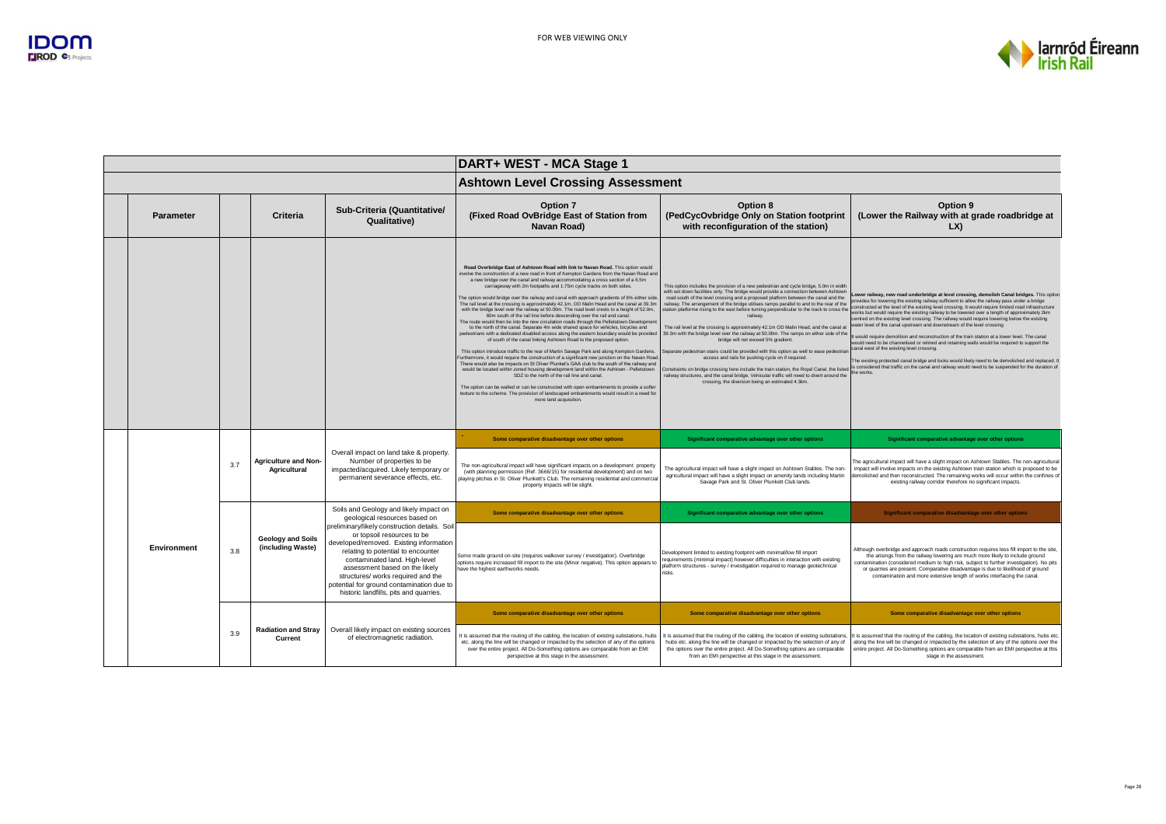

|  |                  |     |                                               |                                                                                                                                                                                                                                                                                                                                                              | DART+ WEST - MCA Stage 1                                                                                                                                                                                                                                                                                                                                                                                                                                                                                                                                                                                                                                                                                                                                                                                                                                                                                                                                                                                                                                                                                                                                                                                                                                                                                                                                                                                                                                                                                                                                                                                                                                                                                                           |                                                                                                                                                                                                                                                                                                                                                                                                                                                                                                                                                                                                                                                                                                                                                                                                                                                                                                                                                                                                                                                                                                         |                                                                                                                                                                                                                                                                                                                                                                                                                                                                                                                                                                                                                                                                                                                                                                                                                                                                                                                                                                                                                                                         |  |
|--|------------------|-----|-----------------------------------------------|--------------------------------------------------------------------------------------------------------------------------------------------------------------------------------------------------------------------------------------------------------------------------------------------------------------------------------------------------------------|------------------------------------------------------------------------------------------------------------------------------------------------------------------------------------------------------------------------------------------------------------------------------------------------------------------------------------------------------------------------------------------------------------------------------------------------------------------------------------------------------------------------------------------------------------------------------------------------------------------------------------------------------------------------------------------------------------------------------------------------------------------------------------------------------------------------------------------------------------------------------------------------------------------------------------------------------------------------------------------------------------------------------------------------------------------------------------------------------------------------------------------------------------------------------------------------------------------------------------------------------------------------------------------------------------------------------------------------------------------------------------------------------------------------------------------------------------------------------------------------------------------------------------------------------------------------------------------------------------------------------------------------------------------------------------------------------------------------------------|---------------------------------------------------------------------------------------------------------------------------------------------------------------------------------------------------------------------------------------------------------------------------------------------------------------------------------------------------------------------------------------------------------------------------------------------------------------------------------------------------------------------------------------------------------------------------------------------------------------------------------------------------------------------------------------------------------------------------------------------------------------------------------------------------------------------------------------------------------------------------------------------------------------------------------------------------------------------------------------------------------------------------------------------------------------------------------------------------------|---------------------------------------------------------------------------------------------------------------------------------------------------------------------------------------------------------------------------------------------------------------------------------------------------------------------------------------------------------------------------------------------------------------------------------------------------------------------------------------------------------------------------------------------------------------------------------------------------------------------------------------------------------------------------------------------------------------------------------------------------------------------------------------------------------------------------------------------------------------------------------------------------------------------------------------------------------------------------------------------------------------------------------------------------------|--|
|  |                  |     |                                               |                                                                                                                                                                                                                                                                                                                                                              | <b>Ashtown Level Crossing Assessment</b>                                                                                                                                                                                                                                                                                                                                                                                                                                                                                                                                                                                                                                                                                                                                                                                                                                                                                                                                                                                                                                                                                                                                                                                                                                                                                                                                                                                                                                                                                                                                                                                                                                                                                           |                                                                                                                                                                                                                                                                                                                                                                                                                                                                                                                                                                                                                                                                                                                                                                                                                                                                                                                                                                                                                                                                                                         |                                                                                                                                                                                                                                                                                                                                                                                                                                                                                                                                                                                                                                                                                                                                                                                                                                                                                                                                                                                                                                                         |  |
|  | <b>Parameter</b> |     | Criteria                                      | Sub-Criteria (Quantitative/<br>Qualitative)                                                                                                                                                                                                                                                                                                                  | Option 7<br>(Fixed Road OvBridge East of Station from<br>Navan Road)                                                                                                                                                                                                                                                                                                                                                                                                                                                                                                                                                                                                                                                                                                                                                                                                                                                                                                                                                                                                                                                                                                                                                                                                                                                                                                                                                                                                                                                                                                                                                                                                                                                               | Option 8<br>(PedCycOvbridge Only on Station footprint<br>with reconfiguration of the station)                                                                                                                                                                                                                                                                                                                                                                                                                                                                                                                                                                                                                                                                                                                                                                                                                                                                                                                                                                                                           | Option 9<br>(Lower the Railway with at grade roadbridge at<br>LX                                                                                                                                                                                                                                                                                                                                                                                                                                                                                                                                                                                                                                                                                                                                                                                                                                                                                                                                                                                        |  |
|  |                  |     |                                               |                                                                                                                                                                                                                                                                                                                                                              | Road Overbridge East of Ashtown Road with link to Navan Road. This option would<br>tvolve the construction of a new road in front of Kempton Gardens from the Navan Road and<br>a new bridge over the canal and railway accommodating a cross section of a 6.5m<br>carriageway with 2m footpaths and 1.75m cycle tracks on both sides.<br>The option would bridge over the railway and canal with approach gradients of 6% either side<br>The rail level at the crossing is approximately 42.1m, OD Malin Head and the canal at 39.3m<br>with the bridge level over the railway at 50.00m. The road level crests to a height of 52.0m,<br>60m south of the rail line before descending over the rail and canal.<br>The route would then tie into the new circulation roads through the Pelletstown Developmer<br>to the north of the canal. Separate 4m wide shared space for vehicles, bicycles and<br>pedestrians with a dedicated disabled access along the eastern boundary would be provided<br>of south of the canal linking Ashtown Road to the proposed option.<br>This option introduce traffic to the rear of Martin Savage Park and along Kempton Gardens.<br>Furthermore, it would require the construction of a significant new junction on the Navan Road<br>There would also be impacts on St Oliver Plunket's GAA club to the south of the railway and<br>would be located within zoned housing development land within the Ashtown - Pelletstown<br>SDZ to the north of the rail line and canal<br>The option can be walled or can be constructed with open embankments to provide a softer<br>texture to the scheme. The provision of landscaped embankments would result in a need for<br>more land acquisition | This option includes the provision of a new pedestrian and cycle bridge, 5.0m in width<br>with set down facilities only. The bridge would provide a connection between Ashtown<br>road south of the level crossing and a proposed platform between the canal and the<br>railway. The arrangement of the bridge utilises ramps parallel to and to the rear of the<br>station platforme rising to the east before turning perpendicular to the track to cross the<br>railway<br>The rail level at the crossing is approximately 42.1m OD Malin Head, and the canal at<br>39.3m with the bridge level over the railway at 50.00m. The ramps on either side of the<br>bridge will not exceed 5% gradient.<br>Separate pedestrian stairs could be provided with this option as well to ease pedestriar<br>access and rails for pushing cycle on if required.<br>Constraints on bridge crossing here include the train station, the Royal Canal, the listed<br>railway structures, and the canal bridge. Vehicular traffic will need to divert around the<br>crossing, the diversion being an estimated 4.3km | Lower railway, new road underbridge at level crossing, demolish Canal bridges. This option<br>provides for lowering the existing railway sufficient to allow the railway pass under a bridge<br>constructed at the level of the existing level crossing. It would require limited road infrastructure<br>works but would require the existing railway to be lowered over a length of approximately 2km<br>centred on the existing level crossing. The railway would require lowering below the existing<br>ater level of the canal upstream and downstream of the level crossing.<br>t would require demolition and reconstruction of the train station at a lower level. The canal<br>would need to be channelised or relined and retaining walls would be required to support the<br>canal west of the existing level crossing.<br>The existing protected canal bridge and locks would likely need to be demolished and replaced.<br>is considered that traffic on the canal and railway would need to be suspended for the duration of<br>the works. |  |
|  |                  |     |                                               |                                                                                                                                                                                                                                                                                                                                                              | Some comparative disadvantage over other options                                                                                                                                                                                                                                                                                                                                                                                                                                                                                                                                                                                                                                                                                                                                                                                                                                                                                                                                                                                                                                                                                                                                                                                                                                                                                                                                                                                                                                                                                                                                                                                                                                                                                   | Significant comparative advantage over other options                                                                                                                                                                                                                                                                                                                                                                                                                                                                                                                                                                                                                                                                                                                                                                                                                                                                                                                                                                                                                                                    | Significant comparative advantage over other options                                                                                                                                                                                                                                                                                                                                                                                                                                                                                                                                                                                                                                                                                                                                                                                                                                                                                                                                                                                                    |  |
|  |                  | 3.7 | <b>Agriculture and Non-</b><br>Agricultural   | Overall impact on land take & property.<br>Number of properties to be<br>impacted/acquired. Likely temporary or<br>permanent severance effects, etc.                                                                                                                                                                                                         | The non-agricultural impact will have significant impacts on a development property<br>(with planning permission (Ref. 3666/15) for residential development) and on two<br>playing pitches in St. Oliver Plunkett's Club. The remaining residential and commercial<br>property impacts will be slight.                                                                                                                                                                                                                                                                                                                                                                                                                                                                                                                                                                                                                                                                                                                                                                                                                                                                                                                                                                                                                                                                                                                                                                                                                                                                                                                                                                                                                             | The agricultural impact will have a slight impact on Ashtown Stables. The non-<br>agricultural impact will have a slight impact on amenity lands including Martin<br>Savage Park and St. Oliver Plunkett Club lands.                                                                                                                                                                                                                                                                                                                                                                                                                                                                                                                                                                                                                                                                                                                                                                                                                                                                                    | The agricultural impact will have a slight impact on Ashtown Stables. The non-agricultural<br>impact will involve impacts on the existing Ashtown train station which is proposed to be<br>demolished and then reconstructed. The remaining works will occur within the confines of<br>existing railway corridor therefore no significant impacts.                                                                                                                                                                                                                                                                                                                                                                                                                                                                                                                                                                                                                                                                                                      |  |
|  |                  |     |                                               | Soils and Geology and likely impact on<br>geological resources based on                                                                                                                                                                                                                                                                                      | Some comparative disadvantage over other options                                                                                                                                                                                                                                                                                                                                                                                                                                                                                                                                                                                                                                                                                                                                                                                                                                                                                                                                                                                                                                                                                                                                                                                                                                                                                                                                                                                                                                                                                                                                                                                                                                                                                   | Significant comparative advantage over other options                                                                                                                                                                                                                                                                                                                                                                                                                                                                                                                                                                                                                                                                                                                                                                                                                                                                                                                                                                                                                                                    | Significant comparative disadvantage over other options                                                                                                                                                                                                                                                                                                                                                                                                                                                                                                                                                                                                                                                                                                                                                                                                                                                                                                                                                                                                 |  |
|  | Environment      | 3.8 | <b>Geology and Soils</b><br>(including Waste) | preliminary/likely construction details. Soil<br>or topsoil resources to be<br>developed/removed. Existing information<br>relating to potential to encounter<br>contaminated land. High-level<br>assessment based on the likely<br>structures/ works required and the<br>potential for ground contamination due to<br>historic landfills, pits and quarries. | Some made ground on-site (requires walkover survey / investigation). Overbridge<br>options require increased fill import to the site (Minor negative). This option appears to<br>have the highest earthworks needs.                                                                                                                                                                                                                                                                                                                                                                                                                                                                                                                                                                                                                                                                                                                                                                                                                                                                                                                                                                                                                                                                                                                                                                                                                                                                                                                                                                                                                                                                                                                | Development limited to existing footprint with minimal/low fill import<br>requirements (minimal impact) however difficulties in interaction with existing<br>platform structures - survey / investigation required to manage geotechnical<br>risks.                                                                                                                                                                                                                                                                                                                                                                                                                                                                                                                                                                                                                                                                                                                                                                                                                                                     | Although overbridge and approach roads construction requires less fill import to the site.<br>the arisings from the railway lowering are much more likely to include ground<br>contamination (considered medium to high risk, subject to further investigation). No pits<br>or quarries are present. Comparative disadvantage is due to likelihood of ground<br>contamination and more extensive length of works interfacing the canal.                                                                                                                                                                                                                                                                                                                                                                                                                                                                                                                                                                                                                 |  |
|  |                  |     |                                               |                                                                                                                                                                                                                                                                                                                                                              | Some comparative disadvantage over other options                                                                                                                                                                                                                                                                                                                                                                                                                                                                                                                                                                                                                                                                                                                                                                                                                                                                                                                                                                                                                                                                                                                                                                                                                                                                                                                                                                                                                                                                                                                                                                                                                                                                                   | Some comparative disadvantage over other options                                                                                                                                                                                                                                                                                                                                                                                                                                                                                                                                                                                                                                                                                                                                                                                                                                                                                                                                                                                                                                                        | Some comparative disadvantage over other options                                                                                                                                                                                                                                                                                                                                                                                                                                                                                                                                                                                                                                                                                                                                                                                                                                                                                                                                                                                                        |  |
|  |                  | 3.9 | <b>Radiation and Stray</b><br>Current         | Overall likely impact on existing sources<br>of electromagnetic radiation.                                                                                                                                                                                                                                                                                   | It is assumed that the routing of the cabling, the location of existing substations, hubs<br>etc. along the line will be changed or impacted by the selection of any of the options<br>over the entire project. All Do-Something options are comparable from an EMI<br>perspective at this stage in the assessment.                                                                                                                                                                                                                                                                                                                                                                                                                                                                                                                                                                                                                                                                                                                                                                                                                                                                                                                                                                                                                                                                                                                                                                                                                                                                                                                                                                                                                | t is assumed that the routing of the cabling, the location of existing substations,<br>hubs etc. along the line will be changed or impacted by the selection of any of<br>the options over the entire project. All Do-Something options are comparable<br>from an EMI perspective at this stage in the assessment.                                                                                                                                                                                                                                                                                                                                                                                                                                                                                                                                                                                                                                                                                                                                                                                      | It is assumed that the routing of the cabling, the location of existing substations, hubs etc.<br>along the line will be changed or impacted by the selection of any of the options over the<br>entire project. All Do-Something options are comparable from an EMI perspective at this<br>stage in the assessment.                                                                                                                                                                                                                                                                                                                                                                                                                                                                                                                                                                                                                                                                                                                                     |  |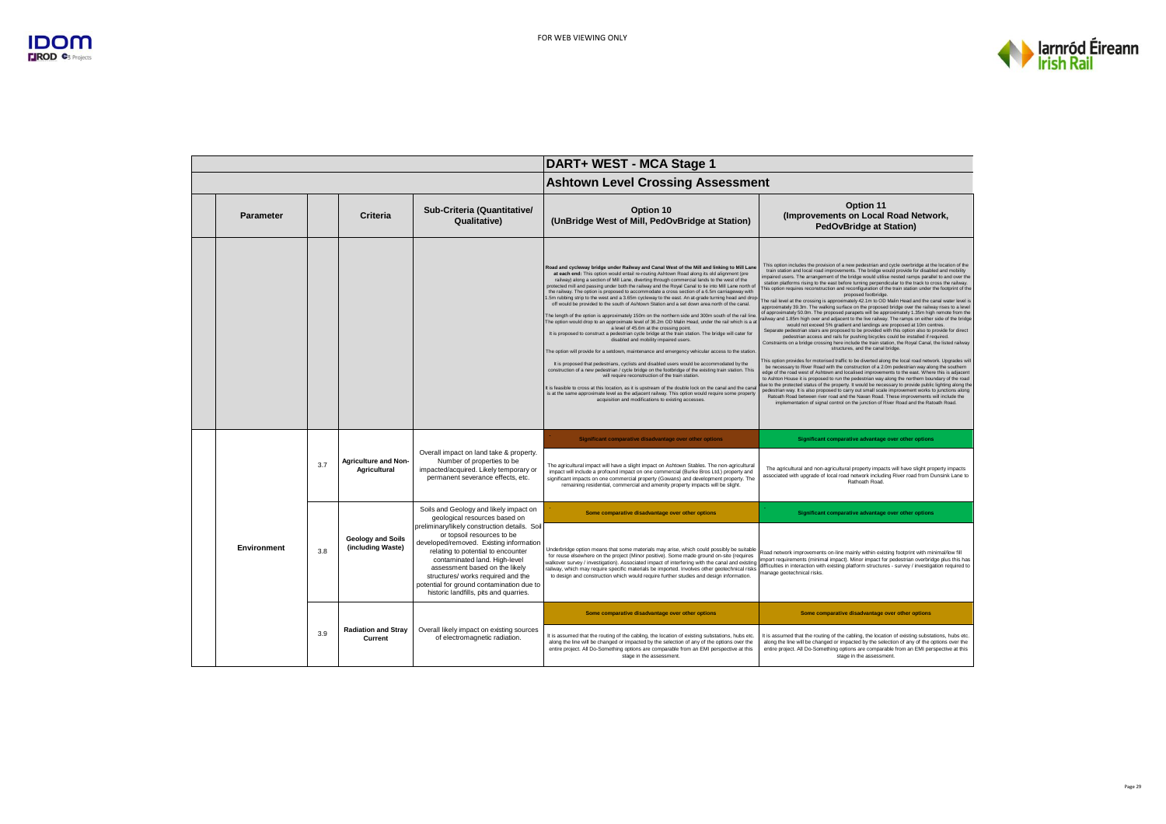

|                  |     |                                                    |                                                                                                                                                                                                                                                                                                                                                                                               | DART+ WEST - MCA Stage 1                                                                                                                                                                                                                                                                                                                                                                                                                                                                                                                                                                                                                                                                                                                                                                                                                                                                                                                                                                                                                                                                                                                                                                                                                                                                                                                                                                                                                                                                                                                                                                                                                                                                                                                                 |                                                                                                                                                                                                                                                                                                                                                                                                                                                                                                                                                                                                                                                                                                                                                                                                                                                                                                                                                                                                                                                                                                                                                                                                                                                                                                                                                                                                                                                                                                                                                                                                                                                                                                                                                                                                                                                                                                                                                                                                                                                                                                                                                                                                              |  |  |
|------------------|-----|----------------------------------------------------|-----------------------------------------------------------------------------------------------------------------------------------------------------------------------------------------------------------------------------------------------------------------------------------------------------------------------------------------------------------------------------------------------|----------------------------------------------------------------------------------------------------------------------------------------------------------------------------------------------------------------------------------------------------------------------------------------------------------------------------------------------------------------------------------------------------------------------------------------------------------------------------------------------------------------------------------------------------------------------------------------------------------------------------------------------------------------------------------------------------------------------------------------------------------------------------------------------------------------------------------------------------------------------------------------------------------------------------------------------------------------------------------------------------------------------------------------------------------------------------------------------------------------------------------------------------------------------------------------------------------------------------------------------------------------------------------------------------------------------------------------------------------------------------------------------------------------------------------------------------------------------------------------------------------------------------------------------------------------------------------------------------------------------------------------------------------------------------------------------------------------------------------------------------------|--------------------------------------------------------------------------------------------------------------------------------------------------------------------------------------------------------------------------------------------------------------------------------------------------------------------------------------------------------------------------------------------------------------------------------------------------------------------------------------------------------------------------------------------------------------------------------------------------------------------------------------------------------------------------------------------------------------------------------------------------------------------------------------------------------------------------------------------------------------------------------------------------------------------------------------------------------------------------------------------------------------------------------------------------------------------------------------------------------------------------------------------------------------------------------------------------------------------------------------------------------------------------------------------------------------------------------------------------------------------------------------------------------------------------------------------------------------------------------------------------------------------------------------------------------------------------------------------------------------------------------------------------------------------------------------------------------------------------------------------------------------------------------------------------------------------------------------------------------------------------------------------------------------------------------------------------------------------------------------------------------------------------------------------------------------------------------------------------------------------------------------------------------------------------------------------------------------|--|--|
|                  |     |                                                    |                                                                                                                                                                                                                                                                                                                                                                                               | <b>Ashtown Level Crossing Assessment</b>                                                                                                                                                                                                                                                                                                                                                                                                                                                                                                                                                                                                                                                                                                                                                                                                                                                                                                                                                                                                                                                                                                                                                                                                                                                                                                                                                                                                                                                                                                                                                                                                                                                                                                                 |                                                                                                                                                                                                                                                                                                                                                                                                                                                                                                                                                                                                                                                                                                                                                                                                                                                                                                                                                                                                                                                                                                                                                                                                                                                                                                                                                                                                                                                                                                                                                                                                                                                                                                                                                                                                                                                                                                                                                                                                                                                                                                                                                                                                              |  |  |
| <b>Parameter</b> |     | Criteria                                           | Sub-Criteria (Quantitative/<br>Qualitative)                                                                                                                                                                                                                                                                                                                                                   | Option 10<br>(UnBridge West of Mill, PedOvBridge at Station)                                                                                                                                                                                                                                                                                                                                                                                                                                                                                                                                                                                                                                                                                                                                                                                                                                                                                                                                                                                                                                                                                                                                                                                                                                                                                                                                                                                                                                                                                                                                                                                                                                                                                             | Option 11<br>(Improvements on Local Road Network,<br><b>PedOvBridge at Station)</b>                                                                                                                                                                                                                                                                                                                                                                                                                                                                                                                                                                                                                                                                                                                                                                                                                                                                                                                                                                                                                                                                                                                                                                                                                                                                                                                                                                                                                                                                                                                                                                                                                                                                                                                                                                                                                                                                                                                                                                                                                                                                                                                          |  |  |
|                  |     |                                                    |                                                                                                                                                                                                                                                                                                                                                                                               | Road and cycleway bridge under Railway and Canal West of the Mill and linking to Mill Lane<br>at each end: This option would entail re-routing Ashtown Road along its old alignment (pre<br>railway) along a section of Mill Lane, diverting through commercial lands to the west of the<br>protected mill and passing under both the railway and the Royal Canal to tie into Mill Lane north of<br>the railway. The option is proposed to accommodate a cross section of a 6.5m carriageway with<br>5m rubbing strip to the west and a 3.65m cycleway to the east. An at-grade turning head and drop.<br>off would be provided to the south of Ashtown Station and a set down area north of the canal.<br>The length of the option is approximately 150m on the northern side and 300m south of the rail line<br>The option would drop to an approximate level of 36.2m OD Malin Head, under the rail which is a at<br>a level of 45.6m at the crossing point.<br>It is proposed to construct a pedestrian cycle bridge at the train station. The bridge will cater for<br>disabled and mobility impaired users.<br>The option will provide for a setdown, maintenance and emergency vehicular access to the station<br>It is proposed that pedestrians, cyclists and disabled users would be accommodated by the<br>construction of a new pedestrian / cycle bridge on the footbridge of the existing train station. This<br>will require reconstruction of the train station.<br>It is feasible to cross at this location, as it is upstream of the double lock on the canal and the cana<br>is at the same approximate level as the adjacent railway. This option would require some property<br>acquisition and modifications to existing accesses. | This option includes the provision of a new pedestrian and cycle overbridge at the location of the<br>train station and local road improvements. The bridge would provide for disabled and mobility<br>impaired users. The arrangement of the bridge would utilise pested ramps parallel to and over the<br>station platforms rising to the east before turning perpendicular to the track to cross the railway.<br>This option requires reconstruction and reconfiguration of the train station under the footprint of the<br>proposed footbridge.<br>The rail level at the crossing is approximately 42.1m to OD Malin Head and the canal water level is<br>approximately 39.3m. The walking surface on the proposed bridge over the railway rises to a level<br>of approximately 50.0m. The proposed parapets will be approximately 1.35m high remote from the<br>ailway and 1.85m high over and adjacent to the live railway. The ramps on either side of the bridge<br>would not exceed 5% gradient and landings are proposed at 10m centres.<br>Separate pedestrian stairs are proposed to be provided with this option also to provide for direct<br>pedestrian access and rails for pushing bicycles could be installed if required.<br>Constraints on a bridge crossing here include the train station, the Royal Canal, the listed railway<br>structures, and the canal bridge.<br>This option provides for motorised traffic to be diverted along the local road network. Upgrades will<br>be necessary to River Road with the construction of a 2.0m pedestrian way along the southern<br>edge of the road west of Ashtown and localised improvements to the east. Where this is adjacent<br>to Ashton House it is proposed to run the pedestrian way along the northern boundary of the road<br>lue to the protected status of the property. It would be necessary to provide public lighting along the<br>pedestrian way. It is also proposed to carry out small scale improvement works to junctions along<br>Ratoath Road between river road and the Navan Road. These improvements will include the<br>implementation of signal control on the junction of River Road and the Ratoath Road. |  |  |
|                  | 3.7 | <b>Agriculture and Non-</b><br><b>Agricultural</b> | Overall impact on land take & property.<br>Number of properties to be<br>impacted/acquired. Likely temporary or<br>permanent severance effects, etc.                                                                                                                                                                                                                                          | Significant comparative disadvantage over other options<br>The agricultural impact will have a slight impact on Ashtown Stables. The non-agricultural<br>impact will include a profound impact on one commercial (Burke Bros Ltd.) property and<br>significant impacts on one commercial property (Gowans) and development property. The<br>remaining residential, commercial and amenity property impacts will be slight.                                                                                                                                                                                                                                                                                                                                                                                                                                                                                                                                                                                                                                                                                                                                                                                                                                                                                                                                                                                                                                                                                                                                                                                                                                                                                                                               | Significant comparative advantage over other options<br>The agricultural and non-agricultural property impacts will have slight property impacts<br>associated with upgrade of local road network including River road from Dunsink Lane to<br>Rathoath Road.                                                                                                                                                                                                                                                                                                                                                                                                                                                                                                                                                                                                                                                                                                                                                                                                                                                                                                                                                                                                                                                                                                                                                                                                                                                                                                                                                                                                                                                                                                                                                                                                                                                                                                                                                                                                                                                                                                                                                |  |  |
|                  |     |                                                    | Soils and Geology and likely impact on                                                                                                                                                                                                                                                                                                                                                        | Some comparative disadvantage over other options                                                                                                                                                                                                                                                                                                                                                                                                                                                                                                                                                                                                                                                                                                                                                                                                                                                                                                                                                                                                                                                                                                                                                                                                                                                                                                                                                                                                                                                                                                                                                                                                                                                                                                         | Significant comparative advantage over other options                                                                                                                                                                                                                                                                                                                                                                                                                                                                                                                                                                                                                                                                                                                                                                                                                                                                                                                                                                                                                                                                                                                                                                                                                                                                                                                                                                                                                                                                                                                                                                                                                                                                                                                                                                                                                                                                                                                                                                                                                                                                                                                                                         |  |  |
| Environment      | 3.8 | <b>Geology and Soils</b><br>(including Waste)      | geological resources based on<br>preliminary/likely construction details. Soil<br>or topsoil resources to be<br>developed/removed. Existing information<br>relating to potential to encounter<br>contaminated land. High-level<br>assessment based on the likely<br>structures/ works required and the<br>potential for ground contamination due to<br>historic landfills, pits and quarries. | Underbridge option means that some materials may arise, which could possibly be suitable<br>for reuse elsewhere on the project (Minor positive). Some made ground on-site (requires<br>walkover survey / investigation). Associated impact of interfering with the canal and existing<br>railway, which may require specific materials be imported. Involves other geotechnical risks<br>to design and construction which would require further studies and design information.                                                                                                                                                                                                                                                                                                                                                                                                                                                                                                                                                                                                                                                                                                                                                                                                                                                                                                                                                                                                                                                                                                                                                                                                                                                                          | Road network improvements on-line mainly within existing footprint with minimal/low fill<br>mport requirements (minimal impact). Minor impact for pedestrian overbridge plus this has<br>difficulties in interaction with existing platform structures - survey / investigation required to<br>manage geotechnical risks.                                                                                                                                                                                                                                                                                                                                                                                                                                                                                                                                                                                                                                                                                                                                                                                                                                                                                                                                                                                                                                                                                                                                                                                                                                                                                                                                                                                                                                                                                                                                                                                                                                                                                                                                                                                                                                                                                    |  |  |
|                  | 3.9 | <b>Radiation and Stray</b><br>Current              | Overall likely impact on existing sources<br>of electromagnetic radiation.                                                                                                                                                                                                                                                                                                                    | Some comparative disadvantage over other options<br>It is assumed that the routing of the cabling, the location of existing substations, hubs etc.<br>along the line will be changed or impacted by the selection of any of the options over the<br>entire project. All Do-Something options are comparable from an EMI perspective at this<br>stage in the assessment.                                                                                                                                                                                                                                                                                                                                                                                                                                                                                                                                                                                                                                                                                                                                                                                                                                                                                                                                                                                                                                                                                                                                                                                                                                                                                                                                                                                  | Some comparative disadvantage over other options<br>It is assumed that the routing of the cabling, the location of existing substations, hubs etc.<br>along the line will be changed or impacted by the selection of any of the options over the<br>entire project. All Do-Something options are comparable from an EMI perspective at this<br>stage in the assessment.                                                                                                                                                                                                                                                                                                                                                                                                                                                                                                                                                                                                                                                                                                                                                                                                                                                                                                                                                                                                                                                                                                                                                                                                                                                                                                                                                                                                                                                                                                                                                                                                                                                                                                                                                                                                                                      |  |  |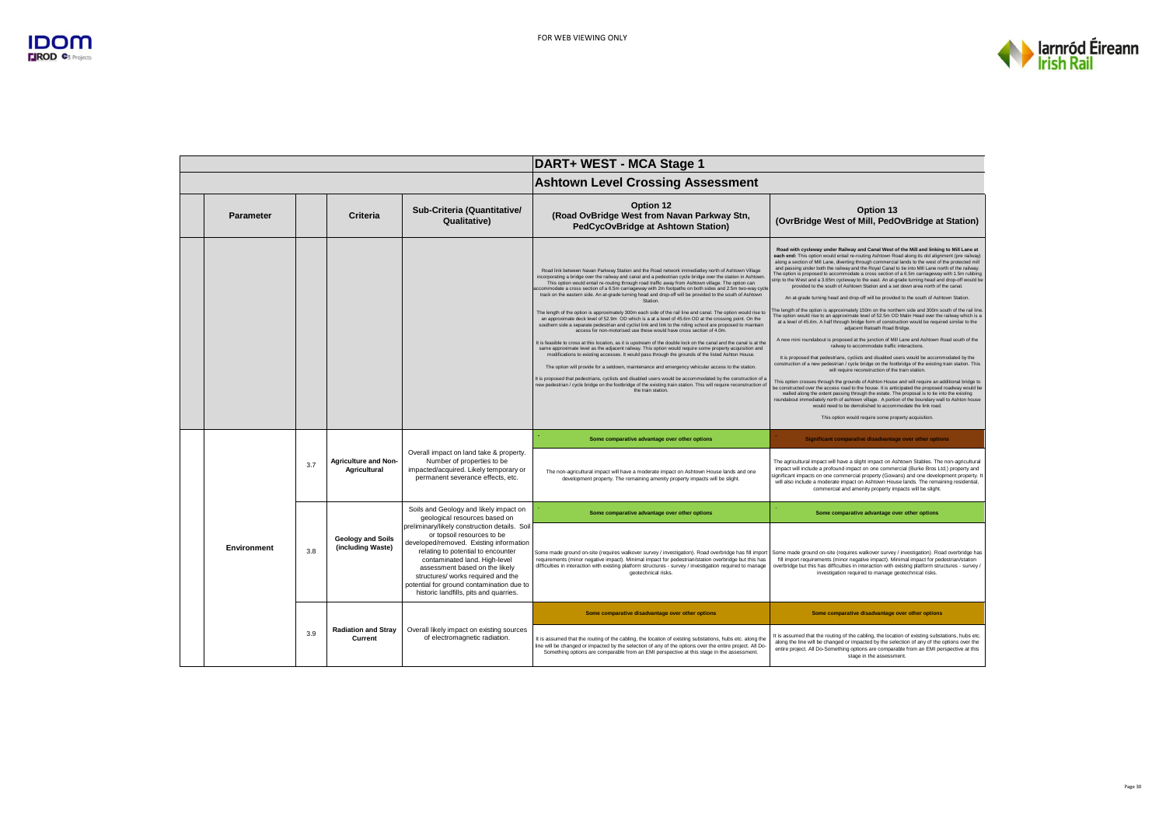

|                    |     |                                               |                                                                                                                                                                                                                                                                                                                                                              | DART+ WEST - MCA Stage 1                                                                                                                                                                                                                                                                                                                                                                                                                                                                                                                                                                                                                                                                                                                                                                                                                                                                                                                                                                                                                                                                                                                                                                                                                                                                                                                                                                                                                                                                                                                                                                                                                                                          |                                                                                                                                                                                                                                                                                                                                                                                                                                                                                                                                                                                                                                                                                                                                                                                                                                                                                                                                                                                                                                                                                                                                                                                                                                                                                                                                                                                                                                                                                                                                                                                                                                                                                                                                                                                                                                                                                                                                                                                                                                                                                          |  |
|--------------------|-----|-----------------------------------------------|--------------------------------------------------------------------------------------------------------------------------------------------------------------------------------------------------------------------------------------------------------------------------------------------------------------------------------------------------------------|-----------------------------------------------------------------------------------------------------------------------------------------------------------------------------------------------------------------------------------------------------------------------------------------------------------------------------------------------------------------------------------------------------------------------------------------------------------------------------------------------------------------------------------------------------------------------------------------------------------------------------------------------------------------------------------------------------------------------------------------------------------------------------------------------------------------------------------------------------------------------------------------------------------------------------------------------------------------------------------------------------------------------------------------------------------------------------------------------------------------------------------------------------------------------------------------------------------------------------------------------------------------------------------------------------------------------------------------------------------------------------------------------------------------------------------------------------------------------------------------------------------------------------------------------------------------------------------------------------------------------------------------------------------------------------------|------------------------------------------------------------------------------------------------------------------------------------------------------------------------------------------------------------------------------------------------------------------------------------------------------------------------------------------------------------------------------------------------------------------------------------------------------------------------------------------------------------------------------------------------------------------------------------------------------------------------------------------------------------------------------------------------------------------------------------------------------------------------------------------------------------------------------------------------------------------------------------------------------------------------------------------------------------------------------------------------------------------------------------------------------------------------------------------------------------------------------------------------------------------------------------------------------------------------------------------------------------------------------------------------------------------------------------------------------------------------------------------------------------------------------------------------------------------------------------------------------------------------------------------------------------------------------------------------------------------------------------------------------------------------------------------------------------------------------------------------------------------------------------------------------------------------------------------------------------------------------------------------------------------------------------------------------------------------------------------------------------------------------------------------------------------------------------------|--|
|                    |     |                                               |                                                                                                                                                                                                                                                                                                                                                              | <b>Ashtown Level Crossing Assessment</b>                                                                                                                                                                                                                                                                                                                                                                                                                                                                                                                                                                                                                                                                                                                                                                                                                                                                                                                                                                                                                                                                                                                                                                                                                                                                                                                                                                                                                                                                                                                                                                                                                                          |                                                                                                                                                                                                                                                                                                                                                                                                                                                                                                                                                                                                                                                                                                                                                                                                                                                                                                                                                                                                                                                                                                                                                                                                                                                                                                                                                                                                                                                                                                                                                                                                                                                                                                                                                                                                                                                                                                                                                                                                                                                                                          |  |
| <b>Parameter</b>   |     | Criteria                                      | Sub-Criteria (Quantitative/<br>Qualitative)                                                                                                                                                                                                                                                                                                                  | Option 12<br>(Road OvBridge West from Navan Parkway Stn,<br>PedCycOvBridge at Ashtown Station)                                                                                                                                                                                                                                                                                                                                                                                                                                                                                                                                                                                                                                                                                                                                                                                                                                                                                                                                                                                                                                                                                                                                                                                                                                                                                                                                                                                                                                                                                                                                                                                    | Option 13<br>(OvrBridge West of Mill, PedOvBridge at Station)                                                                                                                                                                                                                                                                                                                                                                                                                                                                                                                                                                                                                                                                                                                                                                                                                                                                                                                                                                                                                                                                                                                                                                                                                                                                                                                                                                                                                                                                                                                                                                                                                                                                                                                                                                                                                                                                                                                                                                                                                            |  |
|                    |     |                                               |                                                                                                                                                                                                                                                                                                                                                              | Road link between Navan Parkway Station and the Road network immediatley north of Ashtown Village<br>incorporating a bridge over the railway and canal and a pedestrian cycle bridge over the station in Ashtown<br>This option would entail re-routing through road traffic away from Ashtown village. The option can<br>accommodate a cross section of a 6.5m carriageway with 2m footpaths on both sides and 2.5m two-way cycle<br>track on the eastern side. An at-grade turning head and drop-off will be provided to the south of Ashtown<br>Station<br>The length of the option is approximately 300m each side of the rail line and canal. The option would rise to<br>an approximate deck level of 52.9m OD which is a at a level of 45.6m OD at the crossing point. On the<br>southern side a separate pedestrian and cyclist link and link to the riding school are proposed to maintain<br>access for non-motorised use these would have cross section of 4.0m.<br>It is feasible to cross at this location, as it is upstream of the double lock on the canal and the canal is at the<br>same approximate level as the adjacent railway. This option would require some property acquisition and<br>modifications to existing accesses. It would pass through the grounds of the listed Ashton House.<br>The option will provide for a setdown, maintenance and emergency vehicular access to the station.<br>It is proposed that pedestrians, cyclists and disabled users would be accommodated by the construction of a<br>new pedestrian / cycle bridge on the footbridge of the existing train station. This will require reconstruction of<br>the train station | Road with cycleway under Railway and Canal West of the Mill and linking to Mill Lane at<br>each end: This option would entail re-routing Ashtown Road along its old alignment (pre railway)<br>along a section of Mill Lane, diverting through commercial lands to the west of the protected mill<br>and passing under both the railway and the Royal Canal to tie into Mill Lane north of the railway.<br>The option is proposed to accommodate a cross section of a 6.5m carriageway with 1.5m rubbing<br>strip to the West and a 3.65m cycleway to the east. An at-grade turning head and drop-off would be<br>provided to the south of Ashtown Station and a set down area north of the canal.<br>An at-grade turning head and drop-off will be provided to the south of Ashtown Station.<br>he length of the option is approximately 150m on the northern side and 300m south of the rail line<br>The option would rise to an approximate level of 52.5m OD Malin Head over the railway which is a<br>at a level of 45.6m. A half through bridge form of construction would be required similar to the<br>adjacent Ratoath Road Bridge.<br>A new mini roundabout is proposed at the junction of Mill Lane and Ashtown Road south of the<br>railway to accommodate traffic interactions.<br>It is proposed that pedestrians, cyclists and disabled users would be accommodated by the<br>construction of a new pedestrian / cycle bridge on the footbridge of the existing train station. This<br>will require reconstruction of the train station.<br>This option crosses through the grounds of Ashton House and will require an additional bridge to<br>be constructed over the access road to the bouse. It is anticipated the proposed roadway would be<br>walled along the extent passing through the estate. The proposal is to tie into the existing<br>roundabout immediately north of ashtown village. A portion of the boundary wall to Ashton house<br>would need to be demolished to accommodate the link road.<br>This option would require some property acquisition. |  |
|                    |     |                                               |                                                                                                                                                                                                                                                                                                                                                              | Some comparative advantage over other options                                                                                                                                                                                                                                                                                                                                                                                                                                                                                                                                                                                                                                                                                                                                                                                                                                                                                                                                                                                                                                                                                                                                                                                                                                                                                                                                                                                                                                                                                                                                                                                                                                     | Significant comparative disadvantage over other options                                                                                                                                                                                                                                                                                                                                                                                                                                                                                                                                                                                                                                                                                                                                                                                                                                                                                                                                                                                                                                                                                                                                                                                                                                                                                                                                                                                                                                                                                                                                                                                                                                                                                                                                                                                                                                                                                                                                                                                                                                  |  |
|                    | 3.7 | <b>Agriculture and Non-</b><br>Agricultural   | Overall impact on land take & property.<br>Number of properties to be<br>impacted/acquired. Likely temporary or<br>permanent severance effects, etc.                                                                                                                                                                                                         | The non-agricultural impact will have a moderate impact on Ashtown House lands and one<br>development property. The remaining amenity property impacts will be slight.                                                                                                                                                                                                                                                                                                                                                                                                                                                                                                                                                                                                                                                                                                                                                                                                                                                                                                                                                                                                                                                                                                                                                                                                                                                                                                                                                                                                                                                                                                            | The agricultural impact will have a slight impact on Ashtown Stables. The non-agricultural<br>impact will include a profound impact on one commercial (Burke Bros Ltd.) property and<br>significant impacts on one commercial property (Gowans) and one development property. I<br>will also include a moderate impact on Ashtown House lands. The remaining residential,<br>commercial and amenity property impacts will be slight.                                                                                                                                                                                                                                                                                                                                                                                                                                                                                                                                                                                                                                                                                                                                                                                                                                                                                                                                                                                                                                                                                                                                                                                                                                                                                                                                                                                                                                                                                                                                                                                                                                                     |  |
|                    |     |                                               | Soils and Geology and likely impact on<br>geological resources based on                                                                                                                                                                                                                                                                                      | Some comparative advantage over other options                                                                                                                                                                                                                                                                                                                                                                                                                                                                                                                                                                                                                                                                                                                                                                                                                                                                                                                                                                                                                                                                                                                                                                                                                                                                                                                                                                                                                                                                                                                                                                                                                                     | Some comparative advantage over other options                                                                                                                                                                                                                                                                                                                                                                                                                                                                                                                                                                                                                                                                                                                                                                                                                                                                                                                                                                                                                                                                                                                                                                                                                                                                                                                                                                                                                                                                                                                                                                                                                                                                                                                                                                                                                                                                                                                                                                                                                                            |  |
| <b>Environment</b> | 3.8 | <b>Geology and Soils</b><br>(including Waste) | preliminary/likely construction details. Soil<br>or topsoil resources to be<br>developed/removed. Existing information<br>relating to potential to encounter<br>contaminated land. High-level<br>assessment based on the likely<br>structures/ works required and the<br>potential for ground contamination due to<br>historic landfills, pits and quarries. | Some made ground on-site (requires walkover survey / investigation). Road overbridge has fill import<br>requirements (minor negative impact). Minimal impact for pedestrian/station overbridge but this has<br>difficulties in interaction with existing platform structures - survey / investigation required to manage<br>geotechnical risks.                                                                                                                                                                                                                                                                                                                                                                                                                                                                                                                                                                                                                                                                                                                                                                                                                                                                                                                                                                                                                                                                                                                                                                                                                                                                                                                                   | Some made ground on-site (requires walkover survey / investigation). Road overbridge has<br>fill import requirements (minor negative impact). Minimal impact for pedestrian/station<br>overbridge but this has difficulties in interaction with existing platform structures - survey<br>investigation required to manage geotechnical risks.                                                                                                                                                                                                                                                                                                                                                                                                                                                                                                                                                                                                                                                                                                                                                                                                                                                                                                                                                                                                                                                                                                                                                                                                                                                                                                                                                                                                                                                                                                                                                                                                                                                                                                                                            |  |
|                    |     |                                               |                                                                                                                                                                                                                                                                                                                                                              | Some comparative disadvantage over other options                                                                                                                                                                                                                                                                                                                                                                                                                                                                                                                                                                                                                                                                                                                                                                                                                                                                                                                                                                                                                                                                                                                                                                                                                                                                                                                                                                                                                                                                                                                                                                                                                                  | Some comparative disadvantage over other options                                                                                                                                                                                                                                                                                                                                                                                                                                                                                                                                                                                                                                                                                                                                                                                                                                                                                                                                                                                                                                                                                                                                                                                                                                                                                                                                                                                                                                                                                                                                                                                                                                                                                                                                                                                                                                                                                                                                                                                                                                         |  |
|                    | 3.9 | <b>Radiation and Strav</b><br>Current         | Overall likely impact on existing sources<br>of electromagnetic radiation.                                                                                                                                                                                                                                                                                   | It is assumed that the routing of the cabling, the location of existing substations, hubs etc. along the<br>line will be changed or impacted by the selection of any of the options over the entire project. All Do-<br>Something options are comparable from an EMI perspective at this stage in the assessment.                                                                                                                                                                                                                                                                                                                                                                                                                                                                                                                                                                                                                                                                                                                                                                                                                                                                                                                                                                                                                                                                                                                                                                                                                                                                                                                                                                 | It is assumed that the routing of the cabling, the location of existing substations, hubs etc<br>along the line will be changed or impacted by the selection of any of the options over the<br>entire project. All Do-Something options are comparable from an EMI perspective at this<br>stage in the assessment.                                                                                                                                                                                                                                                                                                                                                                                                                                                                                                                                                                                                                                                                                                                                                                                                                                                                                                                                                                                                                                                                                                                                                                                                                                                                                                                                                                                                                                                                                                                                                                                                                                                                                                                                                                       |  |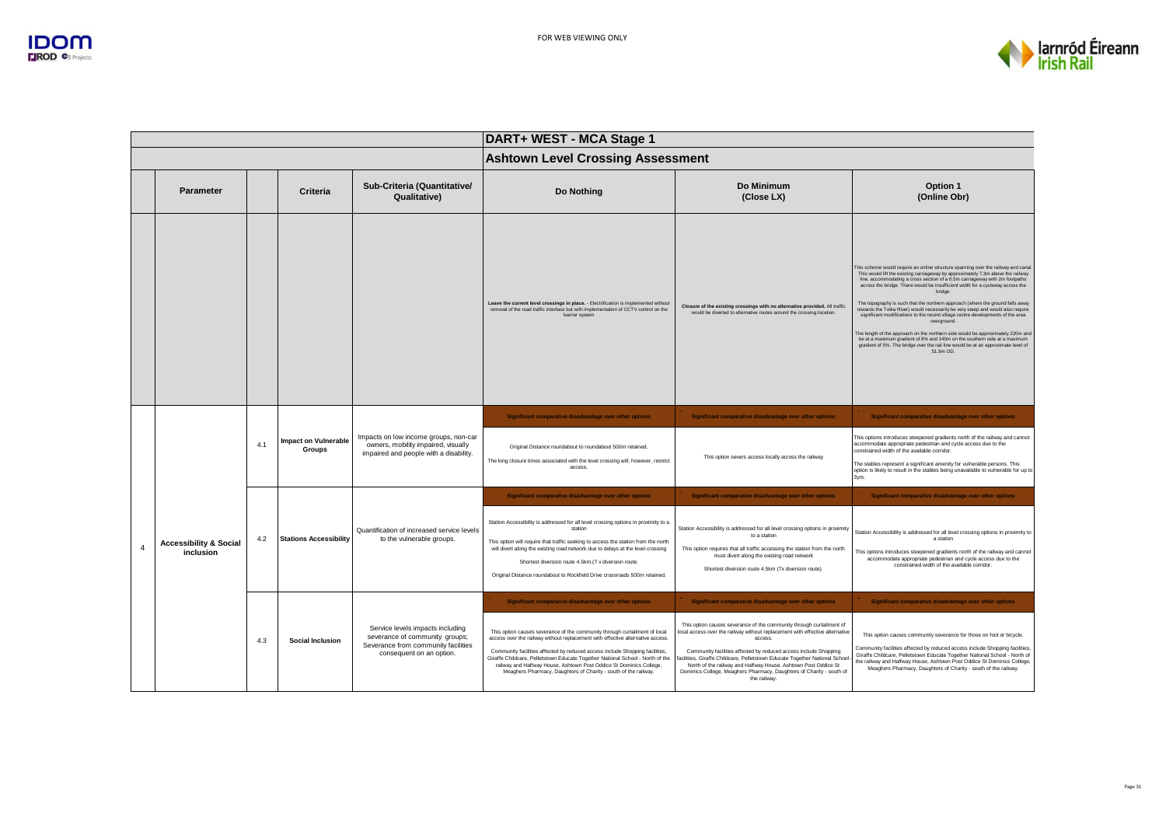

|          |                                                |     |                                              |                                                                                                                                       | DART+ WEST - MCA Stage 1                                                                                                                                                                                                                                                                                                                                                                                                                                                 |                                                                                                                                                                                                                                                                                                                                                                                                                                                                           |                                                                                                                                                                                                                                                                                                                                                                                                                                                                                                                                                                                                                                                                                                                                                                                                                                                                                             |  |
|----------|------------------------------------------------|-----|----------------------------------------------|---------------------------------------------------------------------------------------------------------------------------------------|--------------------------------------------------------------------------------------------------------------------------------------------------------------------------------------------------------------------------------------------------------------------------------------------------------------------------------------------------------------------------------------------------------------------------------------------------------------------------|---------------------------------------------------------------------------------------------------------------------------------------------------------------------------------------------------------------------------------------------------------------------------------------------------------------------------------------------------------------------------------------------------------------------------------------------------------------------------|---------------------------------------------------------------------------------------------------------------------------------------------------------------------------------------------------------------------------------------------------------------------------------------------------------------------------------------------------------------------------------------------------------------------------------------------------------------------------------------------------------------------------------------------------------------------------------------------------------------------------------------------------------------------------------------------------------------------------------------------------------------------------------------------------------------------------------------------------------------------------------------------|--|
|          |                                                |     |                                              |                                                                                                                                       | <b>Ashtown Level Crossing Assessment</b>                                                                                                                                                                                                                                                                                                                                                                                                                                 |                                                                                                                                                                                                                                                                                                                                                                                                                                                                           |                                                                                                                                                                                                                                                                                                                                                                                                                                                                                                                                                                                                                                                                                                                                                                                                                                                                                             |  |
|          | <b>Parameter</b>                               |     | <b>Criteria</b>                              | Sub-Criteria (Quantitative/<br>Qualitative)                                                                                           | Do Nothing                                                                                                                                                                                                                                                                                                                                                                                                                                                               | Do Minimum<br>(Close LX)                                                                                                                                                                                                                                                                                                                                                                                                                                                  | Option 1<br>(Online Obr)                                                                                                                                                                                                                                                                                                                                                                                                                                                                                                                                                                                                                                                                                                                                                                                                                                                                    |  |
|          |                                                |     |                                              |                                                                                                                                       | Leave the current level crossings in place. - Electrification is implemented without<br>removal of the road traffic interface but with implementation of CCTV control on the<br>barrier system                                                                                                                                                                                                                                                                           | Closure of the existing crossings with no alternative provided. All traffic<br>would be diverted to alternative routes around the crossing location.                                                                                                                                                                                                                                                                                                                      | This scheme would require an online structure spanning over the railway and canal.<br>This would lift the existing carriageway by approximately 7.3m above the railway<br>line, accommodating a cross section of a 6.5m carriageway with 2m footpaths<br>across the bridge. There would be insufficient width for a cycleway across the<br>bridge.<br>The topography is such that the northern approach (where the ground falls away<br>towards the Tolka River) would necessarily be very steep and would also require<br>significant modifications to the recent village centre developments of the area<br>overground.<br>The length of the approach on the northern side would be approximately 220m and<br>be at a maximum gradient of 8% and 140m on the southern side at a maximum<br>gradient of 5%. The bridge over the rail line would be at an approximate level of<br>51.9m OD. |  |
|          |                                                | 4.1 | <b>Impact on Vulnerable</b><br><b>Groups</b> | Impacts on low income groups, non-car<br>owners, mobility impaired, visually<br>impaired and people with a disability.                | Significant comparative disadvantage over other options                                                                                                                                                                                                                                                                                                                                                                                                                  | Significant comparative disadvantage over other options                                                                                                                                                                                                                                                                                                                                                                                                                   | Significant comparative disadvantage over other options                                                                                                                                                                                                                                                                                                                                                                                                                                                                                                                                                                                                                                                                                                                                                                                                                                     |  |
|          |                                                |     |                                              |                                                                                                                                       | Original Distance roundabout to roundabout 500m retained.<br>The long closure times associated with the level crossing will, however, restrict<br>access                                                                                                                                                                                                                                                                                                                 | This option severs access locally across the railway                                                                                                                                                                                                                                                                                                                                                                                                                      | This options introduces steepened gradients north of the railway and cannot<br>accommodate appropriate pedestrian and cycle access due to the<br>constrained width of the available corridor.<br>The stables represent a significant amenity for vulnerable persons. This<br>option is likely to result in the stables being unavailable to vulnerable for up to<br>3vrs.                                                                                                                                                                                                                                                                                                                                                                                                                                                                                                                   |  |
|          |                                                |     |                                              |                                                                                                                                       | Significant comparative disadvantage over other options                                                                                                                                                                                                                                                                                                                                                                                                                  | Significant comparative disadvantage over other options                                                                                                                                                                                                                                                                                                                                                                                                                   | Significant comparative disadvantage over other options                                                                                                                                                                                                                                                                                                                                                                                                                                                                                                                                                                                                                                                                                                                                                                                                                                     |  |
| $\Delta$ | <b>Accessibility &amp; Social</b><br>inclusion | 4.2 | <b>Stations Accessibility</b>                | Quantification of increased service levels<br>to the vulnerable groups.                                                               | Station Accessibility is addressed for all level crossing options in proximity to a<br>station<br>This option will require that traffic seeking to access the station from the north<br>will divert along the existing road network due to delays at the level crossing<br>Shortest diversion route 4.5km.(7 x diversion route.<br>Original Distance roundabout to Rockfield Drive crossroads 500m retained.                                                             | Station Accessibility is addressed for all level crossing options in proximity<br>to a station<br>This option requires that all traffic accessing the station from the north<br>must divert along the existing road network<br>Shortest diversion route 4.5km (7x diversion route).                                                                                                                                                                                       | Station Accessibility is addressed for all level crossing options in proximity to<br>a station<br>This options introduces steepened gradients north of the railway and cannot<br>accommodate appropriate pedestrian and cycle access due to the<br>constrained width of the available corridor.                                                                                                                                                                                                                                                                                                                                                                                                                                                                                                                                                                                             |  |
|          |                                                |     |                                              |                                                                                                                                       | Significant comparative disadvantage over other options                                                                                                                                                                                                                                                                                                                                                                                                                  | Significant comparative disadvantage over other options                                                                                                                                                                                                                                                                                                                                                                                                                   | Significant comparative disadvantage over other options                                                                                                                                                                                                                                                                                                                                                                                                                                                                                                                                                                                                                                                                                                                                                                                                                                     |  |
|          |                                                | 4.3 | <b>Social Inclusion</b>                      | Service levels impacts including<br>severance of community groups;<br>Severance from community facilities<br>consequent on an option. | This option causes severance of the community through curtailment of local<br>access over the railway without replacement with effective alternative access.<br>Community facilities affected by reduced access include Shopping facilities,<br>Giraffe Childcare, Pelletstown Educate Together National School - North of the<br>railway and Halfway House, Ashtown Post Oddice St Dominics College,<br>Meaghers Pharmacy, Daughters of Charity - south of the railway. | This option causes severance of the community through curtailment of<br>ocal access over the railway without replacement with effective alternative<br>access<br>Community facilities affected by reduced access include Shopping<br>acilities, Giraffe Childcare, Pelletstown Educate Together National School<br>North of the railway and Halfway House, Ashtown Post Oddice St<br>Dominics College, Meaghers Pharmacy, Daughters of Charity - south of<br>the railway. | This option causes community severance for those on foot or bicycle.<br>Community facilities affected by reduced access include Shopping facilities,<br>Giraffe Childcare, Pelletstown Educate Together National School - North of<br>the railway and Halfway House, Ashtown Post Oddice St Dominics College,<br>Meaghers Pharmacy, Daughters of Charity - south of the railway.                                                                                                                                                                                                                                                                                                                                                                                                                                                                                                            |  |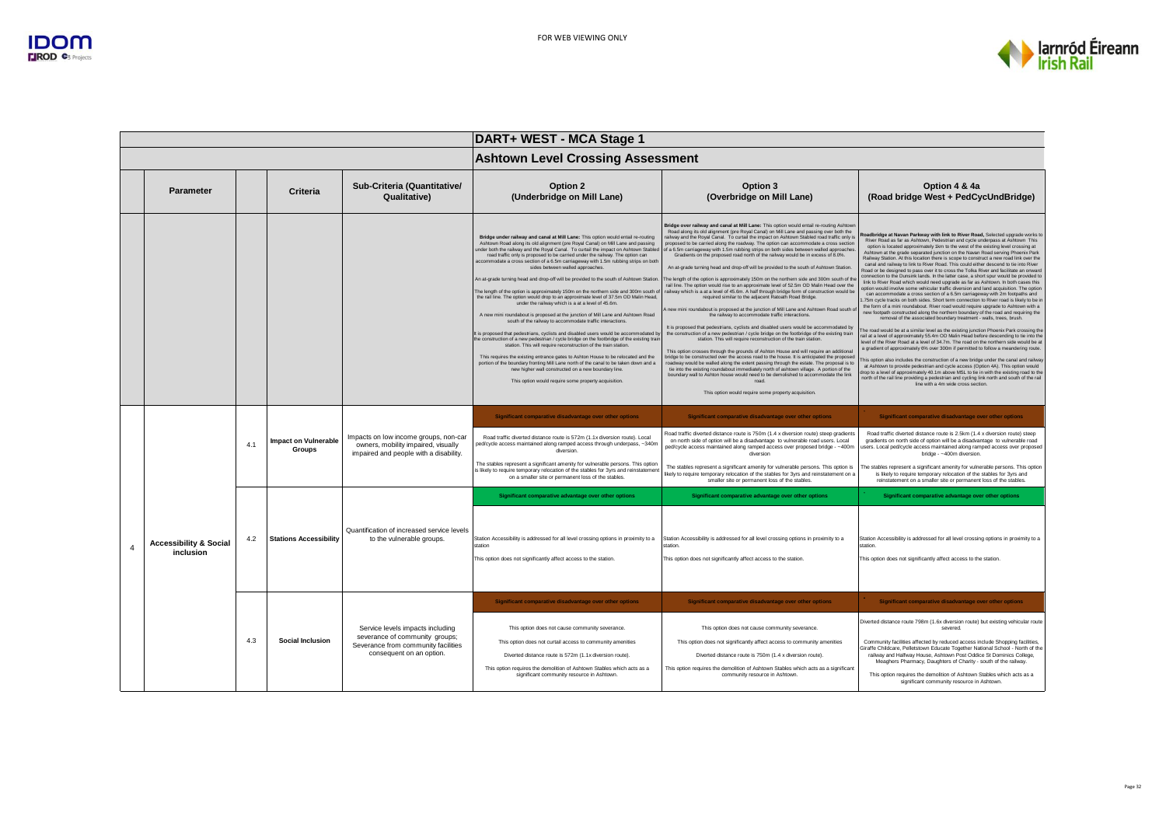

|                                                |     |                                       |                                                                                                                                       | DART+ WEST - MCA Stage 1                                                                                                                                                                                                                                                                                                                                                                                                                                                                                                                                                                                                                                                                                                                                                                                                                                                                                                                                                                                                                                                                                                                                                                                                                                                                                                                                                                                                                                                                                   |                                                                                                                                                                                                                                                                                                                                                                                                                                                                                                                                                                                                                                                                                                                                                                                                                                                                                                                                                                                                                                                                                                                                                                                                                                                                                                                                                                                                                                                                                                                                                                                                                                                                                                                                                                                                                                                                                                                                            |                                                                                                                                                                                                                                                                                                                                                                                                                                                                                                                                                                                                                                                                                                                                                                                                                                                                                                                                                                                                                                                                                                                                                                                                                                                                                                                                                                                                                                                                                                                                                                                                                                                                                                                                                                                                                                                                                                                                                                                                                                                                                                          |  |
|------------------------------------------------|-----|---------------------------------------|---------------------------------------------------------------------------------------------------------------------------------------|------------------------------------------------------------------------------------------------------------------------------------------------------------------------------------------------------------------------------------------------------------------------------------------------------------------------------------------------------------------------------------------------------------------------------------------------------------------------------------------------------------------------------------------------------------------------------------------------------------------------------------------------------------------------------------------------------------------------------------------------------------------------------------------------------------------------------------------------------------------------------------------------------------------------------------------------------------------------------------------------------------------------------------------------------------------------------------------------------------------------------------------------------------------------------------------------------------------------------------------------------------------------------------------------------------------------------------------------------------------------------------------------------------------------------------------------------------------------------------------------------------|--------------------------------------------------------------------------------------------------------------------------------------------------------------------------------------------------------------------------------------------------------------------------------------------------------------------------------------------------------------------------------------------------------------------------------------------------------------------------------------------------------------------------------------------------------------------------------------------------------------------------------------------------------------------------------------------------------------------------------------------------------------------------------------------------------------------------------------------------------------------------------------------------------------------------------------------------------------------------------------------------------------------------------------------------------------------------------------------------------------------------------------------------------------------------------------------------------------------------------------------------------------------------------------------------------------------------------------------------------------------------------------------------------------------------------------------------------------------------------------------------------------------------------------------------------------------------------------------------------------------------------------------------------------------------------------------------------------------------------------------------------------------------------------------------------------------------------------------------------------------------------------------------------------------------------------------|----------------------------------------------------------------------------------------------------------------------------------------------------------------------------------------------------------------------------------------------------------------------------------------------------------------------------------------------------------------------------------------------------------------------------------------------------------------------------------------------------------------------------------------------------------------------------------------------------------------------------------------------------------------------------------------------------------------------------------------------------------------------------------------------------------------------------------------------------------------------------------------------------------------------------------------------------------------------------------------------------------------------------------------------------------------------------------------------------------------------------------------------------------------------------------------------------------------------------------------------------------------------------------------------------------------------------------------------------------------------------------------------------------------------------------------------------------------------------------------------------------------------------------------------------------------------------------------------------------------------------------------------------------------------------------------------------------------------------------------------------------------------------------------------------------------------------------------------------------------------------------------------------------------------------------------------------------------------------------------------------------------------------------------------------------------------------------------------------------|--|
|                                                |     |                                       |                                                                                                                                       | <b>Ashtown Level Crossing Assessment</b>                                                                                                                                                                                                                                                                                                                                                                                                                                                                                                                                                                                                                                                                                                                                                                                                                                                                                                                                                                                                                                                                                                                                                                                                                                                                                                                                                                                                                                                                   |                                                                                                                                                                                                                                                                                                                                                                                                                                                                                                                                                                                                                                                                                                                                                                                                                                                                                                                                                                                                                                                                                                                                                                                                                                                                                                                                                                                                                                                                                                                                                                                                                                                                                                                                                                                                                                                                                                                                            |                                                                                                                                                                                                                                                                                                                                                                                                                                                                                                                                                                                                                                                                                                                                                                                                                                                                                                                                                                                                                                                                                                                                                                                                                                                                                                                                                                                                                                                                                                                                                                                                                                                                                                                                                                                                                                                                                                                                                                                                                                                                                                          |  |
| Parameter                                      |     | Criteria                              | Sub-Criteria (Quantitative/<br>Qualitative)                                                                                           | Option 2<br>(Underbridge on Mill Lane)                                                                                                                                                                                                                                                                                                                                                                                                                                                                                                                                                                                                                                                                                                                                                                                                                                                                                                                                                                                                                                                                                                                                                                                                                                                                                                                                                                                                                                                                     | Option 3<br>(Overbridge on Mill Lane)                                                                                                                                                                                                                                                                                                                                                                                                                                                                                                                                                                                                                                                                                                                                                                                                                                                                                                                                                                                                                                                                                                                                                                                                                                                                                                                                                                                                                                                                                                                                                                                                                                                                                                                                                                                                                                                                                                      | Option 4 & 4a<br>(Road bridge West + PedCycUndBridge)                                                                                                                                                                                                                                                                                                                                                                                                                                                                                                                                                                                                                                                                                                                                                                                                                                                                                                                                                                                                                                                                                                                                                                                                                                                                                                                                                                                                                                                                                                                                                                                                                                                                                                                                                                                                                                                                                                                                                                                                                                                    |  |
|                                                |     |                                       |                                                                                                                                       | Bridge under railway and canal at Mill Lane: This option would entail re-routing<br>Ashtown Road along its old alignment (pre Royal Canal) on Mill Lane and passing<br>under both the railway and the Royal Canal. To curtail the impact on Ashtown Stabled<br>road traffic only is proposed to be carried under the railway. The option can<br>accommodate a cross section of a 6.5m carriageway with 1.5m rubbing strips on both<br>sides between walled approaches.<br>An at-grade turning head and drop-off will be provided to the south of Ashtown Station.<br>The length of the option is approximately 150m on the northern side and 300m south o<br>the rail line. The option would drop to an approximate level of 37.5m OD Malin Head.<br>under the railway which is a at a level of 45.6m.<br>A new mini roundabout is proposed at the junction of Mill Lane and Ashtown Road<br>south of the railway to accommodate traffic interactions.<br>It is proposed that pedestrians, cyclists and disabled users would be accommodated b<br>the construction of a new pedestrian / cycle bridge on the footbridge of the existing trai<br>station. This will require reconstruction of the train station<br>This requires the existing entrance gates to Ashton House to be relocated and the<br>portion of the boundary fronting Mill Lane north of the canal to be taken down and a<br>new higher wall constructed on a new boundary line.<br>This option would require some property acquisition. | Bridge over railway and canal at Mill Lane: This option would entail re-routing Ashtowr<br>Road along its old alignment (pre Royal Canal) on Mill Lane and passing over both the<br>railway and the Royal Canal. To curtail the impact on Ashtown Stabled road traffic only is<br>proposed to be carried along the roadway. The option can accommodate a cross section<br>of a 6.5m carriageway with 1.5m rubbing strips on both sides between walled approaches<br>Gradients on the proposed road north of the railway would be in excess of 8.0%.<br>An at-grade turning head and drop-off will be provided to the south of Ashtown Station.<br>The length of the option is approximately 150m on the northern side and 300m south of the<br>rail line. The option would rise to an approximate level of 52.5m OD Malin Head over the<br>railway which is a at a level of 45.6m. A half through bridge form of construction would be<br>required similar to the adiacent Ratoath Road Bridge.<br>new mini roundabout is proposed at the junction of Mill Lane and Ashtown Road south o<br>the railway to accommodate traffic interactions.<br>It is proposed that pedestrians, cyclists and disabled users would be accommodated by<br>the construction of a new pedestrian / cycle bridge on the footbridge of the existing train<br>station. This will require reconstruction of the train station<br>This option crosses through the grounds of Ashton House and will require an additional<br>bridge to be constructed over the access road to the bouse. It is anticipated the proposed<br>roadway would be walled along the extent passing through the estate. The proposal is to<br>tie into the existing roundabout immediately north of ashtown village. A portion of the<br>boundary wall to Ashton house would need to be demolished to accommodate the link<br>road.<br>This option would require some property acquisition. | Roadbridge at Navan Parkway with link to River Road, Selected upgrade works to<br>River Road as far as Ashtown, Pedestrian and cycle underpass at Ashtown This<br>option is located approximately 1km to the west of the existing level crossing at<br>Ashtown at the grade separated junction on the Navan Road serving Phoenix Park<br>Railway Station. At this location there is scope to construct a new road link over the<br>canal and railway to link to River Road. This could either descend to tie into River<br>Road or be designed to pass over it to cross the Tolka River and facilitate an onward<br>connection to the Dunsink lands. In the latter case, a short spur would be provided to<br>link to River Road which would need upgrade as far as Ashtown. In both cases this<br>option would involve some vehicular traffic diversion and land acquisition. The option<br>can accommodate a cross section of a 6.5m carriageway with 2m footpaths and<br>.75m cycle tracks on both sides. Short term connection to River road is likely to be in<br>the form of a mini roundabout. River road would require upgrade to Ashtown with a<br>new footpath constructed along the northern boundary of the road and requiring the<br>removal of the associated boundary treatment - walls, trees, brush.<br>The road would be at a similar level as the existing junction Phoenix Park crossing the<br>rail at a level of approximately 55.4m OD Malin Head before descending to tie into the<br>level of the River Road at a level of 34.7m. The road on the northern side would be at<br>a gradient of approximately 6% over 300m if permitted to follow a meandering route.<br>This option also includes the construction of a new bridge under the canal and railway<br>at Ashtown to provide pedestrian and cycle access (Option 4A). This option would<br>drop to a level of approximately 40.1m above MSL to tie in with the existing road to the<br>north of the rail line providing a pedestrian and cycling link north and south of the rail<br>line with a 4m wide cross section |  |
|                                                |     |                                       |                                                                                                                                       | Significant comparative disadvantage over other options                                                                                                                                                                                                                                                                                                                                                                                                                                                                                                                                                                                                                                                                                                                                                                                                                                                                                                                                                                                                                                                                                                                                                                                                                                                                                                                                                                                                                                                    | Significant comparative disadvantage over other options                                                                                                                                                                                                                                                                                                                                                                                                                                                                                                                                                                                                                                                                                                                                                                                                                                                                                                                                                                                                                                                                                                                                                                                                                                                                                                                                                                                                                                                                                                                                                                                                                                                                                                                                                                                                                                                                                    | Significant comparative disadvantage over other options                                                                                                                                                                                                                                                                                                                                                                                                                                                                                                                                                                                                                                                                                                                                                                                                                                                                                                                                                                                                                                                                                                                                                                                                                                                                                                                                                                                                                                                                                                                                                                                                                                                                                                                                                                                                                                                                                                                                                                                                                                                  |  |
|                                                | 4.1 | <b>Impact on Vulnerable</b><br>Groups | Impacts on low income groups, non-car<br>owners, mobility impaired, visually<br>impaired and people with a disability.                | Road traffic diverted distance route is 572m (1.1x diversion route). Local<br>bed/cycle access maintained along ramped access through underpass, ~340m<br>diversion.                                                                                                                                                                                                                                                                                                                                                                                                                                                                                                                                                                                                                                                                                                                                                                                                                                                                                                                                                                                                                                                                                                                                                                                                                                                                                                                                       | Road traffic diverted distance route is 750m (1.4 x diversion route) steep gradients<br>on north side of option will be a disadvantage to vulnerable road users. Local<br>ped/cycle access maintained along ramped access over proposed bridge - -400m<br>diversion                                                                                                                                                                                                                                                                                                                                                                                                                                                                                                                                                                                                                                                                                                                                                                                                                                                                                                                                                                                                                                                                                                                                                                                                                                                                                                                                                                                                                                                                                                                                                                                                                                                                        | Road traffic diverted distance route is 2.5km (1.4 x diversion route) steep<br>gradients on north side of option will be a disadvantage to vulnerable road<br>users. Local ped/cycle access maintained along ramped access over proposed<br>bridge - ~400m diversion.                                                                                                                                                                                                                                                                                                                                                                                                                                                                                                                                                                                                                                                                                                                                                                                                                                                                                                                                                                                                                                                                                                                                                                                                                                                                                                                                                                                                                                                                                                                                                                                                                                                                                                                                                                                                                                    |  |
|                                                |     |                                       |                                                                                                                                       | The stables represent a significant amenity for vulnerable persons. This option<br>is likely to require temporary relocation of the stables for 3yrs and reinstatement<br>on a smaller site or permanent loss of the stables.                                                                                                                                                                                                                                                                                                                                                                                                                                                                                                                                                                                                                                                                                                                                                                                                                                                                                                                                                                                                                                                                                                                                                                                                                                                                              | The stables represent a significant amenity for vulnerable persons. This option is<br>likely to require temporary relocation of the stables for 3yrs and reinstatement on a<br>smaller site or permanent loss of the stables.                                                                                                                                                                                                                                                                                                                                                                                                                                                                                                                                                                                                                                                                                                                                                                                                                                                                                                                                                                                                                                                                                                                                                                                                                                                                                                                                                                                                                                                                                                                                                                                                                                                                                                              | The stables represent a significant amenity for vulnerable persons. This option<br>is likely to require temporary relocation of the stables for 3yrs and<br>reinstatement on a smaller site or permanent loss of the stables.                                                                                                                                                                                                                                                                                                                                                                                                                                                                                                                                                                                                                                                                                                                                                                                                                                                                                                                                                                                                                                                                                                                                                                                                                                                                                                                                                                                                                                                                                                                                                                                                                                                                                                                                                                                                                                                                            |  |
|                                                |     |                                       |                                                                                                                                       | Significant comparative advantage over other options                                                                                                                                                                                                                                                                                                                                                                                                                                                                                                                                                                                                                                                                                                                                                                                                                                                                                                                                                                                                                                                                                                                                                                                                                                                                                                                                                                                                                                                       | Significant comparative advantage over other options                                                                                                                                                                                                                                                                                                                                                                                                                                                                                                                                                                                                                                                                                                                                                                                                                                                                                                                                                                                                                                                                                                                                                                                                                                                                                                                                                                                                                                                                                                                                                                                                                                                                                                                                                                                                                                                                                       | Significant comparative advantage over other options                                                                                                                                                                                                                                                                                                                                                                                                                                                                                                                                                                                                                                                                                                                                                                                                                                                                                                                                                                                                                                                                                                                                                                                                                                                                                                                                                                                                                                                                                                                                                                                                                                                                                                                                                                                                                                                                                                                                                                                                                                                     |  |
| <b>Accessibility &amp; Social</b><br>inclusion | 4.2 | <b>Stations Accessibility</b>         | Quantification of increased service levels<br>to the vulnerable groups.                                                               | Station Accessibility is addressed for all level crossing options in proximity to a<br>station<br>This option does not significantly affect access to the station.                                                                                                                                                                                                                                                                                                                                                                                                                                                                                                                                                                                                                                                                                                                                                                                                                                                                                                                                                                                                                                                                                                                                                                                                                                                                                                                                         | Station Accessibility is addressed for all level crossing options in proximity to a<br>station<br>This option does not significantly affect access to the station.                                                                                                                                                                                                                                                                                                                                                                                                                                                                                                                                                                                                                                                                                                                                                                                                                                                                                                                                                                                                                                                                                                                                                                                                                                                                                                                                                                                                                                                                                                                                                                                                                                                                                                                                                                         | Station Accessibility is addressed for all level crossing options in proximity to a<br>station<br>This option does not significantly affect access to the station.                                                                                                                                                                                                                                                                                                                                                                                                                                                                                                                                                                                                                                                                                                                                                                                                                                                                                                                                                                                                                                                                                                                                                                                                                                                                                                                                                                                                                                                                                                                                                                                                                                                                                                                                                                                                                                                                                                                                       |  |
|                                                |     |                                       |                                                                                                                                       | Significant comparative disadvantage over other options                                                                                                                                                                                                                                                                                                                                                                                                                                                                                                                                                                                                                                                                                                                                                                                                                                                                                                                                                                                                                                                                                                                                                                                                                                                                                                                                                                                                                                                    | Significant comparative disadvantage over other options                                                                                                                                                                                                                                                                                                                                                                                                                                                                                                                                                                                                                                                                                                                                                                                                                                                                                                                                                                                                                                                                                                                                                                                                                                                                                                                                                                                                                                                                                                                                                                                                                                                                                                                                                                                                                                                                                    | Significant comparative disadvantage over other options                                                                                                                                                                                                                                                                                                                                                                                                                                                                                                                                                                                                                                                                                                                                                                                                                                                                                                                                                                                                                                                                                                                                                                                                                                                                                                                                                                                                                                                                                                                                                                                                                                                                                                                                                                                                                                                                                                                                                                                                                                                  |  |
|                                                | 4.3 | Social Inclusion                      | Service levels impacts including<br>severance of community groups;<br>Severance from community facilities<br>consequent on an option. | This option does not cause community severance.<br>This option does not curtail access to community amenities<br>Diverted distance route is 572m (1.1x diversion route).                                                                                                                                                                                                                                                                                                                                                                                                                                                                                                                                                                                                                                                                                                                                                                                                                                                                                                                                                                                                                                                                                                                                                                                                                                                                                                                                   | This option does not cause community severance.<br>This option does not significantly affect access to community amenities<br>Diverted distance route is 750m (1.4 x diversion route)                                                                                                                                                                                                                                                                                                                                                                                                                                                                                                                                                                                                                                                                                                                                                                                                                                                                                                                                                                                                                                                                                                                                                                                                                                                                                                                                                                                                                                                                                                                                                                                                                                                                                                                                                      | Diverted distance route 798m (1.6x diversion route) but existing vehicular route<br>severed<br>Community facilities affected by reduced access include Shopping facilities,<br>Giraffe Childcare, Pelletstown Educate Together National School - North of the<br>railway and Halfway House, Ashtown Post Oddice St Dominics College,<br>Meaghers Pharmacy, Daughters of Charity - south of the railway.                                                                                                                                                                                                                                                                                                                                                                                                                                                                                                                                                                                                                                                                                                                                                                                                                                                                                                                                                                                                                                                                                                                                                                                                                                                                                                                                                                                                                                                                                                                                                                                                                                                                                                  |  |
|                                                |     |                                       |                                                                                                                                       | This option requires the demolition of Ashtown Stables which acts as a<br>significant community resource in Ashtown.                                                                                                                                                                                                                                                                                                                                                                                                                                                                                                                                                                                                                                                                                                                                                                                                                                                                                                                                                                                                                                                                                                                                                                                                                                                                                                                                                                                       | This option requires the demolition of Ashtown Stables which acts as a significant<br>community resource in Ashtown.                                                                                                                                                                                                                                                                                                                                                                                                                                                                                                                                                                                                                                                                                                                                                                                                                                                                                                                                                                                                                                                                                                                                                                                                                                                                                                                                                                                                                                                                                                                                                                                                                                                                                                                                                                                                                       | This option requires the demolition of Ashtown Stables which acts as a<br>significant community resource in Ashtown.                                                                                                                                                                                                                                                                                                                                                                                                                                                                                                                                                                                                                                                                                                                                                                                                                                                                                                                                                                                                                                                                                                                                                                                                                                                                                                                                                                                                                                                                                                                                                                                                                                                                                                                                                                                                                                                                                                                                                                                     |  |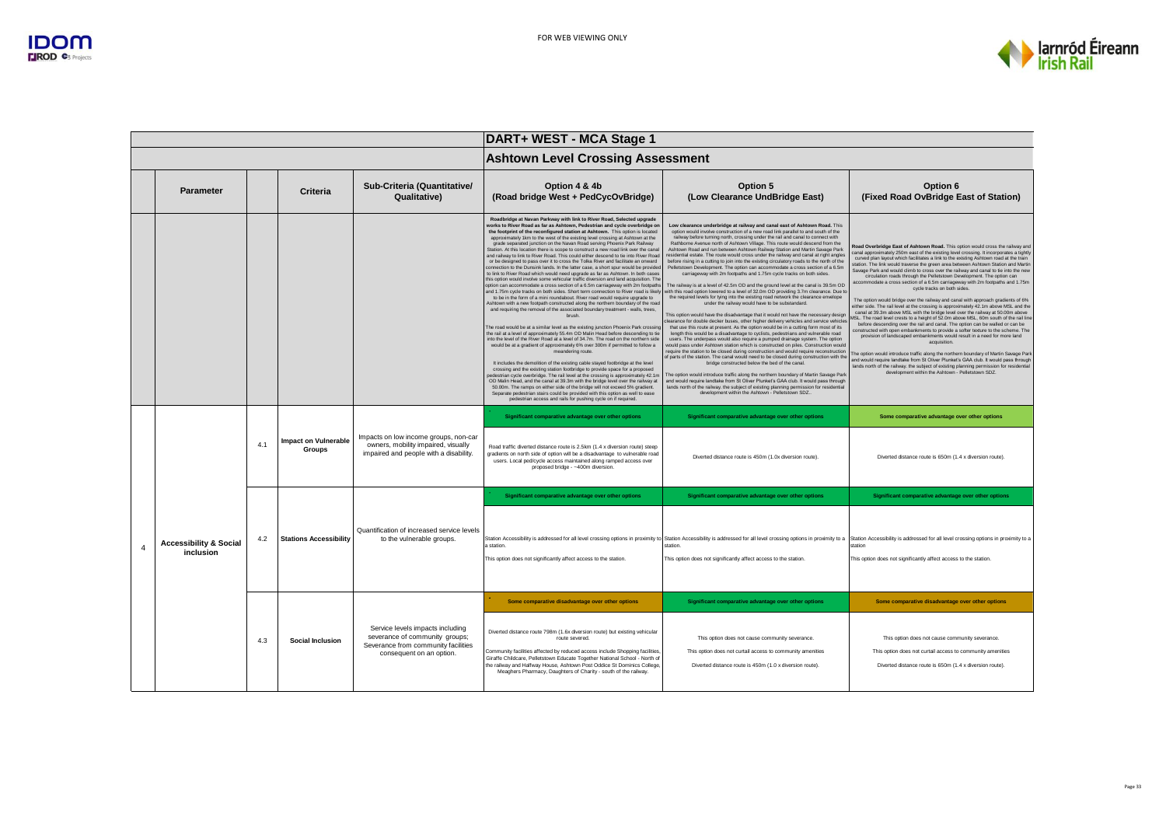

|                                                |     |                                       |                                                                                                                                       | DART+ WEST - MCA Stage 1                                                                                                                                                                                                                                                                                                                                                                                                                                                                                                                                                                                                                                                                                                                                                                                                                                                                                                                                                                                                                                                                                                                                                                                                                                                                                                                                                                                                                                                                                                                                                                                                                                                                                                                                                                                                                                                                                                                                                                                                                                                                                                                                                                                                                                                                                                         |                                                                                                                                                                                                                                                                                                                                                                                                                                                                                                                                                                                                                                                                                                                                                                                                                                                                                                                                                                                                                                                                                                                                                                                                                                                                                                                                                                                                                                                                                                                                                                                                                                                                                                                                                                                                                                                                                                                                                                                                                                                                                                                                                                                                 |                                                                                                                                                                                                                                                                                                                                                                                                                                                                                                                                                                                                                                                                                                                                                                                                                                                                                                                                                                                                                                                                                                                                                                                                                                                                                                                                                                                                                                                                                                                                                                                                 |  |
|------------------------------------------------|-----|---------------------------------------|---------------------------------------------------------------------------------------------------------------------------------------|----------------------------------------------------------------------------------------------------------------------------------------------------------------------------------------------------------------------------------------------------------------------------------------------------------------------------------------------------------------------------------------------------------------------------------------------------------------------------------------------------------------------------------------------------------------------------------------------------------------------------------------------------------------------------------------------------------------------------------------------------------------------------------------------------------------------------------------------------------------------------------------------------------------------------------------------------------------------------------------------------------------------------------------------------------------------------------------------------------------------------------------------------------------------------------------------------------------------------------------------------------------------------------------------------------------------------------------------------------------------------------------------------------------------------------------------------------------------------------------------------------------------------------------------------------------------------------------------------------------------------------------------------------------------------------------------------------------------------------------------------------------------------------------------------------------------------------------------------------------------------------------------------------------------------------------------------------------------------------------------------------------------------------------------------------------------------------------------------------------------------------------------------------------------------------------------------------------------------------------------------------------------------------------------------------------------------------|-------------------------------------------------------------------------------------------------------------------------------------------------------------------------------------------------------------------------------------------------------------------------------------------------------------------------------------------------------------------------------------------------------------------------------------------------------------------------------------------------------------------------------------------------------------------------------------------------------------------------------------------------------------------------------------------------------------------------------------------------------------------------------------------------------------------------------------------------------------------------------------------------------------------------------------------------------------------------------------------------------------------------------------------------------------------------------------------------------------------------------------------------------------------------------------------------------------------------------------------------------------------------------------------------------------------------------------------------------------------------------------------------------------------------------------------------------------------------------------------------------------------------------------------------------------------------------------------------------------------------------------------------------------------------------------------------------------------------------------------------------------------------------------------------------------------------------------------------------------------------------------------------------------------------------------------------------------------------------------------------------------------------------------------------------------------------------------------------------------------------------------------------------------------------------------------------|-------------------------------------------------------------------------------------------------------------------------------------------------------------------------------------------------------------------------------------------------------------------------------------------------------------------------------------------------------------------------------------------------------------------------------------------------------------------------------------------------------------------------------------------------------------------------------------------------------------------------------------------------------------------------------------------------------------------------------------------------------------------------------------------------------------------------------------------------------------------------------------------------------------------------------------------------------------------------------------------------------------------------------------------------------------------------------------------------------------------------------------------------------------------------------------------------------------------------------------------------------------------------------------------------------------------------------------------------------------------------------------------------------------------------------------------------------------------------------------------------------------------------------------------------------------------------------------------------|--|
|                                                |     |                                       |                                                                                                                                       | <b>Ashtown Level Crossing Assessment</b>                                                                                                                                                                                                                                                                                                                                                                                                                                                                                                                                                                                                                                                                                                                                                                                                                                                                                                                                                                                                                                                                                                                                                                                                                                                                                                                                                                                                                                                                                                                                                                                                                                                                                                                                                                                                                                                                                                                                                                                                                                                                                                                                                                                                                                                                                         |                                                                                                                                                                                                                                                                                                                                                                                                                                                                                                                                                                                                                                                                                                                                                                                                                                                                                                                                                                                                                                                                                                                                                                                                                                                                                                                                                                                                                                                                                                                                                                                                                                                                                                                                                                                                                                                                                                                                                                                                                                                                                                                                                                                                 |                                                                                                                                                                                                                                                                                                                                                                                                                                                                                                                                                                                                                                                                                                                                                                                                                                                                                                                                                                                                                                                                                                                                                                                                                                                                                                                                                                                                                                                                                                                                                                                                 |  |
| <b>Parameter</b>                               |     | Criteria                              | Sub-Criteria (Quantitative/<br>Qualitative)                                                                                           | Option 4 & 4b<br>(Road bridge West + PedCycOvBridge)                                                                                                                                                                                                                                                                                                                                                                                                                                                                                                                                                                                                                                                                                                                                                                                                                                                                                                                                                                                                                                                                                                                                                                                                                                                                                                                                                                                                                                                                                                                                                                                                                                                                                                                                                                                                                                                                                                                                                                                                                                                                                                                                                                                                                                                                             | Option 5<br>(Low Clearance UndBridge East)                                                                                                                                                                                                                                                                                                                                                                                                                                                                                                                                                                                                                                                                                                                                                                                                                                                                                                                                                                                                                                                                                                                                                                                                                                                                                                                                                                                                                                                                                                                                                                                                                                                                                                                                                                                                                                                                                                                                                                                                                                                                                                                                                      | Option 6<br>(Fixed Road OvBridge East of Station)                                                                                                                                                                                                                                                                                                                                                                                                                                                                                                                                                                                                                                                                                                                                                                                                                                                                                                                                                                                                                                                                                                                                                                                                                                                                                                                                                                                                                                                                                                                                               |  |
|                                                |     |                                       |                                                                                                                                       | Roadbridge at Navan Parkway with link to River Road, Selected upgrade<br>works to River Road as far as Ashtown, Pedestrian and cycle overbridge on<br>the footprint of the reconfigured station at Ashtown. This option is located<br>approximately 1km to the west of the existing level crossing at Ashtown at the<br>grade separated junction on the Navan Road serving Phoenix Park Railway<br>Station. At this location there is scope to construct a new road link over the canal<br>and railway to link to River Road. This could either descend to tie into River Road<br>or be designed to pass over it to cross the Tolka River and facilitate an onward<br>connection to the Dunsink lands. In the latter case, a short spur would be provided<br>to link to River Road which would need upgrade as far as Ashtown. In both cases<br>this option would involve some vehicular traffic diversion and land acquisition. The<br>option can accommodate a cross section of a 6.5m carriageway with 2m footpaths<br>and 1.75m cycle tracks on both sides. Short term connection to River road is likely<br>to be in the form of a mini roundabout. River road would require upgrade to<br>Ashtown with a new footpath constructed along the northern boundary of the road<br>and requiring the removal of the associated boundary treatment - walls, trees,<br>brush.<br>The road would be at a similar level as the existing junction Phoenix Park crossing<br>the rail at a level of approximately 55.4m OD Malin Head before descending to tie<br>into the level of the River Road at a level of 34.7m. The road on the northern side<br>would be at a gradient of approximately 6% over 300m if permitted to follow a<br>meandering route.<br>It includes the demolition of the existing cable stayed footbridge at the level<br>crossing and the existing station footbridge to provide space for a proposed<br>edestrian cycle overbridge. The rail level at the crossing is approximately 42.1m<br>OD Malin Head, and the canal at 39.3m with the bridge level over the railway at<br>50.00m. The ramps on either side of the bridge will not exceed 5% gradient.<br>Separate pedestrian stairs could be provided with this option as well to ease<br>pedestrian access and rails for pushing cycle on if required. | Low clearance underbridge at railway and canal east of Ashtown Road. This<br>option would involve construction of a new road link parallel to and south of the<br>railway before turning north, crossing under the rail and canal to connect with<br>Rathborne Avenue north of Ashtown Village. This route would descend from the<br>Ashtown Road and run between Ashtown Railway Station and Martin Savage Park<br>residential estate. The route would cross under the railway and canal at right angles<br>before rising in a cutting to join into the existing circulatory roads to the north of the<br>Pelletstown Development. The option can accommodate a cross section of a 6.5m<br>carriageway with 2m footpaths and 1.75m cycle tracks on both sides.<br>The railway is at a level of 42.5m OD and the ground level at the canal is 39.5m OD<br>with this road option lowered to a level of 32.0m OD providing 3.7m clearance. Due to<br>the required levels for tying into the existing road network the clearance envelope<br>under the railway would have to be substandard.<br>This option would have the disadvantage that it would not have the necessary design<br>clearance for double decker buses, other higher delivery vehicles and service vehicles<br>that use this route at present. As the option would be in a cutting form most of its<br>length this would be a disadvantage to cyclists, pedestrians and vulnerable road<br>users. The underpass would also require a pumped drainage system. The option<br>would pass under Ashtown station which is constructed on piles. Construction would<br>require the station to be closed during construction and would require reconstruction<br>of parts of the station. The canal would need to be closed during construction with the<br>bridge constructed below the bed of the canal.<br>The option would introduce traffic along the northern boundary of Martin Savage Park<br>and would require landtake from St Oliver Plunket's GAA club. It would pass through<br>lands north of the railway, the subject of existing planning permission for residentia<br>development within the Ashtown - Pelletstown SDZ | Road Overbridge East of Ashtown Road. This option would cross the railway and<br>canal approximately 250m east of the existing level crossing. It incorporates a tightly<br>curved plan layout which facilitates a link to the existing Ashtown road at the train<br>station. The link would traverse the green area between Ashtown Station and Martin<br>Savage Park and would climb to cross over the railway and canal to tie into the new<br>circulation roads through the Pelletstown Development. The option can<br>accommodate a cross section of a 6.5m carriageway with 2m footpaths and 1.75m<br>cycle tracks on both sides.<br>The option would bridge over the railway and canal with approach gradients of 6%<br>either side. The rail level at the crossing is approximately 42.1m above MSL and the<br>canal at 39.3m above MSL with the bridge level over the railway at 50.00m above<br>MSL. The road level crests to a height of 52.0m above MSL, 60m south of the rail line<br>before descending over the rail and canal. The option can be walled or can be<br>constructed with open embankments to provide a softer texture to the scheme. The<br>provision of landscaped embankments would result in a need for more land<br>acquisition.<br>The option would introduce traffic along the northern boundary of Martin Savage Park<br>and would require landtake from St Oliver Plunket's GAA club, It would pass through<br>lands north of the railway. the subject of existing planning permission for residential<br>development within the Ashtown - Pelletstown SDZ. |  |
|                                                |     |                                       |                                                                                                                                       | Significant comparative advantage over other options                                                                                                                                                                                                                                                                                                                                                                                                                                                                                                                                                                                                                                                                                                                                                                                                                                                                                                                                                                                                                                                                                                                                                                                                                                                                                                                                                                                                                                                                                                                                                                                                                                                                                                                                                                                                                                                                                                                                                                                                                                                                                                                                                                                                                                                                             | Significant comparative advantage over other options                                                                                                                                                                                                                                                                                                                                                                                                                                                                                                                                                                                                                                                                                                                                                                                                                                                                                                                                                                                                                                                                                                                                                                                                                                                                                                                                                                                                                                                                                                                                                                                                                                                                                                                                                                                                                                                                                                                                                                                                                                                                                                                                            | Some comparative advantage over other options                                                                                                                                                                                                                                                                                                                                                                                                                                                                                                                                                                                                                                                                                                                                                                                                                                                                                                                                                                                                                                                                                                                                                                                                                                                                                                                                                                                                                                                                                                                                                   |  |
|                                                | 4.1 | <b>Impact on Vulnerable</b><br>Groups | Impacts on low income groups, non-car<br>owners, mobility impaired, visually<br>impaired and people with a disability.                | Road traffic diverted distance route is 2.5km (1.4 x diversion route) steep<br>gradients on north side of option will be a disadvantage to vulnerable road<br>users. Local ped/cycle access maintained along ramped access over<br>proposed bridge - ~400m diversion.                                                                                                                                                                                                                                                                                                                                                                                                                                                                                                                                                                                                                                                                                                                                                                                                                                                                                                                                                                                                                                                                                                                                                                                                                                                                                                                                                                                                                                                                                                                                                                                                                                                                                                                                                                                                                                                                                                                                                                                                                                                            | Diverted distance route is 450m (1.0x diversion route).                                                                                                                                                                                                                                                                                                                                                                                                                                                                                                                                                                                                                                                                                                                                                                                                                                                                                                                                                                                                                                                                                                                                                                                                                                                                                                                                                                                                                                                                                                                                                                                                                                                                                                                                                                                                                                                                                                                                                                                                                                                                                                                                         | Diverted distance route is 650m (1.4 x diversion route).                                                                                                                                                                                                                                                                                                                                                                                                                                                                                                                                                                                                                                                                                                                                                                                                                                                                                                                                                                                                                                                                                                                                                                                                                                                                                                                                                                                                                                                                                                                                        |  |
|                                                | 4.2 | <b>Stations Accessibility</b>         |                                                                                                                                       | Significant comparative advantage over other options                                                                                                                                                                                                                                                                                                                                                                                                                                                                                                                                                                                                                                                                                                                                                                                                                                                                                                                                                                                                                                                                                                                                                                                                                                                                                                                                                                                                                                                                                                                                                                                                                                                                                                                                                                                                                                                                                                                                                                                                                                                                                                                                                                                                                                                                             | Significant comparative advantage over other options                                                                                                                                                                                                                                                                                                                                                                                                                                                                                                                                                                                                                                                                                                                                                                                                                                                                                                                                                                                                                                                                                                                                                                                                                                                                                                                                                                                                                                                                                                                                                                                                                                                                                                                                                                                                                                                                                                                                                                                                                                                                                                                                            | Significant comparative advantage over other options                                                                                                                                                                                                                                                                                                                                                                                                                                                                                                                                                                                                                                                                                                                                                                                                                                                                                                                                                                                                                                                                                                                                                                                                                                                                                                                                                                                                                                                                                                                                            |  |
| <b>Accessibility &amp; Social</b><br>inclusion |     |                                       | Quantification of increased service levels<br>to the vulnerable groups.                                                               | a station<br>This option does not significantly affect access to the station.                                                                                                                                                                                                                                                                                                                                                                                                                                                                                                                                                                                                                                                                                                                                                                                                                                                                                                                                                                                                                                                                                                                                                                                                                                                                                                                                                                                                                                                                                                                                                                                                                                                                                                                                                                                                                                                                                                                                                                                                                                                                                                                                                                                                                                                    | Station Accessibility is addressed for all level crossing options in proximity to Station Accessibility is addressed for all level crossing options in proximity to a Station Accessibility is and research of all level cross<br>station<br>This option does not significantly affect access to the station.                                                                                                                                                                                                                                                                                                                                                                                                                                                                                                                                                                                                                                                                                                                                                                                                                                                                                                                                                                                                                                                                                                                                                                                                                                                                                                                                                                                                                                                                                                                                                                                                                                                                                                                                                                                                                                                                                   | station<br>This option does not significantly affect access to the station.                                                                                                                                                                                                                                                                                                                                                                                                                                                                                                                                                                                                                                                                                                                                                                                                                                                                                                                                                                                                                                                                                                                                                                                                                                                                                                                                                                                                                                                                                                                     |  |
|                                                |     |                                       |                                                                                                                                       | Some comparative disadvantage over other options                                                                                                                                                                                                                                                                                                                                                                                                                                                                                                                                                                                                                                                                                                                                                                                                                                                                                                                                                                                                                                                                                                                                                                                                                                                                                                                                                                                                                                                                                                                                                                                                                                                                                                                                                                                                                                                                                                                                                                                                                                                                                                                                                                                                                                                                                 | Significant comparative advantage over other options                                                                                                                                                                                                                                                                                                                                                                                                                                                                                                                                                                                                                                                                                                                                                                                                                                                                                                                                                                                                                                                                                                                                                                                                                                                                                                                                                                                                                                                                                                                                                                                                                                                                                                                                                                                                                                                                                                                                                                                                                                                                                                                                            | Some comparative disadvantage over other options                                                                                                                                                                                                                                                                                                                                                                                                                                                                                                                                                                                                                                                                                                                                                                                                                                                                                                                                                                                                                                                                                                                                                                                                                                                                                                                                                                                                                                                                                                                                                |  |
|                                                | 4.3 | <b>Social Inclusion</b>               | Service levels impacts including<br>severance of community groups;<br>Severance from community facilities<br>consequent on an option. | Diverted distance route 798m (1.6x diversion route) but existing vehicular<br>route severed.<br>Community facilities affected by reduced access include Shopping facilities,<br>Giraffe Childcare, Pelletstown Educate Together National School - North of<br>the railway and Halfway House, Ashtown Post Oddice St Dominics College,<br>Meaghers Pharmacy, Daughters of Charity - south of the railway.                                                                                                                                                                                                                                                                                                                                                                                                                                                                                                                                                                                                                                                                                                                                                                                                                                                                                                                                                                                                                                                                                                                                                                                                                                                                                                                                                                                                                                                                                                                                                                                                                                                                                                                                                                                                                                                                                                                         | This option does not cause community severance.<br>This option does not curtail access to community amenities<br>Diverted distance route is 450m (1.0 x diversion route).                                                                                                                                                                                                                                                                                                                                                                                                                                                                                                                                                                                                                                                                                                                                                                                                                                                                                                                                                                                                                                                                                                                                                                                                                                                                                                                                                                                                                                                                                                                                                                                                                                                                                                                                                                                                                                                                                                                                                                                                                       | This option does not cause community severance.<br>This option does not curtail access to community amenities<br>Diverted distance route is 650m (1.4 x diversion route).                                                                                                                                                                                                                                                                                                                                                                                                                                                                                                                                                                                                                                                                                                                                                                                                                                                                                                                                                                                                                                                                                                                                                                                                                                                                                                                                                                                                                       |  |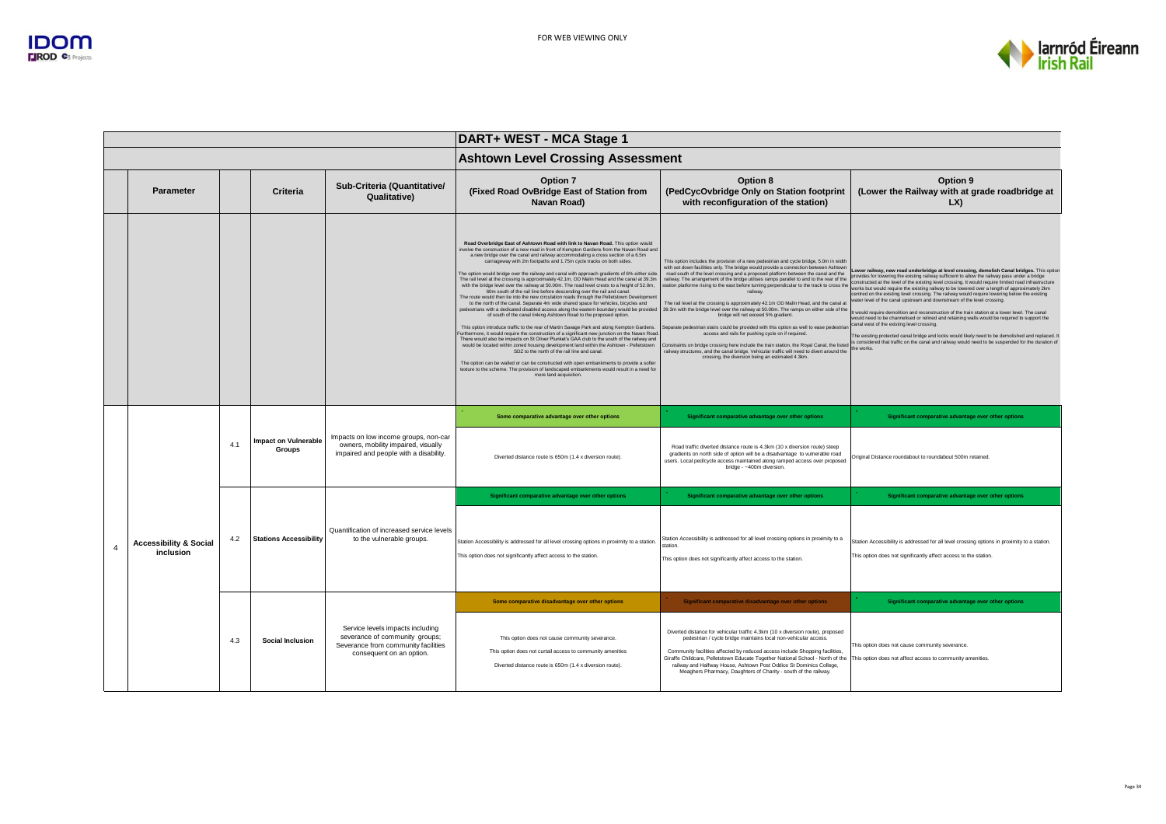

|                |                                                |     |                                       |                                                                                                                                       | DART+ WEST - MCA Stage 1                                                                                                                                                                                                                                                                                                                                                                                                                                                                                                                                                                                                                                                                                                                                                                                                                                                                                                                                                                                                                                                                                                                                                                                                                                                                                                                                                                                                                                                                                                                                                                                                                                                                                                              |                                                                                                                                                                                                                                                                                                                                                                                                                                                                                                                                                                                                                                                                                                                                                                                                                                                                                                                                                                                                             |                                                                                                                                                                                                                                                                                                                                                                                                                                                                                                                                                                                                                                                                                                                                                                                                                                                                                                                                                                                                                                                                                                                                                      |  |
|----------------|------------------------------------------------|-----|---------------------------------------|---------------------------------------------------------------------------------------------------------------------------------------|---------------------------------------------------------------------------------------------------------------------------------------------------------------------------------------------------------------------------------------------------------------------------------------------------------------------------------------------------------------------------------------------------------------------------------------------------------------------------------------------------------------------------------------------------------------------------------------------------------------------------------------------------------------------------------------------------------------------------------------------------------------------------------------------------------------------------------------------------------------------------------------------------------------------------------------------------------------------------------------------------------------------------------------------------------------------------------------------------------------------------------------------------------------------------------------------------------------------------------------------------------------------------------------------------------------------------------------------------------------------------------------------------------------------------------------------------------------------------------------------------------------------------------------------------------------------------------------------------------------------------------------------------------------------------------------------------------------------------------------|-------------------------------------------------------------------------------------------------------------------------------------------------------------------------------------------------------------------------------------------------------------------------------------------------------------------------------------------------------------------------------------------------------------------------------------------------------------------------------------------------------------------------------------------------------------------------------------------------------------------------------------------------------------------------------------------------------------------------------------------------------------------------------------------------------------------------------------------------------------------------------------------------------------------------------------------------------------------------------------------------------------|------------------------------------------------------------------------------------------------------------------------------------------------------------------------------------------------------------------------------------------------------------------------------------------------------------------------------------------------------------------------------------------------------------------------------------------------------------------------------------------------------------------------------------------------------------------------------------------------------------------------------------------------------------------------------------------------------------------------------------------------------------------------------------------------------------------------------------------------------------------------------------------------------------------------------------------------------------------------------------------------------------------------------------------------------------------------------------------------------------------------------------------------------|--|
|                |                                                |     |                                       |                                                                                                                                       | <b>Ashtown Level Crossing Assessment</b>                                                                                                                                                                                                                                                                                                                                                                                                                                                                                                                                                                                                                                                                                                                                                                                                                                                                                                                                                                                                                                                                                                                                                                                                                                                                                                                                                                                                                                                                                                                                                                                                                                                                                              |                                                                                                                                                                                                                                                                                                                                                                                                                                                                                                                                                                                                                                                                                                                                                                                                                                                                                                                                                                                                             |                                                                                                                                                                                                                                                                                                                                                                                                                                                                                                                                                                                                                                                                                                                                                                                                                                                                                                                                                                                                                                                                                                                                                      |  |
|                | <b>Parameter</b>                               |     | Criteria                              | Sub-Criteria (Quantitative/<br>Qualitative)                                                                                           | <b>Option 7</b><br>(Fixed Road OvBridge East of Station from<br>Navan Road)                                                                                                                                                                                                                                                                                                                                                                                                                                                                                                                                                                                                                                                                                                                                                                                                                                                                                                                                                                                                                                                                                                                                                                                                                                                                                                                                                                                                                                                                                                                                                                                                                                                           | Option 8<br>(PedCycOvbridge Only on Station footprint<br>with reconfiguration of the station)                                                                                                                                                                                                                                                                                                                                                                                                                                                                                                                                                                                                                                                                                                                                                                                                                                                                                                               | Option 9<br>(Lower the Railway with at grade roadbridge at<br>LX)                                                                                                                                                                                                                                                                                                                                                                                                                                                                                                                                                                                                                                                                                                                                                                                                                                                                                                                                                                                                                                                                                    |  |
|                |                                                |     |                                       |                                                                                                                                       | Road Overbridge East of Ashtown Road with link to Navan Road. This option would<br>involve the construction of a new road in front of Kempton Gardens from the Navan Road and<br>a new bridge over the canal and railway accommodating a cross section of a 6.5m<br>carriageway with 2m footpaths and 1.75m cycle tracks on both sides.<br>The option would bridge over the railway and canal with approach gradients of 6% either side.<br>The rail level at the crossing is approximately 42.1m, OD Malin Head and the canal at 39.3m<br>with the bridge level over the railway at 50.00m. The road level crests to a height of 52.0m,<br>60m south of the rail line before descending over the rail and canal.<br>The route would then tie into the new circulation roads through the Pelletstown Developmen<br>to the north of the canal. Separate 4m wide shared space for vehicles, bicycles and<br>pedestrians with a dedicated disabled access along the eastern boundary would be provided<br>of south of the canal linking Ashtown Road to the proposed option.<br>This option introduce traffic to the rear of Martin Savage Park and along Kempton Gardens.<br>Furthermore, it would require the construction of a significant new junction on the Navan Road<br>There would also be impacts on St Oliver Plunket's GAA club to the south of the railway and<br>would be located within zoned housing development land within the Ashtown - Pelletstown<br>SDZ to the north of the rail line and canal.<br>The option can be walled or can be constructed with open embankments to provide a softer<br>texture to the scheme. The provision of landscaped embankments would result in a need for<br>more land acquisition | This option includes the provision of a new pedestrian and cycle bridge, 5.0m in width<br>with set down facilities only. The bridge would provide a connection between Ashtown<br>road south of the level crossing and a proposed platform between the canal and the<br>railway. The arrangement of the bridge utilises ramps parallel to and to the rear of the<br>station platforme rising to the east before turning perpendicular to the track to cross the<br>railway.<br>The rail level at the crossing is approximately 42.1m OD Malin Head, and the canal at<br>39.3m with the bridge level over the railway at 50.00m. The ramps on either side of the<br>bridge will not exceed 5% gradient.<br>Separate pedestrian stairs could be provided with this option as well to ease pedestriar<br>access and rails for pushing cycle on if required.<br>railway structures, and the canal bridge. Vehicular traffic will need to divert around the<br>crossing, the diversion being an estimated 4.3km. | Lower railway, new road underbridge at level crossing, demolish Canal bridges. This option<br>provides for lowering the existing railway sufficient to allow the railway pass under a bridge<br>constructed at the level of the existing level crossing. It would require limited road infrastructure<br>works but would require the existing railway to be lowered over a length of approximately 2km<br>centred on the existing level crossing. The railway would require lowering below the existing<br>water level of the canal upstream and downstream of the level crossing.<br>It would require demolition and reconstruction of the train station at a lower level. The canal<br>would need to be channelised or relined and retaining walls would be required to support the<br>canal west of the existing level crossing.<br>The existing protected canal bridge and locks would likely need to be demolished and replaced.<br>Constraints on bridge crossing here include the train station, the Royal Canal, the listed is considered that traffic on the canal and railway would need to be suspended for the duration of<br>the works. |  |
|                |                                                |     | <b>Impact on Vulnerable</b><br>Groups | Impacts on low income groups, non-car<br>owners, mobility impaired, visually<br>impaired and people with a disability.                | Some comparative advantage over other options                                                                                                                                                                                                                                                                                                                                                                                                                                                                                                                                                                                                                                                                                                                                                                                                                                                                                                                                                                                                                                                                                                                                                                                                                                                                                                                                                                                                                                                                                                                                                                                                                                                                                         | Significant comparative advantage over other options                                                                                                                                                                                                                                                                                                                                                                                                                                                                                                                                                                                                                                                                                                                                                                                                                                                                                                                                                        | Significant comparative advantage over other options                                                                                                                                                                                                                                                                                                                                                                                                                                                                                                                                                                                                                                                                                                                                                                                                                                                                                                                                                                                                                                                                                                 |  |
|                |                                                | 4.1 |                                       |                                                                                                                                       | Diverted distance route is 650m (1.4 x diversion route).                                                                                                                                                                                                                                                                                                                                                                                                                                                                                                                                                                                                                                                                                                                                                                                                                                                                                                                                                                                                                                                                                                                                                                                                                                                                                                                                                                                                                                                                                                                                                                                                                                                                              | Road traffic diverted distance route is 4.3km (10 x diversion route) steep<br>gradients on north side of option will be a disadvantage to vulnerable road<br>users. Local ped/cycle access maintained along ramped access over proposed<br>bridge - ~400m diversion.                                                                                                                                                                                                                                                                                                                                                                                                                                                                                                                                                                                                                                                                                                                                        | Original Distance roundabout to roundabout 500m retained.                                                                                                                                                                                                                                                                                                                                                                                                                                                                                                                                                                                                                                                                                                                                                                                                                                                                                                                                                                                                                                                                                            |  |
|                |                                                |     |                                       |                                                                                                                                       | Significant comparative advantage over other options                                                                                                                                                                                                                                                                                                                                                                                                                                                                                                                                                                                                                                                                                                                                                                                                                                                                                                                                                                                                                                                                                                                                                                                                                                                                                                                                                                                                                                                                                                                                                                                                                                                                                  | Significant comparative advantage over other options                                                                                                                                                                                                                                                                                                                                                                                                                                                                                                                                                                                                                                                                                                                                                                                                                                                                                                                                                        | Significant comparative advantage over other options                                                                                                                                                                                                                                                                                                                                                                                                                                                                                                                                                                                                                                                                                                                                                                                                                                                                                                                                                                                                                                                                                                 |  |
| $\overline{4}$ | <b>Accessibility &amp; Social</b><br>inclusion | 4.2 | <b>Stations Accessibility</b>         | Quantification of increased service levels<br>to the vulnerable groups.                                                               | Station Accessibility is addressed for all level crossing options in proximity to a station.<br>This option does not significantly affect access to the station.                                                                                                                                                                                                                                                                                                                                                                                                                                                                                                                                                                                                                                                                                                                                                                                                                                                                                                                                                                                                                                                                                                                                                                                                                                                                                                                                                                                                                                                                                                                                                                      | Station Accessibility is addressed for all level crossing options in proximity to a<br>This option does not significantly affect access to the station.                                                                                                                                                                                                                                                                                                                                                                                                                                                                                                                                                                                                                                                                                                                                                                                                                                                     | Station Accessibility is addressed for all level crossing options in proximity to a station.<br>This option does not significantly affect access to the station.                                                                                                                                                                                                                                                                                                                                                                                                                                                                                                                                                                                                                                                                                                                                                                                                                                                                                                                                                                                     |  |
|                |                                                |     |                                       |                                                                                                                                       | Some comparative disadvantage over other options                                                                                                                                                                                                                                                                                                                                                                                                                                                                                                                                                                                                                                                                                                                                                                                                                                                                                                                                                                                                                                                                                                                                                                                                                                                                                                                                                                                                                                                                                                                                                                                                                                                                                      | Significant comparative disadvantage over other options                                                                                                                                                                                                                                                                                                                                                                                                                                                                                                                                                                                                                                                                                                                                                                                                                                                                                                                                                     | Significant comparative advantage over other options                                                                                                                                                                                                                                                                                                                                                                                                                                                                                                                                                                                                                                                                                                                                                                                                                                                                                                                                                                                                                                                                                                 |  |
|                |                                                | 4.3 | <b>Social Inclusion</b>               | Service levels impacts including<br>severance of community groups;<br>Severance from community facilities<br>consequent on an option. | This option does not cause community severance.<br>This option does not curtail access to community amenities<br>Diverted distance route is 650m (1.4 x diversion route).                                                                                                                                                                                                                                                                                                                                                                                                                                                                                                                                                                                                                                                                                                                                                                                                                                                                                                                                                                                                                                                                                                                                                                                                                                                                                                                                                                                                                                                                                                                                                             | Diverted distance for vehicular traffic 4.3km (10 x diversion route), proposed<br>pedestrian / cycle bridge maintains local non-vehicular access.<br>Community facilities affected by reduced access include Shopping facilities,<br>Giraffe Childcare, Pelletstown Educate Together National School - North of the<br>railway and Halfway House, Ashtown Post Oddice St Dominics College,<br>Meaghers Pharmacy, Daughters of Charity - south of the railway.                                                                                                                                                                                                                                                                                                                                                                                                                                                                                                                                               | This option does not cause community severance.<br>This option does not affect access to community amenities.                                                                                                                                                                                                                                                                                                                                                                                                                                                                                                                                                                                                                                                                                                                                                                                                                                                                                                                                                                                                                                        |  |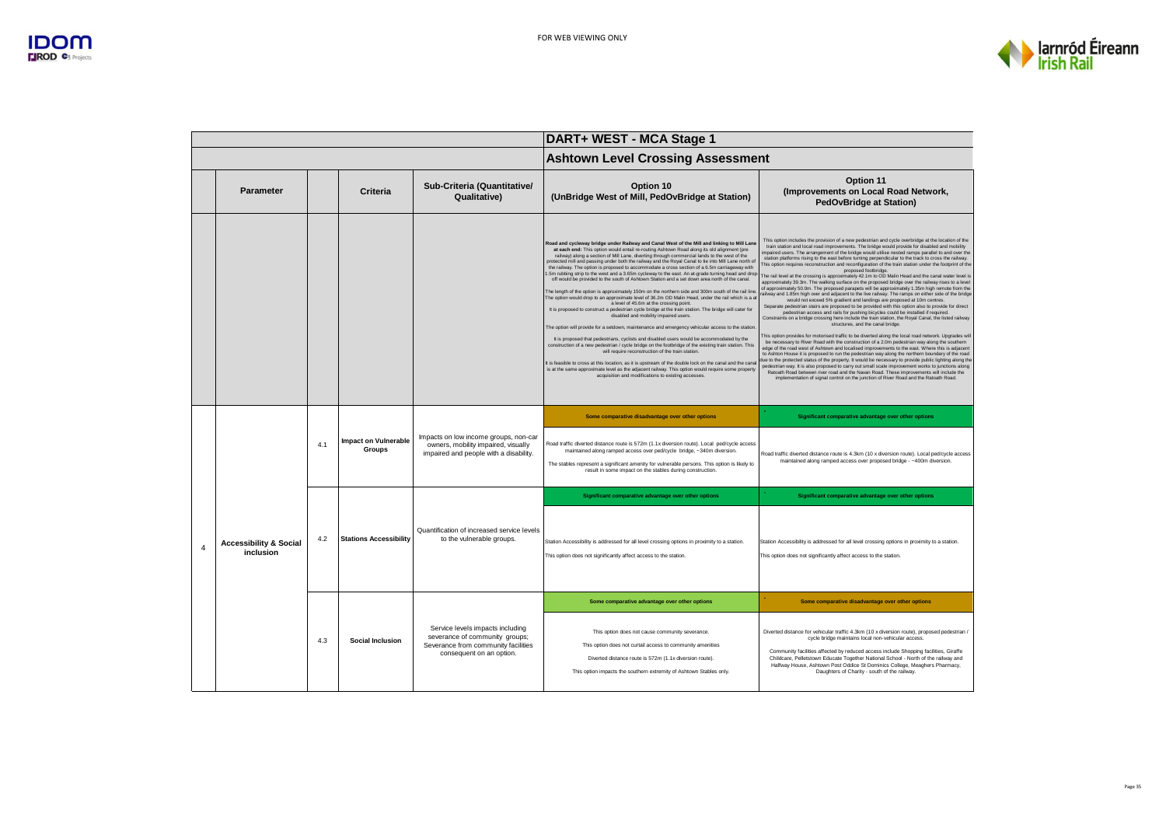

|                |                                                |     |                                       |                                                                                                                                       | DART+ WEST - MCA Stage 1                                                                                                                                                                                                                                                                                                                                                                                                                                                                                                                                                                                                                                                                                                                                                                                                                                                                                                                                                                                                                                                                                                                                                                                                                                                                                                                                                                                                                                                                                                                                                                                                                                                                                                                                 |                                                                                                                                                                                                                                                                                                                                                                                                                                                                                                                                                                                                                                                                                                                                                                                                                                                                                                                                                                                                                                                                                                                                                                                                                                                                                                                                                                                                                                                                                                                                                                                                                                                                                                                                                                                                                                                                                                                                                                                                                                                                                                                                                                                                               |  |
|----------------|------------------------------------------------|-----|---------------------------------------|---------------------------------------------------------------------------------------------------------------------------------------|----------------------------------------------------------------------------------------------------------------------------------------------------------------------------------------------------------------------------------------------------------------------------------------------------------------------------------------------------------------------------------------------------------------------------------------------------------------------------------------------------------------------------------------------------------------------------------------------------------------------------------------------------------------------------------------------------------------------------------------------------------------------------------------------------------------------------------------------------------------------------------------------------------------------------------------------------------------------------------------------------------------------------------------------------------------------------------------------------------------------------------------------------------------------------------------------------------------------------------------------------------------------------------------------------------------------------------------------------------------------------------------------------------------------------------------------------------------------------------------------------------------------------------------------------------------------------------------------------------------------------------------------------------------------------------------------------------------------------------------------------------|---------------------------------------------------------------------------------------------------------------------------------------------------------------------------------------------------------------------------------------------------------------------------------------------------------------------------------------------------------------------------------------------------------------------------------------------------------------------------------------------------------------------------------------------------------------------------------------------------------------------------------------------------------------------------------------------------------------------------------------------------------------------------------------------------------------------------------------------------------------------------------------------------------------------------------------------------------------------------------------------------------------------------------------------------------------------------------------------------------------------------------------------------------------------------------------------------------------------------------------------------------------------------------------------------------------------------------------------------------------------------------------------------------------------------------------------------------------------------------------------------------------------------------------------------------------------------------------------------------------------------------------------------------------------------------------------------------------------------------------------------------------------------------------------------------------------------------------------------------------------------------------------------------------------------------------------------------------------------------------------------------------------------------------------------------------------------------------------------------------------------------------------------------------------------------------------------------------|--|
|                |                                                |     |                                       |                                                                                                                                       | <b>Ashtown Level Crossing Assessment</b>                                                                                                                                                                                                                                                                                                                                                                                                                                                                                                                                                                                                                                                                                                                                                                                                                                                                                                                                                                                                                                                                                                                                                                                                                                                                                                                                                                                                                                                                                                                                                                                                                                                                                                                 |                                                                                                                                                                                                                                                                                                                                                                                                                                                                                                                                                                                                                                                                                                                                                                                                                                                                                                                                                                                                                                                                                                                                                                                                                                                                                                                                                                                                                                                                                                                                                                                                                                                                                                                                                                                                                                                                                                                                                                                                                                                                                                                                                                                                               |  |
|                | <b>Parameter</b>                               |     | Criteria                              | Sub-Criteria (Quantitative/<br>Qualitative)                                                                                           | Option 10<br>(UnBridge West of Mill, PedOvBridge at Station)                                                                                                                                                                                                                                                                                                                                                                                                                                                                                                                                                                                                                                                                                                                                                                                                                                                                                                                                                                                                                                                                                                                                                                                                                                                                                                                                                                                                                                                                                                                                                                                                                                                                                             | Option 11<br>(Improvements on Local Road Network,<br><b>PedOvBridge at Station)</b>                                                                                                                                                                                                                                                                                                                                                                                                                                                                                                                                                                                                                                                                                                                                                                                                                                                                                                                                                                                                                                                                                                                                                                                                                                                                                                                                                                                                                                                                                                                                                                                                                                                                                                                                                                                                                                                                                                                                                                                                                                                                                                                           |  |
|                |                                                |     |                                       |                                                                                                                                       | Road and cycleway bridge under Railway and Canal West of the Mill and linking to Mill Lane<br>at each end: This option would entail re-routing Ashtown Road along its old alignment (pre<br>railway) along a section of Mill Lane, diverting through commercial lands to the west of the<br>protected mill and passing under both the railway and the Royal Canal to tie into Mill Lane north of<br>the railway. The option is proposed to accommodate a cross section of a 6.5m carriageway with<br>5m rubbing strip to the west and a 3.65m cycleway to the east. An at-grade turning head and drop.<br>off would be provided to the south of Ashtown Station and a set down area north of the canal.<br>The length of the option is approximately 150m on the northern side and 300m south of the rail line<br>The option would drop to an approximate level of 36.2m OD Malin Head, under the rail which is a at<br>a level of 45.6m at the crossing point.<br>It is proposed to construct a pedestrian cycle bridge at the train station. The bridge will cater for<br>disabled and mobility impaired users.<br>The option will provide for a setdown, maintenance and emergency vehicular access to the station<br>It is proposed that pedestrians, cyclists and disabled users would be accommodated by the<br>construction of a new pedestrian / cycle bridge on the footbridge of the existing train station. This<br>will require reconstruction of the train station.<br>It is feasible to cross at this location, as it is upstream of the double lock on the canal and the cana<br>is at the same approximate level as the adjacent railway. This option would require some property<br>acquisition and modifications to existing accesses. | This option includes the provision of a new pedestrian and cycle overbridge at the location of the<br>train station and local road improvements. The bridge would provide for disabled and mobility<br>impaired users. The arrangement of the bridge would utilise nested ramps parallel to and over the<br>station platforms rising to the east before turning perpendicular to the track to cross the railway.<br>This option requires reconstruction and reconfiguration of the train station under the footprint of the<br>proposed footbridge.<br>The rail level at the crossing is approximately 42.1m to OD Malin Head and the canal water level is<br>approximately 39.3m. The walking surface on the proposed bridge over the railway rises to a level<br>of approximately 50.0m. The proposed parapets will be approximately 1.35m high remote from the<br>railway and 1.85m high over and adjacent to the live railway. The ramps on either side of the bridge<br>would not exceed 5% gradient and landings are proposed at 10m centres.<br>Separate pedestrian stairs are proposed to be provided with this option also to provide for direct<br>pedestrian access and rails for pushing bicycles could be installed if required.<br>Constraints on a bridge crossing here include the train station, the Royal Canal, the listed railway<br>structures, and the canal bridge.<br>This option provides for motorised traffic to be diverted along the local road network. Upgrades will<br>be necessary to River Road with the construction of a 2.0m pedestrian way along the southern<br>edge of the road west of Ashtown and localised improvements to the east. Where this is adjacent<br>to Ashton House it is proposed to run the pedestrian way along the northern boundary of the road<br>due to the protected status of the property. It would be necessary to provide public lighting along the<br>pedestrian way. It is also proposed to carry out small scale improvement works to junctions along<br>Ratoath Road between river road and the Navan Road. These improvements will include the<br>implementation of signal control on the junction of River Road and the Ratoath Road. |  |
|                |                                                |     |                                       |                                                                                                                                       | Some comparative disadvantage over other options                                                                                                                                                                                                                                                                                                                                                                                                                                                                                                                                                                                                                                                                                                                                                                                                                                                                                                                                                                                                                                                                                                                                                                                                                                                                                                                                                                                                                                                                                                                                                                                                                                                                                                         | Significant comparative advantage over other options                                                                                                                                                                                                                                                                                                                                                                                                                                                                                                                                                                                                                                                                                                                                                                                                                                                                                                                                                                                                                                                                                                                                                                                                                                                                                                                                                                                                                                                                                                                                                                                                                                                                                                                                                                                                                                                                                                                                                                                                                                                                                                                                                          |  |
|                |                                                | 4.1 | <b>Impact on Vulnerable</b><br>Groups | Impacts on low income groups, non-car<br>owners, mobility impaired, visually<br>impaired and people with a disability.                | Road traffic diverted distance route is 572m (1.1x diversion route). Local ped/cycle access<br>maintained along ramped access over ped/cycle bridge, ~340m diversion.<br>The stables represent a significant amenity for vulnerable persons. This option is likely to<br>result in some impact on the stables during construction.                                                                                                                                                                                                                                                                                                                                                                                                                                                                                                                                                                                                                                                                                                                                                                                                                                                                                                                                                                                                                                                                                                                                                                                                                                                                                                                                                                                                                       | Road traffic diverted distance route is 4.3km (10 x diversion route). Local ped/cycle access<br>maintained along ramped access over proposed bridge - ~400m diversion.                                                                                                                                                                                                                                                                                                                                                                                                                                                                                                                                                                                                                                                                                                                                                                                                                                                                                                                                                                                                                                                                                                                                                                                                                                                                                                                                                                                                                                                                                                                                                                                                                                                                                                                                                                                                                                                                                                                                                                                                                                        |  |
|                |                                                |     |                                       |                                                                                                                                       | Significant comparative advantage over other options                                                                                                                                                                                                                                                                                                                                                                                                                                                                                                                                                                                                                                                                                                                                                                                                                                                                                                                                                                                                                                                                                                                                                                                                                                                                                                                                                                                                                                                                                                                                                                                                                                                                                                     | Significant comparative advantage over other options                                                                                                                                                                                                                                                                                                                                                                                                                                                                                                                                                                                                                                                                                                                                                                                                                                                                                                                                                                                                                                                                                                                                                                                                                                                                                                                                                                                                                                                                                                                                                                                                                                                                                                                                                                                                                                                                                                                                                                                                                                                                                                                                                          |  |
| $\overline{4}$ | <b>Accessibility &amp; Social</b><br>inclusion | 4.2 | <b>Stations Accessibility</b>         | Quantification of increased service levels<br>to the vulnerable groups.                                                               | Station Accessibility is addressed for all level crossing options in proximity to a station.<br>This option does not significantly affect access to the station.                                                                                                                                                                                                                                                                                                                                                                                                                                                                                                                                                                                                                                                                                                                                                                                                                                                                                                                                                                                                                                                                                                                                                                                                                                                                                                                                                                                                                                                                                                                                                                                         | Station Accessibility is addressed for all level crossing options in proximity to a station.<br>This option does not significantly affect access to the station.                                                                                                                                                                                                                                                                                                                                                                                                                                                                                                                                                                                                                                                                                                                                                                                                                                                                                                                                                                                                                                                                                                                                                                                                                                                                                                                                                                                                                                                                                                                                                                                                                                                                                                                                                                                                                                                                                                                                                                                                                                              |  |
|                |                                                |     |                                       |                                                                                                                                       | Some comparative advantage over other options                                                                                                                                                                                                                                                                                                                                                                                                                                                                                                                                                                                                                                                                                                                                                                                                                                                                                                                                                                                                                                                                                                                                                                                                                                                                                                                                                                                                                                                                                                                                                                                                                                                                                                            | Some comparative disadvantage over other options                                                                                                                                                                                                                                                                                                                                                                                                                                                                                                                                                                                                                                                                                                                                                                                                                                                                                                                                                                                                                                                                                                                                                                                                                                                                                                                                                                                                                                                                                                                                                                                                                                                                                                                                                                                                                                                                                                                                                                                                                                                                                                                                                              |  |
|                |                                                | 4.3 | <b>Social Inclusion</b>               | Service levels impacts including<br>severance of community groups;<br>Severance from community facilities<br>consequent on an option. | This option does not cause community severance.<br>This option does not curtail access to community amenities<br>Diverted distance route is 572m (1.1x diversion route).<br>This option impacts the southern extremity of Ashtown Stables only.                                                                                                                                                                                                                                                                                                                                                                                                                                                                                                                                                                                                                                                                                                                                                                                                                                                                                                                                                                                                                                                                                                                                                                                                                                                                                                                                                                                                                                                                                                          | Diverted distance for vehicular traffic 4.3km (10 x diversion route), proposed pedestrian /<br>cycle bridge maintains local non-vehicular access.<br>Community facilities affected by reduced access include Shopping facilities, Giraffe<br>Childcare, Pelletstown Educate Together National School - North of the railway and<br>Halfway House, Ashtown Post Oddice St Dominics College, Meaghers Pharmacy,<br>Daughters of Charity - south of the railway.                                                                                                                                                                                                                                                                                                                                                                                                                                                                                                                                                                                                                                                                                                                                                                                                                                                                                                                                                                                                                                                                                                                                                                                                                                                                                                                                                                                                                                                                                                                                                                                                                                                                                                                                                 |  |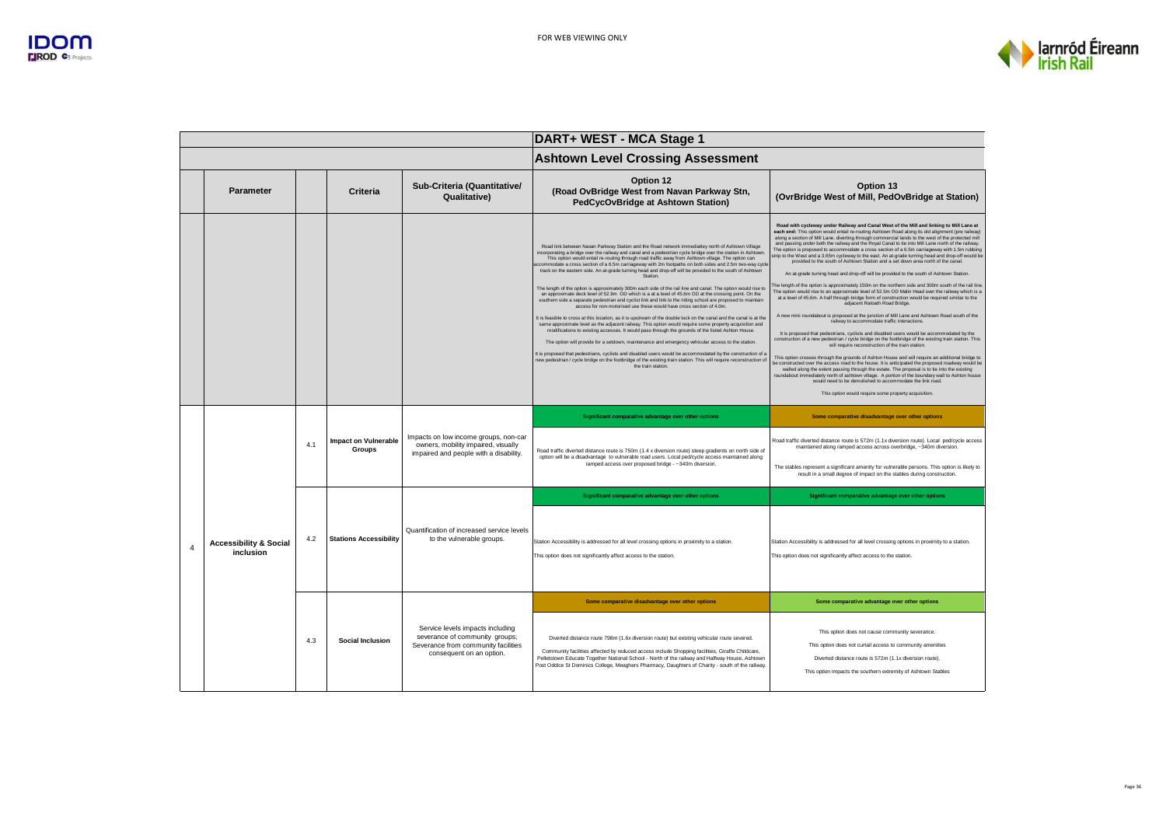

|                |                                                |     |                                              |                                                                                                                                       | DART+ WEST - MCA Stage 1                                                                                                                                                                                                                                                                                                                                                                                                                                                                                                                                                                                                                                                                                                                                                                                                                                                                                                                                                                                                                                                                                                                                                                                                                                                                                                                                                                                                                                                                                                                                                                                                                                                          |                                                                                                                                                                                                                                                                                                                                                                                                                                                                                                                                                                                                                                                                                                                                                                                                                                                                                                                                                                                                                                                                                                                                                                                                                                                                                                                                                                                                                                                                                                                                                                                                                                                                                                                                                                                                                                                                                                                                                                                                                                                                                          |  |
|----------------|------------------------------------------------|-----|----------------------------------------------|---------------------------------------------------------------------------------------------------------------------------------------|-----------------------------------------------------------------------------------------------------------------------------------------------------------------------------------------------------------------------------------------------------------------------------------------------------------------------------------------------------------------------------------------------------------------------------------------------------------------------------------------------------------------------------------------------------------------------------------------------------------------------------------------------------------------------------------------------------------------------------------------------------------------------------------------------------------------------------------------------------------------------------------------------------------------------------------------------------------------------------------------------------------------------------------------------------------------------------------------------------------------------------------------------------------------------------------------------------------------------------------------------------------------------------------------------------------------------------------------------------------------------------------------------------------------------------------------------------------------------------------------------------------------------------------------------------------------------------------------------------------------------------------------------------------------------------------|------------------------------------------------------------------------------------------------------------------------------------------------------------------------------------------------------------------------------------------------------------------------------------------------------------------------------------------------------------------------------------------------------------------------------------------------------------------------------------------------------------------------------------------------------------------------------------------------------------------------------------------------------------------------------------------------------------------------------------------------------------------------------------------------------------------------------------------------------------------------------------------------------------------------------------------------------------------------------------------------------------------------------------------------------------------------------------------------------------------------------------------------------------------------------------------------------------------------------------------------------------------------------------------------------------------------------------------------------------------------------------------------------------------------------------------------------------------------------------------------------------------------------------------------------------------------------------------------------------------------------------------------------------------------------------------------------------------------------------------------------------------------------------------------------------------------------------------------------------------------------------------------------------------------------------------------------------------------------------------------------------------------------------------------------------------------------------------|--|
|                |                                                |     |                                              |                                                                                                                                       | <b>Ashtown Level Crossing Assessment</b>                                                                                                                                                                                                                                                                                                                                                                                                                                                                                                                                                                                                                                                                                                                                                                                                                                                                                                                                                                                                                                                                                                                                                                                                                                                                                                                                                                                                                                                                                                                                                                                                                                          |                                                                                                                                                                                                                                                                                                                                                                                                                                                                                                                                                                                                                                                                                                                                                                                                                                                                                                                                                                                                                                                                                                                                                                                                                                                                                                                                                                                                                                                                                                                                                                                                                                                                                                                                                                                                                                                                                                                                                                                                                                                                                          |  |
|                | <b>Parameter</b>                               |     | Criteria                                     | Sub-Criteria (Quantitative/<br>Qualitative)                                                                                           | Option 12<br>(Road OvBridge West from Navan Parkway Stn,<br>PedCycOvBridge at Ashtown Station)                                                                                                                                                                                                                                                                                                                                                                                                                                                                                                                                                                                                                                                                                                                                                                                                                                                                                                                                                                                                                                                                                                                                                                                                                                                                                                                                                                                                                                                                                                                                                                                    | Option 13<br>(OvrBridge West of Mill, PedOvBridge at Station)                                                                                                                                                                                                                                                                                                                                                                                                                                                                                                                                                                                                                                                                                                                                                                                                                                                                                                                                                                                                                                                                                                                                                                                                                                                                                                                                                                                                                                                                                                                                                                                                                                                                                                                                                                                                                                                                                                                                                                                                                            |  |
|                |                                                |     |                                              |                                                                                                                                       | Road link between Navan Parkway Station and the Road network immediatley north of Ashtown Village<br>incorporating a bridge over the railway and canal and a pedestrian cycle bridge over the station in Ashtown<br>This option would entail re-routing through road traffic away from Ashtown village. The option can<br>accommodate a cross section of a 6.5m carriageway with 2m footpaths on both sides and 2.5m two-way cycle<br>track on the eastern side. An at-grade turning head and drop-off will be provided to the south of Ashtown<br>Station<br>The length of the option is approximately 300m each side of the rail line and canal. The option would rise to<br>an approximate deck level of 52.9m OD which is a at a level of 45.6m OD at the crossing point. On the<br>southern side a separate pedestrian and cyclist link and link to the riding school are proposed to maintain<br>access for non-motorised use these would have cross section of 4.0m.<br>It is feasible to cross at this location, as it is upstream of the double lock on the canal and the canal is at the<br>same approximate level as the adjacent railway. This option would require some property acquisition and<br>modifications to existing accesses. It would pass through the grounds of the listed Ashton House.<br>The option will provide for a setdown, maintenance and emergency vehicular access to the station.<br>It is proposed that pedestrians, cyclists and disabled users would be accommodated by the construction of a<br>new pedestrian / cycle bridge on the footbridge of the existing train station. This will require reconstruction of<br>the train station | Road with cycleway under Railway and Canal West of the Mill and linking to Mill Lane at<br>each end: This option would entail re-routing Ashtown Road along its old alignment (pre railway)<br>along a section of Mill Lane, diverting through commercial lands to the west of the protected mill<br>and passing under both the railway and the Royal Canal to tie into Mill Lane north of the railway.<br>The option is proposed to accommodate a cross section of a 6.5m carriageway with 1.5m rubbing<br>strip to the West and a 3.65m cycleway to the east. An at-grade turning head and drop-off would be<br>provided to the south of Ashtown Station and a set down area north of the canal.<br>An at-grade turning head and drop-off will be provided to the south of Ashtown Station.<br>he length of the option is approximately 150m on the northern side and 300m south of the rail line<br>The option would rise to an approximate level of 52.5m OD Malin Head over the railway which is a<br>at a level of 45.6m. A half through bridge form of construction would be required similar to the<br>adiacent Ratoath Road Bridge.<br>A new mini roundabout is proposed at the junction of Mill Lane and Ashtown Road south of the<br>railway to accommodate traffic interactions.<br>It is proposed that pedestrians, cyclists and disabled users would be accommodated by the<br>construction of a new pedestrian / cycle bridge on the footbridge of the existing train station. This<br>will require reconstruction of the train station.<br>This option crosses through the grounds of Ashton House and will require an additional bridge to<br>be constructed over the access road to the house. It is anticipated the proposed roadway would be<br>walled along the extent passing through the estate. The proposal is to tie into the existing<br>roundabout immediately north of ashtown village. A portion of the boundary wall to Ashton house<br>would need to be demolished to accommodate the link road.<br>This option would require some property acquisition. |  |
|                |                                                |     |                                              |                                                                                                                                       | Significant comparative advantage over other options                                                                                                                                                                                                                                                                                                                                                                                                                                                                                                                                                                                                                                                                                                                                                                                                                                                                                                                                                                                                                                                                                                                                                                                                                                                                                                                                                                                                                                                                                                                                                                                                                              | Some comparative disadvantage over other options                                                                                                                                                                                                                                                                                                                                                                                                                                                                                                                                                                                                                                                                                                                                                                                                                                                                                                                                                                                                                                                                                                                                                                                                                                                                                                                                                                                                                                                                                                                                                                                                                                                                                                                                                                                                                                                                                                                                                                                                                                         |  |
|                |                                                | 4.1 | <b>Impact on Vulnerable</b><br><b>Groups</b> | Impacts on low income groups, non-car<br>owners, mobility impaired, visually<br>impaired and people with a disability.                | Road traffic diverted distance route is 750m (1.4 x diversion route) steep gradients on north side of<br>option will be a disadvantage to vulnerable road users. Local ped/cycle access maintained along<br>ramped access over proposed bridge - ~340m diversion.                                                                                                                                                                                                                                                                                                                                                                                                                                                                                                                                                                                                                                                                                                                                                                                                                                                                                                                                                                                                                                                                                                                                                                                                                                                                                                                                                                                                                 | Road traffic diverted distance route is 572m (1.1x diversion route). Local ped/cycle access<br>maintained along ramped access across overbridge, ~340m diversion.<br>The stables represent a significant amenity for vulnerable persons. This option is likely to<br>result in a small degree of impact on the stables during construction.                                                                                                                                                                                                                                                                                                                                                                                                                                                                                                                                                                                                                                                                                                                                                                                                                                                                                                                                                                                                                                                                                                                                                                                                                                                                                                                                                                                                                                                                                                                                                                                                                                                                                                                                              |  |
|                |                                                |     |                                              |                                                                                                                                       | Significant comparative advantage over other options                                                                                                                                                                                                                                                                                                                                                                                                                                                                                                                                                                                                                                                                                                                                                                                                                                                                                                                                                                                                                                                                                                                                                                                                                                                                                                                                                                                                                                                                                                                                                                                                                              | Significant comparative advantage over other options                                                                                                                                                                                                                                                                                                                                                                                                                                                                                                                                                                                                                                                                                                                                                                                                                                                                                                                                                                                                                                                                                                                                                                                                                                                                                                                                                                                                                                                                                                                                                                                                                                                                                                                                                                                                                                                                                                                                                                                                                                     |  |
| $\overline{4}$ | <b>Accessibility &amp; Social</b><br>inclusion | 4.2 | <b>Stations Accessibility</b>                | Quantification of increased service levels<br>to the vulnerable groups.                                                               | Station Accessibility is addressed for all level crossing options in proximity to a station.<br>This option does not significantly affect access to the station.                                                                                                                                                                                                                                                                                                                                                                                                                                                                                                                                                                                                                                                                                                                                                                                                                                                                                                                                                                                                                                                                                                                                                                                                                                                                                                                                                                                                                                                                                                                  | Station Accessibility is addressed for all level crossing options in proximity to a station.<br>This option does not significantly affect access to the station.                                                                                                                                                                                                                                                                                                                                                                                                                                                                                                                                                                                                                                                                                                                                                                                                                                                                                                                                                                                                                                                                                                                                                                                                                                                                                                                                                                                                                                                                                                                                                                                                                                                                                                                                                                                                                                                                                                                         |  |
|                |                                                |     |                                              |                                                                                                                                       | Some comparative disadvantage over other options                                                                                                                                                                                                                                                                                                                                                                                                                                                                                                                                                                                                                                                                                                                                                                                                                                                                                                                                                                                                                                                                                                                                                                                                                                                                                                                                                                                                                                                                                                                                                                                                                                  | Some comparative advantage over other options                                                                                                                                                                                                                                                                                                                                                                                                                                                                                                                                                                                                                                                                                                                                                                                                                                                                                                                                                                                                                                                                                                                                                                                                                                                                                                                                                                                                                                                                                                                                                                                                                                                                                                                                                                                                                                                                                                                                                                                                                                            |  |
|                |                                                | 4.3 | <b>Social Inclusion</b>                      | Service levels impacts including<br>severance of community groups;<br>Severance from community facilities<br>consequent on an option. | Diverted distance route 798m (1.6x diversion route) but existing vehicular route severed.<br>Community facilities affected by reduced access include Shopping facilities, Giraffe Childcare,<br>Pelletstown Educate Together National School - North of the railway and Halfway House, Ashtown<br>Post Oddice St Dominics College, Meaghers Pharmacy, Daughters of Charity - south of the railway.                                                                                                                                                                                                                                                                                                                                                                                                                                                                                                                                                                                                                                                                                                                                                                                                                                                                                                                                                                                                                                                                                                                                                                                                                                                                                | This option does not cause community severance.<br>This option does not curtail access to community amenities<br>Diverted distance route is 572m (1.1x diversion route).<br>This option impacts the southern extremity of Ashtown Stables                                                                                                                                                                                                                                                                                                                                                                                                                                                                                                                                                                                                                                                                                                                                                                                                                                                                                                                                                                                                                                                                                                                                                                                                                                                                                                                                                                                                                                                                                                                                                                                                                                                                                                                                                                                                                                                |  |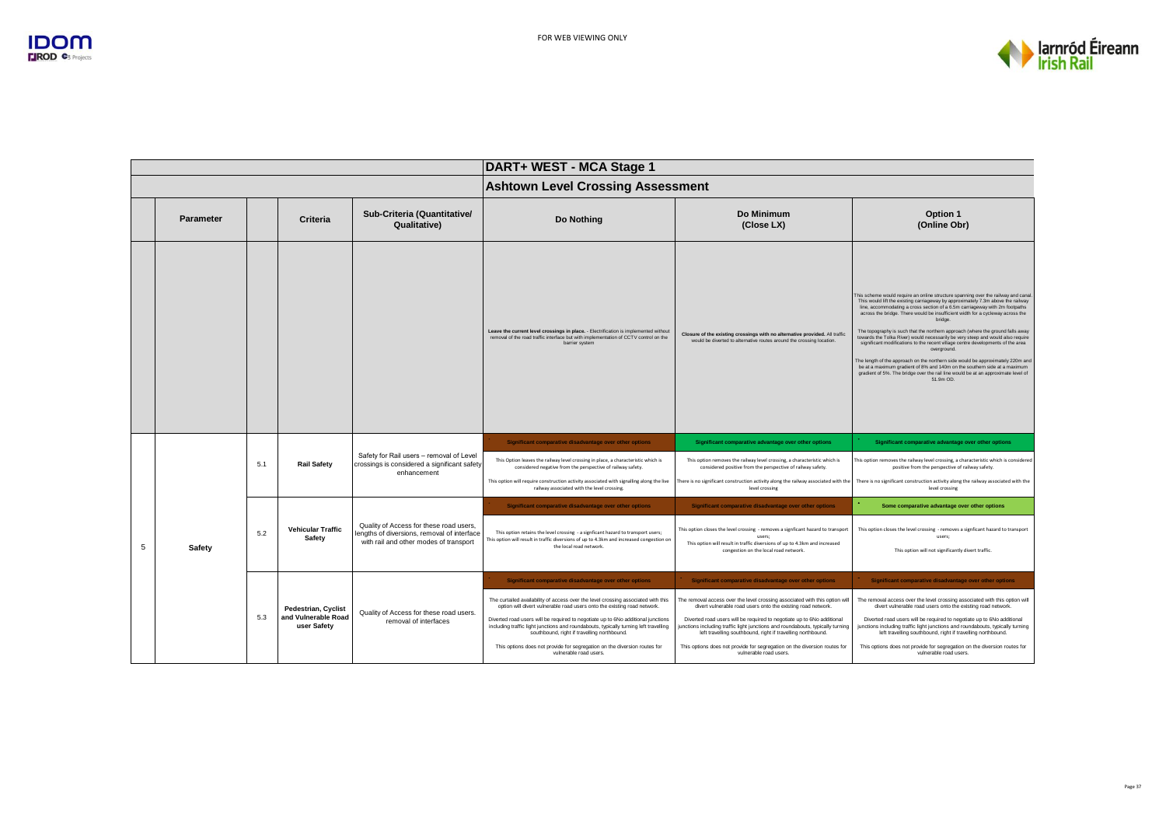

|                |           |     |                                    |                                                                                                         | DART+ WEST - MCA Stage 1                                                                                                                                                                                                |                                                                                                                                                                                                                         |                                                                                                                                                                                                                                                                                                                                                                                                                                                                                                                                                                                                                                                                                                                                                                                                                                                                                             |  |
|----------------|-----------|-----|------------------------------------|---------------------------------------------------------------------------------------------------------|-------------------------------------------------------------------------------------------------------------------------------------------------------------------------------------------------------------------------|-------------------------------------------------------------------------------------------------------------------------------------------------------------------------------------------------------------------------|---------------------------------------------------------------------------------------------------------------------------------------------------------------------------------------------------------------------------------------------------------------------------------------------------------------------------------------------------------------------------------------------------------------------------------------------------------------------------------------------------------------------------------------------------------------------------------------------------------------------------------------------------------------------------------------------------------------------------------------------------------------------------------------------------------------------------------------------------------------------------------------------|--|
|                |           |     |                                    |                                                                                                         | <b>Ashtown Level Crossing Assessment</b>                                                                                                                                                                                |                                                                                                                                                                                                                         |                                                                                                                                                                                                                                                                                                                                                                                                                                                                                                                                                                                                                                                                                                                                                                                                                                                                                             |  |
|                | Parameter |     | Criteria                           | Sub-Criteria (Quantitative/<br>Qualitative)                                                             | Do Nothing                                                                                                                                                                                                              | Do Minimum<br>(Close LX)                                                                                                                                                                                                | Option 1<br>(Online Obr)                                                                                                                                                                                                                                                                                                                                                                                                                                                                                                                                                                                                                                                                                                                                                                                                                                                                    |  |
|                |           |     |                                    |                                                                                                         | Leave the current level crossings in place. - Electrification is implemented without<br>removal of the road traffic interface but with implementation of CCTV control on the<br>barrier system                          | Closure of the existing crossings with no alternative provided. All traffic<br>would be diverted to alternative routes around the crossing location.                                                                    | This scheme would require an online structure spanning over the railway and canal.<br>This would lift the existing carriageway by approximately 7.3m above the railway<br>line, accommodating a cross section of a 6.5m carriageway with 2m footpaths<br>across the bridge. There would be insufficient width for a cycleway across the<br>bridge.<br>The topography is such that the northern approach (where the ground falls away<br>towards the Tolka River) would necessarily be very steep and would also require<br>significant modifications to the recent village centre developments of the area<br>overground.<br>The length of the approach on the northern side would be approximately 220m and<br>be at a maximum gradient of 8% and 140m on the southern side at a maximum<br>gradient of 5%. The bridge over the rail line would be at an approximate level of<br>51.9m OD. |  |
|                |           |     | <b>Rail Safety</b>                 | Safety for Rail users - removal of Level<br>crossings is considered a significant safety<br>enhancement | Significant comparative disadvantage over other options                                                                                                                                                                 | Significant comparative advantage over other options                                                                                                                                                                    | Significant comparative advantage over other options                                                                                                                                                                                                                                                                                                                                                                                                                                                                                                                                                                                                                                                                                                                                                                                                                                        |  |
|                |           | 5.1 |                                    |                                                                                                         | This Option leaves the railway level crossing in place, a characteristic which is<br>considered negative from the perspective of railway safety.                                                                        | This option removes the railway level crossing, a characteristic which is<br>considered positive from the perspective of railway safety.                                                                                | This option removes the railway level crossing, a characteristic which is considered<br>positive from the perspective of railway safety.                                                                                                                                                                                                                                                                                                                                                                                                                                                                                                                                                                                                                                                                                                                                                    |  |
|                |           |     |                                    |                                                                                                         | This option will require construction activity associated with signalling along the live<br>railway associated with the level crossing.                                                                                 | There is no significant construction activity along the railway associated with the<br>level crossing                                                                                                                   | There is no significant construction activity along the railway associated with the<br>level crossing                                                                                                                                                                                                                                                                                                                                                                                                                                                                                                                                                                                                                                                                                                                                                                                       |  |
|                |           |     |                                    |                                                                                                         | Significant comparative disadvantage over other options                                                                                                                                                                 | Significant comparative disadvantage over other options                                                                                                                                                                 | Some comparative advantage over other options                                                                                                                                                                                                                                                                                                                                                                                                                                                                                                                                                                                                                                                                                                                                                                                                                                               |  |
|                |           | 5.2 | <b>Vehicular Traffic</b><br>Safety | Quality of Access for these road users,<br>lengths of diversions, removal of interface                  | This option retains the level crossing - a signficant hazard to transport users;<br>This option will result in traffic diversions of up to 4.3km and increased congestion on                                            | This option closes the level crossing - removes a signficant hazard to transport<br>users:                                                                                                                              | This option closes the level crossing - removes a signficant hazard to transport<br>users:                                                                                                                                                                                                                                                                                                                                                                                                                                                                                                                                                                                                                                                                                                                                                                                                  |  |
| $\overline{5}$ | Safety    |     |                                    | with rail and other modes of transport                                                                  | the local road network.                                                                                                                                                                                                 | This option will result in traffic diversions of up to 4.3km and increased<br>congestion on the local road network.                                                                                                     | This option will not significantly divert traffic.                                                                                                                                                                                                                                                                                                                                                                                                                                                                                                                                                                                                                                                                                                                                                                                                                                          |  |
|                |           |     |                                    |                                                                                                         | Significant comparative disadvantage over other options                                                                                                                                                                 | Significant comparative disadvantage over other options                                                                                                                                                                 | Significant comparative disadvantage over other options                                                                                                                                                                                                                                                                                                                                                                                                                                                                                                                                                                                                                                                                                                                                                                                                                                     |  |
|                |           |     | <b>Pedestrian, Cyclist</b>         | Quality of Access for these road users.                                                                 | The curtailed availability of access over the level crossing associated with this<br>option will divert vulnerable road users onto the existing road network.                                                           | The removal access over the level crossing associated with this option will<br>divert vulnerable road users onto the existing road network.                                                                             | The removal access over the level crossing associated with this option will<br>divert vulnerable road users onto the existing road network.                                                                                                                                                                                                                                                                                                                                                                                                                                                                                                                                                                                                                                                                                                                                                 |  |
|                |           | 5.3 | and Vulnerable Road<br>user Safety | removal of interfaces                                                                                   | Diverted road users will be required to negotiate up to 6No additional junctions<br>including traffic light junctions and roundabouts, typically turning left travelling<br>southbound, right if travelling northbound. | Diverted road users will be required to negotiate up to 6No additional<br>junctions including traffic light junctions and roundabouts, typically turning<br>left travelling southbound, right if travelling northbound. | Diverted road users will be required to negotiate up to 6No additional<br>junctions including traffic light junctions and roundabouts, typically turning<br>left travelling southbound, right if travelling northbound.                                                                                                                                                                                                                                                                                                                                                                                                                                                                                                                                                                                                                                                                     |  |
|                |           |     |                                    |                                                                                                         | This options does not provide for segregation on the diversion routes for<br>vulnerable road users.                                                                                                                     | This options does not provide for segregation on the diversion routes for<br>vulnerable road users                                                                                                                      | This options does not provide for segregation on the diversion routes for<br>vulnerable road users.                                                                                                                                                                                                                                                                                                                                                                                                                                                                                                                                                                                                                                                                                                                                                                                         |  |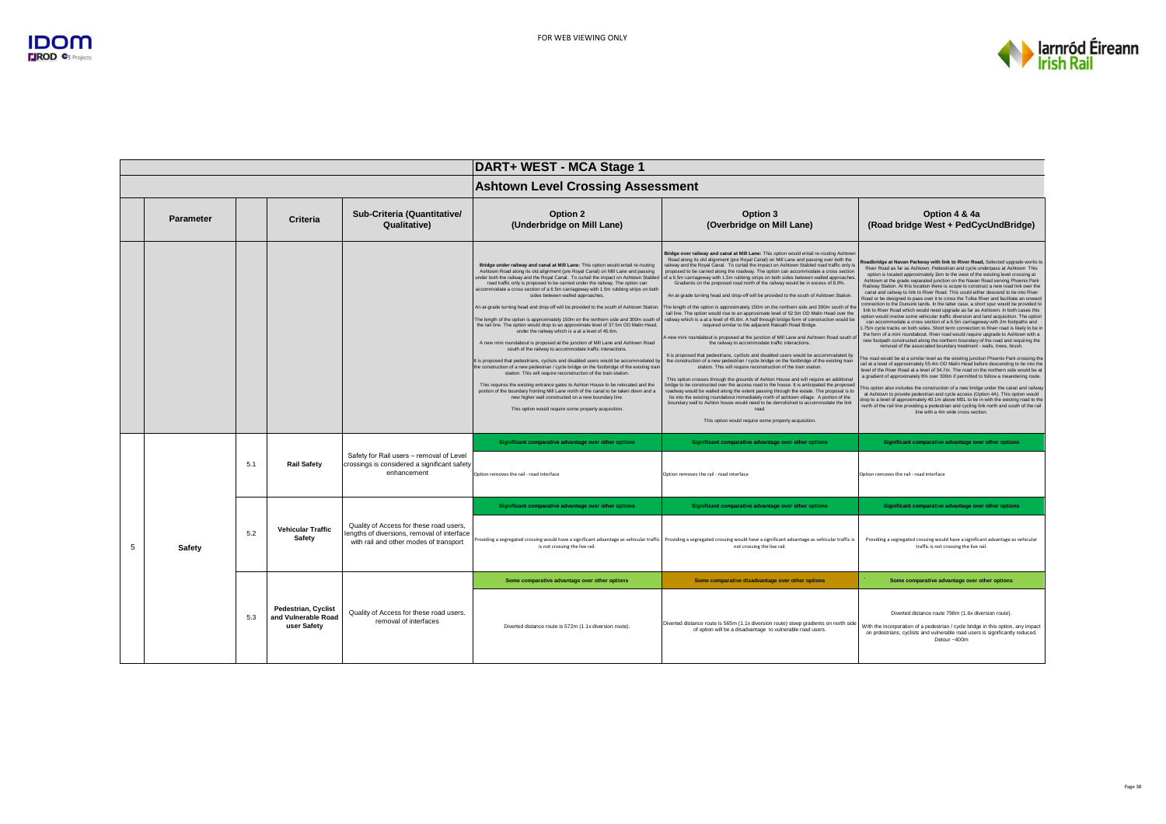

|   |                  |     |                                                                  |                                                                                                                                  | DART+ WEST - MCA Stage 1                                                                                                                                                                                                                                                                                                                                                                                                                                                                                                                                                                                                                                                                                                                                                                                                                                                                                                                                                                                                                                                                                                                                                                                                                                                                                                                                                                                                                                                                                      |                                                                                                                                                                                                                                                                                                                                                                                                                                                                                                                                                                                                                                                                                                                                                                                                                                                                                                                                                                                                                                                                                                                                                                                                                                                                                                                                                                                                                                                                                                                                                                                                                                                                                                                                                                                                                                                                                                                                            |                                                                                                                                                                                                                                                                                                                                                                                                                                                                                                                                                                                                                                                                                                                                                                                                                                                                                                                                                                                                                                                                                                                                                                                                                                                                                                                                                                                                                                                                                                                                                                                                                                                                                                                                                                                                                                                                                                                                                                                                                                                                                                           |  |
|---|------------------|-----|------------------------------------------------------------------|----------------------------------------------------------------------------------------------------------------------------------|---------------------------------------------------------------------------------------------------------------------------------------------------------------------------------------------------------------------------------------------------------------------------------------------------------------------------------------------------------------------------------------------------------------------------------------------------------------------------------------------------------------------------------------------------------------------------------------------------------------------------------------------------------------------------------------------------------------------------------------------------------------------------------------------------------------------------------------------------------------------------------------------------------------------------------------------------------------------------------------------------------------------------------------------------------------------------------------------------------------------------------------------------------------------------------------------------------------------------------------------------------------------------------------------------------------------------------------------------------------------------------------------------------------------------------------------------------------------------------------------------------------|--------------------------------------------------------------------------------------------------------------------------------------------------------------------------------------------------------------------------------------------------------------------------------------------------------------------------------------------------------------------------------------------------------------------------------------------------------------------------------------------------------------------------------------------------------------------------------------------------------------------------------------------------------------------------------------------------------------------------------------------------------------------------------------------------------------------------------------------------------------------------------------------------------------------------------------------------------------------------------------------------------------------------------------------------------------------------------------------------------------------------------------------------------------------------------------------------------------------------------------------------------------------------------------------------------------------------------------------------------------------------------------------------------------------------------------------------------------------------------------------------------------------------------------------------------------------------------------------------------------------------------------------------------------------------------------------------------------------------------------------------------------------------------------------------------------------------------------------------------------------------------------------------------------------------------------------|-----------------------------------------------------------------------------------------------------------------------------------------------------------------------------------------------------------------------------------------------------------------------------------------------------------------------------------------------------------------------------------------------------------------------------------------------------------------------------------------------------------------------------------------------------------------------------------------------------------------------------------------------------------------------------------------------------------------------------------------------------------------------------------------------------------------------------------------------------------------------------------------------------------------------------------------------------------------------------------------------------------------------------------------------------------------------------------------------------------------------------------------------------------------------------------------------------------------------------------------------------------------------------------------------------------------------------------------------------------------------------------------------------------------------------------------------------------------------------------------------------------------------------------------------------------------------------------------------------------------------------------------------------------------------------------------------------------------------------------------------------------------------------------------------------------------------------------------------------------------------------------------------------------------------------------------------------------------------------------------------------------------------------------------------------------------------------------------------------------|--|
|   |                  |     |                                                                  |                                                                                                                                  | <b>Ashtown Level Crossing Assessment</b>                                                                                                                                                                                                                                                                                                                                                                                                                                                                                                                                                                                                                                                                                                                                                                                                                                                                                                                                                                                                                                                                                                                                                                                                                                                                                                                                                                                                                                                                      |                                                                                                                                                                                                                                                                                                                                                                                                                                                                                                                                                                                                                                                                                                                                                                                                                                                                                                                                                                                                                                                                                                                                                                                                                                                                                                                                                                                                                                                                                                                                                                                                                                                                                                                                                                                                                                                                                                                                            |                                                                                                                                                                                                                                                                                                                                                                                                                                                                                                                                                                                                                                                                                                                                                                                                                                                                                                                                                                                                                                                                                                                                                                                                                                                                                                                                                                                                                                                                                                                                                                                                                                                                                                                                                                                                                                                                                                                                                                                                                                                                                                           |  |
|   | <b>Parameter</b> |     | Criteria                                                         | Sub-Criteria (Quantitative/<br>Qualitative)                                                                                      | Option 2<br>(Underbridge on Mill Lane)                                                                                                                                                                                                                                                                                                                                                                                                                                                                                                                                                                                                                                                                                                                                                                                                                                                                                                                                                                                                                                                                                                                                                                                                                                                                                                                                                                                                                                                                        | Option 3<br>(Overbridge on Mill Lane)                                                                                                                                                                                                                                                                                                                                                                                                                                                                                                                                                                                                                                                                                                                                                                                                                                                                                                                                                                                                                                                                                                                                                                                                                                                                                                                                                                                                                                                                                                                                                                                                                                                                                                                                                                                                                                                                                                      | Option 4 & 4a<br>(Road bridge West + PedCycUndBridge)                                                                                                                                                                                                                                                                                                                                                                                                                                                                                                                                                                                                                                                                                                                                                                                                                                                                                                                                                                                                                                                                                                                                                                                                                                                                                                                                                                                                                                                                                                                                                                                                                                                                                                                                                                                                                                                                                                                                                                                                                                                     |  |
|   |                  |     |                                                                  |                                                                                                                                  | Bridge under railway and canal at Mill Lane: This option would entail re-routing<br>Ashtown Road along its old alignment (pre Royal Canal) on Mill Lane and passing<br>under both the railway and the Royal Canal. To curtail the impact on Ashtown Stabled<br>road traffic only is proposed to be carried under the railway. The option can<br>accommodate a cross section of a 6.5m carriageway with 1.5m rubbing strips on both<br>sides between walled approaches.<br>An at-grade turning head and drop-off will be provided to the south of Ashtown Station.<br>The length of the option is approximately 150m on the northern side and 300m south o<br>the rail line. The option would drop to an approximate level of 37.5m OD Malin Head,<br>under the railway which is a at a level of 45.6m.<br>A new mini roundabout is proposed at the junction of Mill Lane and Ashtown Road<br>south of the railway to accommodate traffic interactions.<br>It is proposed that pedestrians, cyclists and disabled users would be accommodated by<br>the construction of a new pedestrian / cycle bridge on the footbridge of the existing train<br>station. This will require reconstruction of the train station.<br>This requires the existing entrance gates to Ashton House to be relocated and the<br>portion of the boundary fronting Mill Lane north of the canal to be taken down and a<br>new higher wall constructed on a new boundary line.<br>This option would require some property acquisition. | Bridge over railway and canal at Mill Lane: This option would entail re-routing Ashtowr<br>Road along its old alignment (pre Royal Canal) on Mill Lane and passing over both the<br>railway and the Royal Canal. To curtail the impact on Ashtown Stabled road traffic only is<br>proposed to be carried along the roadway. The option can accommodate a cross section<br>of a 6.5m carriageway with 1.5m rubbing strips on both sides between walled approaches<br>Gradients on the proposed road north of the railway would be in excess of 8.0%.<br>An at-grade turning head and drop-off will be provided to the south of Ashtown Station.<br>The length of the option is approximately 150m on the northern side and 300m south of the<br>rail line. The option would rise to an approximate level of 52.5m OD Malin Head over the<br>railway which is a at a level of 45.6m. A half through bridge form of construction would be<br>required similar to the adjacent Ratoath Road Bridge.<br>new mini roundabout is proposed at the junction of Mill Lane and Ashtown Road south o<br>the railway to accommodate traffic interactions.<br>It is proposed that pedestrians, cyclists and disabled users would be accommodated by<br>the construction of a new pedestrian / cycle bridge on the footbridge of the existing train<br>station. This will require reconstruction of the train station.<br>This option crosses through the grounds of Ashton House and will require an additional<br>bridge to be constructed over the access road to the house. It is anticipated the proposed<br>roadway would be walled along the extent passing through the estate. The proposal is to<br>tie into the existing roundabout immediately north of ashtown village. A portion of the<br>boundary wall to Ashton house would need to be demolished to accommodate the link<br>road<br>This option would require some property acquisition. | Roadbridge at Navan Parkway with link to River Road, Selected upgrade works to<br>River Road as far as Ashtown, Pedestrian and cycle underpass at Ashtown This<br>option is located approximately 1km to the west of the existing level crossing at<br>Ashtown at the grade separated junction on the Navan Road serving Phoenix Park<br>Railway Station. At this location there is scope to construct a new road link over the<br>canal and railway to link to River Road. This could either descend to tie into River<br>Road or be designed to pass over it to cross the Tolka River and facilitate an onward<br>connection to the Dunsink lands. In the latter case, a short spur would be provided to<br>link to River Road which would need upgrade as far as Ashtown. In both cases this<br>option would involve some vehicular traffic diversion and land acquisition. The option<br>can accommodate a cross section of a 6.5m carriageway with 2m footpaths and<br>.75m cycle tracks on both sides. Short term connection to River road is likely to be in<br>the form of a mini roundabout. River road would require upgrade to Ashtown with a<br>new footpath constructed along the northern boundary of the road and requiring the<br>removal of the associated boundary treatment - walls, trees, brush.<br>The road would be at a similar level as the existing junction Phoenix Park crossing the<br>rail at a level of approximately 55.4m OD Malin Head before descending to tie into the<br>level of the River Road at a level of 34.7m. The road on the northern side would be at<br>a gradient of approximately 6% over 300m if permitted to follow a meandering route.<br>This option also includes the construction of a new bridge under the canal and railway<br>at Ashtown to provide pedestrian and cycle access (Option 4A). This option would<br>drop to a level of approximately 40.1m above MSL to tie in with the existing road to the<br>north of the rail line providing a pedestrian and cycling link north and south of the rail<br>line with a 4m wide cross section. |  |
|   |                  | 5.1 | <b>Rail Safety</b>                                               | Safety for Rail users - removal of Level<br>crossings is considered a significant safety<br>enhancement                          | Significant comparative advantage over other options<br>Option removes the rail - road interface                                                                                                                                                                                                                                                                                                                                                                                                                                                                                                                                                                                                                                                                                                                                                                                                                                                                                                                                                                                                                                                                                                                                                                                                                                                                                                                                                                                                              | Significant comparative advantage over other options<br>Option removes the rail - road interface                                                                                                                                                                                                                                                                                                                                                                                                                                                                                                                                                                                                                                                                                                                                                                                                                                                                                                                                                                                                                                                                                                                                                                                                                                                                                                                                                                                                                                                                                                                                                                                                                                                                                                                                                                                                                                           | Significant comparative advantage over other options<br>Option removes the rail - road interface                                                                                                                                                                                                                                                                                                                                                                                                                                                                                                                                                                                                                                                                                                                                                                                                                                                                                                                                                                                                                                                                                                                                                                                                                                                                                                                                                                                                                                                                                                                                                                                                                                                                                                                                                                                                                                                                                                                                                                                                          |  |
|   |                  |     |                                                                  |                                                                                                                                  | Significant comparative advantage over other options                                                                                                                                                                                                                                                                                                                                                                                                                                                                                                                                                                                                                                                                                                                                                                                                                                                                                                                                                                                                                                                                                                                                                                                                                                                                                                                                                                                                                                                          | Significant comparative advantage over other options                                                                                                                                                                                                                                                                                                                                                                                                                                                                                                                                                                                                                                                                                                                                                                                                                                                                                                                                                                                                                                                                                                                                                                                                                                                                                                                                                                                                                                                                                                                                                                                                                                                                                                                                                                                                                                                                                       | Significant comparative advantage over other options                                                                                                                                                                                                                                                                                                                                                                                                                                                                                                                                                                                                                                                                                                                                                                                                                                                                                                                                                                                                                                                                                                                                                                                                                                                                                                                                                                                                                                                                                                                                                                                                                                                                                                                                                                                                                                                                                                                                                                                                                                                      |  |
| 5 | Safety           | 5.2 | <b>Vehicular Traffic</b><br>Safety                               | Quality of Access for these road users,<br>lengths of diversions, removal of interface<br>with rail and other modes of transport | is not crossing the live rail.                                                                                                                                                                                                                                                                                                                                                                                                                                                                                                                                                                                                                                                                                                                                                                                                                                                                                                                                                                                                                                                                                                                                                                                                                                                                                                                                                                                                                                                                                | Providing a segregated crossing would have a significant advantage as vehicular traffic Providing a segregated crossing would have a significant advantage as vehicular traffic is<br>not crossing the live rail.                                                                                                                                                                                                                                                                                                                                                                                                                                                                                                                                                                                                                                                                                                                                                                                                                                                                                                                                                                                                                                                                                                                                                                                                                                                                                                                                                                                                                                                                                                                                                                                                                                                                                                                          | Providing a segregated crossing would have a significant advantage as vehicular<br>traffic is not crossing the live rail.                                                                                                                                                                                                                                                                                                                                                                                                                                                                                                                                                                                                                                                                                                                                                                                                                                                                                                                                                                                                                                                                                                                                                                                                                                                                                                                                                                                                                                                                                                                                                                                                                                                                                                                                                                                                                                                                                                                                                                                 |  |
|   |                  |     |                                                                  |                                                                                                                                  | Some comparative advantage over other options                                                                                                                                                                                                                                                                                                                                                                                                                                                                                                                                                                                                                                                                                                                                                                                                                                                                                                                                                                                                                                                                                                                                                                                                                                                                                                                                                                                                                                                                 | Some comparative disadvantage over other options                                                                                                                                                                                                                                                                                                                                                                                                                                                                                                                                                                                                                                                                                                                                                                                                                                                                                                                                                                                                                                                                                                                                                                                                                                                                                                                                                                                                                                                                                                                                                                                                                                                                                                                                                                                                                                                                                           | Some comparative advantage over other options                                                                                                                                                                                                                                                                                                                                                                                                                                                                                                                                                                                                                                                                                                                                                                                                                                                                                                                                                                                                                                                                                                                                                                                                                                                                                                                                                                                                                                                                                                                                                                                                                                                                                                                                                                                                                                                                                                                                                                                                                                                             |  |
|   |                  | 5.3 | <b>Pedestrian, Cyclist</b><br>and Vulnerable Road<br>user Safety | Quality of Access for these road users.<br>removal of interfaces                                                                 | Diverted distance route is 572m (1.1x diversion route)                                                                                                                                                                                                                                                                                                                                                                                                                                                                                                                                                                                                                                                                                                                                                                                                                                                                                                                                                                                                                                                                                                                                                                                                                                                                                                                                                                                                                                                        | Diverted distance route is 565m (1.1x diversion route) steep gradients on north side<br>of option will be a disadvantage to vulnerable road users.                                                                                                                                                                                                                                                                                                                                                                                                                                                                                                                                                                                                                                                                                                                                                                                                                                                                                                                                                                                                                                                                                                                                                                                                                                                                                                                                                                                                                                                                                                                                                                                                                                                                                                                                                                                         | Diverted distance route 798m (1.6x diversion route).<br>With the incorporation of a pedestrian / cycle bridge in this option, any impact<br>on prdestrians, cyclists and vulnerable road users is significantly reduced.<br>Detour ~400m                                                                                                                                                                                                                                                                                                                                                                                                                                                                                                                                                                                                                                                                                                                                                                                                                                                                                                                                                                                                                                                                                                                                                                                                                                                                                                                                                                                                                                                                                                                                                                                                                                                                                                                                                                                                                                                                  |  |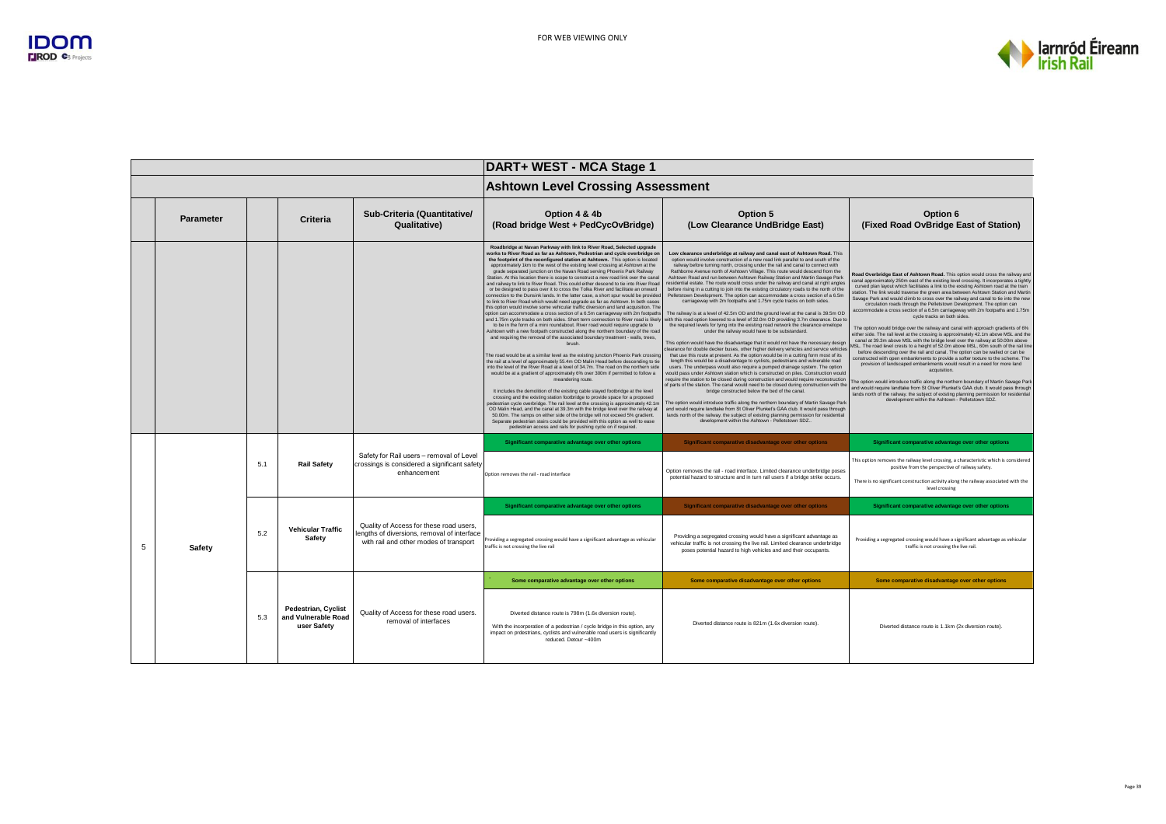

|   |                  |     |                                                                  |                                                                                                                                 | DART+ WEST - MCA Stage 1                                                                                                                                                                                                                                                                                                                                                                                                                                                                                                                                                                                                                                                                                                                                                                                                                                                                                                                                                                                                                                                                                                                                                                                                                                                                                                                                                                                                                                                                                                                                                                                                                                                                                                                                                                                                                                                                                                                                                                                                                                                                                                                                                                                                                                                                                                         |                                                                                                                                                                                                                                                                                                                                                                                                                                                                                                                                                                                                                                                                                                                                                                                                                                                                                                                                                                                                                                                                                                                                                                                                                                                                                                                                                                                                                                                                                                                                                                                                                                                                                                                                                                                                                                                                                                                                                                                                                                                                                                                                                                                                  |                                                                                                                                                                                                                                                                                                                                                                                                                                                                                                                                                                                                                                                                                                                                                                                                                                                                                                                                                                                                                                                                                                                                                                                                                                                                                                                                                                                                                                                                                                                                                                                                 |  |
|---|------------------|-----|------------------------------------------------------------------|---------------------------------------------------------------------------------------------------------------------------------|----------------------------------------------------------------------------------------------------------------------------------------------------------------------------------------------------------------------------------------------------------------------------------------------------------------------------------------------------------------------------------------------------------------------------------------------------------------------------------------------------------------------------------------------------------------------------------------------------------------------------------------------------------------------------------------------------------------------------------------------------------------------------------------------------------------------------------------------------------------------------------------------------------------------------------------------------------------------------------------------------------------------------------------------------------------------------------------------------------------------------------------------------------------------------------------------------------------------------------------------------------------------------------------------------------------------------------------------------------------------------------------------------------------------------------------------------------------------------------------------------------------------------------------------------------------------------------------------------------------------------------------------------------------------------------------------------------------------------------------------------------------------------------------------------------------------------------------------------------------------------------------------------------------------------------------------------------------------------------------------------------------------------------------------------------------------------------------------------------------------------------------------------------------------------------------------------------------------------------------------------------------------------------------------------------------------------------|--------------------------------------------------------------------------------------------------------------------------------------------------------------------------------------------------------------------------------------------------------------------------------------------------------------------------------------------------------------------------------------------------------------------------------------------------------------------------------------------------------------------------------------------------------------------------------------------------------------------------------------------------------------------------------------------------------------------------------------------------------------------------------------------------------------------------------------------------------------------------------------------------------------------------------------------------------------------------------------------------------------------------------------------------------------------------------------------------------------------------------------------------------------------------------------------------------------------------------------------------------------------------------------------------------------------------------------------------------------------------------------------------------------------------------------------------------------------------------------------------------------------------------------------------------------------------------------------------------------------------------------------------------------------------------------------------------------------------------------------------------------------------------------------------------------------------------------------------------------------------------------------------------------------------------------------------------------------------------------------------------------------------------------------------------------------------------------------------------------------------------------------------------------------------------------------------|-------------------------------------------------------------------------------------------------------------------------------------------------------------------------------------------------------------------------------------------------------------------------------------------------------------------------------------------------------------------------------------------------------------------------------------------------------------------------------------------------------------------------------------------------------------------------------------------------------------------------------------------------------------------------------------------------------------------------------------------------------------------------------------------------------------------------------------------------------------------------------------------------------------------------------------------------------------------------------------------------------------------------------------------------------------------------------------------------------------------------------------------------------------------------------------------------------------------------------------------------------------------------------------------------------------------------------------------------------------------------------------------------------------------------------------------------------------------------------------------------------------------------------------------------------------------------------------------------|--|
|   |                  |     |                                                                  |                                                                                                                                 | <b>Ashtown Level Crossing Assessment</b>                                                                                                                                                                                                                                                                                                                                                                                                                                                                                                                                                                                                                                                                                                                                                                                                                                                                                                                                                                                                                                                                                                                                                                                                                                                                                                                                                                                                                                                                                                                                                                                                                                                                                                                                                                                                                                                                                                                                                                                                                                                                                                                                                                                                                                                                                         |                                                                                                                                                                                                                                                                                                                                                                                                                                                                                                                                                                                                                                                                                                                                                                                                                                                                                                                                                                                                                                                                                                                                                                                                                                                                                                                                                                                                                                                                                                                                                                                                                                                                                                                                                                                                                                                                                                                                                                                                                                                                                                                                                                                                  |                                                                                                                                                                                                                                                                                                                                                                                                                                                                                                                                                                                                                                                                                                                                                                                                                                                                                                                                                                                                                                                                                                                                                                                                                                                                                                                                                                                                                                                                                                                                                                                                 |  |
|   | <b>Parameter</b> |     | Criteria                                                         | Sub-Criteria (Quantitative/<br>Qualitative)                                                                                     | Option 4 & 4b<br>(Road bridge West + PedCycOvBridge)                                                                                                                                                                                                                                                                                                                                                                                                                                                                                                                                                                                                                                                                                                                                                                                                                                                                                                                                                                                                                                                                                                                                                                                                                                                                                                                                                                                                                                                                                                                                                                                                                                                                                                                                                                                                                                                                                                                                                                                                                                                                                                                                                                                                                                                                             | Option 5<br>(Low Clearance UndBridge East)                                                                                                                                                                                                                                                                                                                                                                                                                                                                                                                                                                                                                                                                                                                                                                                                                                                                                                                                                                                                                                                                                                                                                                                                                                                                                                                                                                                                                                                                                                                                                                                                                                                                                                                                                                                                                                                                                                                                                                                                                                                                                                                                                       | Option 6<br>(Fixed Road OvBridge East of Station)                                                                                                                                                                                                                                                                                                                                                                                                                                                                                                                                                                                                                                                                                                                                                                                                                                                                                                                                                                                                                                                                                                                                                                                                                                                                                                                                                                                                                                                                                                                                               |  |
|   |                  |     |                                                                  |                                                                                                                                 | Roadbridge at Navan Parkway with link to River Road, Selected upgrade<br>works to River Road as far as Ashtown, Pedestrian and cycle overbridge on<br>the footprint of the reconfigured station at Ashtown. This option is located<br>approximately 1km to the west of the existing level crossing at Ashtown at the<br>grade separated junction on the Navan Road serving Phoenix Park Railway<br>Station. At this location there is scope to construct a new road link over the canal<br>and railway to link to River Road. This could either descend to tie into River Road<br>or be designed to pass over it to cross the Tolka River and facilitate an onward<br>connection to the Dunsink lands. In the latter case, a short spur would be provided<br>to link to River Road which would need upgrade as far as Ashtown. In both cases<br>this option would involve some vehicular traffic diversion and land acquisition. The<br>option can accommodate a cross section of a 6.5m carriageway with 2m footpaths<br>and 1.75m cycle tracks on both sides. Short term connection to River road is likely<br>to be in the form of a mini roundabout. River road would require upgrade to<br>Ashtown with a new footpath constructed along the northern boundary of the road<br>and requiring the removal of the associated boundary treatment - walls, trees.<br>hrush<br>The road would be at a similar level as the existing junction Phoenix Park crossing<br>the rail at a level of approximately 55.4m OD Malin Head before descending to tie<br>into the level of the River Road at a level of 34.7m. The road on the northern side<br>would be at a gradient of approximately 6% over 300m if permitted to follow a<br>meandering route.<br>It includes the demolition of the existing cable stayed footbridge at the level<br>crossing and the existing station footbridge to provide space for a proposed<br>pedestrian cycle overbridge. The rail level at the crossing is approximately 42.1m<br>OD Malin Head, and the canal at 39.3m with the bridge level over the railway at<br>50.00m. The ramps on either side of the bridge will not exceed 5% gradient.<br>Separate pedestrian stairs could be provided with this option as well to ease<br>pedestrian access and rails for pushing cycle on if required. | Low clearance underbridge at railway and canal east of Ashtown Road. This<br>option would involve construction of a new road link parallel to and south of the<br>railway before turning north, crossing under the rail and canal to connect with<br>Rathborne Avenue north of Ashtown Village. This route would descend from the<br>Ashtown Road and run between Ashtown Railway Station and Martin Sayage Park<br>residential estate. The route would cross under the railway and canal at right angles<br>before rising in a cutting to join into the existing circulatory roads to the north of the<br>Pelletstown Development. The option can accommodate a cross section of a 6.5m<br>carriageway with 2m footpaths and 1.75m cycle tracks on both sides.<br>The railway is at a level of 42.5m OD and the ground level at the canal is 39.5m OD<br>with this road option lowered to a level of 32.0m OD providing 3.7m clearance. Due to<br>the required levels for tying into the existing road network the clearance envelope<br>under the railway would have to be substandard.<br>This option would have the disadvantage that it would not have the necessary design<br>clearance for double decker buses, other higher delivery vehicles and service vehicles<br>that use this route at present. As the option would be in a cutting form most of its<br>length this would be a disadvantage to cyclists, pedestrians and vulnerable road<br>users. The underpass would also require a pumped drainage system. The option<br>would pass under Ashtown station which is constructed on piles. Construction would<br>require the station to be closed during construction and would require reconstruction<br>of parts of the station. The canal would need to be closed during construction with the<br>bridge constructed below the bed of the canal.<br>The option would introduce traffic along the northern boundary of Martin Savage Park<br>and would require landtake from St Oliver Plunket's GAA club. It would pass through<br>lands north of the railway. the subject of existing planning permission for residential<br>development within the Ashtown - Pelletstown SDZ | Road Overbridge East of Ashtown Road. This option would cross the railway and<br>canal approximately 250m east of the existing level crossing. It incorporates a tightly<br>curved plan layout which facilitates a link to the existing Ashtown road at the train<br>station. The link would traverse the green area between Ashtown Station and Martin<br>Savage Park and would climb to cross over the railway and canal to tie into the new<br>circulation roads through the Pelletstown Development. The option can<br>accommodate a cross section of a 6.5m carriageway with 2m footpaths and 1.75m<br>cycle tracks on both sides.<br>The option would bridge over the railway and canal with approach gradients of 6%<br>either side. The rail level at the crossing is approximately 42.1m above MSL and the<br>canal at 39.3m above MSL with the bridge level over the railway at 50.00m above<br>MSL. The road level crests to a height of 52.0m above MSL, 60m south of the rail line<br>before descending over the rail and canal. The option can be walled or can be<br>constructed with open embankments to provide a softer texture to the scheme. The<br>provision of landscaped embankments would result in a need for more land<br>acquisition.<br>The option would introduce traffic along the northern boundary of Martin Savage Park<br>and would require landtake from St Oliver Plunket's GAA club. It would pass through<br>lands north of the railway. the subject of existing planning permission for residential<br>development within the Ashtown - Pelletstown SDZ. |  |
|   |                  |     |                                                                  | Safety for Rail users - removal of Level                                                                                        | Significant comparative advantage over other options                                                                                                                                                                                                                                                                                                                                                                                                                                                                                                                                                                                                                                                                                                                                                                                                                                                                                                                                                                                                                                                                                                                                                                                                                                                                                                                                                                                                                                                                                                                                                                                                                                                                                                                                                                                                                                                                                                                                                                                                                                                                                                                                                                                                                                                                             | Significant comparative disadvantage over other options                                                                                                                                                                                                                                                                                                                                                                                                                                                                                                                                                                                                                                                                                                                                                                                                                                                                                                                                                                                                                                                                                                                                                                                                                                                                                                                                                                                                                                                                                                                                                                                                                                                                                                                                                                                                                                                                                                                                                                                                                                                                                                                                          | Significant comparative advantage over other options                                                                                                                                                                                                                                                                                                                                                                                                                                                                                                                                                                                                                                                                                                                                                                                                                                                                                                                                                                                                                                                                                                                                                                                                                                                                                                                                                                                                                                                                                                                                            |  |
|   |                  | 5.1 | <b>Rail Safety</b>                                               | crossings is considered a significant safety<br>enhancement                                                                     | Option removes the rail - road interface                                                                                                                                                                                                                                                                                                                                                                                                                                                                                                                                                                                                                                                                                                                                                                                                                                                                                                                                                                                                                                                                                                                                                                                                                                                                                                                                                                                                                                                                                                                                                                                                                                                                                                                                                                                                                                                                                                                                                                                                                                                                                                                                                                                                                                                                                         | Option removes the rail - road interface. Limited clearance underbridge poses<br>potential hazard to structure and in turn rail users if a bridge strike occurs.                                                                                                                                                                                                                                                                                                                                                                                                                                                                                                                                                                                                                                                                                                                                                                                                                                                                                                                                                                                                                                                                                                                                                                                                                                                                                                                                                                                                                                                                                                                                                                                                                                                                                                                                                                                                                                                                                                                                                                                                                                 | This option removes the railway level crossing, a characteristic which is considered<br>positive from the perspective of railway safety.<br>There is no significant construction activity along the railway associated with the<br>level crossing                                                                                                                                                                                                                                                                                                                                                                                                                                                                                                                                                                                                                                                                                                                                                                                                                                                                                                                                                                                                                                                                                                                                                                                                                                                                                                                                               |  |
|   |                  |     |                                                                  |                                                                                                                                 | Significant comparative advantage over other options                                                                                                                                                                                                                                                                                                                                                                                                                                                                                                                                                                                                                                                                                                                                                                                                                                                                                                                                                                                                                                                                                                                                                                                                                                                                                                                                                                                                                                                                                                                                                                                                                                                                                                                                                                                                                                                                                                                                                                                                                                                                                                                                                                                                                                                                             | Significant comparative disadvantage over other options                                                                                                                                                                                                                                                                                                                                                                                                                                                                                                                                                                                                                                                                                                                                                                                                                                                                                                                                                                                                                                                                                                                                                                                                                                                                                                                                                                                                                                                                                                                                                                                                                                                                                                                                                                                                                                                                                                                                                                                                                                                                                                                                          | Significant comparative advantage over other options                                                                                                                                                                                                                                                                                                                                                                                                                                                                                                                                                                                                                                                                                                                                                                                                                                                                                                                                                                                                                                                                                                                                                                                                                                                                                                                                                                                                                                                                                                                                            |  |
| 5 | Safety           | 5.2 | <b>Vehicular Traffic</b><br>Safety                               | Quality of Access for these road users,<br>engths of diversions, removal of interface<br>with rail and other modes of transport | roviding a segregated crossing would have a significant advantage as vehicular<br>raffic is not crossing the live rail                                                                                                                                                                                                                                                                                                                                                                                                                                                                                                                                                                                                                                                                                                                                                                                                                                                                                                                                                                                                                                                                                                                                                                                                                                                                                                                                                                                                                                                                                                                                                                                                                                                                                                                                                                                                                                                                                                                                                                                                                                                                                                                                                                                                           | Providing a segregated crossing would have a significant advantage as<br>vehicular traffic is not crossing the live rail. Limited clearance underbridge<br>poses potential hazard to high vehicles and and their occupants.                                                                                                                                                                                                                                                                                                                                                                                                                                                                                                                                                                                                                                                                                                                                                                                                                                                                                                                                                                                                                                                                                                                                                                                                                                                                                                                                                                                                                                                                                                                                                                                                                                                                                                                                                                                                                                                                                                                                                                      | Providing a segregated crossing would have a significant advantage as vehicular<br>traffic is not crossing the live rail.                                                                                                                                                                                                                                                                                                                                                                                                                                                                                                                                                                                                                                                                                                                                                                                                                                                                                                                                                                                                                                                                                                                                                                                                                                                                                                                                                                                                                                                                       |  |
|   |                  |     |                                                                  |                                                                                                                                 | Some comparative advantage over other options                                                                                                                                                                                                                                                                                                                                                                                                                                                                                                                                                                                                                                                                                                                                                                                                                                                                                                                                                                                                                                                                                                                                                                                                                                                                                                                                                                                                                                                                                                                                                                                                                                                                                                                                                                                                                                                                                                                                                                                                                                                                                                                                                                                                                                                                                    | Some comparative disadvantage over other options                                                                                                                                                                                                                                                                                                                                                                                                                                                                                                                                                                                                                                                                                                                                                                                                                                                                                                                                                                                                                                                                                                                                                                                                                                                                                                                                                                                                                                                                                                                                                                                                                                                                                                                                                                                                                                                                                                                                                                                                                                                                                                                                                 | Some comparative disadvantage over other options                                                                                                                                                                                                                                                                                                                                                                                                                                                                                                                                                                                                                                                                                                                                                                                                                                                                                                                                                                                                                                                                                                                                                                                                                                                                                                                                                                                                                                                                                                                                                |  |
|   |                  | 5.3 | <b>Pedestrian, Cyclist</b><br>and Vulnerable Road<br>user Safety | Quality of Access for these road users.<br>removal of interfaces                                                                | Diverted distance route is 798m (1.6x diversion route).<br>With the incorporation of a pedestrian / cycle bridge in this option, any<br>impact on prdestrians, cyclists and vulnerable road users is significantly<br>reduced. Detour ~400m                                                                                                                                                                                                                                                                                                                                                                                                                                                                                                                                                                                                                                                                                                                                                                                                                                                                                                                                                                                                                                                                                                                                                                                                                                                                                                                                                                                                                                                                                                                                                                                                                                                                                                                                                                                                                                                                                                                                                                                                                                                                                      | Diverted distance route is 821m (1.6x diversion route).                                                                                                                                                                                                                                                                                                                                                                                                                                                                                                                                                                                                                                                                                                                                                                                                                                                                                                                                                                                                                                                                                                                                                                                                                                                                                                                                                                                                                                                                                                                                                                                                                                                                                                                                                                                                                                                                                                                                                                                                                                                                                                                                          | Diverted distance route is 1.1km (2x diversion route).                                                                                                                                                                                                                                                                                                                                                                                                                                                                                                                                                                                                                                                                                                                                                                                                                                                                                                                                                                                                                                                                                                                                                                                                                                                                                                                                                                                                                                                                                                                                          |  |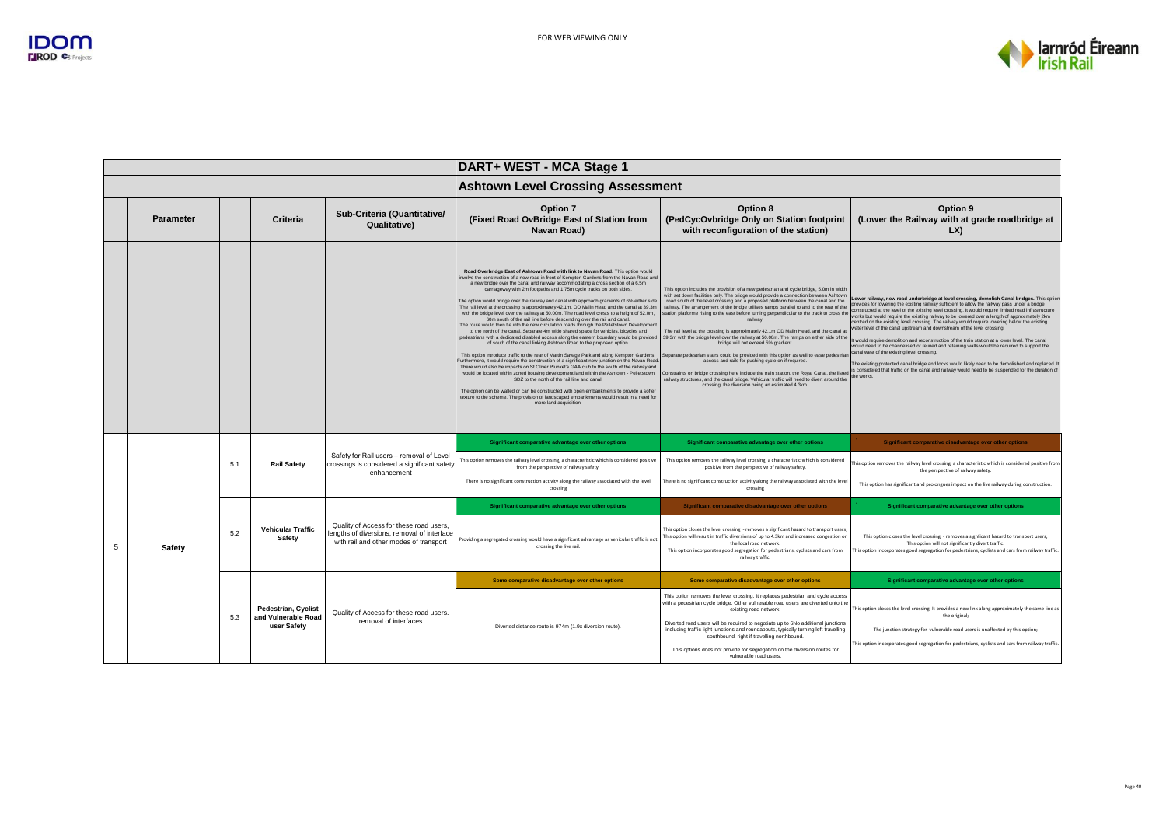

|                |                  |     |                                                                  |                                                                                                                                  | DART+ WEST - MCA Stage 1                                                                                                                                                                                                                                                                                                                                                                                                                                                                                                                                                                                                                                                                                                                                                                                                                                                                                                                                                                                                                                                                                                                                                                                                                                                                                                                                                                                                                                                                                                                                                                                                                                                                                                               |                                                                                                                                                                                                                                                                                                                                                                                                                                                                                                                                                                                                                                                                                                                                                                                                                                                                                                                                                                                                                                                                                                         |                                                                                                                                                                                                                                                                                                                                                                                                                                                                                                                                                                                                                                                                                                                                                                                                                                                                                                                                                                                                                                                          |  |
|----------------|------------------|-----|------------------------------------------------------------------|----------------------------------------------------------------------------------------------------------------------------------|----------------------------------------------------------------------------------------------------------------------------------------------------------------------------------------------------------------------------------------------------------------------------------------------------------------------------------------------------------------------------------------------------------------------------------------------------------------------------------------------------------------------------------------------------------------------------------------------------------------------------------------------------------------------------------------------------------------------------------------------------------------------------------------------------------------------------------------------------------------------------------------------------------------------------------------------------------------------------------------------------------------------------------------------------------------------------------------------------------------------------------------------------------------------------------------------------------------------------------------------------------------------------------------------------------------------------------------------------------------------------------------------------------------------------------------------------------------------------------------------------------------------------------------------------------------------------------------------------------------------------------------------------------------------------------------------------------------------------------------|---------------------------------------------------------------------------------------------------------------------------------------------------------------------------------------------------------------------------------------------------------------------------------------------------------------------------------------------------------------------------------------------------------------------------------------------------------------------------------------------------------------------------------------------------------------------------------------------------------------------------------------------------------------------------------------------------------------------------------------------------------------------------------------------------------------------------------------------------------------------------------------------------------------------------------------------------------------------------------------------------------------------------------------------------------------------------------------------------------|----------------------------------------------------------------------------------------------------------------------------------------------------------------------------------------------------------------------------------------------------------------------------------------------------------------------------------------------------------------------------------------------------------------------------------------------------------------------------------------------------------------------------------------------------------------------------------------------------------------------------------------------------------------------------------------------------------------------------------------------------------------------------------------------------------------------------------------------------------------------------------------------------------------------------------------------------------------------------------------------------------------------------------------------------------|--|
|                |                  |     |                                                                  |                                                                                                                                  | <b>Ashtown Level Crossing Assessment</b>                                                                                                                                                                                                                                                                                                                                                                                                                                                                                                                                                                                                                                                                                                                                                                                                                                                                                                                                                                                                                                                                                                                                                                                                                                                                                                                                                                                                                                                                                                                                                                                                                                                                                               |                                                                                                                                                                                                                                                                                                                                                                                                                                                                                                                                                                                                                                                                                                                                                                                                                                                                                                                                                                                                                                                                                                         |                                                                                                                                                                                                                                                                                                                                                                                                                                                                                                                                                                                                                                                                                                                                                                                                                                                                                                                                                                                                                                                          |  |
|                | <b>Parameter</b> |     | Criteria                                                         | Sub-Criteria (Quantitative/<br><b>Qualitative)</b>                                                                               | <b>Option 7</b><br>(Fixed Road OvBridge East of Station from<br>Navan Road)                                                                                                                                                                                                                                                                                                                                                                                                                                                                                                                                                                                                                                                                                                                                                                                                                                                                                                                                                                                                                                                                                                                                                                                                                                                                                                                                                                                                                                                                                                                                                                                                                                                            | Option 8<br>(PedCycOvbridge Only on Station footprint<br>with reconfiguration of the station)                                                                                                                                                                                                                                                                                                                                                                                                                                                                                                                                                                                                                                                                                                                                                                                                                                                                                                                                                                                                           | Option 9<br>(Lower the Railway with at grade roadbridge at<br>LX                                                                                                                                                                                                                                                                                                                                                                                                                                                                                                                                                                                                                                                                                                                                                                                                                                                                                                                                                                                         |  |
|                |                  |     |                                                                  |                                                                                                                                  | Road Overbridge East of Ashtown Road with link to Navan Road. This option would<br>nvolve the construction of a new road in front of Kempton Gardens from the Navan Road and<br>a new bridge over the canal and railway accommodating a cross section of a 6.5m<br>carriageway with 2m footpaths and 1.75m cycle tracks on both sides.<br>The option would bridge over the railway and canal with approach gradients of 6% either side.<br>The rail level at the crossing is approximately 42.1m, OD Malin Head and the canal at 39.3m<br>with the bridge level over the railway at 50.00m. The road level crests to a height of 52.0m,<br>60m south of the rail line before descending over the rail and canal.<br>The route would then tie into the new circulation roads through the Pelletstown Development<br>to the north of the canal. Separate 4m wide shared space for vehicles, bicycles and<br>bedestrians with a dedicated disabled access along the eastern boundary would be provided<br>of south of the canal linking Ashtown Road to the proposed option.<br>This option introduce traffic to the rear of Martin Savage Park and along Kempton Gardens.<br>Furthermore, it would require the construction of a significant new junction on the Navan Road<br>There would also be impacts on St Oliver Plunket's GAA club to the south of the railway and<br>would be located within zoned housing development land within the Ashtown - Pelletstown<br>SDZ to the north of the rail line and canal.<br>The option can be walled or can be constructed with open embankments to provide a softer<br>texture to the scheme. The provision of landscaped embankments would result in a need for<br>more land acquisition. | This option includes the provision of a new pedestrian and cycle bridge, 5.0m in width<br>with set down facilities only. The bridge would provide a connection between Ashtown<br>road south of the level crossing and a proposed platform between the canal and the<br>railway. The arrangement of the bridge utilises ramps parallel to and to the rear of the<br>station platforme rising to the east before turning perpendicular to the track to cross the<br>railway<br>The rail level at the crossing is approximately 42.1m OD Malin Head, and the canal at<br>39.3m with the bridge level over the railway at 50.00m. The ramps on either side of the<br>bridge will not exceed 5% gradient.<br>Separate pedestrian stairs could be provided with this option as well to ease pedestriar<br>access and rails for pushing cycle on if required.<br>Constraints on bridge crossing here include the train station, the Royal Canal, the listed<br>ailway structures, and the canal bridge. Vehicular traffic will need to divert around the<br>crossing, the diversion being an estimated 4.3km. | Lower railway, new road underbridge at level crossing, demolish Canal bridges. This option<br>provides for lowering the existing railway sufficient to allow the railway pass under a bridge<br>constructed at the level of the existing level crossing. It would require limited road infrastructure<br>works but would require the existing railway to be lowered over a length of approximately 2km<br>centred on the existing level crossing. The railway would require lowering below the existing<br>water level of the canal upstream and downstream of the level crossing.<br>t would require demolition and reconstruction of the train station at a lower level. The canal<br>would need to be channelised or relined and retaining walls would be required to support the<br>canal west of the existing level crossing.<br>The existing protected canal bridge and locks would likely need to be demolished and replaced.<br>is considered that traffic on the canal and railway would need to be suspended for the duration of<br>the works. |  |
|                |                  | 5.1 |                                                                  | Safety for Rail users - removal of Level                                                                                         | Significant comparative advantage over other options                                                                                                                                                                                                                                                                                                                                                                                                                                                                                                                                                                                                                                                                                                                                                                                                                                                                                                                                                                                                                                                                                                                                                                                                                                                                                                                                                                                                                                                                                                                                                                                                                                                                                   | Significant comparative advantage over other options                                                                                                                                                                                                                                                                                                                                                                                                                                                                                                                                                                                                                                                                                                                                                                                                                                                                                                                                                                                                                                                    | Significant comparative disadvantage over other options                                                                                                                                                                                                                                                                                                                                                                                                                                                                                                                                                                                                                                                                                                                                                                                                                                                                                                                                                                                                  |  |
|                |                  |     | <b>Rail Safety</b>                                               | crossings is considered a significant safety<br>enhancement                                                                      | This option removes the railway level crossing, a characteristic which is considered positive<br>from the perspective of railway safety.                                                                                                                                                                                                                                                                                                                                                                                                                                                                                                                                                                                                                                                                                                                                                                                                                                                                                                                                                                                                                                                                                                                                                                                                                                                                                                                                                                                                                                                                                                                                                                                               | This option removes the railway level crossing, a characteristic which is considered<br>positive from the perspective of railway safety.                                                                                                                                                                                                                                                                                                                                                                                                                                                                                                                                                                                                                                                                                                                                                                                                                                                                                                                                                                | his option removes the railway level crossing, a characteristic which is considered positive from<br>the perspective of railway safety.                                                                                                                                                                                                                                                                                                                                                                                                                                                                                                                                                                                                                                                                                                                                                                                                                                                                                                                  |  |
|                |                  |     |                                                                  |                                                                                                                                  | There is no significant construction activity along the railway associated with the level<br>crossing                                                                                                                                                                                                                                                                                                                                                                                                                                                                                                                                                                                                                                                                                                                                                                                                                                                                                                                                                                                                                                                                                                                                                                                                                                                                                                                                                                                                                                                                                                                                                                                                                                  | here is no significant construction activity along the railway associated with the leve<br>crossing                                                                                                                                                                                                                                                                                                                                                                                                                                                                                                                                                                                                                                                                                                                                                                                                                                                                                                                                                                                                     | This option has significant and prolongues impact on the live railway during construction.                                                                                                                                                                                                                                                                                                                                                                                                                                                                                                                                                                                                                                                                                                                                                                                                                                                                                                                                                               |  |
|                |                  |     |                                                                  |                                                                                                                                  | Significant comparative advantage over other options                                                                                                                                                                                                                                                                                                                                                                                                                                                                                                                                                                                                                                                                                                                                                                                                                                                                                                                                                                                                                                                                                                                                                                                                                                                                                                                                                                                                                                                                                                                                                                                                                                                                                   | Significant comparative disadvantage over other options                                                                                                                                                                                                                                                                                                                                                                                                                                                                                                                                                                                                                                                                                                                                                                                                                                                                                                                                                                                                                                                 | Significant comparative advantage over other options                                                                                                                                                                                                                                                                                                                                                                                                                                                                                                                                                                                                                                                                                                                                                                                                                                                                                                                                                                                                     |  |
| $\overline{5}$ | Safety           | 5.2 | <b>Vehicular Traffic</b><br>Safety                               | Quality of Access for these road users,<br>lengths of diversions, removal of interface<br>with rail and other modes of transport | Providing a segregated crossing would have a significant advantage as vehicular traffic is not<br>crossing the live rail.                                                                                                                                                                                                                                                                                                                                                                                                                                                                                                                                                                                                                                                                                                                                                                                                                                                                                                                                                                                                                                                                                                                                                                                                                                                                                                                                                                                                                                                                                                                                                                                                              | This option closes the level crossing - removes a signficant hazard to transport users;<br>This option will result in traffic diversions of up to 4.3km and increased congestion on<br>the local road network.<br>This option incorporates good segregation for pedestrians, cyclists and cars from<br>railway traffic.                                                                                                                                                                                                                                                                                                                                                                                                                                                                                                                                                                                                                                                                                                                                                                                 | This option closes the level crossing - removes a signficant hazard to transport users;<br>This option will not significantly divert traffic.<br>This option incorporates good segregation for pedestrians, cyclists and cars from railway traffic.                                                                                                                                                                                                                                                                                                                                                                                                                                                                                                                                                                                                                                                                                                                                                                                                      |  |
|                |                  |     |                                                                  |                                                                                                                                  | Some comparative disadvantage over other options                                                                                                                                                                                                                                                                                                                                                                                                                                                                                                                                                                                                                                                                                                                                                                                                                                                                                                                                                                                                                                                                                                                                                                                                                                                                                                                                                                                                                                                                                                                                                                                                                                                                                       | Some comparative disadvantage over other options                                                                                                                                                                                                                                                                                                                                                                                                                                                                                                                                                                                                                                                                                                                                                                                                                                                                                                                                                                                                                                                        | Significant comparative advantage over other options                                                                                                                                                                                                                                                                                                                                                                                                                                                                                                                                                                                                                                                                                                                                                                                                                                                                                                                                                                                                     |  |
|                |                  | 5.3 | <b>Pedestrian, Cyclist</b><br>and Vulnerable Road<br>user Safety | Quality of Access for these road users.<br>removal of interfaces                                                                 | Diverted distance route is 974m (1.9x diversion route).                                                                                                                                                                                                                                                                                                                                                                                                                                                                                                                                                                                                                                                                                                                                                                                                                                                                                                                                                                                                                                                                                                                                                                                                                                                                                                                                                                                                                                                                                                                                                                                                                                                                                | This option removes the level crossing. It replaces pedestrian and cycle access<br>with a pedestrian cycle bridge. Other vulnerable road users are diverted onto the<br>existing road network.<br>Diverted road users will be required to negotiate up to 6No additional junctions<br>including traffic light junctions and roundabouts, typically turning left travelling<br>southbound, right if travelling northbound.<br>This options does not provide for segregation on the diversion routes for                                                                                                                                                                                                                                                                                                                                                                                                                                                                                                                                                                                                  | This option closes the level crossing. It provides a new link along approximately the same line as<br>the original;<br>The junction strategy for vulnerable road users is unaffected by this option;<br>This option incorporates good segregation for pedestrians, cyclists and cars from railway traffic                                                                                                                                                                                                                                                                                                                                                                                                                                                                                                                                                                                                                                                                                                                                                |  |
|                |                  |     |                                                                  |                                                                                                                                  |                                                                                                                                                                                                                                                                                                                                                                                                                                                                                                                                                                                                                                                                                                                                                                                                                                                                                                                                                                                                                                                                                                                                                                                                                                                                                                                                                                                                                                                                                                                                                                                                                                                                                                                                        | vulnerable road users.                                                                                                                                                                                                                                                                                                                                                                                                                                                                                                                                                                                                                                                                                                                                                                                                                                                                                                                                                                                                                                                                                  |                                                                                                                                                                                                                                                                                                                                                                                                                                                                                                                                                                                                                                                                                                                                                                                                                                                                                                                                                                                                                                                          |  |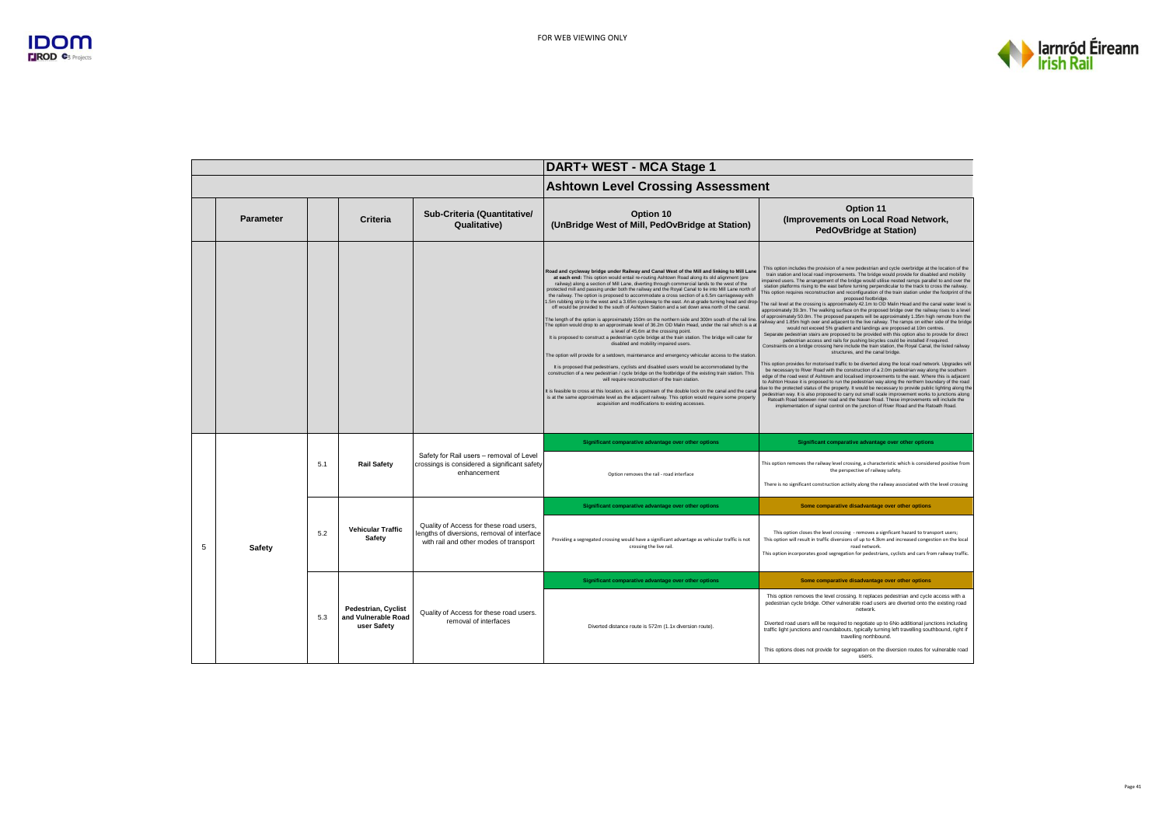

|   |                  |     |                                                                  |                                                                                                                                  | DART+ WEST - MCA Stage 1                                                                                                                                                                                                                                                                                                                                                                                                                                                                                                                                                                                                                                                                                                                                                                                                                                                                                                                                                                                                                                                                                                                                                                                                                                                                                                                                                                                                                                                                                                                                                                                                                                                                                                                                   |                                                                                                                                                                                                                                                                                                                                                                                                                                                                                                                                                                                                                                                                                                                                                                                                                                                                                                                                                                                                                                                                                                                                                                                                                                                                                                                                                                                                                                                                                                                                                                                                                                                                                                                                                                                                                                                                                                                                                                                                                                                                                                                                                                                                              |  |  |
|---|------------------|-----|------------------------------------------------------------------|----------------------------------------------------------------------------------------------------------------------------------|------------------------------------------------------------------------------------------------------------------------------------------------------------------------------------------------------------------------------------------------------------------------------------------------------------------------------------------------------------------------------------------------------------------------------------------------------------------------------------------------------------------------------------------------------------------------------------------------------------------------------------------------------------------------------------------------------------------------------------------------------------------------------------------------------------------------------------------------------------------------------------------------------------------------------------------------------------------------------------------------------------------------------------------------------------------------------------------------------------------------------------------------------------------------------------------------------------------------------------------------------------------------------------------------------------------------------------------------------------------------------------------------------------------------------------------------------------------------------------------------------------------------------------------------------------------------------------------------------------------------------------------------------------------------------------------------------------------------------------------------------------|--------------------------------------------------------------------------------------------------------------------------------------------------------------------------------------------------------------------------------------------------------------------------------------------------------------------------------------------------------------------------------------------------------------------------------------------------------------------------------------------------------------------------------------------------------------------------------------------------------------------------------------------------------------------------------------------------------------------------------------------------------------------------------------------------------------------------------------------------------------------------------------------------------------------------------------------------------------------------------------------------------------------------------------------------------------------------------------------------------------------------------------------------------------------------------------------------------------------------------------------------------------------------------------------------------------------------------------------------------------------------------------------------------------------------------------------------------------------------------------------------------------------------------------------------------------------------------------------------------------------------------------------------------------------------------------------------------------------------------------------------------------------------------------------------------------------------------------------------------------------------------------------------------------------------------------------------------------------------------------------------------------------------------------------------------------------------------------------------------------------------------------------------------------------------------------------------------------|--|--|
|   |                  |     |                                                                  |                                                                                                                                  | <b>Ashtown Level Crossing Assessment</b>                                                                                                                                                                                                                                                                                                                                                                                                                                                                                                                                                                                                                                                                                                                                                                                                                                                                                                                                                                                                                                                                                                                                                                                                                                                                                                                                                                                                                                                                                                                                                                                                                                                                                                                   |                                                                                                                                                                                                                                                                                                                                                                                                                                                                                                                                                                                                                                                                                                                                                                                                                                                                                                                                                                                                                                                                                                                                                                                                                                                                                                                                                                                                                                                                                                                                                                                                                                                                                                                                                                                                                                                                                                                                                                                                                                                                                                                                                                                                              |  |  |
|   | <b>Parameter</b> |     | Criteria                                                         | Sub-Criteria (Quantitative/<br>Qualitative)                                                                                      | Option 10<br>(UnBridge West of Mill, PedOvBridge at Station)                                                                                                                                                                                                                                                                                                                                                                                                                                                                                                                                                                                                                                                                                                                                                                                                                                                                                                                                                                                                                                                                                                                                                                                                                                                                                                                                                                                                                                                                                                                                                                                                                                                                                               | Option 11<br>(Improvements on Local Road Network,<br><b>PedOvBridge at Station)</b>                                                                                                                                                                                                                                                                                                                                                                                                                                                                                                                                                                                                                                                                                                                                                                                                                                                                                                                                                                                                                                                                                                                                                                                                                                                                                                                                                                                                                                                                                                                                                                                                                                                                                                                                                                                                                                                                                                                                                                                                                                                                                                                          |  |  |
|   |                  |     |                                                                  |                                                                                                                                  | Road and cycleway bridge under Railway and Canal West of the Mill and linking to Mill Lane<br>at each end: This option would entail re-routing Ashtown Road along its old alignment (pre<br>railway) along a section of Mill Lane, diverting through commercial lands to the west of the<br>protected mill and passing under both the railway and the Royal Canal to tie into Mill Lane north of<br>the railway. The option is proposed to accommodate a cross section of a 6.5m carriageway with<br>.5m rubbing strip to the west and a 3.65m cycleway to the east. An at-grade turning head and drop-<br>off would be provided to the south of Ashtown Station and a set down area north of the canal.<br>The length of the option is approximately 150m on the northern side and 300m south of the rail line<br>The option would drop to an approximate level of 36.2m OD Malin Head, under the rail which is a at<br>a level of 45.6m at the crossing point.<br>It is proposed to construct a pedestrian cycle bridge at the train station. The bridge will cater for<br>disabled and mobility impaired users.<br>The option will provide for a setdown, maintenance and emergency vehicular access to the station<br>It is proposed that pedestrians, cyclists and disabled users would be accommodated by the<br>construction of a new pedestrian / cycle bridge on the footbridge of the existing train station. This<br>will require reconstruction of the train station.<br>It is feasible to cross at this location, as it is upstream of the double lock on the canal and the canal<br>is at the same approximate level as the adjacent railway. This option would require some property<br>acquisition and modifications to existing accesses. | This option includes the provision of a new pedestrian and cycle overbridge at the location of the<br>train station and local road improvements. The bridge would provide for disabled and mobility<br>impaired users. The arrangement of the bridge would utilise nested ramps parallel to and over the<br>station platforms rising to the east before turning perpendicular to the track to cross the railway.<br>This option requires reconstruction and reconfiguration of the train station under the footprint of the<br>proposed footbridge<br>The rail level at the crossing is approximately 42.1m to OD Malin Head and the canal water level is<br>approximately 39.3m. The walking surface on the proposed bridge over the railway rises to a level<br>of approximately 50.0m. The proposed parapets will be approximately 1.35m high remote from the<br>railway and 1.85m high over and adjacent to the live railway. The ramps on either side of the bridge<br>would not exceed 5% gradient and landings are proposed at 10m centres.<br>Separate pedestrian stairs are proposed to be provided with this option also to provide for direct<br>pedestrian access and rails for pushing bicycles could be installed if required.<br>Constraints on a bridge crossing here include the train station, the Royal Canal, the listed railway<br>structures, and the canal bridge.<br>This option provides for motorised traffic to be diverted along the local road network. Upgrades will<br>be necessary to River Road with the construction of a 2.0m pedestrian way along the southern<br>edge of the road west of Ashtown and localised improvements to the east. Where this is adjacent<br>to Ashton House it is proposed to run the pedestrian way along the northern boundary of the road<br>due to the protected status of the property. It would be necessary to provide public lighting along the<br>pedestrian way. It is also proposed to carry out small scale improvement works to junctions along<br>Ratoath Road between river road and the Navan Road. These improvements will include the<br>implementation of signal control on the junction of River Road and the Ratoath Road. |  |  |
|   |                  | 5.1 | <b>Rail Safety</b>                                               | Safety for Rail users - removal of Level<br>crossings is considered a significant safety<br>enhancement                          | Significant comparative advantage over other options<br>Option removes the rail - road interface                                                                                                                                                                                                                                                                                                                                                                                                                                                                                                                                                                                                                                                                                                                                                                                                                                                                                                                                                                                                                                                                                                                                                                                                                                                                                                                                                                                                                                                                                                                                                                                                                                                           | Significant comparative advantage over other options<br>This option removes the railway level crossing, a characteristic which is considered positive from<br>the perspective of railway safety.<br>There is no significant construction activity along the railway associated with the level crossing                                                                                                                                                                                                                                                                                                                                                                                                                                                                                                                                                                                                                                                                                                                                                                                                                                                                                                                                                                                                                                                                                                                                                                                                                                                                                                                                                                                                                                                                                                                                                                                                                                                                                                                                                                                                                                                                                                       |  |  |
|   |                  |     |                                                                  |                                                                                                                                  | Significant comparative advantage over other options                                                                                                                                                                                                                                                                                                                                                                                                                                                                                                                                                                                                                                                                                                                                                                                                                                                                                                                                                                                                                                                                                                                                                                                                                                                                                                                                                                                                                                                                                                                                                                                                                                                                                                       | Some comparative disadvantage over other options                                                                                                                                                                                                                                                                                                                                                                                                                                                                                                                                                                                                                                                                                                                                                                                                                                                                                                                                                                                                                                                                                                                                                                                                                                                                                                                                                                                                                                                                                                                                                                                                                                                                                                                                                                                                                                                                                                                                                                                                                                                                                                                                                             |  |  |
| 5 | Safety           | 5.2 | <b>Vehicular Traffic</b><br>Safety                               | Quality of Access for these road users,<br>lengths of diversions, removal of interface<br>with rail and other modes of transport | Providing a segregated crossing would have a significant advantage as vehicular traffic is not<br>crossing the live rail.                                                                                                                                                                                                                                                                                                                                                                                                                                                                                                                                                                                                                                                                                                                                                                                                                                                                                                                                                                                                                                                                                                                                                                                                                                                                                                                                                                                                                                                                                                                                                                                                                                  | This option closes the level crossing - removes a signficant hazard to transport users;<br>This option will result in traffic diversions of up to 4.3km and increased congestion on the local<br>road network.<br>This option incorporates good segregation for pedestrians, cyclists and cars from railway traffic.                                                                                                                                                                                                                                                                                                                                                                                                                                                                                                                                                                                                                                                                                                                                                                                                                                                                                                                                                                                                                                                                                                                                                                                                                                                                                                                                                                                                                                                                                                                                                                                                                                                                                                                                                                                                                                                                                         |  |  |
|   |                  |     |                                                                  |                                                                                                                                  | Significant comparative advantage over other options                                                                                                                                                                                                                                                                                                                                                                                                                                                                                                                                                                                                                                                                                                                                                                                                                                                                                                                                                                                                                                                                                                                                                                                                                                                                                                                                                                                                                                                                                                                                                                                                                                                                                                       | Some comparative disadvantage over other options                                                                                                                                                                                                                                                                                                                                                                                                                                                                                                                                                                                                                                                                                                                                                                                                                                                                                                                                                                                                                                                                                                                                                                                                                                                                                                                                                                                                                                                                                                                                                                                                                                                                                                                                                                                                                                                                                                                                                                                                                                                                                                                                                             |  |  |
|   |                  | 5.3 | <b>Pedestrian, Cyclist</b><br>and Vulnerable Road<br>user Safety | Quality of Access for these road users.<br>removal of interfaces                                                                 | Diverted distance route is 572m (1.1x diversion route).                                                                                                                                                                                                                                                                                                                                                                                                                                                                                                                                                                                                                                                                                                                                                                                                                                                                                                                                                                                                                                                                                                                                                                                                                                                                                                                                                                                                                                                                                                                                                                                                                                                                                                    | This option removes the level crossing. It replaces pedestrian and cycle access with a<br>pedestrian cycle bridge. Other vulnerable road users are diverted onto the existing road<br>network<br>Diverted road users will be required to negotiate up to 6No additional junctions including<br>traffic light junctions and roundabouts, typically turning left travelling southbound, right if<br>travelling northbound.<br>This options does not provide for segregation on the diversion routes for vulnerable road<br>users.                                                                                                                                                                                                                                                                                                                                                                                                                                                                                                                                                                                                                                                                                                                                                                                                                                                                                                                                                                                                                                                                                                                                                                                                                                                                                                                                                                                                                                                                                                                                                                                                                                                                              |  |  |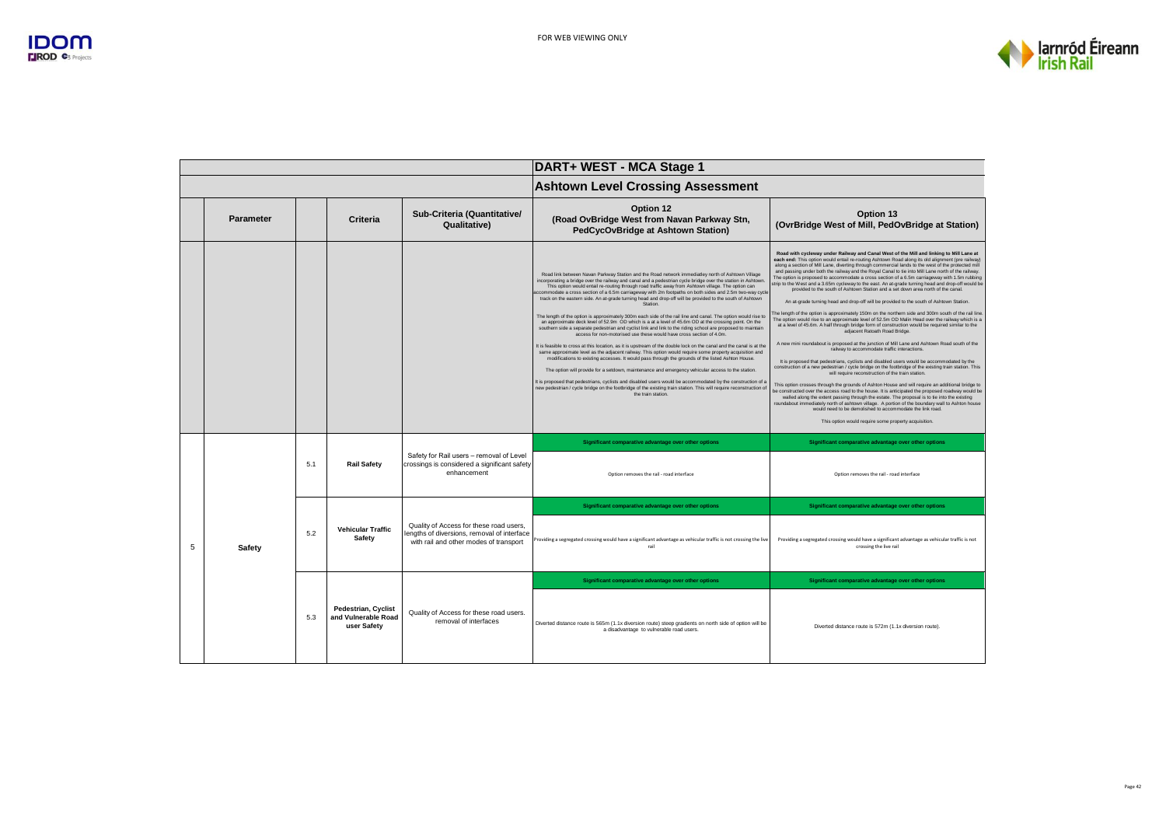

|   |                  |     |                                                                  |                                                                                                                                  | DART+ WEST - MCA Stage 1                                                                                                                                                                                                                                                                                                                                                                                                                                                                                                                                                                                                                                                                                                                                                                                                                                                                                                                                                                                                                                                                                                                                                                                                                                                                                                                                                                                                                                                                                                                                                                                                                                                         |                                                                                                                                                                                                                                                                                                                                                                                                                                                                                                                                                                                                                                                                                                                                                                                                                                                                                                                                                                                                                                                                                                                                                                                                                                                                                                                                                                                                                                                                                                                                                                                                                                                                                                                                                                                                                                                                                                                                                                                                                                                                                           |  |
|---|------------------|-----|------------------------------------------------------------------|----------------------------------------------------------------------------------------------------------------------------------|----------------------------------------------------------------------------------------------------------------------------------------------------------------------------------------------------------------------------------------------------------------------------------------------------------------------------------------------------------------------------------------------------------------------------------------------------------------------------------------------------------------------------------------------------------------------------------------------------------------------------------------------------------------------------------------------------------------------------------------------------------------------------------------------------------------------------------------------------------------------------------------------------------------------------------------------------------------------------------------------------------------------------------------------------------------------------------------------------------------------------------------------------------------------------------------------------------------------------------------------------------------------------------------------------------------------------------------------------------------------------------------------------------------------------------------------------------------------------------------------------------------------------------------------------------------------------------------------------------------------------------------------------------------------------------|-------------------------------------------------------------------------------------------------------------------------------------------------------------------------------------------------------------------------------------------------------------------------------------------------------------------------------------------------------------------------------------------------------------------------------------------------------------------------------------------------------------------------------------------------------------------------------------------------------------------------------------------------------------------------------------------------------------------------------------------------------------------------------------------------------------------------------------------------------------------------------------------------------------------------------------------------------------------------------------------------------------------------------------------------------------------------------------------------------------------------------------------------------------------------------------------------------------------------------------------------------------------------------------------------------------------------------------------------------------------------------------------------------------------------------------------------------------------------------------------------------------------------------------------------------------------------------------------------------------------------------------------------------------------------------------------------------------------------------------------------------------------------------------------------------------------------------------------------------------------------------------------------------------------------------------------------------------------------------------------------------------------------------------------------------------------------------------------|--|
|   |                  |     |                                                                  |                                                                                                                                  | <b>Ashtown Level Crossing Assessment</b>                                                                                                                                                                                                                                                                                                                                                                                                                                                                                                                                                                                                                                                                                                                                                                                                                                                                                                                                                                                                                                                                                                                                                                                                                                                                                                                                                                                                                                                                                                                                                                                                                                         |                                                                                                                                                                                                                                                                                                                                                                                                                                                                                                                                                                                                                                                                                                                                                                                                                                                                                                                                                                                                                                                                                                                                                                                                                                                                                                                                                                                                                                                                                                                                                                                                                                                                                                                                                                                                                                                                                                                                                                                                                                                                                           |  |
|   | <b>Parameter</b> |     | Criteria                                                         | Sub-Criteria (Quantitative/<br>Qualitative)                                                                                      | Option 12<br>(Road OvBridge West from Navan Parkway Stn,<br>PedCycOvBridge at Ashtown Station)                                                                                                                                                                                                                                                                                                                                                                                                                                                                                                                                                                                                                                                                                                                                                                                                                                                                                                                                                                                                                                                                                                                                                                                                                                                                                                                                                                                                                                                                                                                                                                                   | Option 13<br>(OvrBridge West of Mill, PedOvBridge at Station)                                                                                                                                                                                                                                                                                                                                                                                                                                                                                                                                                                                                                                                                                                                                                                                                                                                                                                                                                                                                                                                                                                                                                                                                                                                                                                                                                                                                                                                                                                                                                                                                                                                                                                                                                                                                                                                                                                                                                                                                                             |  |
|   |                  |     |                                                                  |                                                                                                                                  | Road link between Navan Parkway Station and the Road network immediatley north of Ashtown Village<br>incorporating a bridge over the railway and canal and a pedestrian cycle bridge over the station in Ashtown<br>This option would entail re-routing through road traffic away from Ashtown village. The option can<br>ccommodate a cross section of a 6.5m carriageway with 2m footpaths on both sides and 2.5m two-way cycle<br>track on the eastern side. An at-grade turning head and drop-off will be provided to the south of Ashtown<br>Station<br>The length of the option is approximately 300m each side of the rail line and canal. The option would rise to<br>an approximate deck level of 52.9m OD which is a at a level of 45.6m OD at the crossing point. On the<br>southern side a separate pedestrian and cyclist link and link to the riding school are proposed to maintain<br>access for non-motorised use these would have cross section of 4.0m.<br>It is feasible to cross at this location, as it is upstream of the double lock on the canal and the canal is at the<br>same approximate level as the adjacent railway. This option would require some property acquisition and<br>modifications to existing accesses. It would pass through the grounds of the listed Ashton House.<br>The option will provide for a setdown, maintenance and emergency vehicular access to the station.<br>It is proposed that pedestrians, cyclists and disabled users would be accommodated by the construction of a<br>new pedestrian / cycle bridge on the footbridge of the existing train station. This will require reconstruction of<br>the train station | Road with cycleway under Railway and Canal West of the Mill and linking to Mill Lane at<br>each end: This option would entail re-routing Ashtown Road along its old alignment (pre railway)<br>along a section of Mill Lane, diverting through commercial lands to the west of the protected mill<br>and passing under both the railway and the Royal Canal to tie into Mill Lane north of the railway.<br>The option is proposed to accommodate a cross section of a 6.5m carriageway with 1.5m rubbing<br>strip to the West and a 3.65m cycleway to the east. An at-grade turning head and drop-off would be<br>provided to the south of Ashtown Station and a set down area north of the canal.<br>An at-grade turning head and drop-off will be provided to the south of Ashtown Station.<br>he length of the option is approximately 150m on the northern side and 300m south of the rail line.<br>The option would rise to an approximate level of 52.5m OD Malin Head over the railway which is a<br>at a level of 45.6m. A half through bridge form of construction would be required similar to the<br>adjacent Ratoath Road Bridge.<br>A new mini roundabout is proposed at the junction of Mill Lane and Ashtown Road south of the<br>railway to accommodate traffic interactions.<br>It is proposed that pedestrians, cyclists and disabled users would be accommodated by the<br>construction of a new pedestrian / cycle bridge on the footbridge of the existing train station. This<br>will require reconstruction of the train station.<br>This option crosses through the grounds of Ashton House and will require an additional bridge to<br>be constructed over the access road to the house. It is anticipated the proposed roadway would be<br>walled along the extent passing through the estate. The proposal is to tie into the existing<br>roundabout immediately north of ashtown village. A portion of the boundary wall to Ashton house<br>would need to be demolished to accommodate the link road.<br>This option would require some property acquisition. |  |
|   |                  | 5.1 | <b>Rail Safety</b>                                               | Safety for Rail users - removal of Level<br>crossings is considered a significant safety<br>enhancement                          | Significant comparative advantage over other options<br>Option removes the rail - road interface                                                                                                                                                                                                                                                                                                                                                                                                                                                                                                                                                                                                                                                                                                                                                                                                                                                                                                                                                                                                                                                                                                                                                                                                                                                                                                                                                                                                                                                                                                                                                                                 | Significant comparative advantage over other options<br>Option removes the rail - road interface                                                                                                                                                                                                                                                                                                                                                                                                                                                                                                                                                                                                                                                                                                                                                                                                                                                                                                                                                                                                                                                                                                                                                                                                                                                                                                                                                                                                                                                                                                                                                                                                                                                                                                                                                                                                                                                                                                                                                                                          |  |
|   |                  |     |                                                                  |                                                                                                                                  | Significant comparative advantage over other options                                                                                                                                                                                                                                                                                                                                                                                                                                                                                                                                                                                                                                                                                                                                                                                                                                                                                                                                                                                                                                                                                                                                                                                                                                                                                                                                                                                                                                                                                                                                                                                                                             | Significant comparative advantage over other options                                                                                                                                                                                                                                                                                                                                                                                                                                                                                                                                                                                                                                                                                                                                                                                                                                                                                                                                                                                                                                                                                                                                                                                                                                                                                                                                                                                                                                                                                                                                                                                                                                                                                                                                                                                                                                                                                                                                                                                                                                      |  |
| 5 | Safety           | 5.2 | <b>Vehicular Traffic</b><br>Safety                               | Quality of Access for these road users,<br>lengths of diversions, removal of interface<br>with rail and other modes of transport | Providing a segregated crossing would have a significant advantage as vehicular traffic is not crossing the live<br>rail                                                                                                                                                                                                                                                                                                                                                                                                                                                                                                                                                                                                                                                                                                                                                                                                                                                                                                                                                                                                                                                                                                                                                                                                                                                                                                                                                                                                                                                                                                                                                         | Providing a segregated crossing would have a significant advantage as vehicular traffic is not<br>crossing the live rail                                                                                                                                                                                                                                                                                                                                                                                                                                                                                                                                                                                                                                                                                                                                                                                                                                                                                                                                                                                                                                                                                                                                                                                                                                                                                                                                                                                                                                                                                                                                                                                                                                                                                                                                                                                                                                                                                                                                                                  |  |
|   |                  |     |                                                                  |                                                                                                                                  | Significant comparative advantage over other options                                                                                                                                                                                                                                                                                                                                                                                                                                                                                                                                                                                                                                                                                                                                                                                                                                                                                                                                                                                                                                                                                                                                                                                                                                                                                                                                                                                                                                                                                                                                                                                                                             | Significant comparative advantage over other options                                                                                                                                                                                                                                                                                                                                                                                                                                                                                                                                                                                                                                                                                                                                                                                                                                                                                                                                                                                                                                                                                                                                                                                                                                                                                                                                                                                                                                                                                                                                                                                                                                                                                                                                                                                                                                                                                                                                                                                                                                      |  |
|   |                  | 5.3 | <b>Pedestrian, Cyclist</b><br>and Vulnerable Road<br>user Safety | Quality of Access for these road users.<br>removal of interfaces                                                                 | Diverted distance route is 565m (1.1x diversion route) steep gradients on north side of option will be<br>a disadvantage to vulnerable road users.                                                                                                                                                                                                                                                                                                                                                                                                                                                                                                                                                                                                                                                                                                                                                                                                                                                                                                                                                                                                                                                                                                                                                                                                                                                                                                                                                                                                                                                                                                                               | Diverted distance route is 572m (1.1x diversion route).                                                                                                                                                                                                                                                                                                                                                                                                                                                                                                                                                                                                                                                                                                                                                                                                                                                                                                                                                                                                                                                                                                                                                                                                                                                                                                                                                                                                                                                                                                                                                                                                                                                                                                                                                                                                                                                                                                                                                                                                                                   |  |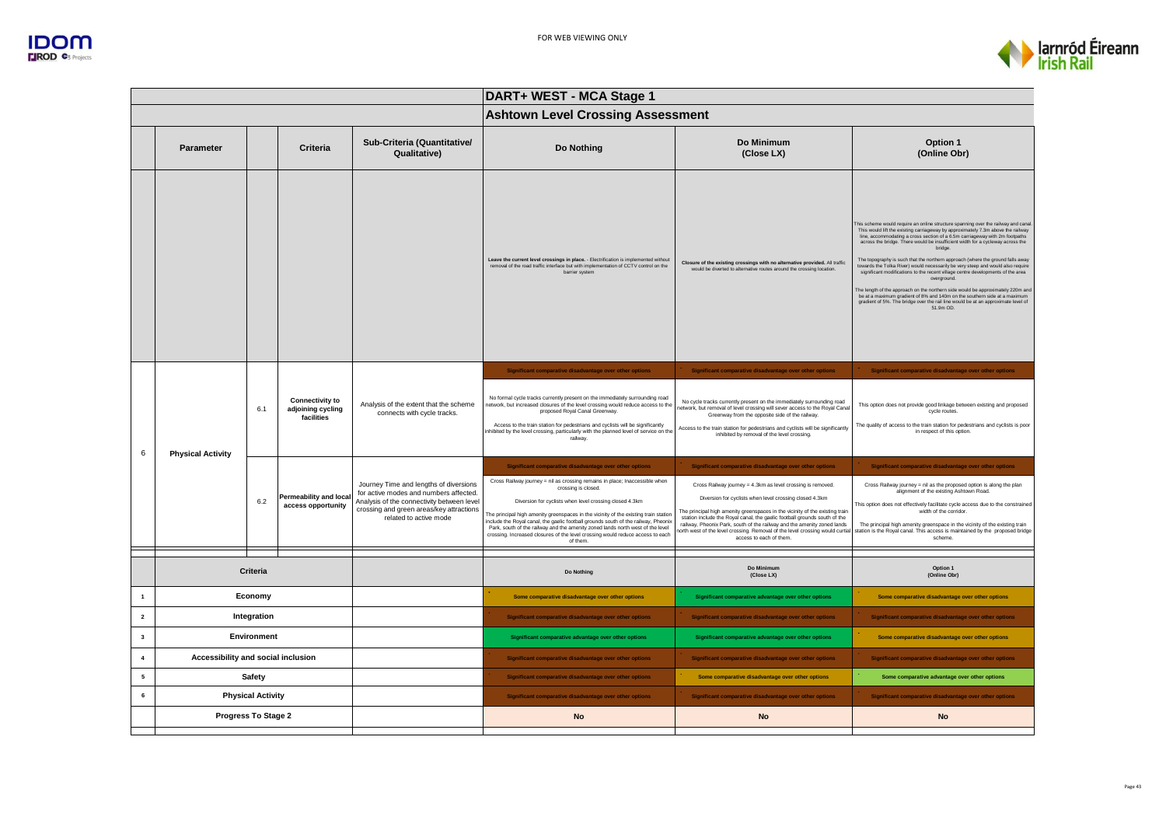



|                                                      |                          |                          |                                                           |                                                                                                                                                                                                      | DART+ WEST - MCA Stage 1                                                                                                                                                                                                                                                                                                                                                                                                                                                                                                                                                              |                                                                                                                                                                                                                                                                                                                                                                                                                                                                                                                                       |                                                                                                                                                                                                                                                                                                                                                                                                                                                                                                                                                                                                                                                                                                                                                                                                                                                                                       |  |
|------------------------------------------------------|--------------------------|--------------------------|-----------------------------------------------------------|------------------------------------------------------------------------------------------------------------------------------------------------------------------------------------------------------|---------------------------------------------------------------------------------------------------------------------------------------------------------------------------------------------------------------------------------------------------------------------------------------------------------------------------------------------------------------------------------------------------------------------------------------------------------------------------------------------------------------------------------------------------------------------------------------|---------------------------------------------------------------------------------------------------------------------------------------------------------------------------------------------------------------------------------------------------------------------------------------------------------------------------------------------------------------------------------------------------------------------------------------------------------------------------------------------------------------------------------------|---------------------------------------------------------------------------------------------------------------------------------------------------------------------------------------------------------------------------------------------------------------------------------------------------------------------------------------------------------------------------------------------------------------------------------------------------------------------------------------------------------------------------------------------------------------------------------------------------------------------------------------------------------------------------------------------------------------------------------------------------------------------------------------------------------------------------------------------------------------------------------------|--|
|                                                      |                          |                          |                                                           |                                                                                                                                                                                                      | <b>Ashtown Level Crossing Assessment</b>                                                                                                                                                                                                                                                                                                                                                                                                                                                                                                                                              |                                                                                                                                                                                                                                                                                                                                                                                                                                                                                                                                       |                                                                                                                                                                                                                                                                                                                                                                                                                                                                                                                                                                                                                                                                                                                                                                                                                                                                                       |  |
|                                                      | Parameter                |                          | Criteria                                                  | Sub-Criteria (Quantitative/<br>Qualitative)                                                                                                                                                          | Do Nothing                                                                                                                                                                                                                                                                                                                                                                                                                                                                                                                                                                            | Do Minimum<br>(Close LX)                                                                                                                                                                                                                                                                                                                                                                                                                                                                                                              | Option 1<br>(Online Obr)                                                                                                                                                                                                                                                                                                                                                                                                                                                                                                                                                                                                                                                                                                                                                                                                                                                              |  |
|                                                      |                          |                          |                                                           |                                                                                                                                                                                                      | Leave the current level crossings in place. - Electrification is implemented without removal of the road traffic interface but with implementation of CCTV control on the<br>barrier system                                                                                                                                                                                                                                                                                                                                                                                           | Closure of the existing crossings with no alternative provided. All traffic<br>would be diverted to alternative routes around the crossing location.                                                                                                                                                                                                                                                                                                                                                                                  | his scheme would require an online structure spanning over the railway and cana<br>This would lift the existing carriageway by approximately 7.3m above the railway line, accommodating a cross section of a 6.5m carriageway with 2m footpaths<br>across the bridge. There would be insufficient width for a cycleway across the<br>bridge.<br>The topography is such that the northern approach (where the ground falls away<br>towards the Tolka River) would necessarily be very steep and would also require<br>significant modifications to the recent village centre developments of the area<br>overground.<br>The length of the approach on the northern side would be approximately 220m and<br>be at a maximum gradient of 8% and 140m on the southern side at a maximum<br>gradient of 5%. The bridge over the rail line would be at an approximate level of<br>51.9m OD. |  |
| 6                                                    |                          | 6.1                      | <b>Connectivity to</b><br>adjoining cycling<br>facilities | Analysis of the extent that the scheme<br>connects with cycle tracks.                                                                                                                                | Significant comparative disadvantage over other options<br>No formal cycle tracks currently present on the immediately surrounding road<br>network, but increased closures of the level crossing would reduce access to the<br>proposed Royal Canal Greenway.<br>Access to the train station for pedestrians and cyclists will be significantly<br>nhibited by the level crossing, particularly with the planned level of service on the<br>railway.                                                                                                                                  | Significant comparative disadvantage over other options<br>No cycle tracks currently present on the immediately surrounding road<br>network, but removal of level crossing will sever access to the Royal Canal<br>Greenway from the opposite side of the railway.<br>Access to the train station for pedestrians and cyclists will be significantly<br>inhibited by removal of the level crossing.                                                                                                                                   | Significant comparative disadvantage over other options<br>This option does not provide good linkage between existing and proposed<br>cycle routes.<br>The quality of access to the train station for pedestrians and cyclists is poor<br>in respect of this option.                                                                                                                                                                                                                                                                                                                                                                                                                                                                                                                                                                                                                  |  |
|                                                      | <b>Physical Activity</b> | 6.2                      | <b>Permeability and local</b><br>access opportunity       | Journey Time and lengths of diversions<br>for active modes and numbers affected.<br>Analysis of the connectivity between level<br>crossing and green areas/key attractions<br>related to active mode | Significant comparative disadvantage over other options<br>Cross Railway journey = nil as crossing remains in place; Inaccessible when<br>crossing is closed.<br>Diversion for cyclists when level crossing closed 4.3km<br>The principal high amenity greenspaces in the vicinity of the existing train station<br>nclude the Royal canal, the gaelic football grounds south of the railway, Pheonix<br>Park, south of the railway and the amenity zoned lands north west of the level<br>crossing. Increased closures of the level crossing would reduce access to each<br>of them. | Significant comparative disadvantage over other options<br>Cross Railway journey = 4.3km as level crossing is removed.<br>Diversion for cyclists when level crossing closed 4.3km<br>The principal high amenity greenspaces in the vicinity of the existing train<br>station include the Royal canal, the gaelic football grounds south of the<br>railway, Pheonix Park, south of the railway and the amenity zoned lands<br>north west of the level crossing. Removal of the level crossing would curtial<br>access to each of them. | Significant comparative disadvantage over other options<br>Cross Railway journey = nil as the proposed option is along the plan<br>alignment of the existing Ashtown Road.<br>This option does not effectively facilitate cycle access due to the constrained<br>width of the corridor.<br>The principal high amenity greenspace in the vicinity of the existing train<br>station is the Royal canal. This access is maintained by the proposed bridge<br>scheme.                                                                                                                                                                                                                                                                                                                                                                                                                     |  |
|                                                      |                          | Criteria                 |                                                           |                                                                                                                                                                                                      | Do Nothing                                                                                                                                                                                                                                                                                                                                                                                                                                                                                                                                                                            | Do Minimum<br>(Close LX)                                                                                                                                                                                                                                                                                                                                                                                                                                                                                                              | Option 1<br>(Online Obr)                                                                                                                                                                                                                                                                                                                                                                                                                                                                                                                                                                                                                                                                                                                                                                                                                                                              |  |
| Economy                                              |                          |                          |                                                           |                                                                                                                                                                                                      | Some comparative disadvantage over other options                                                                                                                                                                                                                                                                                                                                                                                                                                                                                                                                      | Significant comparative advantage over other options                                                                                                                                                                                                                                                                                                                                                                                                                                                                                  | Some comparative disadvantage over other options                                                                                                                                                                                                                                                                                                                                                                                                                                                                                                                                                                                                                                                                                                                                                                                                                                      |  |
| Integration<br>$\overline{\mathbf{2}}$               |                          |                          |                                                           |                                                                                                                                                                                                      | Significant comparative disadvantage over other options                                                                                                                                                                                                                                                                                                                                                                                                                                                                                                                               | Significant comparative disadvantage over other options                                                                                                                                                                                                                                                                                                                                                                                                                                                                               | Significant comparative disadvantage over other options                                                                                                                                                                                                                                                                                                                                                                                                                                                                                                                                                                                                                                                                                                                                                                                                                               |  |
| $\overline{\mathbf{3}}$<br><b>Environment</b>        |                          |                          |                                                           |                                                                                                                                                                                                      | Significant comparative advantage over other options                                                                                                                                                                                                                                                                                                                                                                                                                                                                                                                                  | Significant comparative advantage over other options                                                                                                                                                                                                                                                                                                                                                                                                                                                                                  | Some comparative disadvantage over other options                                                                                                                                                                                                                                                                                                                                                                                                                                                                                                                                                                                                                                                                                                                                                                                                                                      |  |
| $\overline{4}$<br>Accessibility and social inclusion |                          |                          |                                                           |                                                                                                                                                                                                      | Significant comparative disadvantage over other options                                                                                                                                                                                                                                                                                                                                                                                                                                                                                                                               | Significant comparative disadvantage over other options                                                                                                                                                                                                                                                                                                                                                                                                                                                                               | Significant comparative disadvantage over other options                                                                                                                                                                                                                                                                                                                                                                                                                                                                                                                                                                                                                                                                                                                                                                                                                               |  |
| 5                                                    |                          | <b>Safety</b>            |                                                           |                                                                                                                                                                                                      | Significant comparative disadvantage over other options                                                                                                                                                                                                                                                                                                                                                                                                                                                                                                                               | Some comparative disadvantage over other options                                                                                                                                                                                                                                                                                                                                                                                                                                                                                      | Some comparative advantage over other options                                                                                                                                                                                                                                                                                                                                                                                                                                                                                                                                                                                                                                                                                                                                                                                                                                         |  |
| 6                                                    | Progress To Stage 2      | <b>Physical Activity</b> |                                                           |                                                                                                                                                                                                      | Significant comparative disadvantage over other options<br><b>No</b>                                                                                                                                                                                                                                                                                                                                                                                                                                                                                                                  | Significant comparative disadvantage over other options<br><b>No</b>                                                                                                                                                                                                                                                                                                                                                                                                                                                                  | Significant comparative disadvantage over other options<br><b>No</b>                                                                                                                                                                                                                                                                                                                                                                                                                                                                                                                                                                                                                                                                                                                                                                                                                  |  |
|                                                      |                          |                          |                                                           |                                                                                                                                                                                                      |                                                                                                                                                                                                                                                                                                                                                                                                                                                                                                                                                                                       |                                                                                                                                                                                                                                                                                                                                                                                                                                                                                                                                       |                                                                                                                                                                                                                                                                                                                                                                                                                                                                                                                                                                                                                                                                                                                                                                                                                                                                                       |  |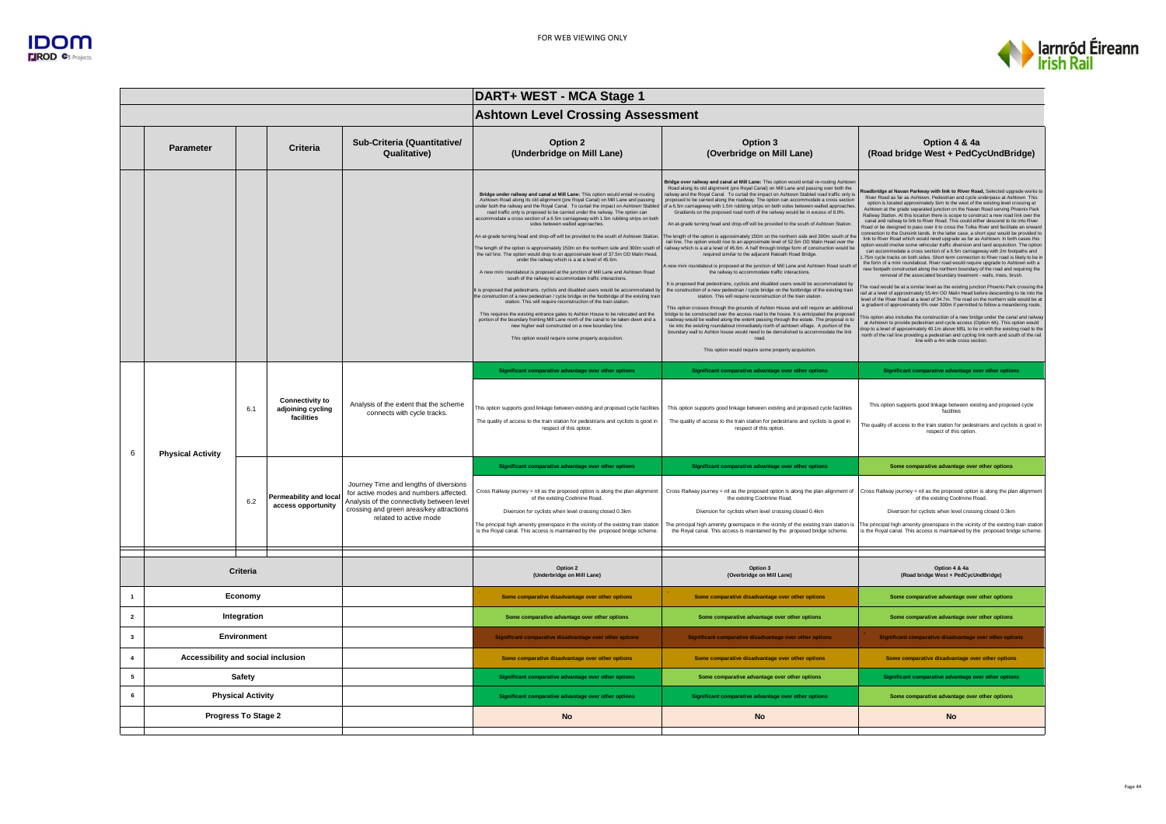

|                |                                    |                          |                                                           |                                                                                                                                                                                                      | DART+ WEST - MCA Stage 1                                                                                                                                                                                                                                                                                                                                                                                                                                                                                                                                                                                                                                                                                                                                                                                                                                                                                                                                                                                                                                                                                                                                                                                                                                                                                                                                                                                                                                                                                      |                                                                                                                                                                                                                                                                                                                                                                                                                                                                                                                                                                                                                                                                                                                                                                                                                                                                                                                                                                                                                                                                                                                                                                                                                                                                                                                                                                                                                                                                                                                                                                                                                                                                                                                                                                                                                                                                                                                                        |                                                                                                                                                                                                                                                                                                                                                                                                                                                                                                                                                                                                                                                                                                                                                                                                                                                                                                                                                                                                                                                                                                                                                                                                                                                                                                                                                                                                                                                                                                                                                                                                                                                                                                                                                                                                                                                                                                                                                                                                                                                                                                     |  |  |
|----------------|------------------------------------|--------------------------|-----------------------------------------------------------|------------------------------------------------------------------------------------------------------------------------------------------------------------------------------------------------------|---------------------------------------------------------------------------------------------------------------------------------------------------------------------------------------------------------------------------------------------------------------------------------------------------------------------------------------------------------------------------------------------------------------------------------------------------------------------------------------------------------------------------------------------------------------------------------------------------------------------------------------------------------------------------------------------------------------------------------------------------------------------------------------------------------------------------------------------------------------------------------------------------------------------------------------------------------------------------------------------------------------------------------------------------------------------------------------------------------------------------------------------------------------------------------------------------------------------------------------------------------------------------------------------------------------------------------------------------------------------------------------------------------------------------------------------------------------------------------------------------------------|----------------------------------------------------------------------------------------------------------------------------------------------------------------------------------------------------------------------------------------------------------------------------------------------------------------------------------------------------------------------------------------------------------------------------------------------------------------------------------------------------------------------------------------------------------------------------------------------------------------------------------------------------------------------------------------------------------------------------------------------------------------------------------------------------------------------------------------------------------------------------------------------------------------------------------------------------------------------------------------------------------------------------------------------------------------------------------------------------------------------------------------------------------------------------------------------------------------------------------------------------------------------------------------------------------------------------------------------------------------------------------------------------------------------------------------------------------------------------------------------------------------------------------------------------------------------------------------------------------------------------------------------------------------------------------------------------------------------------------------------------------------------------------------------------------------------------------------------------------------------------------------------------------------------------------------|-----------------------------------------------------------------------------------------------------------------------------------------------------------------------------------------------------------------------------------------------------------------------------------------------------------------------------------------------------------------------------------------------------------------------------------------------------------------------------------------------------------------------------------------------------------------------------------------------------------------------------------------------------------------------------------------------------------------------------------------------------------------------------------------------------------------------------------------------------------------------------------------------------------------------------------------------------------------------------------------------------------------------------------------------------------------------------------------------------------------------------------------------------------------------------------------------------------------------------------------------------------------------------------------------------------------------------------------------------------------------------------------------------------------------------------------------------------------------------------------------------------------------------------------------------------------------------------------------------------------------------------------------------------------------------------------------------------------------------------------------------------------------------------------------------------------------------------------------------------------------------------------------------------------------------------------------------------------------------------------------------------------------------------------------------------------------------------------------------|--|--|
|                |                                    |                          |                                                           |                                                                                                                                                                                                      | <b>Ashtown Level Crossing Assessment</b>                                                                                                                                                                                                                                                                                                                                                                                                                                                                                                                                                                                                                                                                                                                                                                                                                                                                                                                                                                                                                                                                                                                                                                                                                                                                                                                                                                                                                                                                      |                                                                                                                                                                                                                                                                                                                                                                                                                                                                                                                                                                                                                                                                                                                                                                                                                                                                                                                                                                                                                                                                                                                                                                                                                                                                                                                                                                                                                                                                                                                                                                                                                                                                                                                                                                                                                                                                                                                                        |                                                                                                                                                                                                                                                                                                                                                                                                                                                                                                                                                                                                                                                                                                                                                                                                                                                                                                                                                                                                                                                                                                                                                                                                                                                                                                                                                                                                                                                                                                                                                                                                                                                                                                                                                                                                                                                                                                                                                                                                                                                                                                     |  |  |
|                | Parameter                          |                          | Criteria                                                  | Sub-Criteria (Quantitative/<br>Qualitative)                                                                                                                                                          | Option 2<br>(Underbridge on Mill Lane)                                                                                                                                                                                                                                                                                                                                                                                                                                                                                                                                                                                                                                                                                                                                                                                                                                                                                                                                                                                                                                                                                                                                                                                                                                                                                                                                                                                                                                                                        | Option 3<br>(Overbridge on Mill Lane)                                                                                                                                                                                                                                                                                                                                                                                                                                                                                                                                                                                                                                                                                                                                                                                                                                                                                                                                                                                                                                                                                                                                                                                                                                                                                                                                                                                                                                                                                                                                                                                                                                                                                                                                                                                                                                                                                                  | Option 4 & 4a<br>(Road bridge West + PedCycUndBridge)                                                                                                                                                                                                                                                                                                                                                                                                                                                                                                                                                                                                                                                                                                                                                                                                                                                                                                                                                                                                                                                                                                                                                                                                                                                                                                                                                                                                                                                                                                                                                                                                                                                                                                                                                                                                                                                                                                                                                                                                                                               |  |  |
|                |                                    |                          |                                                           |                                                                                                                                                                                                      | Bridge under railway and canal at Mill Lane: This option would entail re-routing<br>Ashtown Road along its old alignment (pre Royal Canal) on Mill Lane and passing<br>under both the railway and the Royal Canal. To curtail the impact on Ashtown Stabled<br>road traffic only is proposed to be carried under the railway. The option can<br>ccommodate a cross section of a 6.5m carriageway with 1.5m rubbing strips on both<br>sides between walled approaches.<br>An at-grade turning head and drop-off will be provided to the south of Ashtown Station.<br>The length of the option is approximately 150m on the northern side and 300m south of<br>the rail line. The option would drop to an approximate level of 37.5m OD Malin Head.<br>under the railway which is a at a level of 45.6m.<br>A new mini roundabout is proposed at the junction of Mill Lane and Ashtown Road<br>south of the railway to accommodate traffic interactions.<br>It is proposed that pedestrians, cyclists and disabled users would be accommodated by<br>the construction of a new pedestrian / cycle bridge on the footbridge of the existing train<br>station. This will require reconstruction of the train station.<br>This requires the existing entrance gates to Ashton House to be relocated and the<br>portion of the boundary fronting Mill Lane north of the canal to be taken down and a<br>new higher wall constructed on a new boundary line.<br>This option would require some property acquisition. | Bridge over railway and canal at Mill Lane: This option would entail re-routing Ashtow<br>Road along its old alignment (pre Royal Canal) on Mill Lane and passing over both the<br>railway and the Royal Canal. To curtail the impact on Ashtown Stabled road traffic only is<br>proposed to be carried along the roadway. The option can accommodate a cross section<br>of a 6.5m carriageway with 1.5m rubbing strips on both sides between walled approaches.<br>Gradients on the proposed road north of the railway would be in excess of 8.0%.<br>An at-grade turning head and drop-off will be provided to the south of Ashtown Station<br>The length of the option is approximately 150m on the northern side and 300m south of the<br>rail line. The option would rise to an approximate level of 52.5m OD Malin Head over the railway which is a at a level of 45.6m. A half through bridge form of construction would be<br>required similar to the adiacent Ratoath Road Bridge.<br>new mini roundabout is proposed at the junction of Mill Lane and Ashtown Road south o<br>the railway to accommodate traffic interactions.<br>It is proposed that pedestrians, cyclists and disabled users would be accommodated by<br>the construction of a new pedestrian / cycle bridge on the footbridge of the existing train<br>station. This will require reconstruction of the train station<br>This option crosses through the grounds of Ashton House and will require an additional<br>bridge to be constructed over the access road to the house. It is anticipated the proposed<br>roadway would be walled along the extent passing through the estate. The proposal is to<br>tie into the existing roundabout immediately north of ashtown village. A portion of the<br>boundary wall to Ashton house would need to be demolished to accommodate the link<br>road.<br>This option would require some property acquisition. | oadbridge at Navan Parkway with link to River Road, Selected upgrade works to<br>River Road as far as Ashtown, Pedestrian and cycle underpass at Ashtown This<br>option is located approximately 1km to the west of the existing level crossing at<br>Ashtown at the grade separated junction on the Navan Road serving Phoenix Park<br>Railway Station. At this location there is scope to construct a new road link over the<br>canal and railway to link to River Road. This could either descend to tie into River<br>Road or be designed to pass over it to cross the Tolka River and facilitate an onward<br>connection to the Dunsink lands. In the latter case, a short spur would be provided to<br>link to River Road which would need upgrade as far as Ashtown. In both cases this<br>option would involve some vehicular traffic diversion and land acquisition. The option<br>can accommodate a cross section of a 6.5m carriageway with 2m footpaths and<br>.75m cycle tracks on both sides. Short term connection to River road is likely to be in<br>the form of a mini roundabout. River road would require upgrade to Ashtown with a<br>new footpath constructed along the northern boundary of the road and requiring the<br>removal of the associated boundary treatment - walls, trees, brush.<br>he road would be at a similar level as the existing junction Phoenix Park crossing the<br>rail at a level of approximately 55.4m OD Malin Head before descending to tie into the<br>evel of the River Road at a level of 34.7m. The road on the northern side would be at<br>a gradient of approximately 6% over 300m if permitted to follow a meandering route.<br>his option also includes the construction of a new bridge under the canal and railwa<br>at Ashtown to provide pedestrian and cycle access (Option 4A). This option would<br>frop to a level of approximately 40.1m above MSL to tie in with the existing road to the<br>north of the rail line providing a pedestrian and cycling link north and south of the rail<br>line with a 4m wide cross section |  |  |
| 6              | <b>Physical Activity</b>           | 6.1                      | <b>Connectivity to</b><br>adjoining cycling<br>facilities | Analysis of the extent that the scheme<br>connects with cycle tracks.                                                                                                                                | Significant comparative advantage over other options<br>This option supports good linkage between existing and proposed cycle facilities<br>The quality of access to the train station for pedestrians and cyclists is good in<br>respect of this option.                                                                                                                                                                                                                                                                                                                                                                                                                                                                                                                                                                                                                                                                                                                                                                                                                                                                                                                                                                                                                                                                                                                                                                                                                                                     | Significant comparative advantage over other options<br>This option supports good linkage between existing and proposed cycle facilities<br>The quality of access to the train station for pedestrians and cyclists is good in<br>respect of this option.                                                                                                                                                                                                                                                                                                                                                                                                                                                                                                                                                                                                                                                                                                                                                                                                                                                                                                                                                                                                                                                                                                                                                                                                                                                                                                                                                                                                                                                                                                                                                                                                                                                                              | Significant comparative advantage over other options<br>This option supports good linkage between existing and proposed cycle<br>facilities<br>The quality of access to the train station for pedestrians and cyclists is good in<br>respect of this option.                                                                                                                                                                                                                                                                                                                                                                                                                                                                                                                                                                                                                                                                                                                                                                                                                                                                                                                                                                                                                                                                                                                                                                                                                                                                                                                                                                                                                                                                                                                                                                                                                                                                                                                                                                                                                                        |  |  |
|                |                                    | 6.2                      | Permeability and local<br>access opportunity              | Journey Time and lengths of diversions<br>for active modes and numbers affected.<br>Analysis of the connectivity between level<br>crossing and green areas/key attractions<br>related to active mode | Significant comparative advantage over other options<br>Cross Railway journey = nil as the proposed option is along the plan alignment<br>of the existing Coolmine Road.<br>Diversion for cyclists when level crossing closed 0.3km<br>The principal high amenity greenspace in the vicinity of the existing train station<br>is the Royal canal. This access is maintained by the proposed bridge scheme.                                                                                                                                                                                                                                                                                                                                                                                                                                                                                                                                                                                                                                                                                                                                                                                                                                                                                                                                                                                                                                                                                                    | Significant comparative advantage over other options<br>Cross Railway journey = nil as the proposed option is along the plan alignment of<br>the existing Coolmine Road.<br>Diversion for cyclists when level crossing closed 0.4km<br>The principal high amenity greenspace in the vicinity of the existing train station is<br>the Royal canal. This access is maintained by the proposed bridge scheme.                                                                                                                                                                                                                                                                                                                                                                                                                                                                                                                                                                                                                                                                                                                                                                                                                                                                                                                                                                                                                                                                                                                                                                                                                                                                                                                                                                                                                                                                                                                             | Some comparative advantage over other options<br>Cross Railway journey = nil as the proposed option is along the plan alignment<br>of the existing Coolmine Road.<br>Diversion for cyclists when level crossing closed 0.3km<br>The principal high amenity greenspace in the vicinity of the existing train station<br>is the Royal canal. This access is maintained by the proposed bridge scheme.                                                                                                                                                                                                                                                                                                                                                                                                                                                                                                                                                                                                                                                                                                                                                                                                                                                                                                                                                                                                                                                                                                                                                                                                                                                                                                                                                                                                                                                                                                                                                                                                                                                                                                 |  |  |
|                |                                    | Criteria                 |                                                           |                                                                                                                                                                                                      | Option 2<br>(Underbridge on Mill Lane)                                                                                                                                                                                                                                                                                                                                                                                                                                                                                                                                                                                                                                                                                                                                                                                                                                                                                                                                                                                                                                                                                                                                                                                                                                                                                                                                                                                                                                                                        | Option 3<br>(Overbridge on Mill Lane)                                                                                                                                                                                                                                                                                                                                                                                                                                                                                                                                                                                                                                                                                                                                                                                                                                                                                                                                                                                                                                                                                                                                                                                                                                                                                                                                                                                                                                                                                                                                                                                                                                                                                                                                                                                                                                                                                                  | Option 4 & 4a<br>(Road bridge West + PedCycUndBridge)                                                                                                                                                                                                                                                                                                                                                                                                                                                                                                                                                                                                                                                                                                                                                                                                                                                                                                                                                                                                                                                                                                                                                                                                                                                                                                                                                                                                                                                                                                                                                                                                                                                                                                                                                                                                                                                                                                                                                                                                                                               |  |  |
| $\mathbf{1}$   |                                    | Economy                  |                                                           |                                                                                                                                                                                                      | Some comparative disadvantage over other options                                                                                                                                                                                                                                                                                                                                                                                                                                                                                                                                                                                                                                                                                                                                                                                                                                                                                                                                                                                                                                                                                                                                                                                                                                                                                                                                                                                                                                                              | Some comparative disadvantage over other options                                                                                                                                                                                                                                                                                                                                                                                                                                                                                                                                                                                                                                                                                                                                                                                                                                                                                                                                                                                                                                                                                                                                                                                                                                                                                                                                                                                                                                                                                                                                                                                                                                                                                                                                                                                                                                                                                       | Some comparative advantage over other options                                                                                                                                                                                                                                                                                                                                                                                                                                                                                                                                                                                                                                                                                                                                                                                                                                                                                                                                                                                                                                                                                                                                                                                                                                                                                                                                                                                                                                                                                                                                                                                                                                                                                                                                                                                                                                                                                                                                                                                                                                                       |  |  |
| $\overline{2}$ |                                    | Integration              |                                                           |                                                                                                                                                                                                      | Some comparative advantage over other options                                                                                                                                                                                                                                                                                                                                                                                                                                                                                                                                                                                                                                                                                                                                                                                                                                                                                                                                                                                                                                                                                                                                                                                                                                                                                                                                                                                                                                                                 | Some comparative advantage over other options                                                                                                                                                                                                                                                                                                                                                                                                                                                                                                                                                                                                                                                                                                                                                                                                                                                                                                                                                                                                                                                                                                                                                                                                                                                                                                                                                                                                                                                                                                                                                                                                                                                                                                                                                                                                                                                                                          | Some comparative advantage over other options                                                                                                                                                                                                                                                                                                                                                                                                                                                                                                                                                                                                                                                                                                                                                                                                                                                                                                                                                                                                                                                                                                                                                                                                                                                                                                                                                                                                                                                                                                                                                                                                                                                                                                                                                                                                                                                                                                                                                                                                                                                       |  |  |
| $\mathbf{3}$   |                                    | Environment              |                                                           |                                                                                                                                                                                                      | Significant comparative disadvantage over other options                                                                                                                                                                                                                                                                                                                                                                                                                                                                                                                                                                                                                                                                                                                                                                                                                                                                                                                                                                                                                                                                                                                                                                                                                                                                                                                                                                                                                                                       | Significant comparative disadvantage over other options                                                                                                                                                                                                                                                                                                                                                                                                                                                                                                                                                                                                                                                                                                                                                                                                                                                                                                                                                                                                                                                                                                                                                                                                                                                                                                                                                                                                                                                                                                                                                                                                                                                                                                                                                                                                                                                                                | Significant comparative disadvantage over other options                                                                                                                                                                                                                                                                                                                                                                                                                                                                                                                                                                                                                                                                                                                                                                                                                                                                                                                                                                                                                                                                                                                                                                                                                                                                                                                                                                                                                                                                                                                                                                                                                                                                                                                                                                                                                                                                                                                                                                                                                                             |  |  |
| $\overline{4}$ | Accessibility and social inclusion |                          |                                                           |                                                                                                                                                                                                      | Some comparative disadvantage over other options                                                                                                                                                                                                                                                                                                                                                                                                                                                                                                                                                                                                                                                                                                                                                                                                                                                                                                                                                                                                                                                                                                                                                                                                                                                                                                                                                                                                                                                              | Some comparative disadvantage over other options                                                                                                                                                                                                                                                                                                                                                                                                                                                                                                                                                                                                                                                                                                                                                                                                                                                                                                                                                                                                                                                                                                                                                                                                                                                                                                                                                                                                                                                                                                                                                                                                                                                                                                                                                                                                                                                                                       | Some comparative disadvantage over other options                                                                                                                                                                                                                                                                                                                                                                                                                                                                                                                                                                                                                                                                                                                                                                                                                                                                                                                                                                                                                                                                                                                                                                                                                                                                                                                                                                                                                                                                                                                                                                                                                                                                                                                                                                                                                                                                                                                                                                                                                                                    |  |  |
| 5              |                                    | Safety                   |                                                           |                                                                                                                                                                                                      | Significant comparative advantage over other options                                                                                                                                                                                                                                                                                                                                                                                                                                                                                                                                                                                                                                                                                                                                                                                                                                                                                                                                                                                                                                                                                                                                                                                                                                                                                                                                                                                                                                                          | Some comparative advantage over other options                                                                                                                                                                                                                                                                                                                                                                                                                                                                                                                                                                                                                                                                                                                                                                                                                                                                                                                                                                                                                                                                                                                                                                                                                                                                                                                                                                                                                                                                                                                                                                                                                                                                                                                                                                                                                                                                                          | Significant comparative advantage over other options                                                                                                                                                                                                                                                                                                                                                                                                                                                                                                                                                                                                                                                                                                                                                                                                                                                                                                                                                                                                                                                                                                                                                                                                                                                                                                                                                                                                                                                                                                                                                                                                                                                                                                                                                                                                                                                                                                                                                                                                                                                |  |  |
| 6              |                                    | <b>Physical Activity</b> |                                                           |                                                                                                                                                                                                      | Significant comparative advantage over other options                                                                                                                                                                                                                                                                                                                                                                                                                                                                                                                                                                                                                                                                                                                                                                                                                                                                                                                                                                                                                                                                                                                                                                                                                                                                                                                                                                                                                                                          | Significant comparative advantage over other options                                                                                                                                                                                                                                                                                                                                                                                                                                                                                                                                                                                                                                                                                                                                                                                                                                                                                                                                                                                                                                                                                                                                                                                                                                                                                                                                                                                                                                                                                                                                                                                                                                                                                                                                                                                                                                                                                   | Some comparative advantage over other options                                                                                                                                                                                                                                                                                                                                                                                                                                                                                                                                                                                                                                                                                                                                                                                                                                                                                                                                                                                                                                                                                                                                                                                                                                                                                                                                                                                                                                                                                                                                                                                                                                                                                                                                                                                                                                                                                                                                                                                                                                                       |  |  |
|                | Progress To Stage 2                |                          |                                                           |                                                                                                                                                                                                      | <b>No</b>                                                                                                                                                                                                                                                                                                                                                                                                                                                                                                                                                                                                                                                                                                                                                                                                                                                                                                                                                                                                                                                                                                                                                                                                                                                                                                                                                                                                                                                                                                     | <b>No</b>                                                                                                                                                                                                                                                                                                                                                                                                                                                                                                                                                                                                                                                                                                                                                                                                                                                                                                                                                                                                                                                                                                                                                                                                                                                                                                                                                                                                                                                                                                                                                                                                                                                                                                                                                                                                                                                                                                                              | <b>No</b>                                                                                                                                                                                                                                                                                                                                                                                                                                                                                                                                                                                                                                                                                                                                                                                                                                                                                                                                                                                                                                                                                                                                                                                                                                                                                                                                                                                                                                                                                                                                                                                                                                                                                                                                                                                                                                                                                                                                                                                                                                                                                           |  |  |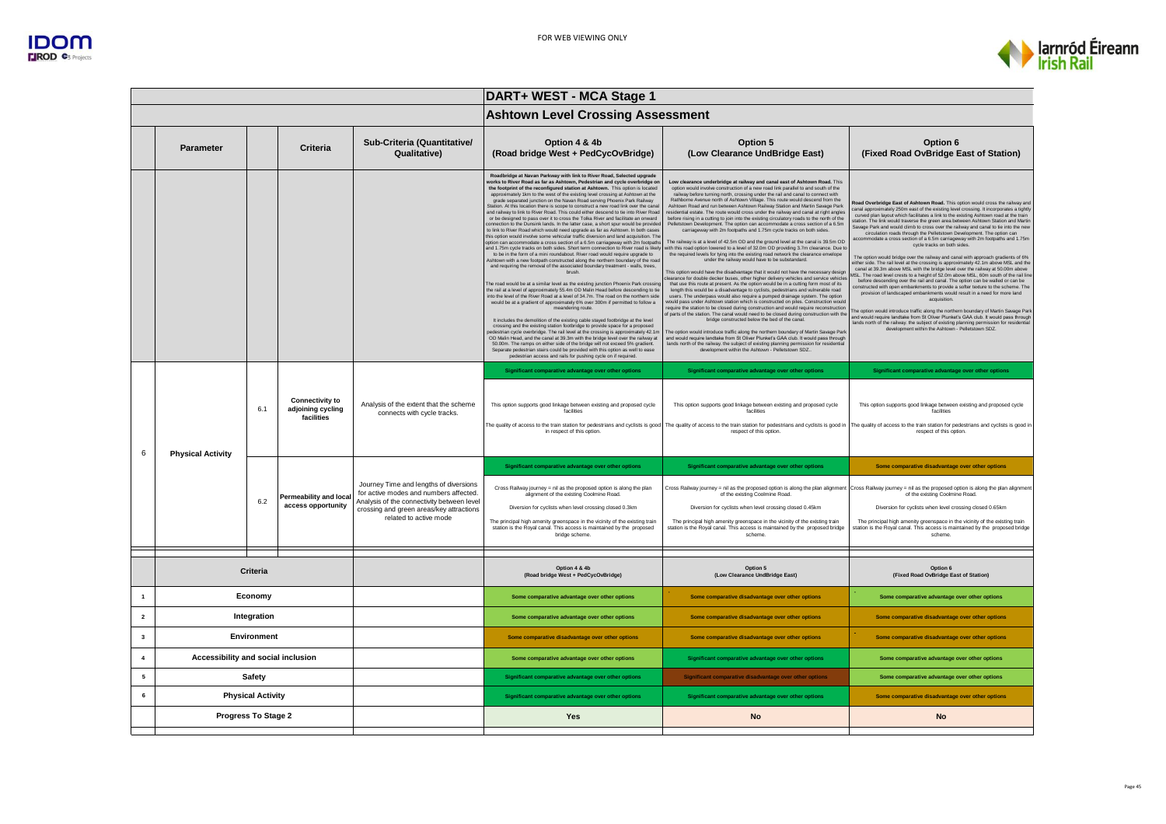

|                         |                                    |                          |                                                           |                                                                                                                                                                                                      | DART+ WEST - MCA Stage 1                                                                                                                                                                                                                                                                                                                                                                                                                                                                                                                                                                                                                                                                                                                                                                                                                                                                                                                                                                                                                                                                                                                                                                                                                                                                                                                                                                                                                                                                                                                                                                                                                                                                                                                                                                                                                                                                                                                                                                                                                                                                                                                                                                                                                                                                                                         |                                                                                                                                                                                                                                                                                                                                                                                                                                                                                                                                                                                                                                                                                                                                                                                                                                                                                                                                                                                                                                                                                                                                                                                                                                                                                                                                                                                                                                                                                                                                                                                                                                                                                                                                                                                                                                                                                                                                                                                                                                                                                                                                                                                              |                                                                                                                                                                                                                                                                                                                                                                                                                                                                                                                                                                                                                                                                                                                                                                                                                                                                                                                                                                                                                                                                                                                                                                                                                                                                                                                                                                                                                                                                                                                                                                                                 |  |
|-------------------------|------------------------------------|--------------------------|-----------------------------------------------------------|------------------------------------------------------------------------------------------------------------------------------------------------------------------------------------------------------|----------------------------------------------------------------------------------------------------------------------------------------------------------------------------------------------------------------------------------------------------------------------------------------------------------------------------------------------------------------------------------------------------------------------------------------------------------------------------------------------------------------------------------------------------------------------------------------------------------------------------------------------------------------------------------------------------------------------------------------------------------------------------------------------------------------------------------------------------------------------------------------------------------------------------------------------------------------------------------------------------------------------------------------------------------------------------------------------------------------------------------------------------------------------------------------------------------------------------------------------------------------------------------------------------------------------------------------------------------------------------------------------------------------------------------------------------------------------------------------------------------------------------------------------------------------------------------------------------------------------------------------------------------------------------------------------------------------------------------------------------------------------------------------------------------------------------------------------------------------------------------------------------------------------------------------------------------------------------------------------------------------------------------------------------------------------------------------------------------------------------------------------------------------------------------------------------------------------------------------------------------------------------------------------------------------------------------|----------------------------------------------------------------------------------------------------------------------------------------------------------------------------------------------------------------------------------------------------------------------------------------------------------------------------------------------------------------------------------------------------------------------------------------------------------------------------------------------------------------------------------------------------------------------------------------------------------------------------------------------------------------------------------------------------------------------------------------------------------------------------------------------------------------------------------------------------------------------------------------------------------------------------------------------------------------------------------------------------------------------------------------------------------------------------------------------------------------------------------------------------------------------------------------------------------------------------------------------------------------------------------------------------------------------------------------------------------------------------------------------------------------------------------------------------------------------------------------------------------------------------------------------------------------------------------------------------------------------------------------------------------------------------------------------------------------------------------------------------------------------------------------------------------------------------------------------------------------------------------------------------------------------------------------------------------------------------------------------------------------------------------------------------------------------------------------------------------------------------------------------------------------------------------------------|-------------------------------------------------------------------------------------------------------------------------------------------------------------------------------------------------------------------------------------------------------------------------------------------------------------------------------------------------------------------------------------------------------------------------------------------------------------------------------------------------------------------------------------------------------------------------------------------------------------------------------------------------------------------------------------------------------------------------------------------------------------------------------------------------------------------------------------------------------------------------------------------------------------------------------------------------------------------------------------------------------------------------------------------------------------------------------------------------------------------------------------------------------------------------------------------------------------------------------------------------------------------------------------------------------------------------------------------------------------------------------------------------------------------------------------------------------------------------------------------------------------------------------------------------------------------------------------------------|--|
|                         |                                    |                          |                                                           |                                                                                                                                                                                                      | <b>Ashtown Level Crossing Assessment</b>                                                                                                                                                                                                                                                                                                                                                                                                                                                                                                                                                                                                                                                                                                                                                                                                                                                                                                                                                                                                                                                                                                                                                                                                                                                                                                                                                                                                                                                                                                                                                                                                                                                                                                                                                                                                                                                                                                                                                                                                                                                                                                                                                                                                                                                                                         |                                                                                                                                                                                                                                                                                                                                                                                                                                                                                                                                                                                                                                                                                                                                                                                                                                                                                                                                                                                                                                                                                                                                                                                                                                                                                                                                                                                                                                                                                                                                                                                                                                                                                                                                                                                                                                                                                                                                                                                                                                                                                                                                                                                              |                                                                                                                                                                                                                                                                                                                                                                                                                                                                                                                                                                                                                                                                                                                                                                                                                                                                                                                                                                                                                                                                                                                                                                                                                                                                                                                                                                                                                                                                                                                                                                                                 |  |
|                         | <b>Parameter</b>                   |                          | Criteria                                                  | Sub-Criteria (Quantitative/<br>Qualitative)                                                                                                                                                          | Option 4 & 4b<br>(Road bridge West + PedCycOvBridge)                                                                                                                                                                                                                                                                                                                                                                                                                                                                                                                                                                                                                                                                                                                                                                                                                                                                                                                                                                                                                                                                                                                                                                                                                                                                                                                                                                                                                                                                                                                                                                                                                                                                                                                                                                                                                                                                                                                                                                                                                                                                                                                                                                                                                                                                             | Option 5<br>(Low Clearance UndBridge East)                                                                                                                                                                                                                                                                                                                                                                                                                                                                                                                                                                                                                                                                                                                                                                                                                                                                                                                                                                                                                                                                                                                                                                                                                                                                                                                                                                                                                                                                                                                                                                                                                                                                                                                                                                                                                                                                                                                                                                                                                                                                                                                                                   | Option 6<br>(Fixed Road OvBridge East of Station)                                                                                                                                                                                                                                                                                                                                                                                                                                                                                                                                                                                                                                                                                                                                                                                                                                                                                                                                                                                                                                                                                                                                                                                                                                                                                                                                                                                                                                                                                                                                               |  |
|                         |                                    |                          |                                                           |                                                                                                                                                                                                      | Roadbridge at Navan Parkway with link to River Road, Selected upgrade<br>works to River Road as far as Ashtown, Pedestrian and cycle overbridge on<br>the footprint of the reconfigured station at Ashtown. This option is located<br>approximately 1km to the west of the existing level crossing at Ashtown at the<br>grade separated junction on the Navan Road serving Phoenix Park Railway<br>Station. At this location there is scope to construct a new road link over the canal<br>and railway to link to River Road. This could either descend to tie into River Road<br>or be designed to pass over it to cross the Tolka River and facilitate an onward<br>connection to the Dunsink lands. In the latter case, a short spur would be provided<br>to link to River Road which would need upgrade as far as Ashtown. In both cases<br>this option would involve some vehicular traffic diversion and land acquisition. The<br>option can accommodate a cross section of a 6.5m carriageway with 2m footpaths<br>and 1.75m cycle tracks on both sides. Short term connection to River road is likely<br>to be in the form of a mini roundabout. River road would require upgrade to<br>Ashtown with a new footpath constructed along the northern boundary of the road<br>and requiring the removal of the associated boundary treatment - walls, trees,<br>brush.<br>The road would be at a similar level as the existing junction Phoenix Park crossing<br>the rail at a level of approximately 55.4m OD Malin Head before descending to tie<br>into the level of the River Road at a level of 34.7m. The road on the northern side<br>would be at a gradient of approximately 6% over 300m if permitted to follow a<br>meandering route.<br>It includes the demolition of the existing cable staved footbridge at the level<br>crossing and the existing station footbridge to provide space for a proposed<br>edestrian cycle overbridge. The rail level at the crossing is approximately 42.1m<br>OD Malin Head, and the canal at 39.3m with the bridge level over the railway at<br>50.00m. The ramps on either side of the bridge will not exceed 5% gradient.<br>Separate pedestrian stairs could be provided with this option as well to ease<br>pedestrian access and rails for pushing cycle on if required. | Low clearance underbridge at railway and canal east of Ashtown Road. This<br>option would involve construction of a new road link parallel to and south of the<br>railway before turning north, crossing under the rail and canal to connect with<br>Rathborne Avenue north of Ashtown Village. This route would descend from the<br>Ashtown Road and run between Ashtown Railway Station and Martin Savage Park<br>residential estate. The route would cross under the railway and canal at right angles<br>before rising in a cutting to join into the existing circulatory roads to the north of the<br>Pelletstown Development. The option can accommodate a cross section of a 6.5m<br>carriageway with 2m footpaths and 1.75m cycle tracks on both sides.<br>The railway is at a level of 42.5m OD and the ground level at the canal is 39.5m OD<br>ith this road option lowered to a level of 32.0m OD providing 3.7m clearance. Due t<br>the required levels for tying into the existing road network the clearance envelope<br>under the railway would have to be substandard.<br>This option would have the disadvantage that it would not have the necessary design<br>clearance for double decker buses, other higher delivery vehicles and service vehicle<br>that use this route at present. As the option would be in a cutting form most of its<br>length this would be a disadvantage to cyclists, pedestrians and vulnerable road<br>users. The underpass would also require a pumped drainage system. The option<br>would pass under Ashtown station which is constructed on piles. Construction would<br>require the station to be closed during construction and would require reconstruction<br>of parts of the station. The canal would need to be closed during construction with the<br>bridge constructed below the bed of the canal.<br>he option would introduce traffic along the northern boundary of Martin Savage Park<br>and would require landtake from St Oliver Plunket's GAA club. It would pass through<br>lands north of the railway. the subject of existing planning permission for residential<br>development within the Ashtown - Pelletstown SDZ | Road Overbridge East of Ashtown Road. This option would cross the railway and<br>canal approximately 250m east of the existing level crossing. It incorporates a tightly<br>curved plan layout which facilitates a link to the existing Ashtown road at the train<br>station. The link would traverse the green area between Ashtown Station and Martin<br>Savage Park and would climb to cross over the railway and canal to tie into the new<br>circulation roads through the Pelletstown Development. The option can<br>accommodate a cross section of a 6.5m carriageway with 2m footpaths and 1.75m<br>cycle tracks on both sides.<br>The option would bridge over the railway and canal with approach gradients of 6%<br>either side. The rail level at the crossing is approximately 42.1m above MSL and the<br>canal at 39.3m above MSL with the bridge level over the railway at 50.00m above<br>MSL. The road level crests to a height of 52.0m above MSL, 60m south of the rail line<br>before descending over the rail and canal. The option can be walled or can be<br>constructed with open embankments to provide a softer texture to the scheme. The<br>provision of landscaped embankments would result in a need for more land<br>acquisition.<br>The option would introduce traffic along the northern boundary of Martin Sayage Park<br>and would require landtake from St Oliver Plunket's GAA club. It would pass through<br>lands north of the railway. the subject of existing planning permission for residential<br>development within the Ashtown - Pelletstown SDZ. |  |
|                         |                                    | 6.1                      | <b>Connectivity to</b><br>adjoining cycling<br>facilities | Analysis of the extent that the scheme<br>connects with cycle tracks.                                                                                                                                | Significant comparative advantage over other options<br>This option supports good linkage between existing and proposed cycle<br>facilities<br>in respect of this option.                                                                                                                                                                                                                                                                                                                                                                                                                                                                                                                                                                                                                                                                                                                                                                                                                                                                                                                                                                                                                                                                                                                                                                                                                                                                                                                                                                                                                                                                                                                                                                                                                                                                                                                                                                                                                                                                                                                                                                                                                                                                                                                                                        | Significant comparative advantage over other options<br>This option supports good linkage between existing and proposed cycle<br>facilities<br>The quality of access to the train station for pedestrians and cyclists is good   The quality of access to the train station for pedestrians and cyclists is good in   The quality of access to the train station for pedestri<br>respect of this option.                                                                                                                                                                                                                                                                                                                                                                                                                                                                                                                                                                                                                                                                                                                                                                                                                                                                                                                                                                                                                                                                                                                                                                                                                                                                                                                                                                                                                                                                                                                                                                                                                                                                                                                                                                                     | Significant comparative advantage over other options<br>This option supports good linkage between existing and proposed cycle<br>facilities<br>respect of this option                                                                                                                                                                                                                                                                                                                                                                                                                                                                                                                                                                                                                                                                                                                                                                                                                                                                                                                                                                                                                                                                                                                                                                                                                                                                                                                                                                                                                           |  |
| 6                       | <b>Physical Activity</b>           | 6.2                      | <b>Permeability and local</b><br>access opportunity       | Journey Time and lengths of diversions<br>for active modes and numbers affected.<br>Analysis of the connectivity between level<br>crossing and green areas/key attractions<br>related to active mode | Significant comparative advantage over other options<br>Cross Railway journey = nil as the proposed option is along the plan<br>alignment of the existing Coolmine Road.<br>Diversion for cyclists when level crossing closed 0.3km<br>The principal high amenity greenspace in the vicinity of the existing train<br>station is the Royal canal. This access is maintained by the proposed<br>bridge scheme.                                                                                                                                                                                                                                                                                                                                                                                                                                                                                                                                                                                                                                                                                                                                                                                                                                                                                                                                                                                                                                                                                                                                                                                                                                                                                                                                                                                                                                                                                                                                                                                                                                                                                                                                                                                                                                                                                                                    | Significant comparative advantage over other options<br>of the existing Coolmine Road.<br>Diversion for cyclists when level crossing closed 0.45km<br>The principal high amenity greenspace in the vicinity of the existing train<br>station is the Royal canal. This access is maintained by the proposed bridge<br>scheme                                                                                                                                                                                                                                                                                                                                                                                                                                                                                                                                                                                                                                                                                                                                                                                                                                                                                                                                                                                                                                                                                                                                                                                                                                                                                                                                                                                                                                                                                                                                                                                                                                                                                                                                                                                                                                                                  | Some comparative disadvantage over other options<br>Cross Railway journey = nil as the proposed option is along the plan alignment Cross Railway journey = nil as the proposed option is along the plan alignment<br>of the existing Coolmine Road.<br>Diversion for cyclists when level crossing closed 0.65km<br>The principal high amenity greenspace in the vicinity of the existing train<br>station is the Royal canal. This access is maintained by the proposed bridge<br>scheme.                                                                                                                                                                                                                                                                                                                                                                                                                                                                                                                                                                                                                                                                                                                                                                                                                                                                                                                                                                                                                                                                                                       |  |
|                         |                                    |                          |                                                           |                                                                                                                                                                                                      |                                                                                                                                                                                                                                                                                                                                                                                                                                                                                                                                                                                                                                                                                                                                                                                                                                                                                                                                                                                                                                                                                                                                                                                                                                                                                                                                                                                                                                                                                                                                                                                                                                                                                                                                                                                                                                                                                                                                                                                                                                                                                                                                                                                                                                                                                                                                  |                                                                                                                                                                                                                                                                                                                                                                                                                                                                                                                                                                                                                                                                                                                                                                                                                                                                                                                                                                                                                                                                                                                                                                                                                                                                                                                                                                                                                                                                                                                                                                                                                                                                                                                                                                                                                                                                                                                                                                                                                                                                                                                                                                                              |                                                                                                                                                                                                                                                                                                                                                                                                                                                                                                                                                                                                                                                                                                                                                                                                                                                                                                                                                                                                                                                                                                                                                                                                                                                                                                                                                                                                                                                                                                                                                                                                 |  |
|                         | Criteria                           |                          |                                                           |                                                                                                                                                                                                      | Option 4 & 4b<br>(Road bridge West + PedCvcOvBridge)                                                                                                                                                                                                                                                                                                                                                                                                                                                                                                                                                                                                                                                                                                                                                                                                                                                                                                                                                                                                                                                                                                                                                                                                                                                                                                                                                                                                                                                                                                                                                                                                                                                                                                                                                                                                                                                                                                                                                                                                                                                                                                                                                                                                                                                                             | Option 5<br>(Low Clearance UndBridge East)                                                                                                                                                                                                                                                                                                                                                                                                                                                                                                                                                                                                                                                                                                                                                                                                                                                                                                                                                                                                                                                                                                                                                                                                                                                                                                                                                                                                                                                                                                                                                                                                                                                                                                                                                                                                                                                                                                                                                                                                                                                                                                                                                   | Option 6<br>(Fixed Road OvBridge East of Station)                                                                                                                                                                                                                                                                                                                                                                                                                                                                                                                                                                                                                                                                                                                                                                                                                                                                                                                                                                                                                                                                                                                                                                                                                                                                                                                                                                                                                                                                                                                                               |  |
|                         |                                    | Economy                  |                                                           |                                                                                                                                                                                                      | Some comparative advantage over other options                                                                                                                                                                                                                                                                                                                                                                                                                                                                                                                                                                                                                                                                                                                                                                                                                                                                                                                                                                                                                                                                                                                                                                                                                                                                                                                                                                                                                                                                                                                                                                                                                                                                                                                                                                                                                                                                                                                                                                                                                                                                                                                                                                                                                                                                                    | Some comparative disadvantage over other options                                                                                                                                                                                                                                                                                                                                                                                                                                                                                                                                                                                                                                                                                                                                                                                                                                                                                                                                                                                                                                                                                                                                                                                                                                                                                                                                                                                                                                                                                                                                                                                                                                                                                                                                                                                                                                                                                                                                                                                                                                                                                                                                             | Some comparative advantage over other options                                                                                                                                                                                                                                                                                                                                                                                                                                                                                                                                                                                                                                                                                                                                                                                                                                                                                                                                                                                                                                                                                                                                                                                                                                                                                                                                                                                                                                                                                                                                                   |  |
| $\overline{\mathbf{2}}$ | Integration                        |                          |                                                           | Some comparative advantage over other options                                                                                                                                                        | Some comparative disadvantage over other options                                                                                                                                                                                                                                                                                                                                                                                                                                                                                                                                                                                                                                                                                                                                                                                                                                                                                                                                                                                                                                                                                                                                                                                                                                                                                                                                                                                                                                                                                                                                                                                                                                                                                                                                                                                                                                                                                                                                                                                                                                                                                                                                                                                                                                                                                 | Some comparative disadvantage over other options                                                                                                                                                                                                                                                                                                                                                                                                                                                                                                                                                                                                                                                                                                                                                                                                                                                                                                                                                                                                                                                                                                                                                                                                                                                                                                                                                                                                                                                                                                                                                                                                                                                                                                                                                                                                                                                                                                                                                                                                                                                                                                                                             |                                                                                                                                                                                                                                                                                                                                                                                                                                                                                                                                                                                                                                                                                                                                                                                                                                                                                                                                                                                                                                                                                                                                                                                                                                                                                                                                                                                                                                                                                                                                                                                                 |  |
| $\mathbf{3}$            | Environment                        |                          |                                                           |                                                                                                                                                                                                      | Some comparative disadvantage over other options                                                                                                                                                                                                                                                                                                                                                                                                                                                                                                                                                                                                                                                                                                                                                                                                                                                                                                                                                                                                                                                                                                                                                                                                                                                                                                                                                                                                                                                                                                                                                                                                                                                                                                                                                                                                                                                                                                                                                                                                                                                                                                                                                                                                                                                                                 | Some comparative disadvantage over other options                                                                                                                                                                                                                                                                                                                                                                                                                                                                                                                                                                                                                                                                                                                                                                                                                                                                                                                                                                                                                                                                                                                                                                                                                                                                                                                                                                                                                                                                                                                                                                                                                                                                                                                                                                                                                                                                                                                                                                                                                                                                                                                                             | Some comparative disadvantage over other options                                                                                                                                                                                                                                                                                                                                                                                                                                                                                                                                                                                                                                                                                                                                                                                                                                                                                                                                                                                                                                                                                                                                                                                                                                                                                                                                                                                                                                                                                                                                                |  |
| $\overline{4}$          | Accessibility and social inclusion |                          |                                                           |                                                                                                                                                                                                      | Some comparative advantage over other options                                                                                                                                                                                                                                                                                                                                                                                                                                                                                                                                                                                                                                                                                                                                                                                                                                                                                                                                                                                                                                                                                                                                                                                                                                                                                                                                                                                                                                                                                                                                                                                                                                                                                                                                                                                                                                                                                                                                                                                                                                                                                                                                                                                                                                                                                    | Significant comparative advantage over other options                                                                                                                                                                                                                                                                                                                                                                                                                                                                                                                                                                                                                                                                                                                                                                                                                                                                                                                                                                                                                                                                                                                                                                                                                                                                                                                                                                                                                                                                                                                                                                                                                                                                                                                                                                                                                                                                                                                                                                                                                                                                                                                                         | Some comparative advantage over other options                                                                                                                                                                                                                                                                                                                                                                                                                                                                                                                                                                                                                                                                                                                                                                                                                                                                                                                                                                                                                                                                                                                                                                                                                                                                                                                                                                                                                                                                                                                                                   |  |
| ${\bf 5}$               |                                    | <b>Safety</b>            |                                                           |                                                                                                                                                                                                      | Significant comparative advantage over other options                                                                                                                                                                                                                                                                                                                                                                                                                                                                                                                                                                                                                                                                                                                                                                                                                                                                                                                                                                                                                                                                                                                                                                                                                                                                                                                                                                                                                                                                                                                                                                                                                                                                                                                                                                                                                                                                                                                                                                                                                                                                                                                                                                                                                                                                             | Significant comparative disadvantage over other options                                                                                                                                                                                                                                                                                                                                                                                                                                                                                                                                                                                                                                                                                                                                                                                                                                                                                                                                                                                                                                                                                                                                                                                                                                                                                                                                                                                                                                                                                                                                                                                                                                                                                                                                                                                                                                                                                                                                                                                                                                                                                                                                      | Some comparative advantage over other options                                                                                                                                                                                                                                                                                                                                                                                                                                                                                                                                                                                                                                                                                                                                                                                                                                                                                                                                                                                                                                                                                                                                                                                                                                                                                                                                                                                                                                                                                                                                                   |  |
| 6                       |                                    | <b>Physical Activity</b> |                                                           |                                                                                                                                                                                                      | Significant comparative advantage over other options                                                                                                                                                                                                                                                                                                                                                                                                                                                                                                                                                                                                                                                                                                                                                                                                                                                                                                                                                                                                                                                                                                                                                                                                                                                                                                                                                                                                                                                                                                                                                                                                                                                                                                                                                                                                                                                                                                                                                                                                                                                                                                                                                                                                                                                                             | Significant comparative advantage over other options                                                                                                                                                                                                                                                                                                                                                                                                                                                                                                                                                                                                                                                                                                                                                                                                                                                                                                                                                                                                                                                                                                                                                                                                                                                                                                                                                                                                                                                                                                                                                                                                                                                                                                                                                                                                                                                                                                                                                                                                                                                                                                                                         | Some comparative disadvantage over other options                                                                                                                                                                                                                                                                                                                                                                                                                                                                                                                                                                                                                                                                                                                                                                                                                                                                                                                                                                                                                                                                                                                                                                                                                                                                                                                                                                                                                                                                                                                                                |  |
|                         | Progress To Stage 2                |                          |                                                           |                                                                                                                                                                                                      | Yes                                                                                                                                                                                                                                                                                                                                                                                                                                                                                                                                                                                                                                                                                                                                                                                                                                                                                                                                                                                                                                                                                                                                                                                                                                                                                                                                                                                                                                                                                                                                                                                                                                                                                                                                                                                                                                                                                                                                                                                                                                                                                                                                                                                                                                                                                                                              | <b>No</b>                                                                                                                                                                                                                                                                                                                                                                                                                                                                                                                                                                                                                                                                                                                                                                                                                                                                                                                                                                                                                                                                                                                                                                                                                                                                                                                                                                                                                                                                                                                                                                                                                                                                                                                                                                                                                                                                                                                                                                                                                                                                                                                                                                                    | <b>No</b>                                                                                                                                                                                                                                                                                                                                                                                                                                                                                                                                                                                                                                                                                                                                                                                                                                                                                                                                                                                                                                                                                                                                                                                                                                                                                                                                                                                                                                                                                                                                                                                       |  |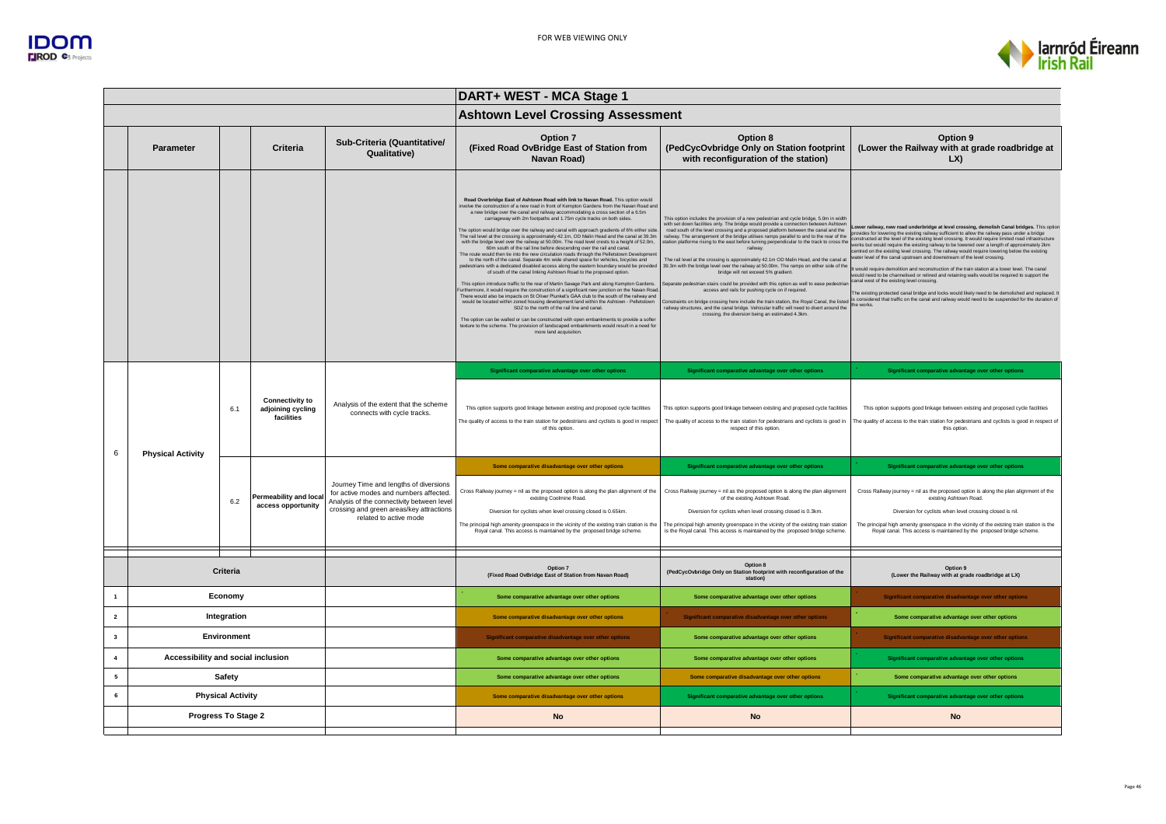



|                         | DART+ WEST - MCA Stage 1           |                          |                                                           |                                                                                                                                                                                                      |                                                                                                                                                                                                                                                                                                                                                                                                                                                                                                                                                                                                                                                                                                                                                                                                                                                                                                                                                                                                                                                                                                                                                                                                                                                                                                                                                                                                                                                                                                                                                                                                                                                                                                                                      |                                                                                                                                                                                                                                                                                                                                                                                                                                                                                                                                                                                                                                                                                                                                                                                                                                                                                                                                                                                                                                                                                                          |                                                                                                                                                                                                                                                                                                                                                                                                                                                                                                                                                                                                                                                                                                                                                                                                                                                                                                                                                                                                                                                       |  |  |
|-------------------------|------------------------------------|--------------------------|-----------------------------------------------------------|------------------------------------------------------------------------------------------------------------------------------------------------------------------------------------------------------|--------------------------------------------------------------------------------------------------------------------------------------------------------------------------------------------------------------------------------------------------------------------------------------------------------------------------------------------------------------------------------------------------------------------------------------------------------------------------------------------------------------------------------------------------------------------------------------------------------------------------------------------------------------------------------------------------------------------------------------------------------------------------------------------------------------------------------------------------------------------------------------------------------------------------------------------------------------------------------------------------------------------------------------------------------------------------------------------------------------------------------------------------------------------------------------------------------------------------------------------------------------------------------------------------------------------------------------------------------------------------------------------------------------------------------------------------------------------------------------------------------------------------------------------------------------------------------------------------------------------------------------------------------------------------------------------------------------------------------------|----------------------------------------------------------------------------------------------------------------------------------------------------------------------------------------------------------------------------------------------------------------------------------------------------------------------------------------------------------------------------------------------------------------------------------------------------------------------------------------------------------------------------------------------------------------------------------------------------------------------------------------------------------------------------------------------------------------------------------------------------------------------------------------------------------------------------------------------------------------------------------------------------------------------------------------------------------------------------------------------------------------------------------------------------------------------------------------------------------|-------------------------------------------------------------------------------------------------------------------------------------------------------------------------------------------------------------------------------------------------------------------------------------------------------------------------------------------------------------------------------------------------------------------------------------------------------------------------------------------------------------------------------------------------------------------------------------------------------------------------------------------------------------------------------------------------------------------------------------------------------------------------------------------------------------------------------------------------------------------------------------------------------------------------------------------------------------------------------------------------------------------------------------------------------|--|--|
|                         |                                    |                          |                                                           |                                                                                                                                                                                                      | <b>Ashtown Level Crossing Assessment</b>                                                                                                                                                                                                                                                                                                                                                                                                                                                                                                                                                                                                                                                                                                                                                                                                                                                                                                                                                                                                                                                                                                                                                                                                                                                                                                                                                                                                                                                                                                                                                                                                                                                                                             |                                                                                                                                                                                                                                                                                                                                                                                                                                                                                                                                                                                                                                                                                                                                                                                                                                                                                                                                                                                                                                                                                                          |                                                                                                                                                                                                                                                                                                                                                                                                                                                                                                                                                                                                                                                                                                                                                                                                                                                                                                                                                                                                                                                       |  |  |
|                         | <b>Parameter</b>                   |                          | Criteria                                                  | Sub-Criteria (Quantitative/<br><b>Qualitative)</b>                                                                                                                                                   | Option 7<br>(Fixed Road OvBridge East of Station from<br>Navan Road)                                                                                                                                                                                                                                                                                                                                                                                                                                                                                                                                                                                                                                                                                                                                                                                                                                                                                                                                                                                                                                                                                                                                                                                                                                                                                                                                                                                                                                                                                                                                                                                                                                                                 | Option 8<br>(PedCycOvbridge Only on Station footprint<br>with reconfiguration of the station)                                                                                                                                                                                                                                                                                                                                                                                                                                                                                                                                                                                                                                                                                                                                                                                                                                                                                                                                                                                                            | Option 9<br>(Lower the Railway with at grade roadbridge at<br>LX                                                                                                                                                                                                                                                                                                                                                                                                                                                                                                                                                                                                                                                                                                                                                                                                                                                                                                                                                                                      |  |  |
|                         |                                    |                          |                                                           |                                                                                                                                                                                                      | Road Overbridge East of Ashtown Road with link to Navan Road, This option would<br>nvolve the construction of a new road in front of Kempton Gardens from the Navan Road and<br>a new bridge over the canal and railway accommodating a cross section of a 6.5m<br>carriageway with 2m footpaths and 1.75m cycle tracks on both sides.<br>The option would bridge over the railway and canal with approach gradients of 6% either side<br>The rail level at the crossing is approximately 42.1m, OD Malin Head and the canal at 39.3m<br>with the bridge level over the railway at 50.00m. The road level crests to a height of 52.0m,<br>60m south of the rail line before descending over the rail and canal.<br>The route would then tie into the new circulation roads through the Pelletstown Developmen<br>to the north of the canal. Separate 4m wide shared space for vehicles, bicycles and<br>bedestrians with a dedicated disabled access along the eastern boundary would be provided<br>of south of the canal linking Ashtown Road to the proposed option.<br>This option introduce traffic to the rear of Martin Savage Park and along Kempton Gardens.<br>urthermore, it would require the construction of a significant new junction on the Navan Road.<br>There would also be impacts on St Oliver Plunket's GAA club to the south of the railway and<br>would be located within zoned housing development land within the Ashtown - Pelletstown<br>SDZ to the north of the rail line and canal.<br>The option can be walled or can be constructed with open embankments to provide a softer<br>texture to the scheme. The provision of landscaped embankments would result in a need for<br>more land acquisition. | This option includes the provision of a new pedestrian and cycle bridge, 5.0m in width<br>with set down facilities only. The bridge would provide a connection between Ashtown<br>road south of the level crossing and a proposed platform between the canal and the<br>railway. The arrangement of the bridge utilises ramps parallel to and to the rear of the<br>station platforme rising to the east before turning perpendicular to the track to cross the<br>railway.<br>The rail level at the crossing is approximately 42.1m OD Malin Head, and the canal at<br>39.3m with the bridge level over the railway at 50.00m. The ramps on either side of the<br>bridge will not exceed 5% gradient.<br>Separate pedestrian stairs could be provided with this option as well to ease pedestria<br>access and rails for pushing cycle on if required.<br>Constraints on bridge crossing here include the train station, the Royal Canal, the listed<br>railway structures, and the canal bridge. Vehicular traffic will need to divert around the<br>crossing, the diversion being an estimated 4.3km. | Lower railway, new road underbridge at level crossing, demolish Canal bridges. This optio<br>provides for lowering the existing railway sufficient to allow the railway pass under a bridge<br>constructed at the level of the existing level crossing. It would require limited road infrastructure<br>works but would require the existing railway to be lowered over a length of approximately 2km<br>centred on the existing level crossing. The railway would require lowering below the existing<br>ater level of the canal upstream and downstream of the level crossing.<br>It would require demolition and reconstruction of the train station at a lower level. The canal<br>would need to be channelised or relined and retaining walls would be required to support the<br>canal west of the existing level crossing.<br>The existing protected canal bridge and locks would likely need to be demolished and replaced.<br>s considered that traffic on the canal and railway would need to be suspended for the duration of<br>the works |  |  |
|                         |                                    |                          |                                                           |                                                                                                                                                                                                      | Significant comparative advantage over other options                                                                                                                                                                                                                                                                                                                                                                                                                                                                                                                                                                                                                                                                                                                                                                                                                                                                                                                                                                                                                                                                                                                                                                                                                                                                                                                                                                                                                                                                                                                                                                                                                                                                                 | Significant comparative advantage over other options                                                                                                                                                                                                                                                                                                                                                                                                                                                                                                                                                                                                                                                                                                                                                                                                                                                                                                                                                                                                                                                     | Significant comparative advantage over other options                                                                                                                                                                                                                                                                                                                                                                                                                                                                                                                                                                                                                                                                                                                                                                                                                                                                                                                                                                                                  |  |  |
|                         | <b>Physical Activity</b>           | 6.1                      | <b>Connectivity to</b><br>adjoining cycling<br>facilities | Analysis of the extent that the scheme<br>connects with cycle tracks.                                                                                                                                | This option supports good linkage between existing and proposed cycle facilities<br>The quality of access to the train station for pedestrians and cyclists is good in respect<br>of this option.                                                                                                                                                                                                                                                                                                                                                                                                                                                                                                                                                                                                                                                                                                                                                                                                                                                                                                                                                                                                                                                                                                                                                                                                                                                                                                                                                                                                                                                                                                                                    | This option supports good linkage between existing and proposed cycle facilities<br>The quality of access to the train station for pedestrians and cyclists is good in<br>respect of this option.                                                                                                                                                                                                                                                                                                                                                                                                                                                                                                                                                                                                                                                                                                                                                                                                                                                                                                        | This option supports good linkage between existing and proposed cycle facilities<br>The quality of access to the train station for pedestrians and cyclists is good in respect of<br>this option.                                                                                                                                                                                                                                                                                                                                                                                                                                                                                                                                                                                                                                                                                                                                                                                                                                                     |  |  |
|                         |                                    |                          |                                                           |                                                                                                                                                                                                      | Some comparative disadvantage over other options                                                                                                                                                                                                                                                                                                                                                                                                                                                                                                                                                                                                                                                                                                                                                                                                                                                                                                                                                                                                                                                                                                                                                                                                                                                                                                                                                                                                                                                                                                                                                                                                                                                                                     | Significant comparative advantage over other options                                                                                                                                                                                                                                                                                                                                                                                                                                                                                                                                                                                                                                                                                                                                                                                                                                                                                                                                                                                                                                                     | Significant comparative advantage over other options                                                                                                                                                                                                                                                                                                                                                                                                                                                                                                                                                                                                                                                                                                                                                                                                                                                                                                                                                                                                  |  |  |
|                         |                                    | 6.2                      | <b>Permeability and local</b><br>access opportunity       | Journey Time and lengths of diversions<br>for active modes and numbers affected.<br>Analysis of the connectivity between level<br>crossing and green areas/key attractions<br>related to active mode | Cross Railway journey = nil as the proposed option is along the plan alignment of the<br>existing Coolmine Road.<br>Diversion for cyclists when level crossing closed is 0.65km.<br>The principal high amenity greenspace in the vicinity of the existing train station is the<br>Royal canal. This access is maintained by the proposed bridge scheme                                                                                                                                                                                                                                                                                                                                                                                                                                                                                                                                                                                                                                                                                                                                                                                                                                                                                                                                                                                                                                                                                                                                                                                                                                                                                                                                                                               | Cross Railway journey = nil as the proposed option is along the plan alignment<br>of the existing Ashtown Road.<br>Diversion for cyclists when level crossing closed is 0.3km<br>The principal high amenity greenspace in the vicinity of the existing train station<br>is the Royal canal. This access is maintained by the proposed bridge scheme                                                                                                                                                                                                                                                                                                                                                                                                                                                                                                                                                                                                                                                                                                                                                      | Cross Railway journey = nil as the proposed option is along the plan alignment of the<br>existing Ashtown Road.<br>Diversion for cyclists when level crossing closed is nil.<br>The principal high amenity greenspace in the vicinity of the existing train station is the<br>Royal canal. This access is maintained by the proposed bridge scheme                                                                                                                                                                                                                                                                                                                                                                                                                                                                                                                                                                                                                                                                                                    |  |  |
|                         |                                    | Criteria                 |                                                           |                                                                                                                                                                                                      | Option 7<br>(Fixed Road OvBridge East of Station from Navan Road)                                                                                                                                                                                                                                                                                                                                                                                                                                                                                                                                                                                                                                                                                                                                                                                                                                                                                                                                                                                                                                                                                                                                                                                                                                                                                                                                                                                                                                                                                                                                                                                                                                                                    | Option 8<br>(PedCvcOvbridge Only on Station footprint with reconfiguration of the                                                                                                                                                                                                                                                                                                                                                                                                                                                                                                                                                                                                                                                                                                                                                                                                                                                                                                                                                                                                                        | Option 9<br>(Lower the Railway with at grade roadbridge at LX)                                                                                                                                                                                                                                                                                                                                                                                                                                                                                                                                                                                                                                                                                                                                                                                                                                                                                                                                                                                        |  |  |
| $\overline{1}$          |                                    | Economy                  |                                                           |                                                                                                                                                                                                      | Some comparative advantage over other options                                                                                                                                                                                                                                                                                                                                                                                                                                                                                                                                                                                                                                                                                                                                                                                                                                                                                                                                                                                                                                                                                                                                                                                                                                                                                                                                                                                                                                                                                                                                                                                                                                                                                        | station<br>Some comparative advantage over other options                                                                                                                                                                                                                                                                                                                                                                                                                                                                                                                                                                                                                                                                                                                                                                                                                                                                                                                                                                                                                                                 | Significant comparative disadvantage over other options                                                                                                                                                                                                                                                                                                                                                                                                                                                                                                                                                                                                                                                                                                                                                                                                                                                                                                                                                                                               |  |  |
| $\overline{\mathbf{2}}$ |                                    | Integration              |                                                           |                                                                                                                                                                                                      | Some comparative disadvantage over other options                                                                                                                                                                                                                                                                                                                                                                                                                                                                                                                                                                                                                                                                                                                                                                                                                                                                                                                                                                                                                                                                                                                                                                                                                                                                                                                                                                                                                                                                                                                                                                                                                                                                                     | Significant comparative disadvantage over other options                                                                                                                                                                                                                                                                                                                                                                                                                                                                                                                                                                                                                                                                                                                                                                                                                                                                                                                                                                                                                                                  | Some comparative advantage over other options                                                                                                                                                                                                                                                                                                                                                                                                                                                                                                                                                                                                                                                                                                                                                                                                                                                                                                                                                                                                         |  |  |
| $\mathbf{3}$            | Environment                        |                          |                                                           |                                                                                                                                                                                                      | Significant comparative disadvantage over other options                                                                                                                                                                                                                                                                                                                                                                                                                                                                                                                                                                                                                                                                                                                                                                                                                                                                                                                                                                                                                                                                                                                                                                                                                                                                                                                                                                                                                                                                                                                                                                                                                                                                              | Some comparative advantage over other options                                                                                                                                                                                                                                                                                                                                                                                                                                                                                                                                                                                                                                                                                                                                                                                                                                                                                                                                                                                                                                                            | Significant comparative disadvantage over other options                                                                                                                                                                                                                                                                                                                                                                                                                                                                                                                                                                                                                                                                                                                                                                                                                                                                                                                                                                                               |  |  |
| $\overline{4}$          | Accessibility and social inclusion |                          |                                                           |                                                                                                                                                                                                      | Some comparative advantage over other options                                                                                                                                                                                                                                                                                                                                                                                                                                                                                                                                                                                                                                                                                                                                                                                                                                                                                                                                                                                                                                                                                                                                                                                                                                                                                                                                                                                                                                                                                                                                                                                                                                                                                        | Some comparative advantage over other options                                                                                                                                                                                                                                                                                                                                                                                                                                                                                                                                                                                                                                                                                                                                                                                                                                                                                                                                                                                                                                                            | Significant comparative advantage over other options                                                                                                                                                                                                                                                                                                                                                                                                                                                                                                                                                                                                                                                                                                                                                                                                                                                                                                                                                                                                  |  |  |
| $\sqrt{5}$              |                                    | <b>Safety</b>            |                                                           |                                                                                                                                                                                                      | Some comparative advantage over other options                                                                                                                                                                                                                                                                                                                                                                                                                                                                                                                                                                                                                                                                                                                                                                                                                                                                                                                                                                                                                                                                                                                                                                                                                                                                                                                                                                                                                                                                                                                                                                                                                                                                                        | Some comparative disadvantage over other options                                                                                                                                                                                                                                                                                                                                                                                                                                                                                                                                                                                                                                                                                                                                                                                                                                                                                                                                                                                                                                                         | Some comparative advantage over other options                                                                                                                                                                                                                                                                                                                                                                                                                                                                                                                                                                                                                                                                                                                                                                                                                                                                                                                                                                                                         |  |  |
| 6                       |                                    | <b>Physical Activity</b> |                                                           |                                                                                                                                                                                                      | Some comparative disadvantage over other options                                                                                                                                                                                                                                                                                                                                                                                                                                                                                                                                                                                                                                                                                                                                                                                                                                                                                                                                                                                                                                                                                                                                                                                                                                                                                                                                                                                                                                                                                                                                                                                                                                                                                     | Significant comparative advantage over other options                                                                                                                                                                                                                                                                                                                                                                                                                                                                                                                                                                                                                                                                                                                                                                                                                                                                                                                                                                                                                                                     | Significant comparative advantage over other options                                                                                                                                                                                                                                                                                                                                                                                                                                                                                                                                                                                                                                                                                                                                                                                                                                                                                                                                                                                                  |  |  |
|                         | Progress To Stage 2                |                          |                                                           |                                                                                                                                                                                                      | <b>No</b>                                                                                                                                                                                                                                                                                                                                                                                                                                                                                                                                                                                                                                                                                                                                                                                                                                                                                                                                                                                                                                                                                                                                                                                                                                                                                                                                                                                                                                                                                                                                                                                                                                                                                                                            | No                                                                                                                                                                                                                                                                                                                                                                                                                                                                                                                                                                                                                                                                                                                                                                                                                                                                                                                                                                                                                                                                                                       | <b>No</b>                                                                                                                                                                                                                                                                                                                                                                                                                                                                                                                                                                                                                                                                                                                                                                                                                                                                                                                                                                                                                                             |  |  |
|                         |                                    |                          |                                                           |                                                                                                                                                                                                      |                                                                                                                                                                                                                                                                                                                                                                                                                                                                                                                                                                                                                                                                                                                                                                                                                                                                                                                                                                                                                                                                                                                                                                                                                                                                                                                                                                                                                                                                                                                                                                                                                                                                                                                                      |                                                                                                                                                                                                                                                                                                                                                                                                                                                                                                                                                                                                                                                                                                                                                                                                                                                                                                                                                                                                                                                                                                          |                                                                                                                                                                                                                                                                                                                                                                                                                                                                                                                                                                                                                                                                                                                                                                                                                                                                                                                                                                                                                                                       |  |  |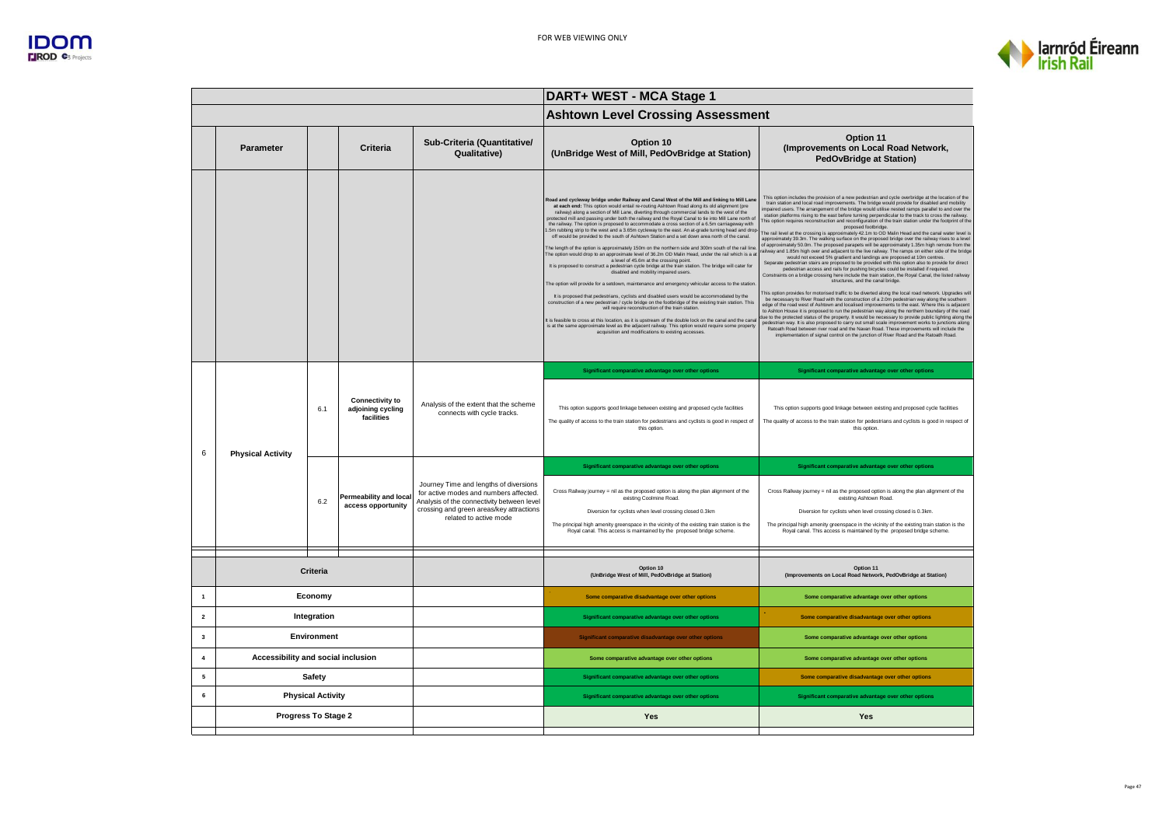



| <b>Ashtown Level Crossing Assessment</b><br>Option 11<br>Sub-Criteria (Quantitative/<br>Option 10<br>(Improvements on Local Road Network,<br><b>Parameter</b><br>Criteria<br>Qualitative)<br>(UnBridge West of Mill, PedOvBridge at Station)<br><b>PedOvBridge at Station)</b><br>This option includes the provision of a new pedestrian and cycle overbridge at the location of the<br>Road and cycleway bridge under Railway and Canal West of the Mill and linking to Mill Lane<br>train station and local road improvements. The bridge would provide for disabled and mobility<br>at each end: This option would entail re-routing Ashtown Road along its old alignment (pre<br>mpaired users. The arrangement of the bridge would utilise nested ramps parallel to and over the<br>railway) along a section of Mill Lane, diverting through commercial lands to the west of the<br>station platforms rising to the east before turning perpendicular to the track to cross the railway.<br>protected mill and passing under both the railway and the Royal Canal to tie into Mill Lane north of<br>This option requires reconstruction and reconfiguration of the train station under the footprint of the<br>the railway. The option is proposed to accommodate a cross section of a 6.5m carriageway with<br>proposed footbridge.<br>.5m rubbing strip to the west and a 3.65m cycleway to the east. An at-grade turning head and drop<br>The rail level at the crossing is approximately 42.1m to OD Malin Head and the canal water level is<br>off would be provided to the south of Ashtown Station and a set down area north of the canal.<br>approximately 39.3m. The walking surface on the proposed bridge over the railway rises to a level<br>of approximately 50.0m. The proposed parapets will be approximately 1.35m high remote from the<br>The length of the option is approximately 150m on the northern side and 300m south of the rail line<br>railway and 1.85m high over and adjacent to the live railway. The ramps on either side of the bridge<br>The option would drop to an approximate level of 36.2m OD Malin Head, under the rail which is a at<br>would not exceed 5% gradient and landings are proposed at 10m centres.<br>a level of 45.6m at the crossing point.<br>Separate pedestrian stairs are proposed to be provided with this option also to provide for direct<br>It is proposed to construct a pedestrian cycle bridge at the train station. The bridge will cater for<br>pedestrian access and rails for pushing bicycles could be installed if required.<br>Constraints on a bridge crossing here include the train station, the Royal Canal, the listed railway<br>disabled and mobility impaired users.<br>structures, and the canal bridge.<br>The option will provide for a setdown, maintenance and emergency vehicular access to the station<br>This option provides for motorised traffic to be diverted along the local road network. Upgrades will<br>It is proposed that pedestrians, cyclists and disabled users would be accommodated by the<br>be necessary to River Road with the construction of a 2.0m pedestrian way along the southern<br>construction of a new pedestrian / cycle bridge on the footbridge of the existing train station. This<br>edge of the road west of Ashtown and localised improvements to the east. Where this is adjacent<br>will require reconstruction of the train station.<br>to Ashton House it is proposed to run the pedestrian way along the northern boundary of the road<br>due to the protected status of the property. It would be necessary to provide public lighting along the<br>It is feasible to cross at this location, as it is upstream of the double lock on the canal and the cana<br>pedestrian way. It is also proposed to carry out small scale improvement works to junctions along<br>is at the same approximate level as the adjacent railway. This option would require some property<br>Ratoath Road between river road and the Navan Road. These improvements will include the<br>acquisition and modifications to existing accesses.<br>implementation of signal control on the junction of River Road and the Ratoath Road. | DART+ WEST - MCA Stage 1 |  |  |  |
|------------------------------------------------------------------------------------------------------------------------------------------------------------------------------------------------------------------------------------------------------------------------------------------------------------------------------------------------------------------------------------------------------------------------------------------------------------------------------------------------------------------------------------------------------------------------------------------------------------------------------------------------------------------------------------------------------------------------------------------------------------------------------------------------------------------------------------------------------------------------------------------------------------------------------------------------------------------------------------------------------------------------------------------------------------------------------------------------------------------------------------------------------------------------------------------------------------------------------------------------------------------------------------------------------------------------------------------------------------------------------------------------------------------------------------------------------------------------------------------------------------------------------------------------------------------------------------------------------------------------------------------------------------------------------------------------------------------------------------------------------------------------------------------------------------------------------------------------------------------------------------------------------------------------------------------------------------------------------------------------------------------------------------------------------------------------------------------------------------------------------------------------------------------------------------------------------------------------------------------------------------------------------------------------------------------------------------------------------------------------------------------------------------------------------------------------------------------------------------------------------------------------------------------------------------------------------------------------------------------------------------------------------------------------------------------------------------------------------------------------------------------------------------------------------------------------------------------------------------------------------------------------------------------------------------------------------------------------------------------------------------------------------------------------------------------------------------------------------------------------------------------------------------------------------------------------------------------------------------------------------------------------------------------------------------------------------------------------------------------------------------------------------------------------------------------------------------------------------------------------------------------------------------------------------------------------------------------------------------------------------------------------------------------------------------------------------------------------------------------------------------------------------------------------------------------------------------------------------------------------------------------------------------------------------------------------------------------------------------------------------------------------------------------------------------------------------------------------------------------------------------------------------------------------------------------------------------------------------------------------------------|--------------------------|--|--|--|
|                                                                                                                                                                                                                                                                                                                                                                                                                                                                                                                                                                                                                                                                                                                                                                                                                                                                                                                                                                                                                                                                                                                                                                                                                                                                                                                                                                                                                                                                                                                                                                                                                                                                                                                                                                                                                                                                                                                                                                                                                                                                                                                                                                                                                                                                                                                                                                                                                                                                                                                                                                                                                                                                                                                                                                                                                                                                                                                                                                                                                                                                                                                                                                                                                                                                                                                                                                                                                                                                                                                                                                                                                                                                                                                                                                                                                                                                                                                                                                                                                                                                                                                                                                                                                                                            |                          |  |  |  |
|                                                                                                                                                                                                                                                                                                                                                                                                                                                                                                                                                                                                                                                                                                                                                                                                                                                                                                                                                                                                                                                                                                                                                                                                                                                                                                                                                                                                                                                                                                                                                                                                                                                                                                                                                                                                                                                                                                                                                                                                                                                                                                                                                                                                                                                                                                                                                                                                                                                                                                                                                                                                                                                                                                                                                                                                                                                                                                                                                                                                                                                                                                                                                                                                                                                                                                                                                                                                                                                                                                                                                                                                                                                                                                                                                                                                                                                                                                                                                                                                                                                                                                                                                                                                                                                            |                          |  |  |  |
|                                                                                                                                                                                                                                                                                                                                                                                                                                                                                                                                                                                                                                                                                                                                                                                                                                                                                                                                                                                                                                                                                                                                                                                                                                                                                                                                                                                                                                                                                                                                                                                                                                                                                                                                                                                                                                                                                                                                                                                                                                                                                                                                                                                                                                                                                                                                                                                                                                                                                                                                                                                                                                                                                                                                                                                                                                                                                                                                                                                                                                                                                                                                                                                                                                                                                                                                                                                                                                                                                                                                                                                                                                                                                                                                                                                                                                                                                                                                                                                                                                                                                                                                                                                                                                                            |                          |  |  |  |
| Significant comparative advantage over other options<br>Significant comparative advantage over other options<br><b>Connectivity to</b><br>Analysis of the extent that the scheme<br>6.1<br>adjoining cycling<br>This option supports good linkage between existing and proposed cycle facilities<br>This option supports good linkage between existing and proposed cycle facilities<br>connects with cycle tracks.<br>facilities<br>The quality of access to the train station for pedestrians and cyclists is good in respect of<br>The quality of access to the train station for pedestrians and cyclists is good in respect of<br>this option.<br>this option.                                                                                                                                                                                                                                                                                                                                                                                                                                                                                                                                                                                                                                                                                                                                                                                                                                                                                                                                                                                                                                                                                                                                                                                                                                                                                                                                                                                                                                                                                                                                                                                                                                                                                                                                                                                                                                                                                                                                                                                                                                                                                                                                                                                                                                                                                                                                                                                                                                                                                                                                                                                                                                                                                                                                                                                                                                                                                                                                                                                                                                                                                                                                                                                                                                                                                                                                                                                                                                                                                                                                                                                        |                          |  |  |  |
| 6<br><b>Physical Activity</b><br>Significant comparative advantage over other options<br>Significant comparative advantage over other options<br>Journey Time and lengths of diversions<br>Cross Railway journey = nil as the proposed option is along the plan alignment of the<br>Cross Railway journey = nil as the proposed option is along the plan alignment of the<br>for active modes and numbers affected.<br>Permeability and local<br>existing Coolmine Road.<br>existing Ashtown Road.<br>6.2<br>Analysis of the connectivity between level<br>access opportunity<br>crossing and green areas/key attractions<br>Diversion for cyclists when level crossing closed 0.3km<br>Diversion for cyclists when level crossing closed is 0.3km.<br>related to active mode<br>The principal high amenity greenspace in the vicinity of the existing train station is the<br>The principal high amenity greenspace in the vicinity of the existing train station is the<br>Roval canal. This access is maintained by the proposed bridge scheme.<br>Roval canal. This access is maintained by the proposed bridge scheme                                                                                                                                                                                                                                                                                                                                                                                                                                                                                                                                                                                                                                                                                                                                                                                                                                                                                                                                                                                                                                                                                                                                                                                                                                                                                                                                                                                                                                                                                                                                                                                                                                                                                                                                                                                                                                                                                                                                                                                                                                                                                                                                                                                                                                                                                                                                                                                                                                                                                                                                                                                                                                                                                                                                                                                                                                                                                                                                                                                                                                                                                                                                 |                          |  |  |  |
| Option 10<br>Option 11<br>Criteria<br>(UnBridge West of Mill, PedOvBridge at Station)<br>(Improvements on Local Road Network, PedOvBridge at Station)                                                                                                                                                                                                                                                                                                                                                                                                                                                                                                                                                                                                                                                                                                                                                                                                                                                                                                                                                                                                                                                                                                                                                                                                                                                                                                                                                                                                                                                                                                                                                                                                                                                                                                                                                                                                                                                                                                                                                                                                                                                                                                                                                                                                                                                                                                                                                                                                                                                                                                                                                                                                                                                                                                                                                                                                                                                                                                                                                                                                                                                                                                                                                                                                                                                                                                                                                                                                                                                                                                                                                                                                                                                                                                                                                                                                                                                                                                                                                                                                                                                                                                      |                          |  |  |  |
| Economy<br>$\mathbf{1}$<br>Some comparative disadvantage over other options<br>Some comparative advantage over other options                                                                                                                                                                                                                                                                                                                                                                                                                                                                                                                                                                                                                                                                                                                                                                                                                                                                                                                                                                                                                                                                                                                                                                                                                                                                                                                                                                                                                                                                                                                                                                                                                                                                                                                                                                                                                                                                                                                                                                                                                                                                                                                                                                                                                                                                                                                                                                                                                                                                                                                                                                                                                                                                                                                                                                                                                                                                                                                                                                                                                                                                                                                                                                                                                                                                                                                                                                                                                                                                                                                                                                                                                                                                                                                                                                                                                                                                                                                                                                                                                                                                                                                               |                          |  |  |  |
| Integration<br>$\overline{2}$<br>Significant comparative advantage over other options<br>Some comparative disadvantage over other options                                                                                                                                                                                                                                                                                                                                                                                                                                                                                                                                                                                                                                                                                                                                                                                                                                                                                                                                                                                                                                                                                                                                                                                                                                                                                                                                                                                                                                                                                                                                                                                                                                                                                                                                                                                                                                                                                                                                                                                                                                                                                                                                                                                                                                                                                                                                                                                                                                                                                                                                                                                                                                                                                                                                                                                                                                                                                                                                                                                                                                                                                                                                                                                                                                                                                                                                                                                                                                                                                                                                                                                                                                                                                                                                                                                                                                                                                                                                                                                                                                                                                                                  |                          |  |  |  |
| Environment<br>3<br>Significant comparative disadvantage over other options<br>Some comparative advantage over other options                                                                                                                                                                                                                                                                                                                                                                                                                                                                                                                                                                                                                                                                                                                                                                                                                                                                                                                                                                                                                                                                                                                                                                                                                                                                                                                                                                                                                                                                                                                                                                                                                                                                                                                                                                                                                                                                                                                                                                                                                                                                                                                                                                                                                                                                                                                                                                                                                                                                                                                                                                                                                                                                                                                                                                                                                                                                                                                                                                                                                                                                                                                                                                                                                                                                                                                                                                                                                                                                                                                                                                                                                                                                                                                                                                                                                                                                                                                                                                                                                                                                                                                               |                          |  |  |  |
| 4<br>Accessibility and social inclusion<br>Some comparative advantage over other options<br>Some comparative advantage over other options                                                                                                                                                                                                                                                                                                                                                                                                                                                                                                                                                                                                                                                                                                                                                                                                                                                                                                                                                                                                                                                                                                                                                                                                                                                                                                                                                                                                                                                                                                                                                                                                                                                                                                                                                                                                                                                                                                                                                                                                                                                                                                                                                                                                                                                                                                                                                                                                                                                                                                                                                                                                                                                                                                                                                                                                                                                                                                                                                                                                                                                                                                                                                                                                                                                                                                                                                                                                                                                                                                                                                                                                                                                                                                                                                                                                                                                                                                                                                                                                                                                                                                                  |                          |  |  |  |
| <b>Safety</b><br>5<br>Significant comparative advantage over other options<br>Some comparative disadvantage over other options                                                                                                                                                                                                                                                                                                                                                                                                                                                                                                                                                                                                                                                                                                                                                                                                                                                                                                                                                                                                                                                                                                                                                                                                                                                                                                                                                                                                                                                                                                                                                                                                                                                                                                                                                                                                                                                                                                                                                                                                                                                                                                                                                                                                                                                                                                                                                                                                                                                                                                                                                                                                                                                                                                                                                                                                                                                                                                                                                                                                                                                                                                                                                                                                                                                                                                                                                                                                                                                                                                                                                                                                                                                                                                                                                                                                                                                                                                                                                                                                                                                                                                                             |                          |  |  |  |
| <b>Physical Activity</b><br>6<br>Significant comparative advantage over other options<br>Significant comparative advantage over other options                                                                                                                                                                                                                                                                                                                                                                                                                                                                                                                                                                                                                                                                                                                                                                                                                                                                                                                                                                                                                                                                                                                                                                                                                                                                                                                                                                                                                                                                                                                                                                                                                                                                                                                                                                                                                                                                                                                                                                                                                                                                                                                                                                                                                                                                                                                                                                                                                                                                                                                                                                                                                                                                                                                                                                                                                                                                                                                                                                                                                                                                                                                                                                                                                                                                                                                                                                                                                                                                                                                                                                                                                                                                                                                                                                                                                                                                                                                                                                                                                                                                                                              |                          |  |  |  |
| Progress To Stage 2<br><b>Yes</b><br><b>Yes</b>                                                                                                                                                                                                                                                                                                                                                                                                                                                                                                                                                                                                                                                                                                                                                                                                                                                                                                                                                                                                                                                                                                                                                                                                                                                                                                                                                                                                                                                                                                                                                                                                                                                                                                                                                                                                                                                                                                                                                                                                                                                                                                                                                                                                                                                                                                                                                                                                                                                                                                                                                                                                                                                                                                                                                                                                                                                                                                                                                                                                                                                                                                                                                                                                                                                                                                                                                                                                                                                                                                                                                                                                                                                                                                                                                                                                                                                                                                                                                                                                                                                                                                                                                                                                            |                          |  |  |  |